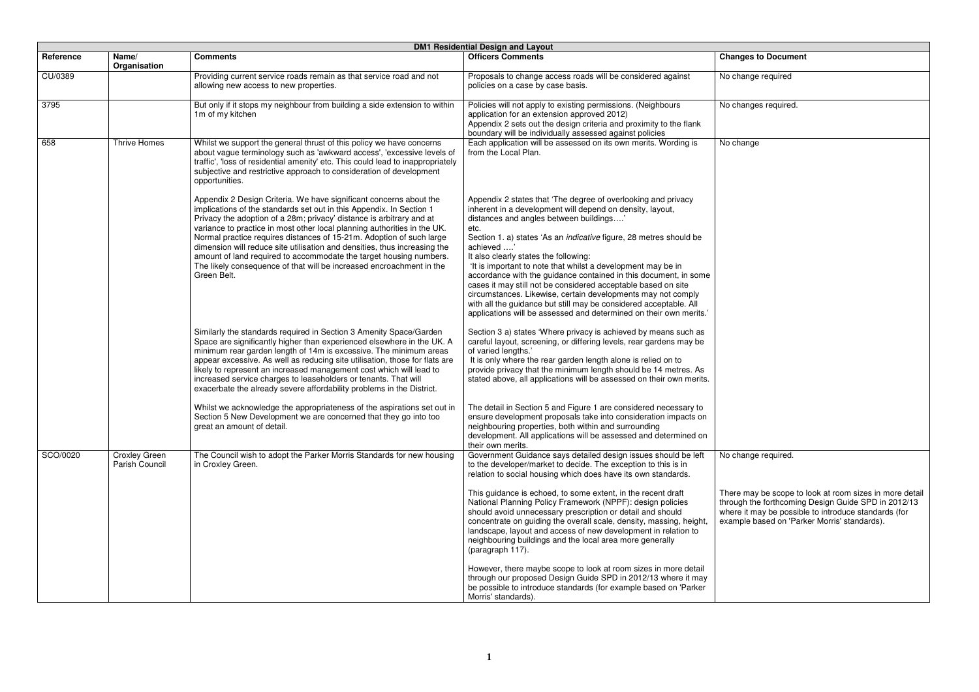**Comment** Conservation Conservative Conservative Conservative Conservative Conservative Conservative Conservative Conservative Conservative Conservative Conservative Conservative Conservative Conservative Conservative Cons

hange required

hanges required.

hange required.

|           |                                        | <b>DM1 Residential Design and Layout</b>                                                                                                                                                                                                                                                                                                                                                                                                                                                                                                                                                                         |                                                                                                                                                                                                                                                                                                                                                                                                                                                                                                                                                                                                                                                                                                                                 |                                                       |  |  |
|-----------|----------------------------------------|------------------------------------------------------------------------------------------------------------------------------------------------------------------------------------------------------------------------------------------------------------------------------------------------------------------------------------------------------------------------------------------------------------------------------------------------------------------------------------------------------------------------------------------------------------------------------------------------------------------|---------------------------------------------------------------------------------------------------------------------------------------------------------------------------------------------------------------------------------------------------------------------------------------------------------------------------------------------------------------------------------------------------------------------------------------------------------------------------------------------------------------------------------------------------------------------------------------------------------------------------------------------------------------------------------------------------------------------------------|-------------------------------------------------------|--|--|
| Reference | Name/<br>Organisation                  | <b>Comments</b>                                                                                                                                                                                                                                                                                                                                                                                                                                                                                                                                                                                                  | <b>Officers Comments</b>                                                                                                                                                                                                                                                                                                                                                                                                                                                                                                                                                                                                                                                                                                        | <b>Changes to</b>                                     |  |  |
| CU/0389   |                                        | Providing current service roads remain as that service road and not<br>allowing new access to new properties.                                                                                                                                                                                                                                                                                                                                                                                                                                                                                                    | Proposals to change access roads will be considered against<br>policies on a case by case basis.                                                                                                                                                                                                                                                                                                                                                                                                                                                                                                                                                                                                                                | No change                                             |  |  |
| 3795      |                                        | But only if it stops my neighbour from building a side extension to within<br>1m of my kitchen                                                                                                                                                                                                                                                                                                                                                                                                                                                                                                                   | Policies will not apply to existing permissions. (Neighbours<br>application for an extension approved 2012)<br>Appendix 2 sets out the design criteria and proximity to the flank<br>boundary will be individually assessed against policies                                                                                                                                                                                                                                                                                                                                                                                                                                                                                    | No changes                                            |  |  |
| 658       | <b>Thrive Homes</b>                    | Whilst we support the general thrust of this policy we have concerns<br>about vague terminology such as 'awkward access', 'excessive levels of<br>traffic', 'loss of residential amenity' etc. This could lead to inappropriately<br>subjective and restrictive approach to consideration of development<br>opportunities.                                                                                                                                                                                                                                                                                       | Each application will be assessed on its own merits. Wording is<br>from the Local Plan.                                                                                                                                                                                                                                                                                                                                                                                                                                                                                                                                                                                                                                         | No change                                             |  |  |
|           |                                        | Appendix 2 Design Criteria. We have significant concerns about the<br>implications of the standards set out in this Appendix. In Section 1<br>Privacy the adoption of a 28m; privacy' distance is arbitrary and at<br>variance to practice in most other local planning authorities in the UK.<br>Normal practice requires distances of 15-21m. Adoption of such large<br>dimension will reduce site utilisation and densities, thus increasing the<br>amount of land required to accommodate the target housing numbers.<br>The likely consequence of that will be increased encroachment in the<br>Green Belt. | Appendix 2 states that 'The degree of overlooking and privacy<br>inherent in a development will depend on density, layout,<br>distances and angles between buildings'<br>etc.<br>Section 1. a) states 'As an <i>indicative</i> figure, 28 metres should be<br>achieved<br>It also clearly states the following:<br>'It is important to note that whilst a development may be in<br>accordance with the guidance contained in this document, in some<br>cases it may still not be considered acceptable based on site<br>circumstances. Likewise, certain developments may not comply<br>with all the guidance but still may be considered acceptable. All<br>applications will be assessed and determined on their own merits.' |                                                       |  |  |
|           |                                        | Similarly the standards required in Section 3 Amenity Space/Garden<br>Space are significantly higher than experienced elsewhere in the UK. A<br>minimum rear garden length of 14m is excessive. The minimum areas<br>appear excessive. As well as reducing site utilisation, those for flats are<br>likely to represent an increased management cost which will lead to<br>increased service charges to leaseholders or tenants. That will<br>exacerbate the already severe affordability problems in the District.                                                                                              | Section 3 a) states 'Where privacy is achieved by means such as<br>careful layout, screening, or differing levels, rear gardens may be<br>of varied lengths.'<br>It is only where the rear garden length alone is relied on to<br>provide privacy that the minimum length should be 14 metres. As<br>stated above, all applications will be assessed on their own merits.                                                                                                                                                                                                                                                                                                                                                       |                                                       |  |  |
|           |                                        | Whilst we acknowledge the appropriateness of the aspirations set out in<br>Section 5 New Development we are concerned that they go into too<br>great an amount of detail.                                                                                                                                                                                                                                                                                                                                                                                                                                        | The detail in Section 5 and Figure 1 are considered necessary to<br>ensure development proposals take into consideration impacts on<br>neighbouring properties, both within and surrounding<br>development. All applications will be assessed and determined on<br>their own merits.                                                                                                                                                                                                                                                                                                                                                                                                                                            |                                                       |  |  |
| SCO/0020  | <b>Croxley Green</b><br>Parish Council | The Council wish to adopt the Parker Morris Standards for new housing<br>in Croxley Green.                                                                                                                                                                                                                                                                                                                                                                                                                                                                                                                       | Government Guidance says detailed design issues should be left<br>to the developer/market to decide. The exception to this is in<br>relation to social housing which does have its own standards.                                                                                                                                                                                                                                                                                                                                                                                                                                                                                                                               | No change                                             |  |  |
|           |                                        |                                                                                                                                                                                                                                                                                                                                                                                                                                                                                                                                                                                                                  | This guidance is echoed, to some extent, in the recent draft<br>National Planning Policy Framework (NPPF): design policies<br>should avoid unnecessary prescription or detail and should<br>concentrate on guiding the overall scale, density, massing, height,<br>landscape, layout and access of new development in relation to<br>neighbouring buildings and the local area more generally<br>(paragraph 117).                                                                                                                                                                                                                                                                                                               | There may<br>through the<br>where it ma<br>example ba |  |  |
|           |                                        |                                                                                                                                                                                                                                                                                                                                                                                                                                                                                                                                                                                                                  | However, there maybe scope to look at room sizes in more detail<br>through our proposed Design Guide SPD in 2012/13 where it may<br>be possible to introduce standards (for example based on 'Parker<br>Morris' standards).                                                                                                                                                                                                                                                                                                                                                                                                                                                                                                     |                                                       |  |  |

There may be scope to look at room sizes in more detail through the forthcoming Design Guide SPD in 2012/13 where it may be possible to introduce standards (for example based on 'Parker Morris' standards).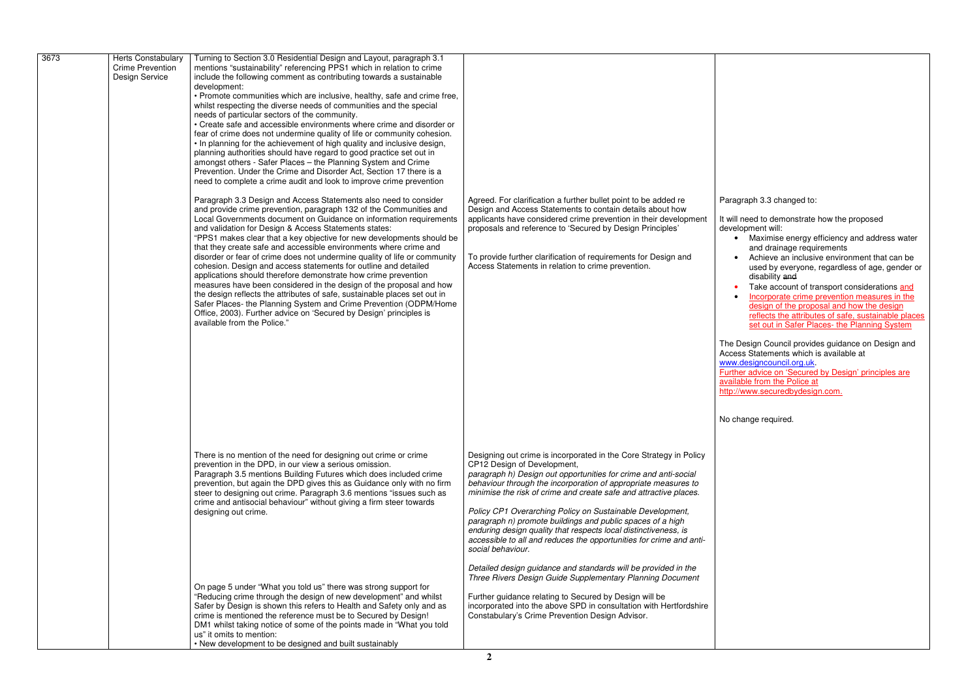| 3673 | <b>Herts Constabulary</b><br>Crime Prevention<br>Design Service | Turning to Section 3.0 Residential Design and Layout, paragraph 3.1<br>mentions "sustainability" referencing PPS1 which in relation to crime<br>include the following comment as contributing towards a sustainable<br>development:<br>• Promote communities which are inclusive, healthy, safe and crime free,<br>whilst respecting the diverse needs of communities and the special<br>needs of particular sectors of the community.<br>• Create safe and accessible environments where crime and disorder or<br>fear of crime does not undermine quality of life or community cohesion.<br>. In planning for the achievement of high quality and inclusive design,<br>planning authorities should have regard to good practice set out in<br>amongst others - Safer Places - the Planning System and Crime<br>Prevention. Under the Crime and Disorder Act, Section 17 there is a<br>need to complete a crime audit and look to improve crime prevention         |                                                                                                                                                                                                                                                                                                                                                                                                                                                                                                                                                                                                       |                                                            |
|------|-----------------------------------------------------------------|---------------------------------------------------------------------------------------------------------------------------------------------------------------------------------------------------------------------------------------------------------------------------------------------------------------------------------------------------------------------------------------------------------------------------------------------------------------------------------------------------------------------------------------------------------------------------------------------------------------------------------------------------------------------------------------------------------------------------------------------------------------------------------------------------------------------------------------------------------------------------------------------------------------------------------------------------------------------|-------------------------------------------------------------------------------------------------------------------------------------------------------------------------------------------------------------------------------------------------------------------------------------------------------------------------------------------------------------------------------------------------------------------------------------------------------------------------------------------------------------------------------------------------------------------------------------------------------|------------------------------------------------------------|
|      |                                                                 | Paragraph 3.3 Design and Access Statements also need to consider<br>and provide crime prevention, paragraph 132 of the Communities and<br>Local Governments document on Guidance on information requirements<br>and validation for Design & Access Statements states:<br>"PPS1 makes clear that a key objective for new developments should be<br>that they create safe and accessible environments where crime and<br>disorder or fear of crime does not undermine quality of life or community<br>cohesion. Design and access statements for outline and detailed<br>applications should therefore demonstrate how crime prevention<br>measures have been considered in the design of the proposal and how<br>the design reflects the attributes of safe, sustainable places set out in<br>Safer Places- the Planning System and Crime Prevention (ODPM/Home<br>Office, 2003). Further advice on 'Secured by Design' principles is<br>available from the Police." | Agreed. For clarification a further bullet point to be added re<br>Design and Access Statements to contain details about how<br>applicants have considered crime prevention in their development<br>proposals and reference to 'Secured by Design Principles'<br>To provide further clarification of requirements for Design and<br>Access Statements in relation to crime prevention.                                                                                                                                                                                                                | Para<br>It wil<br>deve                                     |
|      |                                                                 |                                                                                                                                                                                                                                                                                                                                                                                                                                                                                                                                                                                                                                                                                                                                                                                                                                                                                                                                                                     |                                                                                                                                                                                                                                                                                                                                                                                                                                                                                                                                                                                                       | The<br>Acco<br><b>WWV</b><br>Furt<br>avai<br>http:<br>No c |
|      |                                                                 | There is no mention of the need for designing out crime or crime<br>prevention in the DPD, in our view a serious omission.<br>Paragraph 3.5 mentions Building Futures which does included crime<br>prevention, but again the DPD gives this as Guidance only with no firm<br>steer to designing out crime. Paragraph 3.6 mentions "issues such as<br>crime and antisocial behaviour" without giving a firm steer towards<br>designing out crime.                                                                                                                                                                                                                                                                                                                                                                                                                                                                                                                    | Designing out crime is incorporated in the Core Strategy in Policy<br>CP12 Design of Development,<br>paragraph h) Design out opportunities for crime and anti-social<br>behaviour through the incorporation of appropriate measures to<br>minimise the risk of crime and create safe and attractive places.<br>Policy CP1 Overarching Policy on Sustainable Development,<br>paragraph n) promote buildings and public spaces of a high<br>enduring design quality that respects local distinctiveness, is<br>accessible to all and reduces the opportunities for crime and anti-<br>social behaviour. |                                                            |
|      |                                                                 | On page 5 under "What you told us" there was strong support for<br>"Reducing crime through the design of new development" and whilst<br>Safer by Design is shown this refers to Health and Safety only and as<br>crime is mentioned the reference must be to Secured by Design!<br>DM1 whilst taking notice of some of the points made in "What you told<br>us" it omits to mention:<br>• New development to be designed and built sustainably                                                                                                                                                                                                                                                                                                                                                                                                                                                                                                                      | Detailed design guidance and standards will be provided in the<br>Three Rivers Design Guide Supplementary Planning Document<br>Further guidance relating to Secured by Design will be<br>incorporated into the above SPD in consultation with Hertfordshire<br>Constabulary's Crime Prevention Design Advisor.<br>$\overline{2}$                                                                                                                                                                                                                                                                      |                                                            |

agraph 3.3 changed to:

- ill need to demonstrate how the proposed elopment will:
- Maximise energy efficiency and address water and drainage requirements
- Achieve an inclusive environment that can be used by everyone, regardless of age, gender or<br>disability <del>and</del>
- Take account of transport considerations **and** • Incorporate crime prevention measures in the design of the proposal and how the design<br>reflects the attributes of safe, sustainable places<br>set out in Safer Places- the Planning System

The Design Council provides guidance on Design and Access Statements which is available at www.designcouncil.org.uk. Further advice on 'Secured by Design' principles are ilable from the Police at

http://www.securedbydesign.com.

change required.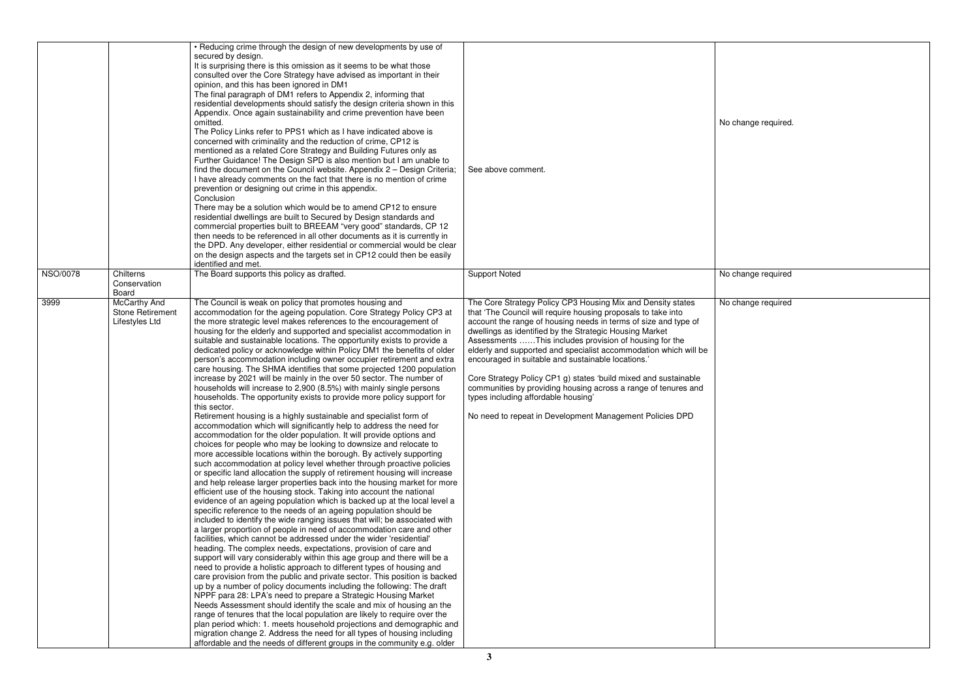|                 |                                                           | • Reducing crime through the design of new developments by use of<br>secured by design.<br>It is surprising there is this omission as it seems to be what those<br>consulted over the Core Strategy have advised as important in their<br>opinion, and this has been ignored in DM1<br>The final paragraph of DM1 refers to Appendix 2, informing that<br>residential developments should satisfy the design criteria shown in this<br>Appendix. Once again sustainability and crime prevention have been<br>omitted.<br>The Policy Links refer to PPS1 which as I have indicated above is<br>concerned with criminality and the reduction of crime, CP12 is<br>mentioned as a related Core Strategy and Building Futures only as<br>Further Guidance! The Design SPD is also mention but I am unable to<br>find the document on the Council website. Appendix 2 - Design Criteria;<br>I have already comments on the fact that there is no mention of crime<br>prevention or designing out crime in this appendix.<br>Conclusion<br>There may be a solution which would be to amend CP12 to ensure<br>residential dwellings are built to Secured by Design standards and<br>commercial properties built to BREEAM "very good" standards, CP 12<br>then needs to be referenced in all other documents as it is currently in<br>the DPD. Any developer, either residential or commercial would be clear<br>on the design aspects and the targets set in CP12 could then be easily<br>identified and met.                                                                                                                                                                                                                                                                                                                                                                                                                                                                                                                                                                                                                                                                                                                                                                                                                                                                                                                                                                                                                                                                                                                                                                                                                      | See above comment.                                                                                                                                                                                                                                                                                                                                                                                                                                                                                                                                                                                                                                                                     | No change required. |
|-----------------|-----------------------------------------------------------|------------------------------------------------------------------------------------------------------------------------------------------------------------------------------------------------------------------------------------------------------------------------------------------------------------------------------------------------------------------------------------------------------------------------------------------------------------------------------------------------------------------------------------------------------------------------------------------------------------------------------------------------------------------------------------------------------------------------------------------------------------------------------------------------------------------------------------------------------------------------------------------------------------------------------------------------------------------------------------------------------------------------------------------------------------------------------------------------------------------------------------------------------------------------------------------------------------------------------------------------------------------------------------------------------------------------------------------------------------------------------------------------------------------------------------------------------------------------------------------------------------------------------------------------------------------------------------------------------------------------------------------------------------------------------------------------------------------------------------------------------------------------------------------------------------------------------------------------------------------------------------------------------------------------------------------------------------------------------------------------------------------------------------------------------------------------------------------------------------------------------------------------------------------------------------------------------------------------------------------------------------------------------------------------------------------------------------------------------------------------------------------------------------------------------------------------------------------------------------------------------------------------------------------------------------------------------------------------------------------------------------------------------------------------------------------------------------------------------|----------------------------------------------------------------------------------------------------------------------------------------------------------------------------------------------------------------------------------------------------------------------------------------------------------------------------------------------------------------------------------------------------------------------------------------------------------------------------------------------------------------------------------------------------------------------------------------------------------------------------------------------------------------------------------------|---------------------|
| <b>NSO/0078</b> | Chilterns<br>Conservation<br>Board                        | The Board supports this policy as drafted.                                                                                                                                                                                                                                                                                                                                                                                                                                                                                                                                                                                                                                                                                                                                                                                                                                                                                                                                                                                                                                                                                                                                                                                                                                                                                                                                                                                                                                                                                                                                                                                                                                                                                                                                                                                                                                                                                                                                                                                                                                                                                                                                                                                                                                                                                                                                                                                                                                                                                                                                                                                                                                                                                   | <b>Support Noted</b>                                                                                                                                                                                                                                                                                                                                                                                                                                                                                                                                                                                                                                                                   | No change required  |
| 3999            | McCarthy And<br><b>Stone Retirement</b><br>Lifestyles Ltd | The Council is weak on policy that promotes housing and<br>accommodation for the ageing population. Core Strategy Policy CP3 at<br>the more strategic level makes references to the encouragement of<br>housing for the elderly and supported and specialist accommodation in<br>suitable and sustainable locations. The opportunity exists to provide a<br>dedicated policy or acknowledge within Policy DM1 the benefits of older<br>person's accommodation including owner occupier retirement and extra<br>care housing. The SHMA identifies that some projected 1200 population<br>increase by 2021 will be mainly in the over 50 sector. The number of<br>households will increase to 2,900 (8.5%) with mainly single persons<br>households. The opportunity exists to provide more policy support for<br>this sector.<br>Retirement housing is a highly sustainable and specialist form of<br>accommodation which will significantly help to address the need for<br>accommodation for the older population. It will provide options and<br>choices for people who may be looking to downsize and relocate to<br>more accessible locations within the borough. By actively supporting<br>such accommodation at policy level whether through proactive policies<br>or specific land allocation the supply of retirement housing will increase<br>and help release larger properties back into the housing market for more<br>efficient use of the housing stock. Taking into account the national<br>evidence of an ageing population which is backed up at the local level a<br>specific reference to the needs of an ageing population should be<br>included to identify the wide ranging issues that will; be associated with<br>a larger proportion of people in need of accommodation care and other<br>facilities, which cannot be addressed under the wider 'residential'<br>heading. The complex needs, expectations, provision of care and<br>support will vary considerably within this age group and there will be a<br>need to provide a holistic approach to different types of housing and<br>care provision from the public and private sector. This position is backed<br>up by a number of policy documents including the following: The draft<br>NPPF para 28: LPA's need to prepare a Strategic Housing Market<br>Needs Assessment should identify the scale and mix of housing an the<br>range of tenures that the local population are likely to require over the<br>plan period which: 1. meets household projections and demographic and<br>migration change 2. Address the need for all types of housing including<br>affordable and the needs of different groups in the community e.g. older | The Core Strategy Policy CP3 Housing Mix and Density states<br>that 'The Council will require housing proposals to take into<br>account the range of housing needs in terms of size and type of<br>dwellings as identified by the Strategic Housing Market<br>Assessments This includes provision of housing for the<br>elderly and supported and specialist accommodation which will be<br>encouraged in suitable and sustainable locations.'<br>Core Strategy Policy CP1 g) states 'build mixed and sustainable<br>communities by providing housing across a range of tenures and<br>types including affordable housing'<br>No need to repeat in Development Management Policies DPD | No change required  |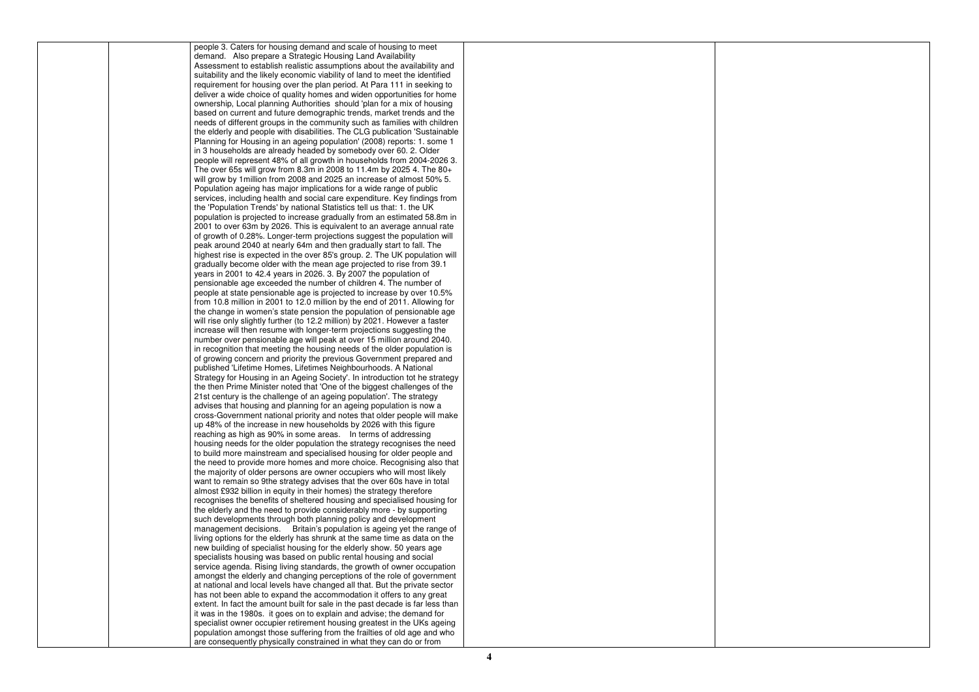

people 3. Caters for housing demand and scale of housing to meet demand. Also prepare a Strategic Housing Land Availability Assessment to establish realistic assumptions about the availability and suitability and the likely economic viability of land to meet the identified requirement for housing over the plan period. At Para 111 in seeking to deliver a wide choice of quality homes and widen opportunities for home ownership, Local planning Authorities should 'plan for a mix of housing based on current and future demographic trends, market trends and the needs of different groups in the community such as families with children the elderly and people with disabilities. The CLG publication 'Sustainable Planning for Housing in an ageing population' (2008) reports: 1. some 1 in 3 households are already headed by somebody over 60. 2. Older people will represent 48% of all growth in households from 2004-2026 3. The over 65s will grow from 8.3m in 2008 to 11.4m by 2025 4. The 80+ will grow by 1million from 2008 and 2025 an increase of almost 50% 5. Population ageing has major implications for a wide range of public services, including health and social care expenditure. Key findings from the 'Population Trends' by national Statistics tell us that: 1. the UK population is projected to increase gradually from an estimated 58.8m in 2001 to over 63m by 2026. This is equivalent to an average annual rate of growth of 0.28%. Longer-term projections suggest the population will peak around 2040 at nearly 64m and then gradually start to fall. The highest rise is expected in the over 85's group. 2. The UK population will gradually become older with the mean age projected to rise from 39.1 years in 2001 to 42.4 years in 2026. 3. By 2007 the population of pensionable age exceeded the number of children 4. The number of people at state pensionable age is projected to increase by over 10.5% from 10.8 million in 2001 to 12.0 million by the end of 2011. Allowing for the change in women's state pension the population of pensionable age will rise only slightly further (to 12.2 million) by 2021. However a faster increase will then resume with longer-term projections suggesting the number over pensionable age will peak at over 15 million around 2040. in recognition that meeting the housing needs of the older population is of growing concern and priority the previous Government prepared and published 'Lifetime Homes, Lifetimes Neighbourhoods. A National Strategy for Housing in an Ageing Society'. In introduction tot he strategy the then Prime Minister noted that 'One of the biggest challenges of the 21st century is the challenge of an ageing population'. The strategy advises that housing and planning for an ageing population is now a cross-Government national priority and notes that older people will make up 48% of the increase in new households by 2026 with this figure reaching as high as 90% in some areas. In terms of addressing housing needs for the older population the strategy recognises the need to build more mainstream and specialised housing for older people and the need to provide more homes and more choice. Recognising also that the majority of older persons are owner occupiers who will most likely want to remain so 9the strategy advises that the over 60s have in total almost £932 billion in equity in their homes) the strategy therefore recognises the benefits of sheltered housing and specialised housing for the elderly and the need to provide considerably more - by supporting such developments through both planning policy and development management decisions. Britain's population is ageing yet the range of living options for the elderly has shrunk at the same time as data on the new building of specialist housing for the elderly show. 50 years age specialists housing was based on public rental housing and social service agenda. Rising living standards, the growth of owner occupation amongst the elderly and changing perceptions of the role of government at national and local levels have changed all that. But the private sector has not been able to expand the accommodation it offers to any great extent. In fact the amount built for sale in the past decade is far less than it was in the 1980s. it goes on to explain and advise; the demand for specialist owner occupier retirement housing greatest in the UKs ageing population amongst those suffering from the frailties of old age and who are consequently physically constrained in what they can do or from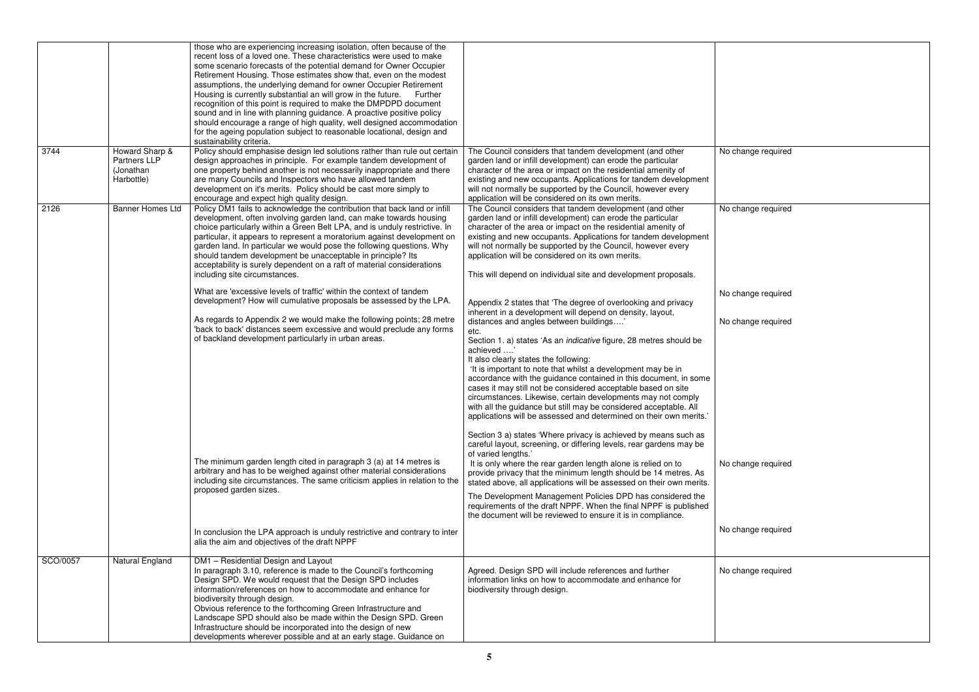No change required

|          |                                                           | those who are experiencing increasing isolation, often because of the<br>recent loss of a loved one. These characteristics were used to make<br>some scenario forecasts of the potential demand for Owner Occupier<br>Retirement Housing. Those estimates show that, even on the modest<br>assumptions, the underlying demand for owner Occupier Retirement<br>Housing is currently substantial an will grow in the future.<br>Further<br>recognition of this point is required to make the DMPDPD document<br>sound and in line with planning guidance. A proactive positive policy<br>should encourage a range of high quality, well designed accommodation<br>for the ageing population subject to reasonable locational, design and<br>sustainability criteria.                                                                                                                                               |                                                                                                                                                                                                                                                                                                                                                                                                                                                                                                                                                                                                                                                                                                                                                                                                                                                                                                                                                                                                                                                                                                                                                                                       |                         |
|----------|-----------------------------------------------------------|-------------------------------------------------------------------------------------------------------------------------------------------------------------------------------------------------------------------------------------------------------------------------------------------------------------------------------------------------------------------------------------------------------------------------------------------------------------------------------------------------------------------------------------------------------------------------------------------------------------------------------------------------------------------------------------------------------------------------------------------------------------------------------------------------------------------------------------------------------------------------------------------------------------------|---------------------------------------------------------------------------------------------------------------------------------------------------------------------------------------------------------------------------------------------------------------------------------------------------------------------------------------------------------------------------------------------------------------------------------------------------------------------------------------------------------------------------------------------------------------------------------------------------------------------------------------------------------------------------------------------------------------------------------------------------------------------------------------------------------------------------------------------------------------------------------------------------------------------------------------------------------------------------------------------------------------------------------------------------------------------------------------------------------------------------------------------------------------------------------------|-------------------------|
| 3744     | Howard Sharp &<br>Partners LLP<br>(Jonathan<br>Harbottle) | Policy should emphasise design led solutions rather than rule out certain<br>design approaches in principle. For example tandem development of<br>one property behind another is not necessarily inappropriate and there<br>are many Councils and Inspectors who have allowed tandem<br>development on it's merits. Policy should be cast more simply to<br>encourage and expect high quality design.                                                                                                                                                                                                                                                                                                                                                                                                                                                                                                             | The Council considers that tandem development (and other<br>garden land or infill development) can erode the particular<br>character of the area or impact on the residential amenity of<br>existing and new occupants. Applications for tandem development<br>will not normally be supported by the Council, however every<br>application will be considered on its own merits.                                                                                                                                                                                                                                                                                                                                                                                                                                                                                                                                                                                                                                                                                                                                                                                                      | No ch                   |
| 2126     | <b>Banner Homes Ltd</b>                                   | Policy DM1 fails to acknowledge the contribution that back land or infill<br>development, often involving garden land, can make towards housing<br>choice particularly within a Green Belt LPA, and is unduly restrictive. In<br>particular, it appears to represent a moratorium against development on<br>garden land. In particular we would pose the following questions. Why<br>should tandem development be unacceptable in principle? Its<br>acceptability is surely dependent on a raft of material considerations<br>including site circumstances.<br>What are 'excessive levels of traffic' within the context of tandem<br>development? How will cumulative proposals be assessed by the LPA.<br>As regards to Appendix 2 we would make the following points; 28 metre<br>'back to back' distances seem excessive and would preclude any forms<br>of backland development particularly in urban areas. | The Council considers that tandem development (and other<br>garden land or infill development) can erode the particular<br>character of the area or impact on the residential amenity of<br>existing and new occupants. Applications for tandem development<br>will not normally be supported by the Council, however every<br>application will be considered on its own merits.<br>This will depend on individual site and development proposals.<br>Appendix 2 states that 'The degree of overlooking and privacy<br>inherent in a development will depend on density, layout,<br>distances and angles between buildings'<br>etc.<br>Section 1. a) states 'As an <i>indicative</i> figure, 28 metres should be<br>achieved<br>It also clearly states the following:<br>'It is important to note that whilst a development may be in<br>accordance with the guidance contained in this document, in some<br>cases it may still not be considered acceptable based on site<br>circumstances. Likewise, certain developments may not comply<br>with all the guidance but still may be considered acceptable. All<br>applications will be assessed and determined on their own merits.' | No ch<br>No ch<br>No ch |
|          |                                                           | The minimum garden length cited in paragraph 3 (a) at 14 metres is<br>arbitrary and has to be weighed against other material considerations<br>including site circumstances. The same criticism applies in relation to the<br>proposed garden sizes.                                                                                                                                                                                                                                                                                                                                                                                                                                                                                                                                                                                                                                                              | Section 3 a) states 'Where privacy is achieved by means such as<br>careful layout, screening, or differing levels, rear gardens may be<br>of varied lengths.'<br>It is only where the rear garden length alone is relied on to<br>provide privacy that the minimum length should be 14 metres. As<br>stated above, all applications will be assessed on their own merits.<br>The Development Management Policies DPD has considered the<br>requirements of the draft NPPF. When the final NPPF is published<br>the document will be reviewed to ensure it is in compliance.                                                                                                                                                                                                                                                                                                                                                                                                                                                                                                                                                                                                           | No ch                   |
|          |                                                           | In conclusion the LPA approach is unduly restrictive and contrary to inter<br>alia the aim and objectives of the draft NPPF                                                                                                                                                                                                                                                                                                                                                                                                                                                                                                                                                                                                                                                                                                                                                                                       |                                                                                                                                                                                                                                                                                                                                                                                                                                                                                                                                                                                                                                                                                                                                                                                                                                                                                                                                                                                                                                                                                                                                                                                       | No ch                   |
| SCO/0057 | Natural England                                           | DM1 - Residential Design and Layout<br>In paragraph 3.10, reference is made to the Council's forthcoming<br>Design SPD. We would request that the Design SPD includes<br>information/references on how to accommodate and enhance for<br>biodiversity through design.<br>Obvious reference to the forthcoming Green Infrastructure and<br>Landscape SPD should also be made within the Design SPD. Green<br>Infrastructure should be incorporated into the design of new<br>developments wherever possible and at an early stage. Guidance on                                                                                                                                                                                                                                                                                                                                                                     | Agreed. Design SPD will include references and further<br>information links on how to accommodate and enhance for<br>biodiversity through design.                                                                                                                                                                                                                                                                                                                                                                                                                                                                                                                                                                                                                                                                                                                                                                                                                                                                                                                                                                                                                                     | No ch                   |

No change required

No change required

No change required

hange required

No change required

hange required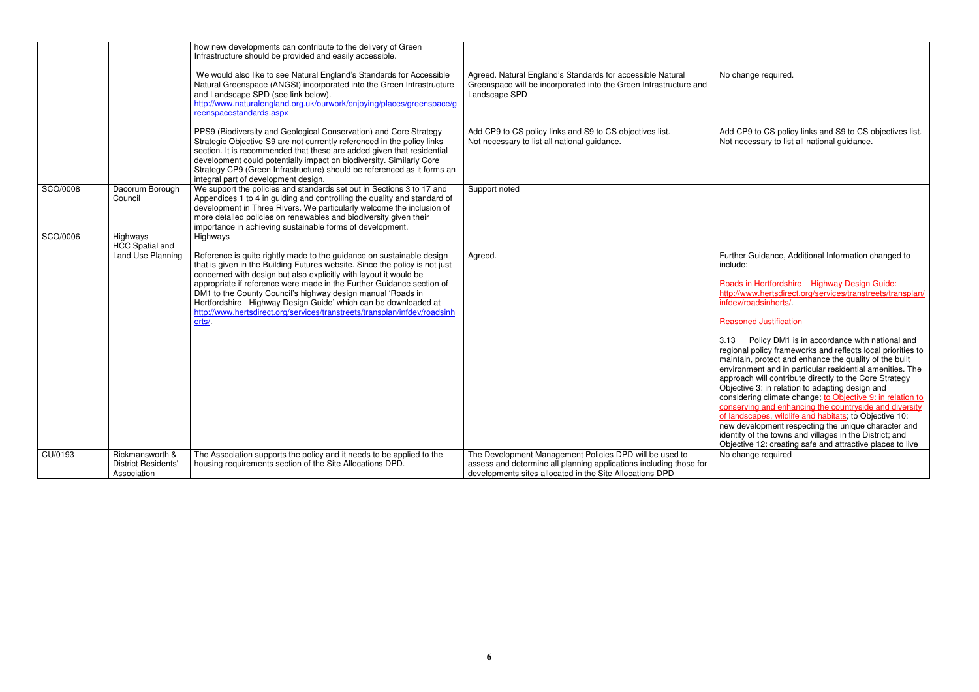nange required.

CP9 to CS policy links and S9 to CS objectives list. necessary to list all national guidance.

ner Guidance, Additional Information changed to ie:

ds in Hertfordshire – Highway Design Guide: http://www.hertsdirect.org/services/transtreets/transplan/v/roadsinherts/

## soned Justification

Policy DM1 is in accordance with national and regional policy frameworks and reflects local priorities to maintain, protect and enhance the quality of the built environment and in particular residential amenities. The approach will contribute directly to the Core Strategy ctive 3: in relation to adapting design and considering climate change; <u>to Objective 9: in relation to</u><br>conserving and enhancing the countryside and diversity dscapes, wildlife and habitats; to Objective 10: new development respecting the unique character andity of the towns and villages in the District; and Objective 12: creating safe and attractive places to live nange required

|          |                                                              | how new developments can contribute to the delivery of Green<br>Infrastructure should be provided and easily accessible.                                                                                                                                                                                                                                                                                                                                                                                                     |                                                                                                                                                                                           |                                                                                                                                                                     |
|----------|--------------------------------------------------------------|------------------------------------------------------------------------------------------------------------------------------------------------------------------------------------------------------------------------------------------------------------------------------------------------------------------------------------------------------------------------------------------------------------------------------------------------------------------------------------------------------------------------------|-------------------------------------------------------------------------------------------------------------------------------------------------------------------------------------------|---------------------------------------------------------------------------------------------------------------------------------------------------------------------|
|          |                                                              | We would also like to see Natural England's Standards for Accessible<br>Natural Greenspace (ANGSt) incorporated into the Green Infrastructure<br>and Landscape SPD (see link below).<br>http://www.naturalengland.org.uk/ourwork/enjoying/places/greenspace/g<br>reenspacestandards.aspx                                                                                                                                                                                                                                     | Agreed. Natural England's Standards for accessible Natural<br>Greenspace will be incorporated into the Green Infrastructure and<br>Landscape SPD                                          | No ch                                                                                                                                                               |
|          |                                                              | PPS9 (Biodiversity and Geological Conservation) and Core Strategy<br>Strategic Objective S9 are not currently referenced in the policy links<br>section. It is recommended that these are added given that residential<br>development could potentially impact on biodiversity. Similarly Core<br>Strategy CP9 (Green Infrastructure) should be referenced as it forms an<br>integral part of development design.                                                                                                            | Add CP9 to CS policy links and S9 to CS objectives list.<br>Not necessary to list all national guidance.                                                                                  | Add (<br>Not n                                                                                                                                                      |
| SCO/0008 | Dacorum Borough<br>Council                                   | We support the policies and standards set out in Sections 3 to 17 and<br>Appendices 1 to 4 in guiding and controlling the quality and standard of<br>development in Three Rivers. We particularly welcome the inclusion of<br>more detailed policies on renewables and biodiversity given their<br>importance in achieving sustainable forms of development.                                                                                                                                                                 | Support noted                                                                                                                                                                             |                                                                                                                                                                     |
| SCO/0006 | Highways<br><b>HCC Spatial and</b>                           | Highways                                                                                                                                                                                                                                                                                                                                                                                                                                                                                                                     |                                                                                                                                                                                           |                                                                                                                                                                     |
|          | <b>Land Use Planning</b>                                     | Reference is quite rightly made to the guidance on sustainable design<br>that is given in the Building Futures website. Since the policy is not just<br>concerned with design but also explicitly with layout it would be<br>appropriate if reference were made in the Further Guidance section of<br>DM1 to the County Council's highway design manual 'Roads in<br>Hertfordshire - Highway Design Guide' which can be downloaded at<br>http://www.hertsdirect.org/services/transtreets/transplan/infdev/roadsinh<br>erts/. | Agreed.                                                                                                                                                                                   | Furth<br>incluc<br>Road<br>http://<br>infdey<br>Reas<br>3.13<br>regior<br>maint<br>enviro<br>appro<br>Objed<br>consi<br>conse<br>of lan<br>new o<br>identi<br>Objed |
| CU/0193  | Rickmansworth &<br><b>District Residents'</b><br>Association | The Association supports the policy and it needs to be applied to the<br>housing requirements section of the Site Allocations DPD.                                                                                                                                                                                                                                                                                                                                                                                           | The Development Management Policies DPD will be used to<br>assess and determine all planning applications including those for<br>developments sites allocated in the Site Allocations DPD | No ch                                                                                                                                                               |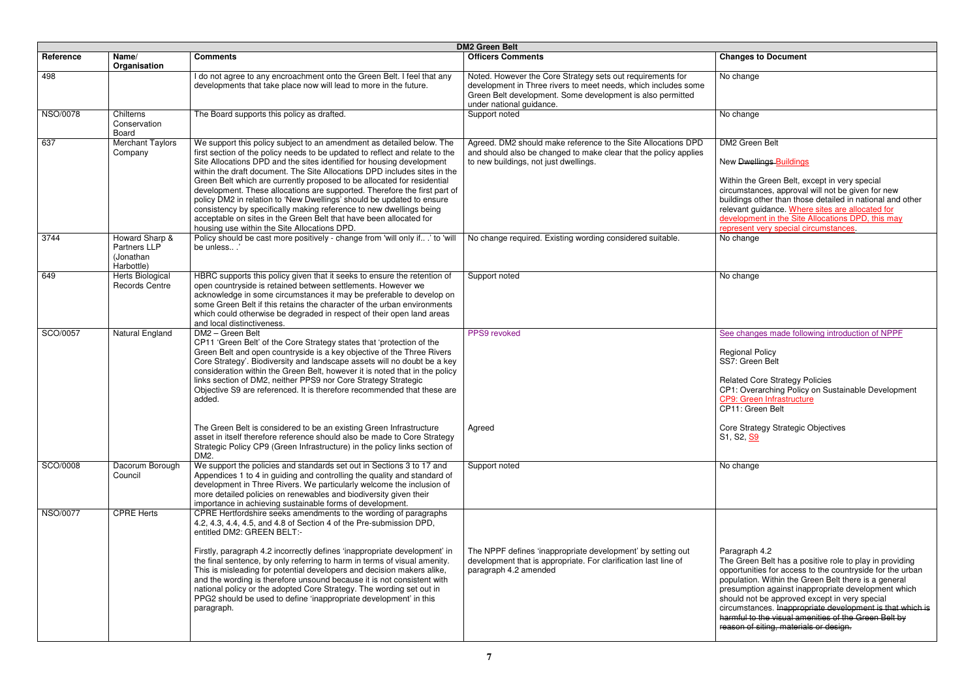|                 |                                                           |                                                                                                                                                                                                                                                                                                                                                                                                                                                                                                                                                                                                                                                                                                                                           | <b>DM2 Green Belt</b>                                                                                                                                                                                                  |                                                                                                                                                                                                                                               |
|-----------------|-----------------------------------------------------------|-------------------------------------------------------------------------------------------------------------------------------------------------------------------------------------------------------------------------------------------------------------------------------------------------------------------------------------------------------------------------------------------------------------------------------------------------------------------------------------------------------------------------------------------------------------------------------------------------------------------------------------------------------------------------------------------------------------------------------------------|------------------------------------------------------------------------------------------------------------------------------------------------------------------------------------------------------------------------|-----------------------------------------------------------------------------------------------------------------------------------------------------------------------------------------------------------------------------------------------|
| Reference       | Name/<br>Organisation                                     | <b>Comments</b>                                                                                                                                                                                                                                                                                                                                                                                                                                                                                                                                                                                                                                                                                                                           | <b>Officers Comments</b>                                                                                                                                                                                               | <b>Changes to Document</b>                                                                                                                                                                                                                    |
| 498             |                                                           | I do not agree to any encroachment onto the Green Belt. I feel that any<br>developments that take place now will lead to more in the future.                                                                                                                                                                                                                                                                                                                                                                                                                                                                                                                                                                                              | Noted. However the Core Strategy sets out requirements for<br>development in Three rivers to meet needs, which includes some<br>Green Belt development. Some development is also permitted<br>under national guidance. | No change                                                                                                                                                                                                                                     |
| NSO/0078        | Chilterns<br>Conservation<br>Board                        | The Board supports this policy as drafted.                                                                                                                                                                                                                                                                                                                                                                                                                                                                                                                                                                                                                                                                                                | Support noted                                                                                                                                                                                                          | No change                                                                                                                                                                                                                                     |
| 637             | <b>Merchant Taylors</b><br>Company                        | We support this policy subject to an amendment as detailed below. The<br>first section of the policy needs to be updated to reflect and relate to the<br>Site Allocations DPD and the sites identified for housing development<br>within the draft document. The Site Allocations DPD includes sites in the<br>Green Belt which are currently proposed to be allocated for residential<br>development. These allocations are supported. Therefore the first part of<br>policy DM2 in relation to 'New Dwellings' should be updated to ensure<br>consistency by specifically making reference to new dwellings being<br>acceptable on sites in the Green Belt that have been allocated for<br>housing use within the Site Allocations DPD. | Agreed. DM2 should make reference to the Site Allocations DPD<br>and should also be changed to make clear that the policy applies<br>to new buildings, not just dwellings.                                             | DM2 Green Belt<br>New Dwellings Buildings<br>Within the Green Belt, ex<br>circumstances, approval<br>buildings other than thos<br>relevant guidance. When<br>development in the Site<br>represent very special ci                             |
| 3744            | Howard Sharp &<br>Partners LLP<br>(Jonathan<br>Harbottle) | Policy should be cast more positively - change from 'will only if' to 'will<br>be unless'                                                                                                                                                                                                                                                                                                                                                                                                                                                                                                                                                                                                                                                 | No change required. Existing wording considered suitable.                                                                                                                                                              | No change                                                                                                                                                                                                                                     |
| 649             | <b>Herts Biological</b><br><b>Records Centre</b>          | HBRC supports this policy given that it seeks to ensure the retention of<br>open countryside is retained between settlements. However we<br>acknowledge in some circumstances it may be preferable to develop on<br>some Green Belt if this retains the character of the urban environments<br>which could otherwise be degraded in respect of their open land areas<br>and local distinctiveness.                                                                                                                                                                                                                                                                                                                                        | Support noted                                                                                                                                                                                                          | No change                                                                                                                                                                                                                                     |
| SCO/0057        | Natural England                                           | DM2 - Green Belt<br>CP11 'Green Belt' of the Core Strategy states that 'protection of the<br>Green Belt and open countryside is a key objective of the Three Rivers<br>Core Strategy'. Biodiversity and landscape assets will no doubt be a key<br>consideration within the Green Belt, however it is noted that in the policy<br>links section of DM2, neither PPS9 nor Core Strategy Strategic<br>Objective S9 are referenced. It is therefore recommended that these are<br>added.                                                                                                                                                                                                                                                     | PPS9 revoked                                                                                                                                                                                                           | See changes made follo<br><b>Regional Policy</b><br>SS7: Green Belt<br><b>Related Core Strategy P</b><br><b>CP1: Overarching Policy</b><br><b>CP9: Green Infrastructur</b><br>CP11: Green Belt                                                |
|                 |                                                           | The Green Belt is considered to be an existing Green Infrastructure<br>asset in itself therefore reference should also be made to Core Strategy<br>Strategic Policy CP9 (Green Infrastructure) in the policy links section of<br>DM <sub>2</sub> .                                                                                                                                                                                                                                                                                                                                                                                                                                                                                        | Agreed                                                                                                                                                                                                                 | Core Strategy Strategic<br>S1, S2, S9                                                                                                                                                                                                         |
| SCO/0008        | Dacorum Borough<br>Council                                | We support the policies and standards set out in Sections 3 to 17 and<br>Appendices 1 to 4 in guiding and controlling the quality and standard of<br>development in Three Rivers. We particularly welcome the inclusion of<br>more detailed policies on renewables and biodiversity given their<br>importance in achieving sustainable forms of development.                                                                                                                                                                                                                                                                                                                                                                              | Support noted                                                                                                                                                                                                          | No change                                                                                                                                                                                                                                     |
| <b>NSO/0077</b> | <b>CPRE Herts</b>                                         | CPRE Hertfordshire seeks amendments to the wording of paragraphs<br>4.2, 4.3, 4.4, 4.5, and 4.8 of Section 4 of the Pre-submission DPD,<br>entitled DM2: GREEN BELT:-<br>Firstly, paragraph 4.2 incorrectly defines 'inappropriate development' in<br>the final sentence, by only referring to harm in terms of visual amenity.<br>This is misleading for potential developers and decision makers alike,<br>and the wording is therefore unsound because it is not consistent with<br>national policy or the adopted Core Strategy. The wording set out in<br>PPG2 should be used to define 'inappropriate development' in this<br>paragraph.                                                                                            | The NPPF defines 'inappropriate development' by setting out<br>development that is appropriate. For clarification last line of<br>paragraph 4.2 amended                                                                | Paragraph 4.2<br>The Green Belt has a po<br>opportunities for access<br>population. Within the GI<br>presumption against inap<br>should not be approved<br>circumstances. Inapprop<br>harmful to the visual ame<br>reason of siting, material |

| <b>Changes to Document</b>                                                                                                                                                                                                                                                                                                                                                                                                                                           |
|----------------------------------------------------------------------------------------------------------------------------------------------------------------------------------------------------------------------------------------------------------------------------------------------------------------------------------------------------------------------------------------------------------------------------------------------------------------------|
| No change                                                                                                                                                                                                                                                                                                                                                                                                                                                            |
| No change                                                                                                                                                                                                                                                                                                                                                                                                                                                            |
| <b>DM2 Green Belt</b>                                                                                                                                                                                                                                                                                                                                                                                                                                                |
| New <del>Dwellings Buildings</del>                                                                                                                                                                                                                                                                                                                                                                                                                                   |
| Within the Green Belt, except in very special<br>circumstances, approval will not be given for new<br>buildings other than those detailed in national and other<br>relevant guidance. Where sites are allocated for<br>development in the Site Allocations DPD, this may<br>represent very special circumstances.                                                                                                                                                    |
| No change                                                                                                                                                                                                                                                                                                                                                                                                                                                            |
| No change                                                                                                                                                                                                                                                                                                                                                                                                                                                            |
| See changes made following introduction of NPPF                                                                                                                                                                                                                                                                                                                                                                                                                      |
| <b>Regional Policy</b><br>SS7: Green Belt                                                                                                                                                                                                                                                                                                                                                                                                                            |
| <b>Related Core Strategy Policies</b><br>CP1: Overarching Policy on Sustainable Development<br>CP9: Green Infrastructure<br>CP11: Green Belt                                                                                                                                                                                                                                                                                                                         |
| Core Strategy Strategic Objectives<br>S1, S2, <u>S9</u>                                                                                                                                                                                                                                                                                                                                                                                                              |
| No change                                                                                                                                                                                                                                                                                                                                                                                                                                                            |
|                                                                                                                                                                                                                                                                                                                                                                                                                                                                      |
| Paragraph 4.2<br>The Green Belt has a positive role to play in providing<br>opportunities for access to the countryside for the urban<br>population. Within the Green Belt there is a general<br>presumption against inappropriate development which<br>should not be approved except in very special<br>circumstances. Inappropriate development is that which is<br>harmful to the visual amenities of the Green Belt by<br>reason of siting, materials or design. |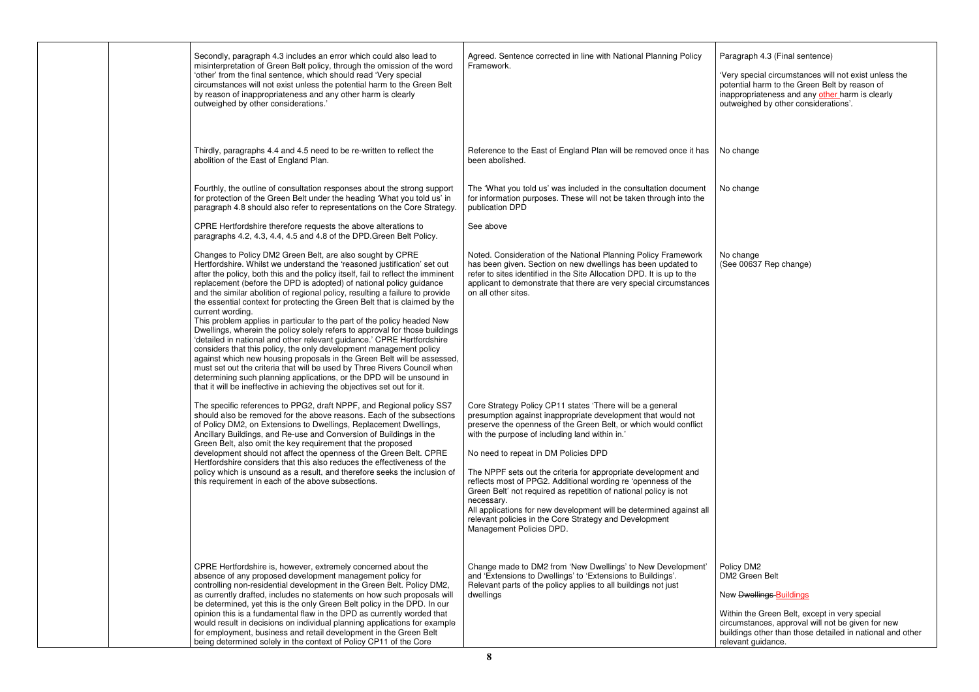graph 4.3 (Final sentence)

'Very special circumstances will not exist unless the<br>potential harm to the Green Belt by reason of<br>inappropriateness and any <u>other h</u>arm is clearly<br>outweighed by other considerations'.

| Secondly, paragraph 4.3 includes an error which could also lead to<br>misinterpretation of Green Belt policy, through the omission of the word<br>'other' from the final sentence, which should read 'Very special<br>circumstances will not exist unless the potential harm to the Green Belt<br>by reason of inappropriateness and any other harm is clearly<br>outweighed by other considerations.'                                                                                                                                                                                                                                                                                                                                                                                                                                                                                                                                                                                                                                                                                                 | Agreed. Sentence corrected in line with National Planning Policy<br>Framework.                                                                                                                                                                                                                                                                                                                                                                                                                                                                                                                                                                                            | Paragraph<br>'Very specia<br>potential ha<br>inappropria<br>outweighed                               |
|--------------------------------------------------------------------------------------------------------------------------------------------------------------------------------------------------------------------------------------------------------------------------------------------------------------------------------------------------------------------------------------------------------------------------------------------------------------------------------------------------------------------------------------------------------------------------------------------------------------------------------------------------------------------------------------------------------------------------------------------------------------------------------------------------------------------------------------------------------------------------------------------------------------------------------------------------------------------------------------------------------------------------------------------------------------------------------------------------------|---------------------------------------------------------------------------------------------------------------------------------------------------------------------------------------------------------------------------------------------------------------------------------------------------------------------------------------------------------------------------------------------------------------------------------------------------------------------------------------------------------------------------------------------------------------------------------------------------------------------------------------------------------------------------|------------------------------------------------------------------------------------------------------|
| Thirdly, paragraphs 4.4 and 4.5 need to be re-written to reflect the<br>abolition of the East of England Plan.                                                                                                                                                                                                                                                                                                                                                                                                                                                                                                                                                                                                                                                                                                                                                                                                                                                                                                                                                                                         | Reference to the East of England Plan will be removed once it has<br>been abolished.                                                                                                                                                                                                                                                                                                                                                                                                                                                                                                                                                                                      | No change                                                                                            |
| Fourthly, the outline of consultation responses about the strong support<br>for protection of the Green Belt under the heading 'What you told us' in<br>paragraph 4.8 should also refer to representations on the Core Strategy.                                                                                                                                                                                                                                                                                                                                                                                                                                                                                                                                                                                                                                                                                                                                                                                                                                                                       | The 'What you told us' was included in the consultation document<br>for information purposes. These will not be taken through into the<br>publication DPD                                                                                                                                                                                                                                                                                                                                                                                                                                                                                                                 | No change                                                                                            |
| CPRE Hertfordshire therefore requests the above alterations to<br>paragraphs 4.2, 4.3, 4.4, 4.5 and 4.8 of the DPD. Green Belt Policy.                                                                                                                                                                                                                                                                                                                                                                                                                                                                                                                                                                                                                                                                                                                                                                                                                                                                                                                                                                 | See above                                                                                                                                                                                                                                                                                                                                                                                                                                                                                                                                                                                                                                                                 |                                                                                                      |
| Changes to Policy DM2 Green Belt, are also sought by CPRE<br>Hertfordshire. Whilst we understand the 'reasoned justification' set out<br>after the policy, both this and the policy itself, fail to reflect the imminent<br>replacement (before the DPD is adopted) of national policy guidance<br>and the similar abolition of regional policy, resulting a failure to provide<br>the essential context for protecting the Green Belt that is claimed by the<br>current wording.<br>This problem applies in particular to the part of the policy headed New<br>Dwellings, wherein the policy solely refers to approval for those buildings<br>'detailed in national and other relevant guidance.' CPRE Hertfordshire<br>considers that this policy, the only development management policy<br>against which new housing proposals in the Green Belt will be assessed,<br>must set out the criteria that will be used by Three Rivers Council when<br>determining such planning applications, or the DPD will be unsound in<br>that it will be ineffective in achieving the objectives set out for it. | Noted. Consideration of the National Planning Policy Framework<br>has been given. Section on new dwellings has been updated to<br>refer to sites identified in the Site Allocation DPD. It is up to the<br>applicant to demonstrate that there are very special circumstances<br>on all other sites.                                                                                                                                                                                                                                                                                                                                                                      | No change<br>(See 00637                                                                              |
| The specific references to PPG2, draft NPPF, and Regional policy SS7<br>should also be removed for the above reasons. Each of the subsections<br>of Policy DM2, on Extensions to Dwellings, Replacement Dwellings,<br>Ancillary Buildings, and Re-use and Conversion of Buildings in the<br>Green Belt, also omit the key requirement that the proposed<br>development should not affect the openness of the Green Belt. CPRE<br>Hertfordshire considers that this also reduces the effectiveness of the<br>policy which is unsound as a result, and therefore seeks the inclusion of<br>this requirement in each of the above subsections.                                                                                                                                                                                                                                                                                                                                                                                                                                                            | Core Strategy Policy CP11 states 'There will be a general<br>presumption against inappropriate development that would not<br>preserve the openness of the Green Belt, or which would conflict<br>with the purpose of including land within in.'<br>No need to repeat in DM Policies DPD<br>The NPPF sets out the criteria for appropriate development and<br>reflects most of PPG2. Additional wording re 'openness of the<br>Green Belt' not required as repetition of national policy is not<br>necessary.<br>All applications for new development will be determined against all<br>relevant policies in the Core Strategy and Development<br>Management Policies DPD. |                                                                                                      |
| CPRE Hertfordshire is, however, extremely concerned about the<br>absence of any proposed development management policy for<br>controlling non-residential development in the Green Belt. Policy DM2,<br>as currently drafted, includes no statements on how such proposals will<br>be determined, yet this is the only Green Belt policy in the DPD. In our<br>opinion this is a fundamental flaw in the DPD as currently worded that<br>would result in decisions on individual planning applications for example<br>for employment, business and retail development in the Green Belt<br>being determined solely in the context of Policy CP11 of the Core                                                                                                                                                                                                                                                                                                                                                                                                                                           | Change made to DM2 from 'New Dwellings' to New Development'<br>and 'Extensions to Dwellings' to 'Extensions to Buildings'.<br>Relevant parts of the policy applies to all buildings not just<br>dwellings                                                                                                                                                                                                                                                                                                                                                                                                                                                                 | Policy DM2<br>DM2 Green<br>New Dwelli<br>Within the C<br>circumstand<br>buildings ot<br>relevant gui |

 $\nu$  DM2 DM2 Green Belt

New <del>Dwellings <mark>Buildings</mark></del>

n the Green Belt, except in very special circumstances, approval will not be given for new buildings other than those detailed in national and other relevant guidance.

No change (See 00637 Rep change)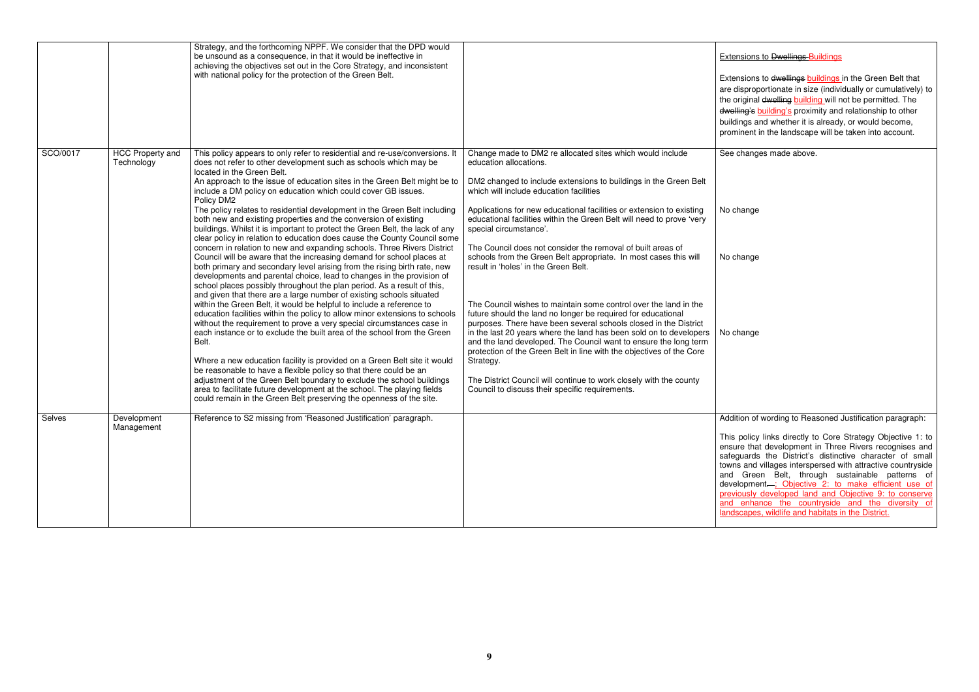## Isions to <del>Dwellings Buildings</del>

Extensions to <del>dwellings</del> <u>buildings i</u>n the Green Belt that isproportionate in size (individually or cumulatively) to the original <del>dwelling</del> <u>building </u>will not be permitted. The d<del>welling's</del> <u>building's</u> proximity and relationship to other ngs and whether it is already, or would become, prominent in the landscape will be taken into account.

changes made above.

ion of wording to Reasoned Justification paragraph:

policy links directly to Core Strategy Objective 1: to ensure that development in Three Rivers recognises and safeguards the District's distinctive character of small towns and villages interspersed with attractive countryside and Green Belt, through sustainable patterns of development.  $\frac{1}{2}$  Objective 2: to make efficient use of pusly developed land and Objective 9: to conserve and enhance the countryside and the diversity of capes, wildlife and habitats in the District.

|          |                                       | Strategy, and the forthcoming NPPF. We consider that the DPD would<br>be unsound as a consequence, in that it would be ineffective in<br>achieving the objectives set out in the Core Strategy, and inconsistent<br>with national policy for the protection of the Green Belt.                                                                                                                                                                                                                                                                                                                                                                                                                                                                                                                                                                                                                                                                                                                                                                                                                                                                                                                                                                                                                                                                                                                                                                                                                                                                                                                                                                                                                                                                                                                                    |                                                                                                                                                                                                                                                                                                                                                                                                                                                                                                                                                                                                                                                                                                                                                                                                                                                                                                                                                                                                                                                                                                                          | Extensions<br>Extensions<br>are disprop<br>the original<br>dwelling's b<br>buildings ar<br>prominent i                                  |
|----------|---------------------------------------|-------------------------------------------------------------------------------------------------------------------------------------------------------------------------------------------------------------------------------------------------------------------------------------------------------------------------------------------------------------------------------------------------------------------------------------------------------------------------------------------------------------------------------------------------------------------------------------------------------------------------------------------------------------------------------------------------------------------------------------------------------------------------------------------------------------------------------------------------------------------------------------------------------------------------------------------------------------------------------------------------------------------------------------------------------------------------------------------------------------------------------------------------------------------------------------------------------------------------------------------------------------------------------------------------------------------------------------------------------------------------------------------------------------------------------------------------------------------------------------------------------------------------------------------------------------------------------------------------------------------------------------------------------------------------------------------------------------------------------------------------------------------------------------------------------------------|--------------------------------------------------------------------------------------------------------------------------------------------------------------------------------------------------------------------------------------------------------------------------------------------------------------------------------------------------------------------------------------------------------------------------------------------------------------------------------------------------------------------------------------------------------------------------------------------------------------------------------------------------------------------------------------------------------------------------------------------------------------------------------------------------------------------------------------------------------------------------------------------------------------------------------------------------------------------------------------------------------------------------------------------------------------------------------------------------------------------------|-----------------------------------------------------------------------------------------------------------------------------------------|
| SCO/0017 | <b>HCC Property and</b><br>Technology | This policy appears to only refer to residential and re-use/conversions. It<br>does not refer to other development such as schools which may be<br>located in the Green Belt.<br>An approach to the issue of education sites in the Green Belt might be to<br>include a DM policy on education which could cover GB issues.<br>Policy DM2<br>The policy relates to residential development in the Green Belt including<br>both new and existing properties and the conversion of existing<br>buildings. Whilst it is important to protect the Green Belt, the lack of any<br>clear policy in relation to education does cause the County Council some<br>concern in relation to new and expanding schools. Three Rivers District<br>Council will be aware that the increasing demand for school places at<br>both primary and secondary level arising from the rising birth rate, new<br>developments and parental choice, lead to changes in the provision of<br>school places possibly throughout the plan period. As a result of this,<br>and given that there are a large number of existing schools situated<br>within the Green Belt, it would be helpful to include a reference to<br>education facilities within the policy to allow minor extensions to schools<br>without the requirement to prove a very special circumstances case in<br>each instance or to exclude the built area of the school from the Green<br>Belt.<br>Where a new education facility is provided on a Green Belt site it would<br>be reasonable to have a flexible policy so that there could be an<br>adjustment of the Green Belt boundary to exclude the school buildings<br>area to facilitate future development at the school. The playing fields<br>could remain in the Green Belt preserving the openness of the site. | Change made to DM2 re allocated sites which would include<br>education allocations.<br>DM2 changed to include extensions to buildings in the Green Belt<br>which will include education facilities<br>Applications for new educational facilities or extension to existing<br>educational facilities within the Green Belt will need to prove 'very<br>special circumstance'.<br>The Council does not consider the removal of built areas of<br>schools from the Green Belt appropriate. In most cases this will<br>result in 'holes' in the Green Belt.<br>The Council wishes to maintain some control over the land in the<br>future should the land no longer be required for educational<br>purposes. There have been several schools closed in the District<br>in the last 20 years where the land has been sold on to developers<br>and the land developed. The Council want to ensure the long term<br>protection of the Green Belt in line with the objectives of the Core<br>Strategy.<br>The District Council will continue to work closely with the county<br>Council to discuss their specific requirements. | See change<br>No change<br>No change<br>No change                                                                                       |
| Selves   | Development<br>Management             | Reference to S2 missing from 'Reasoned Justification' paragraph.                                                                                                                                                                                                                                                                                                                                                                                                                                                                                                                                                                                                                                                                                                                                                                                                                                                                                                                                                                                                                                                                                                                                                                                                                                                                                                                                                                                                                                                                                                                                                                                                                                                                                                                                                  |                                                                                                                                                                                                                                                                                                                                                                                                                                                                                                                                                                                                                                                                                                                                                                                                                                                                                                                                                                                                                                                                                                                          | Addition of<br>This policy<br>ensure that<br>safeguards<br>towns and<br>and Gree<br>developmer<br>previously<br>and enhar<br>landscapes |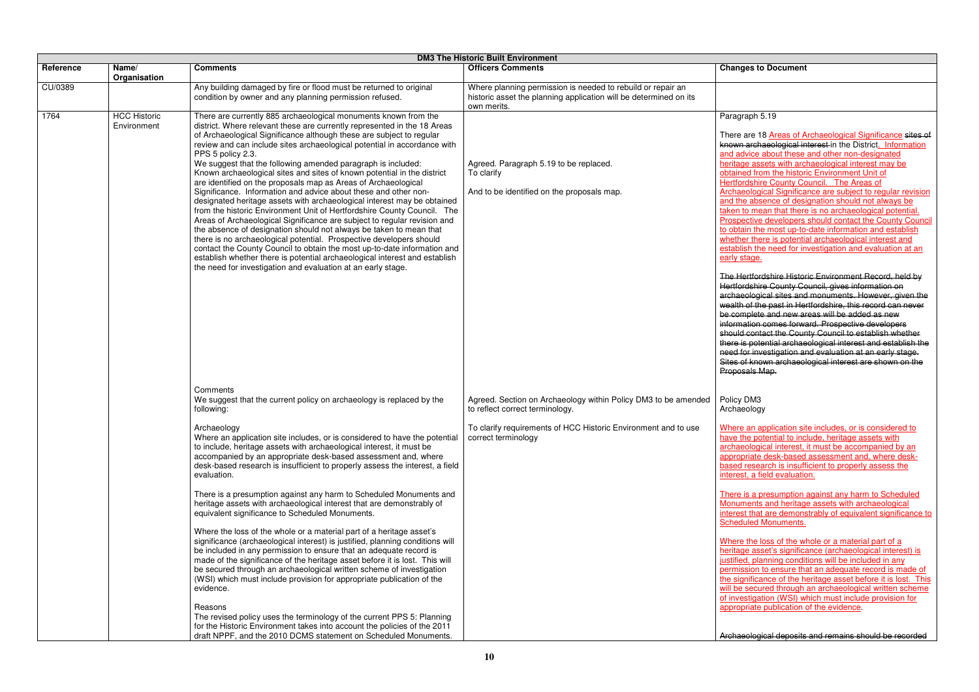### raph  $5.19$

are 18 Areas of Archaeological Significance sites of archaeological interest in the District. Information dvice about these and other non-designated heritage assets with archaeological interest may beed from the historic Environment Unit of rdshire County Council. The Areas of Archaeological Significance are subject to regular revision e absence of designation should not always be taken to mean that there is no archaeological potential. Prospective developers should contact the County Council ain the most up-to-date information and establish er there is potential archaeological interest and establish the need for investigation and evaluation at an tage.

ertfordshire Historic Environment Record, held by rdshire County Council, gives information on archaeological sites and monuments. However, given the of the past in Hertfordshire, this record can never nplete and new areas will be added as new information comes forward. Prospective developers should contact the County Council to establish whether there is potential archaeological interest and establish the or investigation and evaluation at an early stage. Sites of known archaeological interest are shown on the sals Map.

|           |                                    |                                                                                                                                                                                                                                                                                                                                                                                                                                                                                                                                                                                                                                                                                                                                                                                                                                                                                                                                                                                                                                                                                                                                                                                                               | <b>DM3 The Historic Built Environment</b>                                                                                                                           |                                                                                                                                                                                                                                                                                                                                                                                                                                                                                                                                                                                                                                                                                                                                                |
|-----------|------------------------------------|---------------------------------------------------------------------------------------------------------------------------------------------------------------------------------------------------------------------------------------------------------------------------------------------------------------------------------------------------------------------------------------------------------------------------------------------------------------------------------------------------------------------------------------------------------------------------------------------------------------------------------------------------------------------------------------------------------------------------------------------------------------------------------------------------------------------------------------------------------------------------------------------------------------------------------------------------------------------------------------------------------------------------------------------------------------------------------------------------------------------------------------------------------------------------------------------------------------|---------------------------------------------------------------------------------------------------------------------------------------------------------------------|------------------------------------------------------------------------------------------------------------------------------------------------------------------------------------------------------------------------------------------------------------------------------------------------------------------------------------------------------------------------------------------------------------------------------------------------------------------------------------------------------------------------------------------------------------------------------------------------------------------------------------------------------------------------------------------------------------------------------------------------|
| Reference | Name/<br>Organisation              | <b>Comments</b>                                                                                                                                                                                                                                                                                                                                                                                                                                                                                                                                                                                                                                                                                                                                                                                                                                                                                                                                                                                                                                                                                                                                                                                               | <b>Officers Comments</b>                                                                                                                                            | <b>Changes to Document</b>                                                                                                                                                                                                                                                                                                                                                                                                                                                                                                                                                                                                                                                                                                                     |
| CU/0389   |                                    | Any building damaged by fire or flood must be returned to original<br>condition by owner and any planning permission refused.                                                                                                                                                                                                                                                                                                                                                                                                                                                                                                                                                                                                                                                                                                                                                                                                                                                                                                                                                                                                                                                                                 | Where planning permission is needed to rebuild or repair an<br>historic asset the planning application will be determined on its<br>own merits.                     |                                                                                                                                                                                                                                                                                                                                                                                                                                                                                                                                                                                                                                                                                                                                                |
| 1764      | <b>HCC Historic</b><br>Environment | There are currently 885 archaeological monuments known from the<br>district. Where relevant these are currently represented in the 18 Areas<br>of Archaeological Significance although these are subject to regular<br>review and can include sites archaeological potential in accordance with<br>PPS 5 policy 2.3.<br>We suggest that the following amended paragraph is included:<br>Known archaeological sites and sites of known potential in the district<br>are identified on the proposals map as Areas of Archaeological<br>Significance. Information and advice about these and other non-<br>designated heritage assets with archaeological interest may be obtained<br>from the historic Environment Unit of Hertfordshire County Council. The<br>Areas of Archaeological Significance are subject to regular revision and<br>the absence of designation should not always be taken to mean that<br>there is no archaeological potential. Prospective developers should<br>contact the County Council to obtain the most up-to-date information and<br>establish whether there is potential archaeological interest and establish<br>the need for investigation and evaluation at an early stage. | Agreed. Paragraph 5.19 to be replaced.<br>To clarify<br>And to be identified on the proposals map.                                                                  | Paragraph 5.19<br>There are 18 Areas of Ar<br>known archaeological in<br>and advice about these a<br>heritage assets with arch<br>obtained from the histori<br><b>Hertfordshire County Co</b><br><b>Archaeological Significar</b><br>and the absence of desig<br>taken to mean that there<br>Prospective developers :<br>to obtain the most up-to-<br>whether there is potentia<br>establish the need for inv<br>early stage.<br>The Hertfordshire Histori<br><b>Hertfordshire County Co</b><br>archaeological sites and<br>wealth of the past in Her<br>be complete and new are<br>information comes forwa<br>should contact the Coun<br>there is potential archaed<br>need for investigation an<br>Sites of known archaeok<br>Proposals Map. |
|           |                                    | Comments<br>We suggest that the current policy on archaeology is replaced by the<br>following:<br>Archaeology                                                                                                                                                                                                                                                                                                                                                                                                                                                                                                                                                                                                                                                                                                                                                                                                                                                                                                                                                                                                                                                                                                 | Agreed. Section on Archaeology within Policy DM3 to be amended<br>to reflect correct terminology.<br>To clarify requirements of HCC Historic Environment and to use | Policy DM3<br>Archaeology<br>Where an application site                                                                                                                                                                                                                                                                                                                                                                                                                                                                                                                                                                                                                                                                                         |
|           |                                    | Where an application site includes, or is considered to have the potential<br>to include, heritage assets with archaeological interest, it must be<br>accompanied by an appropriate desk-based assessment and, where<br>desk-based research is insufficient to properly assess the interest, a field<br>evaluation.<br>There is a presumption against any harm to Scheduled Monuments and                                                                                                                                                                                                                                                                                                                                                                                                                                                                                                                                                                                                                                                                                                                                                                                                                     | correct terminology                                                                                                                                                 | have the potential to incl<br>archaeological interest, i<br>appropriate desk-based<br>based research is insuffi<br>interest, a field evaluatio<br>There is a presumption a                                                                                                                                                                                                                                                                                                                                                                                                                                                                                                                                                                     |
|           |                                    | heritage assets with archaeological interest that are demonstrably of<br>equivalent significance to Scheduled Monuments.                                                                                                                                                                                                                                                                                                                                                                                                                                                                                                                                                                                                                                                                                                                                                                                                                                                                                                                                                                                                                                                                                      |                                                                                                                                                                     | Monuments and heritage<br>interest that are demons<br><b>Scheduled Monuments.</b>                                                                                                                                                                                                                                                                                                                                                                                                                                                                                                                                                                                                                                                              |
|           |                                    | Where the loss of the whole or a material part of a heritage asset's<br>significance (archaeological interest) is justified, planning conditions will<br>be included in any permission to ensure that an adequate record is<br>made of the significance of the heritage asset before it is lost. This will<br>be secured through an archaeological written scheme of investigation<br>(WSI) which must include provision for appropriate publication of the<br>evidence.                                                                                                                                                                                                                                                                                                                                                                                                                                                                                                                                                                                                                                                                                                                                      |                                                                                                                                                                     | Where the loss of the wh<br>heritage asset's significa<br>justified, planning conditi<br>permission to ensure tha<br>the significance of the he<br>will be secured through a<br>of investigation (WSI) wh                                                                                                                                                                                                                                                                                                                                                                                                                                                                                                                                      |
|           |                                    | Reasons<br>The revised policy uses the terminology of the current PPS 5: Planning<br>for the Historic Environment takes into account the policies of the 2011<br>draft NPPF, and the 2010 DCMS statement on Scheduled Monuments.                                                                                                                                                                                                                                                                                                                                                                                                                                                                                                                                                                                                                                                                                                                                                                                                                                                                                                                                                                              |                                                                                                                                                                     | appropriate publication c<br>Archaeological deposits                                                                                                                                                                                                                                                                                                                                                                                                                                                                                                                                                                                                                                                                                           |

an application site includes, or is considered to he potential to include, heritage assets with archaeological interest, it must be accompanied by an appropriate desk-based assessment and, where deskresearch is insufficient to properly assess the t, a field evaluation.

is a presumption against any harm to Scheduled nents and heritage assets with archaeological interest that are demonstrably of equivalent significance to uled Monuments.

the loss of the whole or a material part of a heritage asset's significance (archaeological interest) is d, planning conditions will be included in any permission to ensure that an adequate record is made of the significance of the heritage asset before it is lost. This secured through an archaeological written scheme estigation (WSI) which must include provision for priate publication of the evidence.

eological deposits and remains should be recorded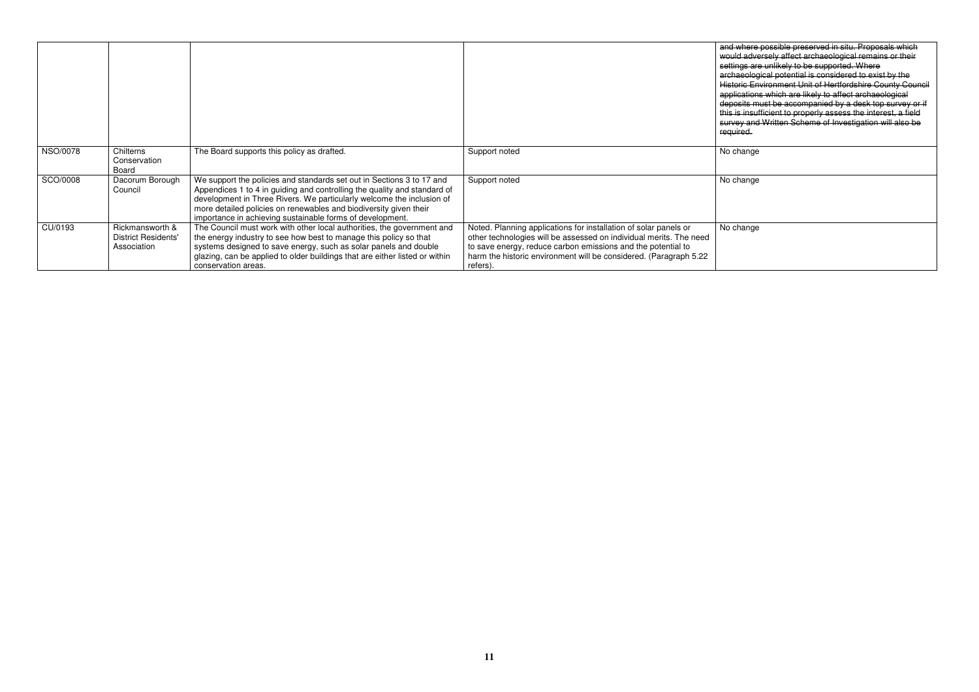and where possible preserved in situ. Proposals which would adversely affect archaeological remains or their settings are unlikely to be supported. Where archaeological potential is considered to exist by the Historic Environment Unit of Hertfordshire County Council applications which are likely to affect archaeological<br>deposits must be accompanied by a desk top survey or if<br>this is insufficient to properly assess the interest, a field<br>survey and Written Scheme of Investigation will a  $\mathsf{red}.$ 

|                 |                                                              |                                                                                                                                                                                                                                                                                                                                                              |                                                                                                                                                                                                                                                                                         | and where<br>would adve<br>settings are<br>archaeolog<br><b>Historic Env</b><br>applications<br>deposits mi<br>this is insuff<br>survey and<br>required. |
|-----------------|--------------------------------------------------------------|--------------------------------------------------------------------------------------------------------------------------------------------------------------------------------------------------------------------------------------------------------------------------------------------------------------------------------------------------------------|-----------------------------------------------------------------------------------------------------------------------------------------------------------------------------------------------------------------------------------------------------------------------------------------|----------------------------------------------------------------------------------------------------------------------------------------------------------|
| <b>NSO/0078</b> | Chilterns<br>Conservation<br>Board                           | The Board supports this policy as drafted.                                                                                                                                                                                                                                                                                                                   | Support noted                                                                                                                                                                                                                                                                           | No change                                                                                                                                                |
| SCO/0008        | Dacorum Borough<br>Council                                   | We support the policies and standards set out in Sections 3 to 17 and<br>Appendices 1 to 4 in guiding and controlling the quality and standard of<br>development in Three Rivers. We particularly welcome the inclusion of<br>more detailed policies on renewables and biodiversity given their<br>importance in achieving sustainable forms of development. | Support noted                                                                                                                                                                                                                                                                           | No change                                                                                                                                                |
| CU/0193         | Rickmansworth &<br><b>District Residents'</b><br>Association | The Council must work with other local authorities, the government and<br>the energy industry to see how best to manage this policy so that<br>systems designed to save energy, such as solar panels and double<br>glazing, can be applied to older buildings that are either listed or within<br>conservation areas.                                        | Noted. Planning applications for installation of solar panels or<br>other technologies will be assessed on individual merits. The need<br>to save energy, reduce carbon emissions and the potential to<br>harm the historic environment will be considered. (Paragraph 5.22<br>refers). | No change                                                                                                                                                |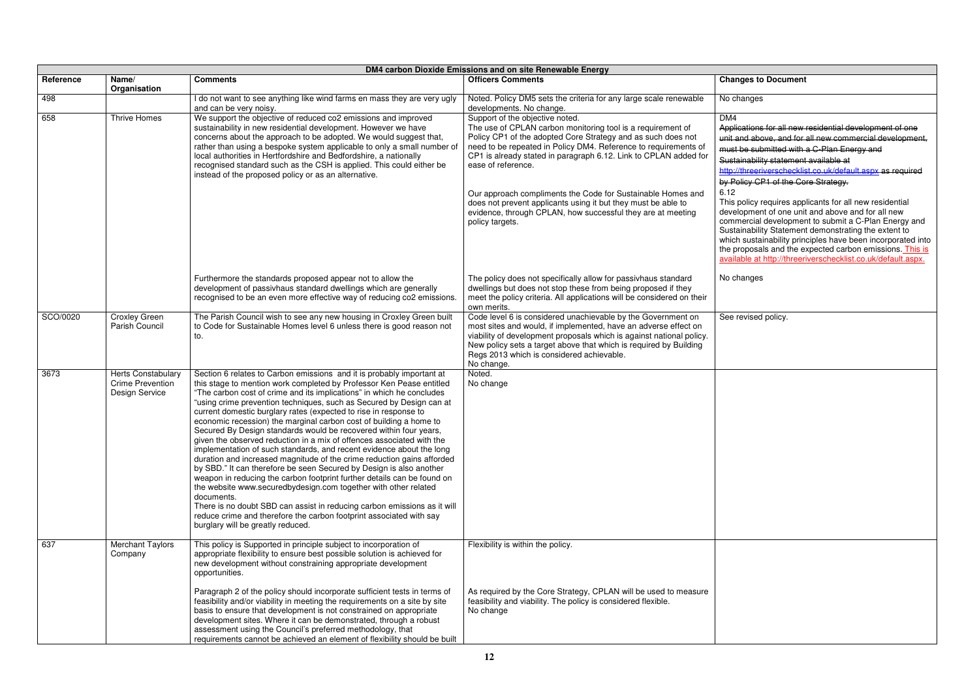## **Comment** Conservation Conservative Conservative Conservative Conservative Conservative Conservative Conservative Conservative Conservative Conservative Conservative Conservative Conservative Conservative Conservative Cons

No changes

 Applications for all new residential development of one and above, and for all new commercial development, t be submitted with a C-Plan Energy and inability statement available at http://threeriverschecklist.co.uk/default.aspx as required blicy CP1 of the Core Strategy.

 This policy requires applicants for all new residential development of one unit and above and for all new commercial development to submit a C-Plan Energy and Sustainability Statement demonstrating the extent to i sustainability principles have been incorporated into the proposals and the expected carbon emissions. This is able at http://threeriverschecklist.co.uk/default.aspx.

anges

revised policy.

| DM4 carbon Dioxide Emissions and on site Renewable Energy |                                                                 |                                                                                                                                                                                                                                                                                                                                                                                                                                                                                                                                                                                                                                                                                                                                                                                                                                                                                                                                                                                                                                                                                                                                                                     |                                                                                                                                                                                                                                                                                                                                         |                                                                       |
|-----------------------------------------------------------|-----------------------------------------------------------------|---------------------------------------------------------------------------------------------------------------------------------------------------------------------------------------------------------------------------------------------------------------------------------------------------------------------------------------------------------------------------------------------------------------------------------------------------------------------------------------------------------------------------------------------------------------------------------------------------------------------------------------------------------------------------------------------------------------------------------------------------------------------------------------------------------------------------------------------------------------------------------------------------------------------------------------------------------------------------------------------------------------------------------------------------------------------------------------------------------------------------------------------------------------------|-----------------------------------------------------------------------------------------------------------------------------------------------------------------------------------------------------------------------------------------------------------------------------------------------------------------------------------------|-----------------------------------------------------------------------|
| Reference                                                 | Name/<br>Organisation                                           | <b>Comments</b>                                                                                                                                                                                                                                                                                                                                                                                                                                                                                                                                                                                                                                                                                                                                                                                                                                                                                                                                                                                                                                                                                                                                                     | <b>Officers Comments</b>                                                                                                                                                                                                                                                                                                                | Chan                                                                  |
| 498                                                       |                                                                 | I do not want to see anything like wind farms en mass they are very ugly<br>and can be very noisy.                                                                                                                                                                                                                                                                                                                                                                                                                                                                                                                                                                                                                                                                                                                                                                                                                                                                                                                                                                                                                                                                  | Noted. Policy DM5 sets the criteria for any large scale renewable<br>developments. No change.                                                                                                                                                                                                                                           | No ch                                                                 |
| 658                                                       | <b>Thrive Homes</b>                                             | We support the objective of reduced co2 emissions and improved<br>sustainability in new residential development. However we have<br>concerns about the approach to be adopted. We would suggest that,<br>rather than using a bespoke system applicable to only a small number of<br>local authorities in Hertfordshire and Bedfordshire, a nationally<br>recognised standard such as the CSH is applied. This could either be<br>instead of the proposed policy or as an alternative.                                                                                                                                                                                                                                                                                                                                                                                                                                                                                                                                                                                                                                                                               | Support of the objective noted.<br>The use of CPLAN carbon monitoring tool is a requirement of<br>Policy CP1 of the adopted Core Strategy and as such does not<br>need to be repeated in Policy DM4. Reference to requirements of<br>CP1 is already stated in paragraph 6.12. Link to CPLAN added for<br>ease of reference.             | DM4<br>Applio<br>unit a<br>must<br>Susta<br>http://<br>by Pe          |
|                                                           |                                                                 |                                                                                                                                                                                                                                                                                                                                                                                                                                                                                                                                                                                                                                                                                                                                                                                                                                                                                                                                                                                                                                                                                                                                                                     | Our approach compliments the Code for Sustainable Homes and<br>does not prevent applicants using it but they must be able to<br>evidence, through CPLAN, how successful they are at meeting<br>policy targets.                                                                                                                          | 6.12<br>This p<br>devel<br>comm<br>Susta<br>which<br>the pr<br>availa |
|                                                           |                                                                 | Furthermore the standards proposed appear not to allow the<br>development of passivhaus standard dwellings which are generally<br>recognised to be an even more effective way of reducing co2 emissions.                                                                                                                                                                                                                                                                                                                                                                                                                                                                                                                                                                                                                                                                                                                                                                                                                                                                                                                                                            | The policy does not specifically allow for passivhaus standard<br>dwellings but does not stop these from being proposed if they<br>meet the policy criteria. All applications will be considered on their<br>own merits.                                                                                                                | No ch                                                                 |
| SCO/0020                                                  | <b>Croxley Green</b><br>Parish Council                          | The Parish Council wish to see any new housing in Croxley Green built<br>to Code for Sustainable Homes level 6 unless there is good reason not<br>to.                                                                                                                                                                                                                                                                                                                                                                                                                                                                                                                                                                                                                                                                                                                                                                                                                                                                                                                                                                                                               | Code level 6 is considered unachievable by the Government on<br>most sites and would, if implemented, have an adverse effect on<br>viability of development proposals which is against national policy.<br>New policy sets a target above that which is required by Building<br>Regs 2013 which is considered achievable.<br>No change. | See r                                                                 |
| 3673                                                      | Herts Constabulary<br><b>Crime Prevention</b><br>Design Service | Section 6 relates to Carbon emissions and it is probably important at<br>this stage to mention work completed by Professor Ken Pease entitled<br>"The carbon cost of crime and its implications" in which he concludes<br>"using crime prevention techniques, such as Secured by Design can at<br>current domestic burglary rates (expected to rise in response to<br>economic recession) the marginal carbon cost of building a home to<br>Secured By Design standards would be recovered within four years,<br>given the observed reduction in a mix of offences associated with the<br>implementation of such standards, and recent evidence about the long<br>duration and increased magnitude of the crime reduction gains afforded<br>by SBD." It can therefore be seen Secured by Design is also another<br>weapon in reducing the carbon footprint further details can be found on<br>the website www.securedbydesign.com together with other related<br>documents.<br>There is no doubt SBD can assist in reducing carbon emissions as it will<br>reduce crime and therefore the carbon footprint associated with say<br>burglary will be greatly reduced. | Noted.<br>No change                                                                                                                                                                                                                                                                                                                     |                                                                       |
| 637                                                       | <b>Merchant Taylors</b><br>Company                              | This policy is Supported in principle subject to incorporation of<br>appropriate flexibility to ensure best possible solution is achieved for<br>new development without constraining appropriate development<br>opportunities.                                                                                                                                                                                                                                                                                                                                                                                                                                                                                                                                                                                                                                                                                                                                                                                                                                                                                                                                     | Flexibility is within the policy.                                                                                                                                                                                                                                                                                                       |                                                                       |
|                                                           |                                                                 | Paragraph 2 of the policy should incorporate sufficient tests in terms of<br>feasibility and/or viability in meeting the requirements on a site by site<br>basis to ensure that development is not constrained on appropriate<br>development sites. Where it can be demonstrated, through a robust<br>assessment using the Council's preferred methodology, that<br>requirements cannot be achieved an element of flexibility should be built                                                                                                                                                                                                                                                                                                                                                                                                                                                                                                                                                                                                                                                                                                                       | As required by the Core Strategy, CPLAN will be used to measure<br>feasibility and viability. The policy is considered flexible.<br>No change                                                                                                                                                                                           |                                                                       |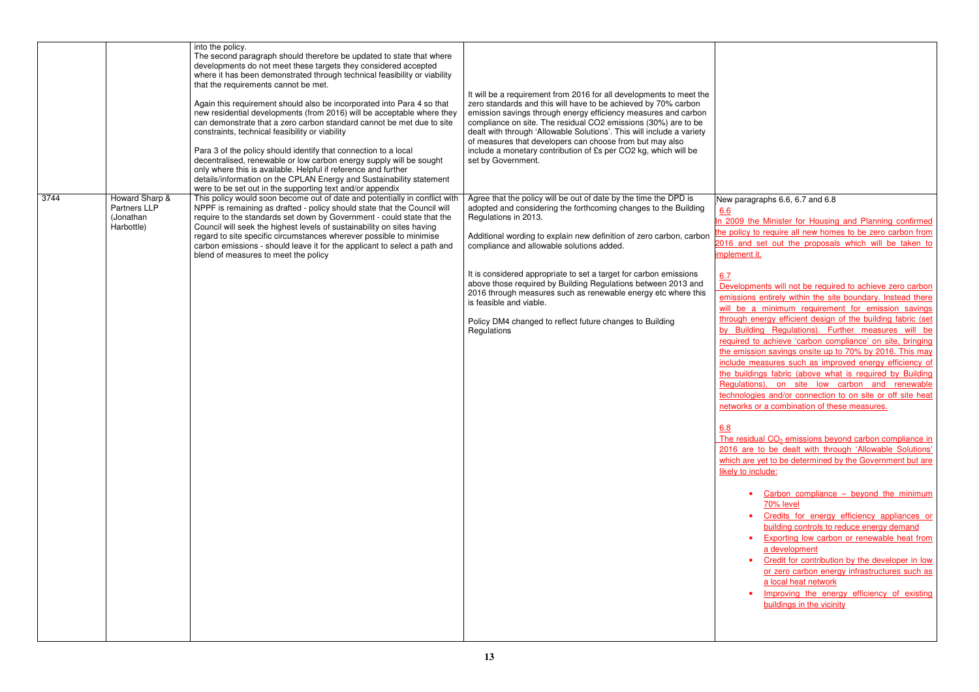paragraphs  $6.6, 6.7$  and  $6.8$ 

109 the Minister for Housing and Planning confirmed the policy to require all new homes to be zero carbon from 2016 and set out the proposals which will be taken to ement it.

relopments will not be required to achieve zero carbon ssions entirely within the site boundary. Instead there will be a minimum requirement for emission savings through energy efficient design of the building fabric (set Building Regulations). Further measures will be required to achieve 'carbon compliance' on site, bringing the emission savings onsite up to 70% by 2016. This may ide measures such as improved energy efficiency of the buildings fabric (above what is required by Building Regulations), on site low carbon and renewable technologies and/or connection to on site or off site heat vorks or a combination of these measures.

residual CO<sub>2</sub> emissions beyond carbon compliance in 2016 are to be dealt with through 'Allowable Solutions' which are yet to be determined by the Government but are y to include:

| 3744 | Howard Sharp &                          | into the policy.<br>The second paragraph should therefore be updated to state that where<br>developments do not meet these targets they considered accepted<br>where it has been demonstrated through technical feasibility or viability<br>that the requirements cannot be met.<br>Again this requirement should also be incorporated into Para 4 so that<br>new residential developments (from 2016) will be acceptable where they<br>can demonstrate that a zero carbon standard cannot be met due to site<br>constraints, technical feasibility or viability<br>Para 3 of the policy should identify that connection to a local<br>decentralised, renewable or low carbon energy supply will be sought<br>only where this is available. Helpful if reference and further<br>details/information on the CPLAN Energy and Sustainability statement<br>were to be set out in the supporting text and/or appendix<br>This policy would soon become out of date and potentially in conflict with | It will be a requirement from 2016 for all developments to meet the<br>zero standards and this will have to be achieved by 70% carbon<br>emission savings through energy efficiency measures and carbon<br>compliance on site. The residual CO2 emissions (30%) are to be<br>dealt with through 'Allowable Solutions'. This will include a variety<br>of measures that developers can choose from but may also<br>include a monetary contribution of £s per CO2 kg, which will be<br>set by Government.<br>Agree that the policy will be out of date by the time the DPD is | New r                                                                                                                                                          |
|------|-----------------------------------------|-------------------------------------------------------------------------------------------------------------------------------------------------------------------------------------------------------------------------------------------------------------------------------------------------------------------------------------------------------------------------------------------------------------------------------------------------------------------------------------------------------------------------------------------------------------------------------------------------------------------------------------------------------------------------------------------------------------------------------------------------------------------------------------------------------------------------------------------------------------------------------------------------------------------------------------------------------------------------------------------------|-----------------------------------------------------------------------------------------------------------------------------------------------------------------------------------------------------------------------------------------------------------------------------------------------------------------------------------------------------------------------------------------------------------------------------------------------------------------------------------------------------------------------------------------------------------------------------|----------------------------------------------------------------------------------------------------------------------------------------------------------------|
|      | Partners LLP<br>(Jonathan<br>Harbottle) | NPPF is remaining as drafted - policy should state that the Council will<br>require to the standards set down by Government - could state that the<br>Council will seek the highest levels of sustainability on sites having<br>regard to site specific circumstances wherever possible to minimise<br>carbon emissions - should leave it for the applicant to select a path and                                                                                                                                                                                                                                                                                                                                                                                                                                                                                                                                                                                                                | adopted and considering the forthcoming changes to the Building<br>Regulations in 2013.<br>Additional wording to explain new definition of zero carbon, carbon<br>compliance and allowable solutions added.                                                                                                                                                                                                                                                                                                                                                                 | 6.6<br>ln 200<br><u>the po</u><br>2016<br>implei                                                                                                               |
|      |                                         | blend of measures to meet the policy                                                                                                                                                                                                                                                                                                                                                                                                                                                                                                                                                                                                                                                                                                                                                                                                                                                                                                                                                            | It is considered appropriate to set a target for carbon emissions<br>above those required by Building Regulations between 2013 and<br>2016 through measures such as renewable energy etc where this<br>is feasible and viable.<br>Policy DM4 changed to reflect future changes to Building<br>Regulations                                                                                                                                                                                                                                                                   | 6.7<br><b>Deve</b><br>emis<br>will<br>throu<br>$by$<br>requ<br>the $\epsilon$<br>inclu<br>the I<br>Reg<br>tech<br>netw<br>6.8<br>The<br>2016<br>whic<br>likely |

- Carbon compliance beyond the minimum 70% level
- Credits for energy efficiency appliances or building controls to reduce energy demand
- **•** Exporting low carbon or renewable heat from a development
- Credit for contribution by the developer in low or zero carbon energy infrastructures such as a local heat network
- Improving the energy efficiency of existing buildings in the vicinity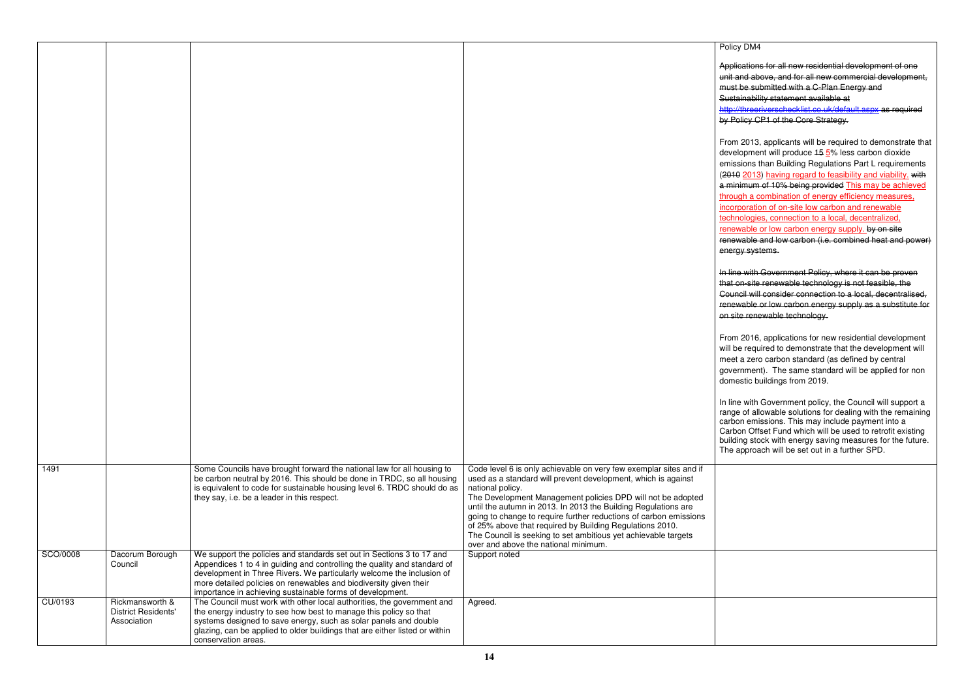### $xy$  DM4

ications for all new residential development of one unit and above, and for all new commercial development, t be submitted with a C-Plan Energy and ainability statement available at http://threeriverschecklist.co.uk/default.aspx as required olicy CP1 of the Core Strategy.

2013, applicants will be required to demonstrate that development will produce <del>15</del> <u>5</u>% less carbon dioxide sions than Building Regulations Part L requirements (2010 2013) having regard to feasibility and viability. with a minimum of 10% being provided This may be achieved (ugh a combination of energy efficiency measures, rporation of on-site low carbon and renewable technologies, connection to a local, decentralized,renewable or low carbon energy supply. by on site renewable and low carbon (i.e. combined heat and power) gy systems.

In line with Government Policy, where it can be proven on-site renewable technology is not feasible, the Council will consider connection to a local, decentralised, renewable or low carbon energy supply as a substitute forte renewable technology.

2016, applications for new residential development will be required to demonstrate that the development will t a zero carbon standard (as defined by central rnment). The same standard will be applied for non estic buildings from 2019.

Ie with Government policy, the Council will support a range of allowable solutions for dealing with the remaining on emissions. This may include payment into a Carbon Offset Fund which will be used to retrofit existing building stock with energy saving measures for the future. approach will be set out in a further SPD.

|          |                                           |                                                                                                                                                                                                                              |                                                                                                                                                        | Polic               |
|----------|-------------------------------------------|------------------------------------------------------------------------------------------------------------------------------------------------------------------------------------------------------------------------------|--------------------------------------------------------------------------------------------------------------------------------------------------------|---------------------|
|          |                                           |                                                                                                                                                                                                                              |                                                                                                                                                        | Appli               |
|          |                                           |                                                                                                                                                                                                                              |                                                                                                                                                        | unit a              |
|          |                                           |                                                                                                                                                                                                                              |                                                                                                                                                        | must                |
|          |                                           |                                                                                                                                                                                                                              |                                                                                                                                                        | Susta               |
|          |                                           |                                                                                                                                                                                                                              |                                                                                                                                                        | http:/              |
|          |                                           |                                                                                                                                                                                                                              |                                                                                                                                                        | by <sub>P</sub>     |
|          |                                           |                                                                                                                                                                                                                              |                                                                                                                                                        |                     |
|          |                                           |                                                                                                                                                                                                                              |                                                                                                                                                        | From                |
|          |                                           |                                                                                                                                                                                                                              |                                                                                                                                                        | deve<br>emis:       |
|          |                                           |                                                                                                                                                                                                                              |                                                                                                                                                        | (2010)              |
|          |                                           |                                                                                                                                                                                                                              |                                                                                                                                                        | a mir               |
|          |                                           |                                                                                                                                                                                                                              |                                                                                                                                                        | throu               |
|          |                                           |                                                                                                                                                                                                                              |                                                                                                                                                        | incor               |
|          |                                           |                                                                                                                                                                                                                              |                                                                                                                                                        | techr               |
|          |                                           |                                                                                                                                                                                                                              |                                                                                                                                                        | reney               |
|          |                                           |                                                                                                                                                                                                                              |                                                                                                                                                        | reney               |
|          |                                           |                                                                                                                                                                                                                              |                                                                                                                                                        | ener                |
|          |                                           |                                                                                                                                                                                                                              |                                                                                                                                                        | $In$ $\mathsf{lin}$ |
|          |                                           |                                                                                                                                                                                                                              |                                                                                                                                                        | that o              |
|          |                                           |                                                                                                                                                                                                                              |                                                                                                                                                        | Goun                |
|          |                                           |                                                                                                                                                                                                                              |                                                                                                                                                        | reney               |
|          |                                           |                                                                                                                                                                                                                              |                                                                                                                                                        | on sil              |
|          |                                           |                                                                                                                                                                                                                              |                                                                                                                                                        |                     |
|          |                                           |                                                                                                                                                                                                                              |                                                                                                                                                        | From                |
|          |                                           |                                                                                                                                                                                                                              |                                                                                                                                                        | will b              |
|          |                                           |                                                                                                                                                                                                                              |                                                                                                                                                        | meet                |
|          |                                           |                                                                                                                                                                                                                              |                                                                                                                                                        | gove                |
|          |                                           |                                                                                                                                                                                                                              |                                                                                                                                                        | dome                |
|          |                                           |                                                                                                                                                                                                                              |                                                                                                                                                        | In line             |
|          |                                           |                                                                                                                                                                                                                              |                                                                                                                                                        | range               |
|          |                                           |                                                                                                                                                                                                                              |                                                                                                                                                        | carbo               |
|          |                                           |                                                                                                                                                                                                                              |                                                                                                                                                        | Carb<br>buildi      |
|          |                                           |                                                                                                                                                                                                                              |                                                                                                                                                        | The a               |
|          |                                           |                                                                                                                                                                                                                              |                                                                                                                                                        |                     |
| 1491     |                                           | Some Councils have brought forward the national law for all housing to<br>be carbon neutral by 2016. This should be done in TRDC, so all housing<br>is equivalent to code for sustainable housing level 6. TRDC should do as | Code level 6 is only achievable on very few exemplar sites and if<br>used as a standard will prevent development, which is against<br>national policy. |                     |
|          |                                           | they say, i.e. be a leader in this respect.                                                                                                                                                                                  | The Development Management policies DPD will not be adopted<br>until the autumn in 2013. In 2013 the Building Regulations are                          |                     |
|          |                                           |                                                                                                                                                                                                                              | going to change to require further reductions of carbon emissions<br>of 25% above that required by Building Regulations 2010.                          |                     |
|          |                                           |                                                                                                                                                                                                                              | The Council is seeking to set ambitious yet achievable targets                                                                                         |                     |
|          |                                           |                                                                                                                                                                                                                              | over and above the national minimum.                                                                                                                   |                     |
| SCO/0008 | Dacorum Borough                           | We support the policies and standards set out in Sections 3 to 17 and                                                                                                                                                        | Support noted                                                                                                                                          |                     |
|          | Council                                   | Appendices 1 to 4 in guiding and controlling the quality and standard of<br>development in Three Rivers. We particularly welcome the inclusion of                                                                            |                                                                                                                                                        |                     |
|          |                                           | more detailed policies on renewables and biodiversity given their                                                                                                                                                            |                                                                                                                                                        |                     |
|          |                                           | importance in achieving sustainable forms of development.                                                                                                                                                                    |                                                                                                                                                        |                     |
| CU/0193  | Rickmansworth &                           | The Council must work with other local authorities, the government and                                                                                                                                                       | Agreed.                                                                                                                                                |                     |
|          | <b>District Residents'</b><br>Association | the energy industry to see how best to manage this policy so that<br>systems designed to save energy, such as solar panels and double                                                                                        |                                                                                                                                                        |                     |
|          |                                           | glazing, can be applied to older buildings that are either listed or within                                                                                                                                                  |                                                                                                                                                        |                     |
|          |                                           | conservation areas.                                                                                                                                                                                                          |                                                                                                                                                        |                     |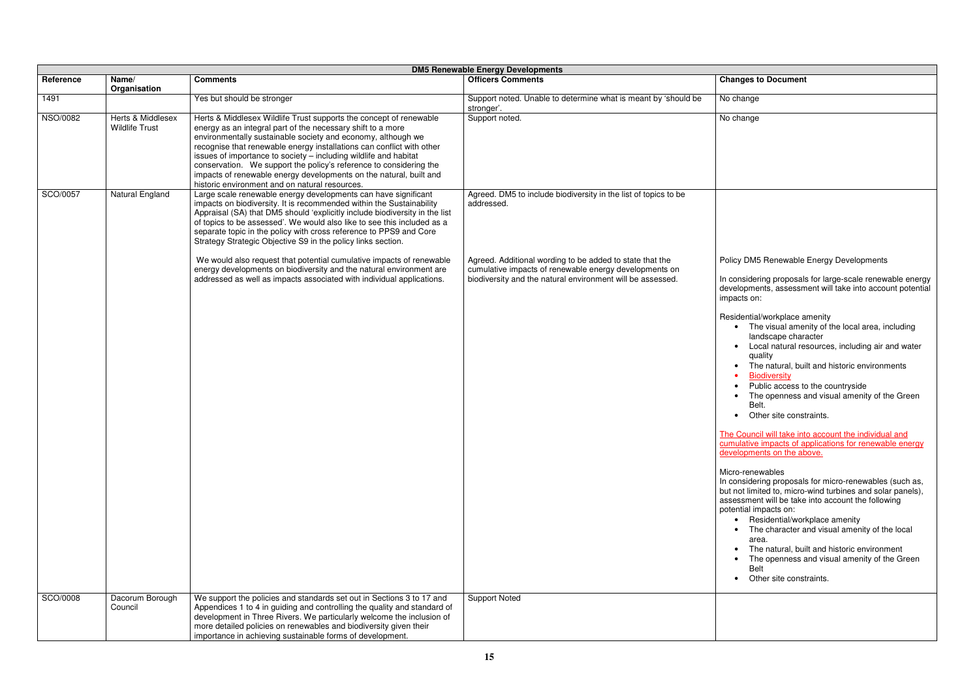## **Iges to Document**

### **DM5 Renewable Energy Developments**

In considering proposals for large-scale renewable energy developments, assessment will take into account potential  $its$  on:

lential/workplace amenity

 In considering proposals for micro-renewables (such as, but not limited to, micro-wind turbines and solar panels), assessment will be take into account the following ntial impacts on:

|           | <b>DM5 Renewable Energy Developments</b>   |                                                                                                                                                                                                                                                                                                                                                                                                                                                                                                                                              |                                                                                                                                                                                  |                                                                                                                                                                                                                                                                                                                                                                                                              |
|-----------|--------------------------------------------|----------------------------------------------------------------------------------------------------------------------------------------------------------------------------------------------------------------------------------------------------------------------------------------------------------------------------------------------------------------------------------------------------------------------------------------------------------------------------------------------------------------------------------------------|----------------------------------------------------------------------------------------------------------------------------------------------------------------------------------|--------------------------------------------------------------------------------------------------------------------------------------------------------------------------------------------------------------------------------------------------------------------------------------------------------------------------------------------------------------------------------------------------------------|
| Reference | Name/<br>Organisation                      | <b>Comments</b>                                                                                                                                                                                                                                                                                                                                                                                                                                                                                                                              | <b>Officers Comments</b>                                                                                                                                                         | <b>Changes to</b>                                                                                                                                                                                                                                                                                                                                                                                            |
| 1491      |                                            | Yes but should be stronger                                                                                                                                                                                                                                                                                                                                                                                                                                                                                                                   | Support noted. Unable to determine what is meant by 'should be<br>stronger'.                                                                                                     | No change                                                                                                                                                                                                                                                                                                                                                                                                    |
| NSO/0082  | Herts & Middlesex<br><b>Wildlife Trust</b> | Herts & Middlesex Wildlife Trust supports the concept of renewable<br>energy as an integral part of the necessary shift to a more<br>environmentally sustainable society and economy, although we<br>recognise that renewable energy installations can conflict with other<br>issues of importance to society - including wildlife and habitat<br>conservation. We support the policy's reference to considering the<br>impacts of renewable energy developments on the natural, built and<br>historic environment and on natural resources. | Support noted.                                                                                                                                                                   | No change                                                                                                                                                                                                                                                                                                                                                                                                    |
| SCO/0057  | Natural England                            | Large scale renewable energy developments can have significant<br>impacts on biodiversity. It is recommended within the Sustainability<br>Appraisal (SA) that DM5 should 'explicitly include biodiversity in the list<br>of topics to be assessed'. We would also like to see this included as a<br>separate topic in the policy with cross reference to PPS9 and Core<br>Strategy Strategic Objective S9 in the policy links section.                                                                                                       | Agreed. DM5 to include biodiversity in the list of topics to be<br>addressed.                                                                                                    |                                                                                                                                                                                                                                                                                                                                                                                                              |
|           |                                            | We would also request that potential cumulative impacts of renewable<br>energy developments on biodiversity and the natural environment are<br>addressed as well as impacts associated with individual applications.                                                                                                                                                                                                                                                                                                                         | Agreed. Additional wording to be added to state that the<br>cumulative impacts of renewable energy developments on<br>biodiversity and the natural environment will be assessed. | Policy DM5<br>In consideri<br>developmer<br>impacts on:<br>Residential<br>$\bullet$ The<br>lan<br>Loc<br>$\bullet$<br>qua<br>The<br><u>Bio</u><br>Put<br>Th <sub>6</sub><br><b>Bel</b><br>Oth<br>The Counci<br>cumulative<br>developmer<br>Micro-renev<br>In consideri<br>but not limit<br>assessmen<br>potential im<br>$\bullet$ Res<br>The<br>are<br>$Th \epsilon$<br>Th <sub>6</sub><br><b>Bel</b><br>Oth |
| SCO/0008  | Dacorum Borough<br>Council                 | We support the policies and standards set out in Sections 3 to 17 and<br>Appendices 1 to 4 in guiding and controlling the quality and standard of<br>development in Three Rivers. We particularly welcome the inclusion of<br>more detailed policies on renewables and biodiversity given their<br>importance in achieving sustainable forms of development.                                                                                                                                                                                 | <b>Support Noted</b>                                                                                                                                                             |                                                                                                                                                                                                                                                                                                                                                                                                              |

- The visual amenity of the local area, including landscape character
- Local natural resources, including air and water quality
- The natural, built and historic environments **Biodiversity**
- Public access to the countryside
- The openness and visual amenity of the Green Belt.
- Other site constraints.

**Council will take into account the individual and**  cumulative impacts of applications for renewable energy opments on the above.

#### renewables

- Residential/workplace amenity
- The character and visual amenity of the local area.
- The natural, built and historic environment
- The openness and visual amenity of the Green Belt
- Other site constraints.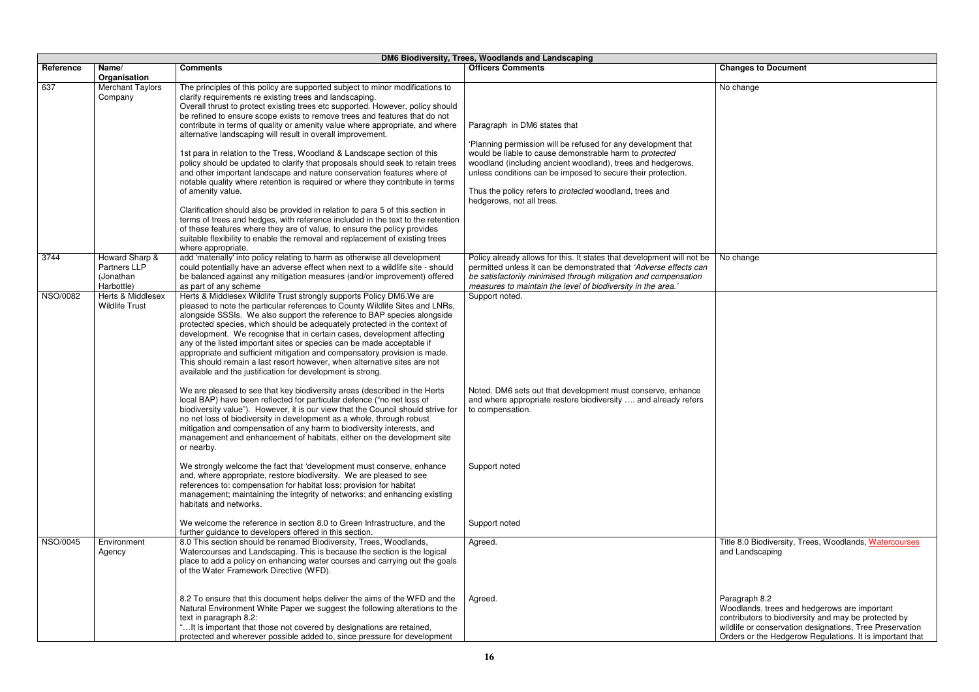## **Comment** of Document

# nange

8.0 Biodiversity, Trees, Woodlands, Watercourses andscaping

Paragraph 8.2<br>Woodlands, trees and hedgerows are important<br>contributors to biodiversity and may be protected by<br>wildlife or conservation designations, Tree Preservation<br>Orders or the Hedgerow Regulations. It is important t

|           |                                                           |                                                                                                                                                                                                                                                                                                                                                                                                                                                                                                                                                                                                                                                                                          | DM6 Biodiversity, Trees, Woodlands and Landscaping                                                                                                                                                                                                                                                                                                    |                                                                          |
|-----------|-----------------------------------------------------------|------------------------------------------------------------------------------------------------------------------------------------------------------------------------------------------------------------------------------------------------------------------------------------------------------------------------------------------------------------------------------------------------------------------------------------------------------------------------------------------------------------------------------------------------------------------------------------------------------------------------------------------------------------------------------------------|-------------------------------------------------------------------------------------------------------------------------------------------------------------------------------------------------------------------------------------------------------------------------------------------------------------------------------------------------------|--------------------------------------------------------------------------|
| Reference | Name/<br>Organisation                                     | <b>Comments</b>                                                                                                                                                                                                                                                                                                                                                                                                                                                                                                                                                                                                                                                                          | <b>Officers Comments</b>                                                                                                                                                                                                                                                                                                                              | <b>Changes to</b>                                                        |
| 637       | <b>Merchant Taylors</b><br>Company                        | The principles of this policy are supported subject to minor modifications to<br>clarify requirements re existing trees and landscaping.<br>Overall thrust to protect existing trees etc supported. However, policy should<br>be refined to ensure scope exists to remove trees and features that do not<br>contribute in terms of quality or amenity value where appropriate, and where<br>alternative landscaping will result in overall improvement.                                                                                                                                                                                                                                  | Paragraph in DM6 states that                                                                                                                                                                                                                                                                                                                          | No change                                                                |
|           |                                                           | 1st para in relation to the Tress, Woodland & Landscape section of this<br>policy should be updated to clarify that proposals should seek to retain trees<br>and other important landscape and nature conservation features where of<br>notable quality where retention is required or where they contribute in terms<br>of amenity value.                                                                                                                                                                                                                                                                                                                                               | Planning permission will be refused for any development that<br>would be liable to cause demonstrable harm to protected<br>woodland (including ancient woodland), trees and hedgerows,<br>unless conditions can be imposed to secure their protection.<br>Thus the policy refers to <i>protected</i> woodland, trees and<br>hedgerows, not all trees. |                                                                          |
|           |                                                           | Clarification should also be provided in relation to para 5 of this section in<br>terms of trees and hedges, with reference included in the text to the retention<br>of these features where they are of value, to ensure the policy provides<br>suitable flexibility to enable the removal and replacement of existing trees<br>where appropriate.                                                                                                                                                                                                                                                                                                                                      |                                                                                                                                                                                                                                                                                                                                                       |                                                                          |
| 3744      | Howard Sharp &<br>Partners LLP<br>(Jonathan<br>Harbottle) | add 'materially' into policy relating to harm as otherwise all development<br>could potentially have an adverse effect when next to a wildlife site - should<br>be balanced against any mitigation measures (and/or improvement) offered<br>as part of any scheme                                                                                                                                                                                                                                                                                                                                                                                                                        | Policy already allows for this. It states that development will not be<br>permitted unless it can be demonstrated that 'Adverse effects can<br>be satisfactorily minimised through mitigation and compensation<br>measures to maintain the level of biodiversity in the area.'                                                                        | No change                                                                |
| NSO/0082  | Herts & Middlesex<br><b>Wildlife Trust</b>                | Herts & Middlesex Wildlife Trust strongly supports Policy DM6. We are<br>pleased to note the particular references to County Wildlife Sites and LNRs,<br>alongside SSSIs. We also support the reference to BAP species alongside<br>protected species, which should be adequately protected in the context of<br>development. We recognise that in certain cases, development affecting<br>any of the listed important sites or species can be made acceptable if<br>appropriate and sufficient mitigation and compensatory provision is made.<br>This should remain a last resort however, when alternative sites are not<br>available and the justification for development is strong. | Support noted.                                                                                                                                                                                                                                                                                                                                        |                                                                          |
|           |                                                           | We are pleased to see that key biodiversity areas (described in the Herts<br>local BAP) have been reflected for particular defence ("no net loss of<br>biodiversity value"). However, it is our view that the Council should strive for<br>no net loss of biodiversity in development as a whole, through robust<br>mitigation and compensation of any harm to biodiversity interests, and<br>management and enhancement of habitats, either on the development site<br>or nearby.                                                                                                                                                                                                       | Noted. DM6 sets out that development must conserve, enhance<br>and where appropriate restore biodiversity  and already refers<br>to compensation.                                                                                                                                                                                                     |                                                                          |
|           |                                                           | We strongly welcome the fact that 'development must conserve, enhance<br>and, where appropriate, restore biodiversity. We are pleased to see<br>references to: compensation for habitat loss; provision for habitat<br>management; maintaining the integrity of networks; and enhancing existing<br>habitats and networks.                                                                                                                                                                                                                                                                                                                                                               | Support noted                                                                                                                                                                                                                                                                                                                                         |                                                                          |
|           |                                                           | We welcome the reference in section 8.0 to Green Infrastructure, and the<br>further guidance to developers offered in this section.                                                                                                                                                                                                                                                                                                                                                                                                                                                                                                                                                      | Support noted                                                                                                                                                                                                                                                                                                                                         |                                                                          |
| NSO/0045  | Environment<br>Agency                                     | 8.0 This section should be renamed Biodiversity, Trees, Woodlands,<br>Watercourses and Landscaping. This is because the section is the logical<br>place to add a policy on enhancing water courses and carrying out the goals<br>of the Water Framework Directive (WFD).                                                                                                                                                                                                                                                                                                                                                                                                                 | Agreed.                                                                                                                                                                                                                                                                                                                                               | Title 8.0 Bio<br>and Landsc                                              |
|           |                                                           | 8.2 To ensure that this document helps deliver the aims of the WFD and the<br>Natural Environment White Paper we suggest the following alterations to the<br>text in paragraph 8.2:<br>" It is important that those not covered by designations are retained,<br>protected and wherever possible added to, since pressure for development                                                                                                                                                                                                                                                                                                                                                | Agreed.                                                                                                                                                                                                                                                                                                                                               | Paragraph<br>Woodlands<br>contributors<br>wildlife or co<br>Orders or th |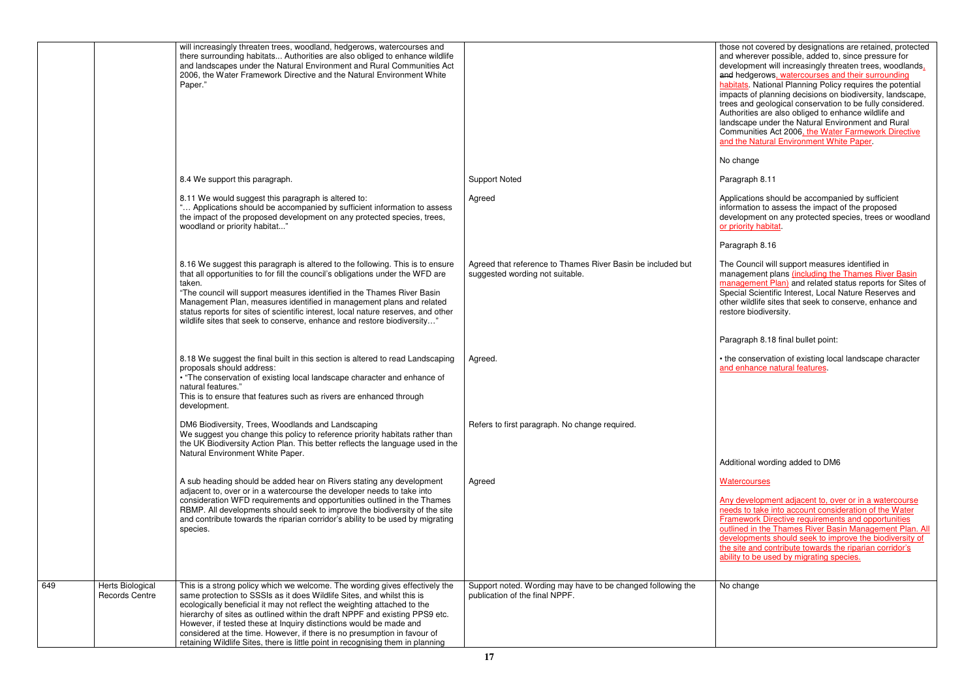not covered by designations are retained, protected wherever possible, added to, since pressure for development will increasingly threaten trees, woodlands,hedgerows, watercourses and their surrounding habitats. National Planning Policy requires the potential impacts of planning decisions on biodiversity, landscape, trees and geological conservation to be fully considered. prities are also obliged to enhance wildlife and landscape under the Natural Environment and Rural Communities Act 2006, the Water Farmework Directive he Natural Environment White Paper.

nange

|     |                                           | will increasingly threaten trees, woodland, hedgerows, watercourses and<br>there surrounding habitats Authorities are also obliged to enhance wildlife<br>and landscapes under the Natural Environment and Rural Communities Act<br>2006, the Water Framework Directive and the Natural Environment White<br>Paper."                                                                                                                                                                                                                                  |                                                                                                | those<br>and w<br>devel<br>and h<br>habita<br>impao<br>trees<br>Autho<br>lands<br>Comr<br>and tl |
|-----|-------------------------------------------|-------------------------------------------------------------------------------------------------------------------------------------------------------------------------------------------------------------------------------------------------------------------------------------------------------------------------------------------------------------------------------------------------------------------------------------------------------------------------------------------------------------------------------------------------------|------------------------------------------------------------------------------------------------|--------------------------------------------------------------------------------------------------|
|     |                                           |                                                                                                                                                                                                                                                                                                                                                                                                                                                                                                                                                       |                                                                                                | No ch                                                                                            |
|     |                                           | 8.4 We support this paragraph.                                                                                                                                                                                                                                                                                                                                                                                                                                                                                                                        | <b>Support Noted</b>                                                                           | Parag                                                                                            |
|     |                                           | 8.11 We would suggest this paragraph is altered to:<br>" Applications should be accompanied by sufficient information to assess<br>the impact of the proposed development on any protected species, trees,<br>woodland or priority habitat"                                                                                                                                                                                                                                                                                                           | Agreed                                                                                         | Applio<br>inforn<br>devel<br>or pri                                                              |
|     |                                           |                                                                                                                                                                                                                                                                                                                                                                                                                                                                                                                                                       |                                                                                                | Parag                                                                                            |
|     |                                           | 8.16 We suggest this paragraph is altered to the following. This is to ensure<br>that all opportunities to for fill the council's obligations under the WFD are<br>taken.<br>"The council will support measures identified in the Thames River Basin<br>Management Plan, measures identified in management plans and related<br>status reports for sites of scientific interest, local nature reserves, and other<br>wildlife sites that seek to conserve, enhance and restore biodiversity"                                                          | Agreed that reference to Thames River Basin be included but<br>suggested wording not suitable. | The C<br>mana<br>mana<br>Speci<br>other<br>restor                                                |
|     |                                           |                                                                                                                                                                                                                                                                                                                                                                                                                                                                                                                                                       |                                                                                                | Parag                                                                                            |
|     |                                           | 8.18 We suggest the final built in this section is altered to read Landscaping<br>proposals should address:<br>• "The conservation of existing local landscape character and enhance of<br>natural features."<br>This is to ensure that features such as rivers are enhanced through<br>development.                                                                                                                                                                                                                                                  | Agreed.                                                                                        | $\cdot$ the<br>and e                                                                             |
|     |                                           | DM6 Biodiversity, Trees, Woodlands and Landscaping<br>We suggest you change this policy to reference priority habitats rather than<br>the UK Biodiversity Action Plan. This better reflects the language used in the<br>Natural Environment White Paper.                                                                                                                                                                                                                                                                                              | Refers to first paragraph. No change required.                                                 |                                                                                                  |
|     |                                           |                                                                                                                                                                                                                                                                                                                                                                                                                                                                                                                                                       |                                                                                                | Additi                                                                                           |
|     |                                           | A sub heading should be added hear on Rivers stating any development<br>adjacent to, over or in a watercourse the developer needs to take into                                                                                                                                                                                                                                                                                                                                                                                                        | Agreed                                                                                         | <b>Wate</b>                                                                                      |
|     |                                           | consideration WFD requirements and opportunities outlined in the Thames<br>RBMP. All developments should seek to improve the biodiversity of the site<br>and contribute towards the riparian corridor's ability to be used by migrating<br>species.                                                                                                                                                                                                                                                                                                   |                                                                                                | <u>Any c</u><br>needs<br>Fram<br>outlin<br>devel<br>the si<br>ability                            |
|     |                                           |                                                                                                                                                                                                                                                                                                                                                                                                                                                                                                                                                       |                                                                                                |                                                                                                  |
| 649 | Herts Biological<br><b>Records Centre</b> | This is a strong policy which we welcome. The wording gives effectively the<br>same protection to SSSIs as it does Wildlife Sites, and whilst this is<br>ecologically beneficial it may not reflect the weighting attached to the<br>hierarchy of sites as outlined within the draft NPPF and existing PPS9 etc.<br>However, if tested these at Inquiry distinctions would be made and<br>considered at the time. However, if there is no presumption in favour of<br>retaining Wildlife Sites, there is little point in recognising them in planning | Support noted. Wording may have to be changed following the<br>publication of the final NPPF.  | No ch                                                                                            |

Paragraph 8.11

cations should be accompanied by sufficient information to assess the impact of the proposed development on any protected species, trees or woodlandiority habitat.

graph 8.16

Council will support measures identified in management plans (including the Thames River Basin management Plan) and related status reports for Sites of ial Scientific Interest, Local Nature Reserves and other wildlife sites that seek to conserve, enhance and re biodiversity.

graph 8.18 final bullet point:

conservation of existing local landscape character enhance natural features.

tional wording added to DM6

rcourses

development adjacent to, over or in a watercourse s to take into account consideration of the Water **FRAME ADITED FRAME CONTERNATION** ENGINO **Directive requirements and opportunities** outlined in the Thames River Basin Management Plan. All lopments should seek to improve the biodiversity of ite and contribute towards the riparian corridor's  $\mu$  to be used by migrating species.

hange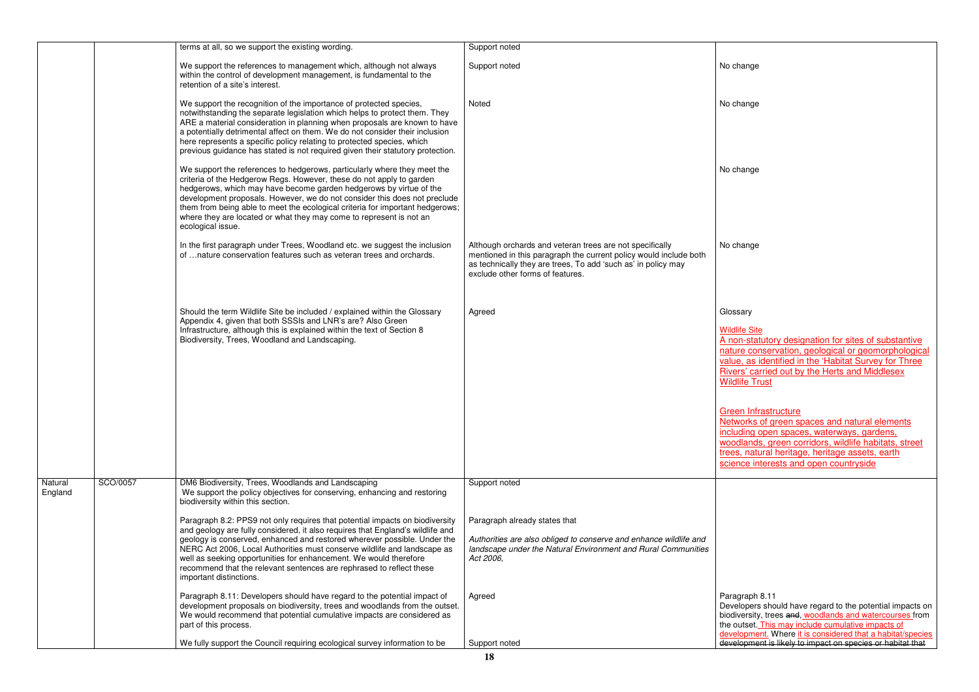|                    |          | terms at all, so we support the existing wording.                                                                                                                                                                                                                                                                                                                                                                                                                                | Support noted                                                                                                                                                                                                                      |                                                                      |
|--------------------|----------|----------------------------------------------------------------------------------------------------------------------------------------------------------------------------------------------------------------------------------------------------------------------------------------------------------------------------------------------------------------------------------------------------------------------------------------------------------------------------------|------------------------------------------------------------------------------------------------------------------------------------------------------------------------------------------------------------------------------------|----------------------------------------------------------------------|
|                    |          | We support the references to management which, although not always<br>within the control of development management, is fundamental to the<br>retention of a site's interest.                                                                                                                                                                                                                                                                                                     | Support noted                                                                                                                                                                                                                      | No change                                                            |
|                    |          | We support the recognition of the importance of protected species,<br>notwithstanding the separate legislation which helps to protect them. They<br>ARE a material consideration in planning when proposals are known to have<br>a potentially detrimental affect on them. We do not consider their inclusion<br>here represents a specific policy relating to protected species, which<br>previous guidance has stated is not required given their statutory protection.        | Noted                                                                                                                                                                                                                              | No change                                                            |
|                    |          | We support the references to hedgerows, particularly where they meet the<br>criteria of the Hedgerow Regs. However, these do not apply to garden<br>hedgerows, which may have become garden hedgerows by virtue of the<br>development proposals. However, we do not consider this does not preclude<br>them from being able to meet the ecological criteria for important hedgerows;<br>where they are located or what they may come to represent is not an<br>ecological issue. |                                                                                                                                                                                                                                    | No change                                                            |
|                    |          | In the first paragraph under Trees, Woodland etc. we suggest the inclusion<br>of  nature conservation features such as veteran trees and orchards.                                                                                                                                                                                                                                                                                                                               | Although orchards and veteran trees are not specifically<br>mentioned in this paragraph the current policy would include both<br>as technically they are trees, To add 'such as' in policy may<br>exclude other forms of features. | No change                                                            |
|                    |          | Should the term Wildlife Site be included / explained within the Glossary<br>Appendix 4, given that both SSSIs and LNR's are? Also Green                                                                                                                                                                                                                                                                                                                                         | Agreed                                                                                                                                                                                                                             | Glossary                                                             |
|                    |          | Infrastructure, although this is explained within the text of Section 8<br>Biodiversity, Trees, Woodland and Landscaping.                                                                                                                                                                                                                                                                                                                                                        |                                                                                                                                                                                                                                    | <b>Wildlife Site</b><br>A non-stat                                   |
|                    |          |                                                                                                                                                                                                                                                                                                                                                                                                                                                                                  |                                                                                                                                                                                                                                    | nature con                                                           |
|                    |          |                                                                                                                                                                                                                                                                                                                                                                                                                                                                                  |                                                                                                                                                                                                                                    | value, as i<br>Rivers' car<br><b>Wildlife Tri</b>                    |
|                    |          |                                                                                                                                                                                                                                                                                                                                                                                                                                                                                  |                                                                                                                                                                                                                                    | Green Infra<br>Networks                                              |
|                    |          |                                                                                                                                                                                                                                                                                                                                                                                                                                                                                  |                                                                                                                                                                                                                                    | including c<br>woodlands                                             |
|                    |          |                                                                                                                                                                                                                                                                                                                                                                                                                                                                                  |                                                                                                                                                                                                                                    | trees, natu<br>science in                                            |
| Natural<br>England | SCO/0057 | DM6 Biodiversity, Trees, Woodlands and Landscaping<br>We support the policy objectives for conserving, enhancing and restoring<br>biodiversity within this section.                                                                                                                                                                                                                                                                                                              | Support noted                                                                                                                                                                                                                      |                                                                      |
|                    |          | Paragraph 8.2: PPS9 not only requires that potential impacts on biodiversity<br>and geology are fully considered, it also requires that England's wildlife and                                                                                                                                                                                                                                                                                                                   | Paragraph already states that                                                                                                                                                                                                      |                                                                      |
|                    |          | geology is conserved, enhanced and restored wherever possible. Under the<br>NERC Act 2006, Local Authorities must conserve wildlife and landscape as<br>well as seeking opportunities for enhancement. We would therefore<br>recommend that the relevant sentences are rephrased to reflect these<br>important distinctions.                                                                                                                                                     | Authorities are also obliged to conserve and enhance wildlife and<br>landscape under the Natural Environment and Rural Communities<br>Act 2006,                                                                                    |                                                                      |
|                    |          | Paragraph 8.11: Developers should have regard to the potential impact of<br>development proposals on biodiversity, trees and woodlands from the outset.<br>We would recommend that potential cumulative impacts are considered as<br>part of this process.                                                                                                                                                                                                                       | Agreed                                                                                                                                                                                                                             | Paragraph<br>Developers<br>biodiversity<br>the outset.<br>developmer |
|                    |          | We fully support the Council requiring ecological survey information to be                                                                                                                                                                                                                                                                                                                                                                                                       | Support noted                                                                                                                                                                                                                      | developmer                                                           |

| No change |  |
|-----------|--|
|-----------|--|

fe Site A non-statutory designation for sites of substantive nature conservation, geological or geomorphological e, as identified in the 'Habitat Survey for Three rs' carried out by the Herts and Middlesex **ife Trust** 

en Infrastructure Networks of green spaces and natural elements ding open spaces, waterways, gardens, woodlands, green corridors, wildlife habitats, street , natural heritage, heritage assets, earth nce interests and open countryside

Paragraph 8.11 Developers should have regard to the potential impacts on biodiversity, trees and, woodlands and watercourses from utset. This may include cumulative impacts of development. Where <u>it is considered that a habitat/species</u> development is likely to impact on species or habitat that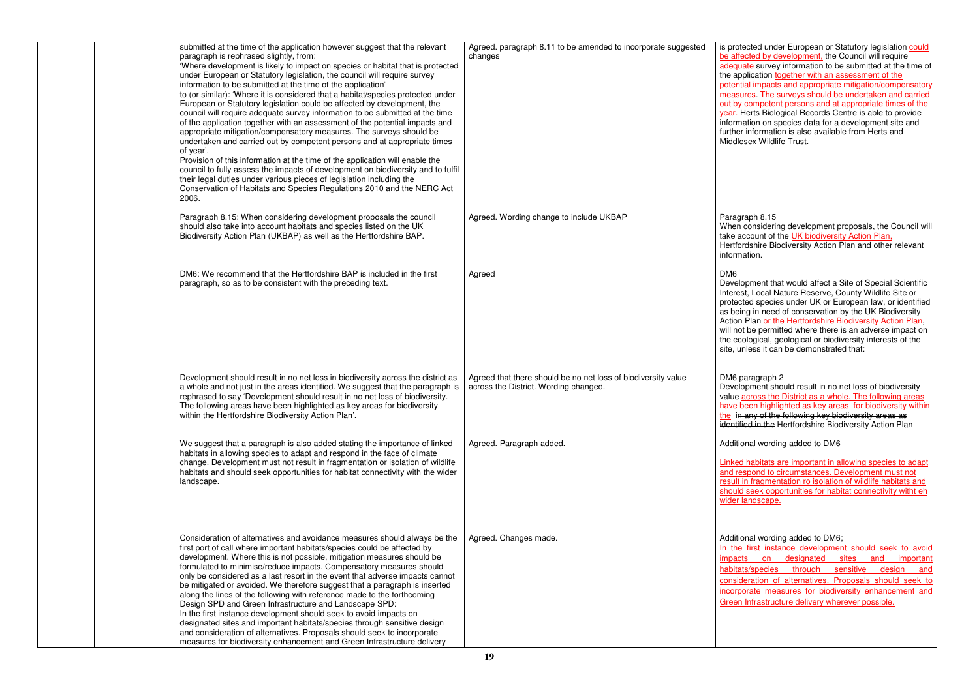otected under European or Statutory legislation could ffected by development, the Council will require adequate survey information to be submitted at the time of application together with an assessment of the potential impacts and appropriate mitigation/compensatory sures. The surveys should be undertaken and carried out by competent persons and at appropriate times of the Herts Biological Records Centre is able to provide information on species data for a development site and er information is also available from Herts and Middlesex Wildlife Trust.

agraph 8.15

 When considering development proposals, the Council will account of the UK biodiversity Action Plan, Hertfordshire Biodiversity Action Plan and other relevant mation.

 Development that would affect a Site of Special Scientific est, Local Nature Reserve, County Wildlife Site or protected species under UK or European law, or identified eing in need of conservation by the UK Biodiversity Action Plan or the Hertfordshire Biodiversity Action Plan, will not be permitted where there is an adverse impact on ecological, geological or biodiversity interests of the unless it can be demonstrated that:

paragraph 2

|  | submitted at the time of the application however suggest that the relevant<br>paragraph is rephrased slightly, from:<br>'Where development is likely to impact on species or habitat that is protected<br>under European or Statutory legislation, the council will require survey<br>information to be submitted at the time of the application'<br>to (or similar): 'Where it is considered that a habitat/species protected under<br>European or Statutory legislation could be affected by development, the<br>council will require adequate survey information to be submitted at the time<br>of the application together with an assessment of the potential impacts and<br>appropriate mitigation/compensatory measures. The surveys should be<br>undertaken and carried out by competent persons and at appropriate times<br>of year'.<br>Provision of this information at the time of the application will enable the<br>council to fully assess the impacts of development on biodiversity and to fulfil<br>their legal duties under various pieces of legislation including the<br>Conservation of Habitats and Species Regulations 2010 and the NERC Act<br>2006. | Agreed. paragraph 8.11 to be amended to incorporate suggested<br>changes                               | is pro<br>be af<br>adeq<br>the a<br>poter<br>meas<br>out b<br>year.<br>inforr<br>furthe<br>Middl |
|--|-------------------------------------------------------------------------------------------------------------------------------------------------------------------------------------------------------------------------------------------------------------------------------------------------------------------------------------------------------------------------------------------------------------------------------------------------------------------------------------------------------------------------------------------------------------------------------------------------------------------------------------------------------------------------------------------------------------------------------------------------------------------------------------------------------------------------------------------------------------------------------------------------------------------------------------------------------------------------------------------------------------------------------------------------------------------------------------------------------------------------------------------------------------------------------|--------------------------------------------------------------------------------------------------------|--------------------------------------------------------------------------------------------------|
|  | Paragraph 8.15: When considering development proposals the council<br>should also take into account habitats and species listed on the UK<br>Biodiversity Action Plan (UKBAP) as well as the Hertfordshire BAP.                                                                                                                                                                                                                                                                                                                                                                                                                                                                                                                                                                                                                                                                                                                                                                                                                                                                                                                                                               | Agreed. Wording change to include UKBAP                                                                | Para<br>Wher<br>take a<br>Hertf<br>inforr                                                        |
|  | DM6: We recommend that the Hertfordshire BAP is included in the first<br>paragraph, so as to be consistent with the preceding text.                                                                                                                                                                                                                                                                                                                                                                                                                                                                                                                                                                                                                                                                                                                                                                                                                                                                                                                                                                                                                                           | Agreed                                                                                                 | DM <sub>6</sub><br>Deve<br>Intere<br>prote<br>as be<br>Actio<br>will n<br>the e<br>site, u       |
|  | Development should result in no net loss in biodiversity across the district as<br>a whole and not just in the areas identified. We suggest that the paragraph is<br>rephrased to say 'Development should result in no net loss of biodiversity.<br>The following areas have been highlighted as key areas for biodiversity<br>within the Hertfordshire Biodiversity Action Plan'.                                                                                                                                                                                                                                                                                                                                                                                                                                                                                                                                                                                                                                                                                                                                                                                            | Agreed that there should be no net loss of biodiversity value<br>across the District. Wording changed. | DM <sub>6</sub><br>Deve<br>value<br>have<br>the in<br>identi                                     |
|  | We suggest that a paragraph is also added stating the importance of linked<br>habitats in allowing species to adapt and respond in the face of climate<br>change. Development must not result in fragmentation or isolation of wildlife<br>habitats and should seek opportunities for habitat connectivity with the wider<br>landscape.                                                                                                                                                                                                                                                                                                                                                                                                                                                                                                                                                                                                                                                                                                                                                                                                                                       | Agreed. Paragraph added.                                                                               | Addit<br>Linke<br>and r<br>result<br>shoul<br>wider                                              |
|  | Consideration of alternatives and avoidance measures should always be the<br>first port of call where important habitats/species could be affected by<br>development. Where this is not possible, mitigation measures should be<br>formulated to minimise/reduce impacts. Compensatory measures should<br>only be considered as a last resort in the event that adverse impacts cannot<br>be mitigated or avoided. We therefore suggest that a paragraph is inserted<br>along the lines of the following with reference made to the forthcoming<br>Design SPD and Green Infrastructure and Landscape SPD:<br>In the first instance development should seek to avoid impacts on<br>designated sites and important habitats/species through sensitive design<br>and consideration of alternatives. Proposals should seek to incorporate<br>measures for biodiversity enhancement and Green Infrastructure delivery                                                                                                                                                                                                                                                              | Agreed. Changes made.                                                                                  | Addit<br>In the<br>impa<br>habita<br>consi<br>incor<br>Gree                                      |

 Development should result in no net loss of biodiversity value **across the District as a whole. The following areas**  have been highlighted as key areas for biodiversity within in any of the following key biodiversity areas as i<del>dentified in the</del> Hertfordshire Biodiversity Action Plan

tional wording added to DM6

ed habitats are important in allowing species to adapt respond to circumstances. Development must not result in fragmentation ro isolation of wildlife habitats and should seek opportunities for habitat connectivity witht eh r landscape.

tional wording added to DM6;

In the first instance development should seek to avoid acts on designated sites and important habitats/species through sensitive design and consideration of alternatives. Proposals should seek to rporate measures for biodiversity enhancement and en Infrastructure delivery wherever possible.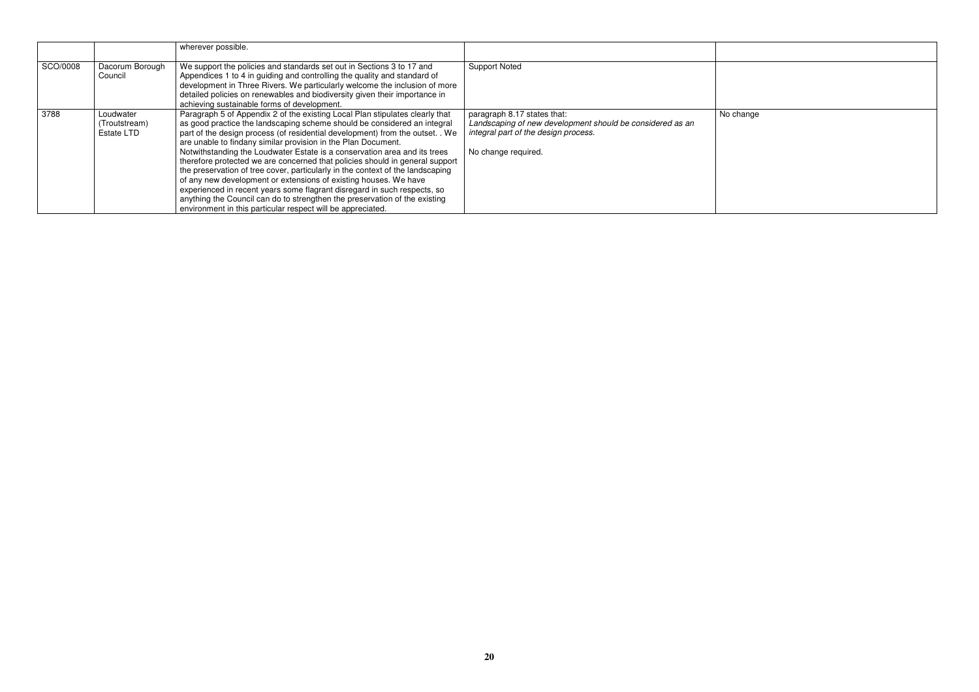|          |                                          | wherever possible.                                                                                                                                                                                                                                                                                                                                                                                                                                                                                                                                                                                                                                                                                                                                                                                                                                     |                                                                                                                                                         |       |
|----------|------------------------------------------|--------------------------------------------------------------------------------------------------------------------------------------------------------------------------------------------------------------------------------------------------------------------------------------------------------------------------------------------------------------------------------------------------------------------------------------------------------------------------------------------------------------------------------------------------------------------------------------------------------------------------------------------------------------------------------------------------------------------------------------------------------------------------------------------------------------------------------------------------------|---------------------------------------------------------------------------------------------------------------------------------------------------------|-------|
| SCO/0008 | Dacorum Borough<br>Council               | We support the policies and standards set out in Sections 3 to 17 and<br>Appendices 1 to 4 in guiding and controlling the quality and standard of<br>development in Three Rivers. We particularly welcome the inclusion of more<br>detailed policies on renewables and biodiversity given their importance in<br>achieving sustainable forms of development.                                                                                                                                                                                                                                                                                                                                                                                                                                                                                           | <b>Support Noted</b>                                                                                                                                    |       |
| 3788     | Loudwater<br>(Troutstream)<br>Estate LTD | Paragraph 5 of Appendix 2 of the existing Local Plan stipulates clearly that<br>as good practice the landscaping scheme should be considered an integral<br>part of the design process (of residential development) from the outset. . We<br>are unable to findany similar provision in the Plan Document.<br>Notwithstanding the Loudwater Estate is a conservation area and its trees<br>therefore protected we are concerned that policies should in general support<br>the preservation of tree cover, particularly in the context of the landscaping<br>of any new development or extensions of existing houses. We have<br>experienced in recent years some flagrant disregard in such respects, so<br>anything the Council can do to strengthen the preservation of the existing<br>environment in this particular respect will be appreciated. | paragraph 8.17 states that:<br>Landscaping of new development should be considered as an<br>integral part of the design process.<br>No change required. | No ch |

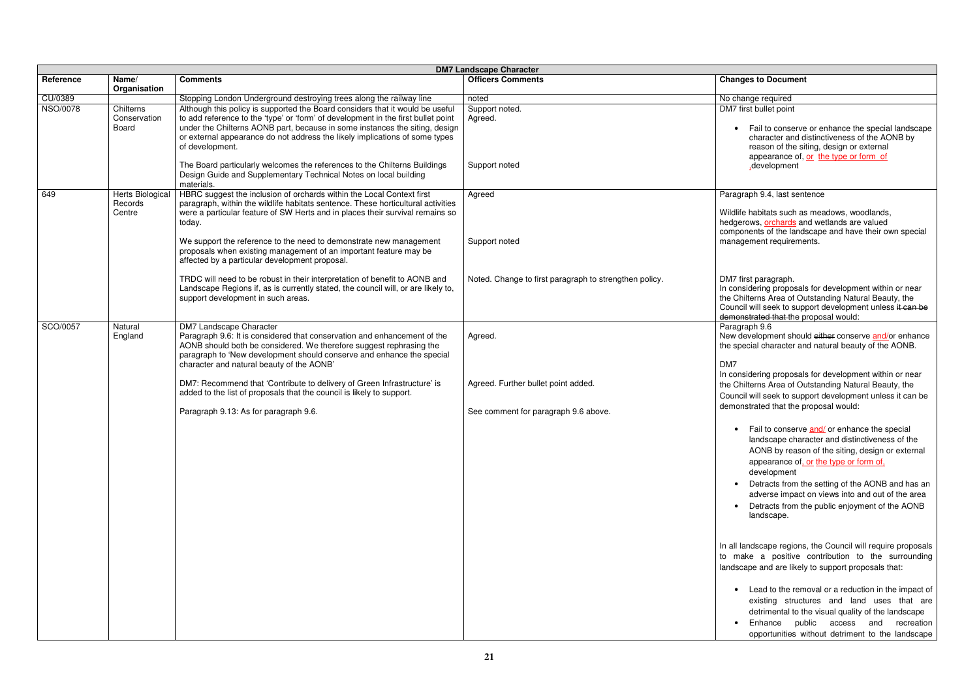• Fail to conserve or enhance the special landscape character and distinctiveness of the AONB by reason of the siting, design or external appearance of, or the type or form of ,development

#### raph 9.4, last sentence

fe habitats such as meadows, woodlands, erows, orchards and wetlands are valued components of the landscape and have their own special agement requirements.

 In considering proposals for development within or near hilterns Area of Outstanding Natural Beauty, the Council will seek to support development unless it can be mstrated that the proposal would:

New development should either conserve and/or enhance becial character and natural beauty of the AONB.

nsidering proposals for development within or near hilterns Area of Outstanding Natural Beauty, the Council will seek to support development unless it can be onstrated that the proposal would:

> Fail to conserve and/ or enhance the special landscape character and distinctiveness of the AONB by reason of the siting, design or external appearance of<u>, or the type or form of,</u>

|                 |                                       |                                                                                                                                                                                                                                                                                                                                                     | <b>DM7 Landscape Character</b>                         |                                                                                                                                                                    |
|-----------------|---------------------------------------|-----------------------------------------------------------------------------------------------------------------------------------------------------------------------------------------------------------------------------------------------------------------------------------------------------------------------------------------------------|--------------------------------------------------------|--------------------------------------------------------------------------------------------------------------------------------------------------------------------|
| Reference       | Name/<br>Organisation                 | <b>Comments</b>                                                                                                                                                                                                                                                                                                                                     | <b>Officers Comments</b>                               | <b>Changes to Document</b>                                                                                                                                         |
| CU/0389         |                                       | Stopping London Underground destroying trees along the railway line                                                                                                                                                                                                                                                                                 | noted                                                  | No change required                                                                                                                                                 |
| <b>NSO/0078</b> | Chilterns<br>Conservation<br>Board    | Although this policy is supported the Board considers that it would be useful<br>to add reference to the 'type' or 'form' of development in the first bullet point<br>under the Chilterns AONB part, because in some instances the siting, design<br>or external appearance do not address the likely implications of some types<br>of development. | Support noted.<br>Agreed.                              | DM7 first bullet point<br>Fail to conserve<br>character and di<br>reason of the sit                                                                                |
|                 |                                       | The Board particularly welcomes the references to the Chilterns Buildings<br>Design Guide and Supplementary Technical Notes on local building<br>materials.                                                                                                                                                                                         | Support noted                                          | appearance of, o<br>,development                                                                                                                                   |
| 649             | Herts Biological<br>Records<br>Centre | HBRC suggest the inclusion of orchards within the Local Context first<br>paragraph, within the wildlife habitats sentence. These horticultural activities<br>were a particular feature of SW Herts and in places their survival remains so<br>today.                                                                                                | Agreed                                                 | Paragraph 9.4, last sente<br>Wildlife habitats such as<br>hedgerows, <b>orchards</b> an                                                                            |
|                 |                                       | We support the reference to the need to demonstrate new management<br>proposals when existing management of an important feature may be<br>affected by a particular development proposal.                                                                                                                                                           | Support noted                                          | components of the lands<br>management requiremer                                                                                                                   |
|                 |                                       | TRDC will need to be robust in their interpretation of benefit to AONB and<br>Landscape Regions if, as is currently stated, the council will, or are likely to,<br>support development in such areas.                                                                                                                                               | Noted. Change to first paragraph to strengthen policy. | DM7 first paragraph.<br>In considering proposals<br>the Chilterns Area of Out<br>Council will seek to supp<br>demonstrated that the pr                             |
| SCO/0057        | Natural<br>England                    | <b>DM7 Landscape Character</b><br>Paragraph 9.6: It is considered that conservation and enhancement of the<br>AONB should both be considered. We therefore suggest rephrasing the<br>paragraph to 'New development should conserve and enhance the special<br>character and natural beauty of the AONB'                                             | Agreed.                                                | Paragraph 9.6<br>New development should<br>the special character and<br>DM7                                                                                        |
|                 |                                       | DM7: Recommend that 'Contribute to delivery of Green Infrastructure' is<br>added to the list of proposals that the council is likely to support.                                                                                                                                                                                                    | Agreed. Further bullet point added.                    | In considering proposals<br>the Chilterns Area of Out<br>Council will seek to supp                                                                                 |
|                 |                                       | Paragraph 9.13: As for paragraph 9.6.                                                                                                                                                                                                                                                                                                               | See comment for paragraph 9.6 above.                   | demonstrated that the pr                                                                                                                                           |
|                 |                                       |                                                                                                                                                                                                                                                                                                                                                     |                                                        | Fail to conserve<br>landscape chara<br>AONB by reasor<br>appearance of, o<br>development<br>Detracts from the<br>adverse impact<br>Detracts from the<br>landscape. |
|                 |                                       |                                                                                                                                                                                                                                                                                                                                                     |                                                        | In all landscape regions,<br>to make a positive<br>landscape and are likely                                                                                        |
|                 |                                       |                                                                                                                                                                                                                                                                                                                                                     |                                                        | Lead to the remo<br>existing structu<br>detrimental to th<br>Enhance pub<br>opportunities wi                                                                       |

• Detracts from the setting of the AONB and has an adverse impact on views into and out of the area • Detracts from the public enjoyment of the AONB landscape.

landscape regions, the Council will require proposals ake a positive contribution to the surrounding cape and are likely to support proposals that:

• Lead to the removal or a reduction in the impact of existing structures and land uses that are detrimental to the visual quality of the landscape • Enhance public access and recreation opportunities without detriment to the landscape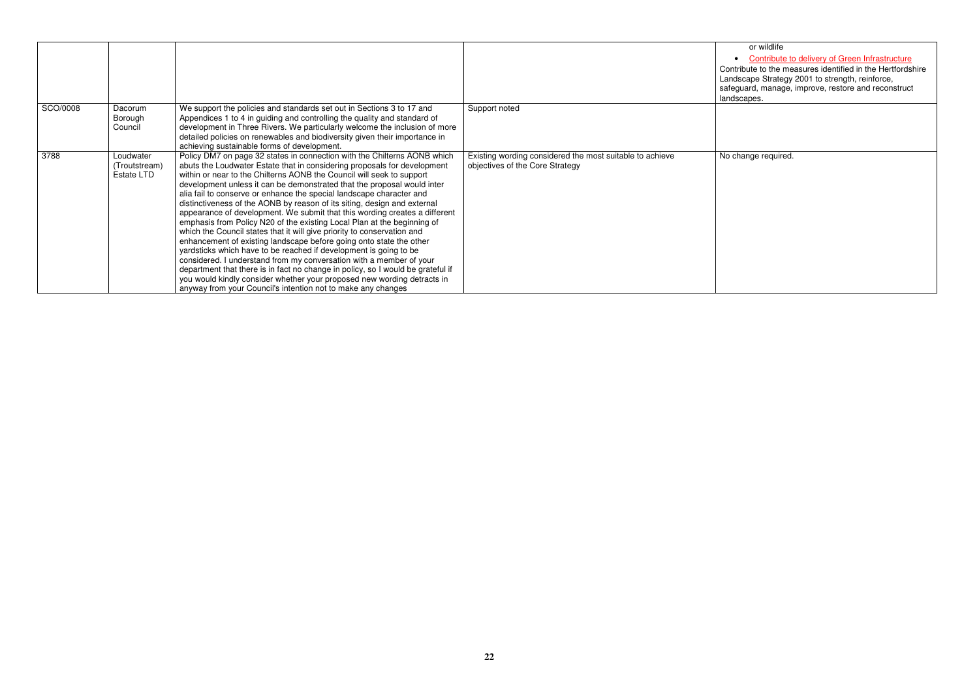or wildlife • Contribute to delivery of Green Infrastructure<br>Contribute to the measures identified in the Hertfordshire<br>Landscape Strategy 2001 to strength, reinforce,<br>safeguard, manage, improve, restore and reconstruct landscapes.

hange required.

|          |                                          |                                                                                                                                                                                                                                                                                                                                                                                                                                                                                                                                                                                                                                                                                                                                                                                                                                                                                                                                                                                                                                                                                                                                                   |                                                                                             | Contr<br>Lands<br>safeg<br>lands |
|----------|------------------------------------------|---------------------------------------------------------------------------------------------------------------------------------------------------------------------------------------------------------------------------------------------------------------------------------------------------------------------------------------------------------------------------------------------------------------------------------------------------------------------------------------------------------------------------------------------------------------------------------------------------------------------------------------------------------------------------------------------------------------------------------------------------------------------------------------------------------------------------------------------------------------------------------------------------------------------------------------------------------------------------------------------------------------------------------------------------------------------------------------------------------------------------------------------------|---------------------------------------------------------------------------------------------|----------------------------------|
| SCO/0008 | Dacorum<br>Borough<br>Council            | We support the policies and standards set out in Sections 3 to 17 and<br>Appendices 1 to 4 in guiding and controlling the quality and standard of<br>development in Three Rivers. We particularly welcome the inclusion of more<br>detailed policies on renewables and biodiversity given their importance in<br>achieving sustainable forms of development.                                                                                                                                                                                                                                                                                                                                                                                                                                                                                                                                                                                                                                                                                                                                                                                      | Support noted                                                                               |                                  |
| 3788     | Loudwater<br>(Troutstream)<br>Estate LTD | Policy DM7 on page 32 states in connection with the Chilterns AONB which<br>abuts the Loudwater Estate that in considering proposals for development<br>within or near to the Chilterns AONB the Council will seek to support<br>development unless it can be demonstrated that the proposal would inter<br>alia fail to conserve or enhance the special landscape character and<br>distinctiveness of the AONB by reason of its siting, design and external<br>appearance of development. We submit that this wording creates a different<br>emphasis from Policy N20 of the existing Local Plan at the beginning of<br>which the Council states that it will give priority to conservation and<br>enhancement of existing landscape before going onto state the other<br>yardsticks which have to be reached if development is going to be<br>considered. I understand from my conversation with a member of your<br>department that there is in fact no change in policy, so I would be grateful if<br>you would kindly consider whether your proposed new wording detracts in<br>anyway from your Council's intention not to make any changes | Existing wording considered the most suitable to achieve<br>objectives of the Core Strategy | No ch                            |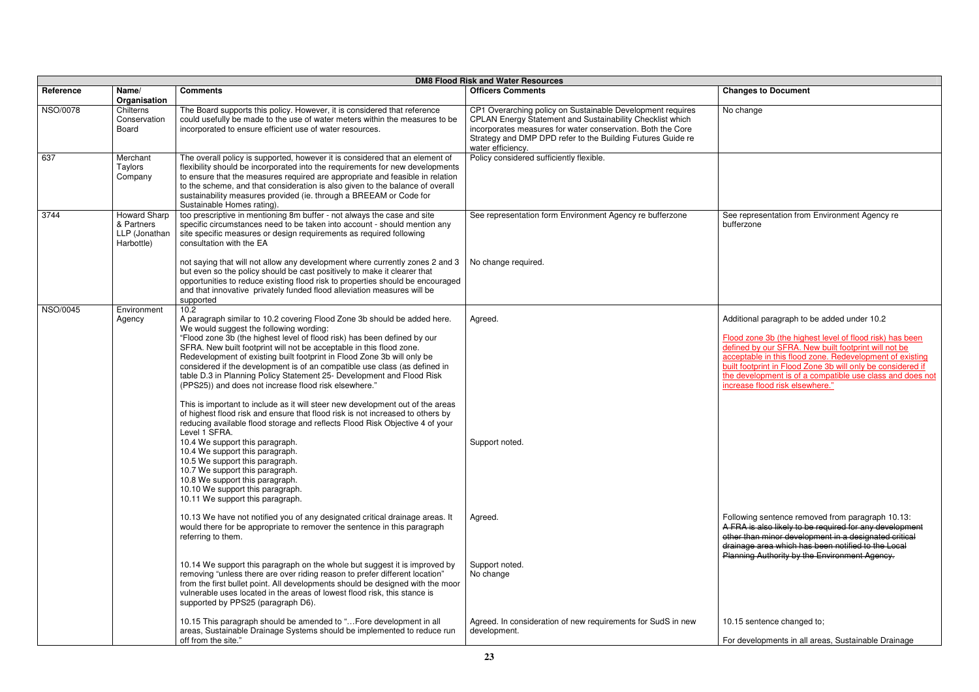#### **nges to Document**

hange:

representation from Environment Agency re erzone

tional paragraph to be added under 10.2

d zone 3b (the highest level of flood risk) has been ned by our SFRA. New built footprint will not be acceptable in this flood zone. Redevelopment of existing footprint in Flood Zone 3b will only be considered if the development is of a compatible use class and does not ease flood risk elsewhere."

wing sentence removed from paragraph 10.13: A FRA is also likely to be required for any development other than minor development in a designated critical drainage area which has been notified to the Local ning Authority by the Environment Agency.

5 sentence changed to;

developments in all areas, Sustainable Drainage

|                 |                                                           |                                                                                                                                                                                                                                                                                                                                                                                                                                                                                                                                                                                                                                                                                                                                                                                                                                                                                                                                                                                                                                                                                                        | <b>DM8 Flood Risk and Water Resources</b>                                                                                                                                                                                                                                         |                                                                  |
|-----------------|-----------------------------------------------------------|--------------------------------------------------------------------------------------------------------------------------------------------------------------------------------------------------------------------------------------------------------------------------------------------------------------------------------------------------------------------------------------------------------------------------------------------------------------------------------------------------------------------------------------------------------------------------------------------------------------------------------------------------------------------------------------------------------------------------------------------------------------------------------------------------------------------------------------------------------------------------------------------------------------------------------------------------------------------------------------------------------------------------------------------------------------------------------------------------------|-----------------------------------------------------------------------------------------------------------------------------------------------------------------------------------------------------------------------------------------------------------------------------------|------------------------------------------------------------------|
| Reference       | Name/<br>Organisation                                     | <b>Comments</b>                                                                                                                                                                                                                                                                                                                                                                                                                                                                                                                                                                                                                                                                                                                                                                                                                                                                                                                                                                                                                                                                                        | <b>Officers Comments</b>                                                                                                                                                                                                                                                          | Char                                                             |
| NSO/0078        | Chilterns<br>Conservation<br>Board                        | The Board supports this policy. However, it is considered that reference<br>could usefully be made to the use of water meters within the measures to be<br>incorporated to ensure efficient use of water resources.                                                                                                                                                                                                                                                                                                                                                                                                                                                                                                                                                                                                                                                                                                                                                                                                                                                                                    | CP1 Overarching policy on Sustainable Development requires<br><b>CPLAN Energy Statement and Sustainability Checklist which</b><br>incorporates measures for water conservation. Both the Core<br>Strategy and DMP DPD refer to the Building Futures Guide re<br>water efficiency. | No c                                                             |
| 637             | Merchant<br>Taylors<br>Company                            | The overall policy is supported, however it is considered that an element of<br>flexibility should be incorporated into the requirements for new developments<br>to ensure that the measures required are appropriate and feasible in relation<br>to the scheme, and that consideration is also given to the balance of overall<br>sustainability measures provided (ie. through a BREEAM or Code for<br>Sustainable Homes rating).                                                                                                                                                                                                                                                                                                                                                                                                                                                                                                                                                                                                                                                                    | Policy considered sufficiently flexible.                                                                                                                                                                                                                                          |                                                                  |
| 3744            | Howard Sharp<br>& Partners<br>LLP (Jonathan<br>Harbottle) | too prescriptive in mentioning 8m buffer - not always the case and site<br>specific circumstances need to be taken into account - should mention any<br>site specific measures or design requirements as required following<br>consultation with the EA                                                                                                                                                                                                                                                                                                                                                                                                                                                                                                                                                                                                                                                                                                                                                                                                                                                | See representation form Environment Agency re bufferzone                                                                                                                                                                                                                          | See<br>buffe                                                     |
|                 |                                                           | not saying that will not allow any development where currently zones 2 and 3<br>but even so the policy should be cast positively to make it clearer that<br>opportunities to reduce existing flood risk to properties should be encouraged<br>and that innovative privately funded flood alleviation measures will be<br>supported                                                                                                                                                                                                                                                                                                                                                                                                                                                                                                                                                                                                                                                                                                                                                                     | No change required.                                                                                                                                                                                                                                                               |                                                                  |
| <b>NSO/0045</b> | Environment<br>Agency                                     | 10.2<br>A paragraph similar to 10.2 covering Flood Zone 3b should be added here.<br>We would suggest the following wording:<br>"Flood zone 3b (the highest level of flood risk) has been defined by our<br>SFRA. New built footprint will not be acceptable in this flood zone.<br>Redevelopment of existing built footprint in Flood Zone 3b will only be<br>considered if the development is of an compatible use class (as defined in<br>table D.3 in Planning Policy Statement 25- Development and Flood Risk<br>(PPS25)) and does not increase flood risk elsewhere."<br>This is important to include as it will steer new development out of the areas<br>of highest flood risk and ensure that flood risk is not increased to others by<br>reducing available flood storage and reflects Flood Risk Objective 4 of your<br>Level 1 SFRA.<br>10.4 We support this paragraph.<br>10.4 We support this paragraph.<br>10.5 We support this paragraph.<br>10.7 We support this paragraph.<br>10.8 We support this paragraph.<br>10.10 We support this paragraph.<br>10.11 We support this paragraph. | Agreed.<br>Support noted.                                                                                                                                                                                                                                                         | Addi<br><b>Floor</b><br>defin<br>acce<br>built<br>the c<br>incre |
|                 |                                                           | 10.13 We have not notified you of any designated critical drainage areas. It<br>would there for be appropriate to remover the sentence in this paragraph<br>referring to them.                                                                                                                                                                                                                                                                                                                                                                                                                                                                                                                                                                                                                                                                                                                                                                                                                                                                                                                         | Agreed.                                                                                                                                                                                                                                                                           | Follo<br><b>AFF</b><br>other<br>drain<br><b>Plan</b>             |
|                 |                                                           | 10.14 We support this paragraph on the whole but suggest it is improved by<br>removing "unless there are over riding reason to prefer different location"<br>from the first bullet point. All developments should be designed with the moor<br>vulnerable uses located in the areas of lowest flood risk, this stance is<br>supported by PPS25 (paragraph D6).                                                                                                                                                                                                                                                                                                                                                                                                                                                                                                                                                                                                                                                                                                                                         | Support noted.<br>No change                                                                                                                                                                                                                                                       |                                                                  |
|                 |                                                           | 10.15 This paragraph should be amended to " Fore development in all<br>areas, Sustainable Drainage Systems should be implemented to reduce run<br>off from the site."                                                                                                                                                                                                                                                                                                                                                                                                                                                                                                                                                                                                                                                                                                                                                                                                                                                                                                                                  | Agreed. In consideration of new requirements for SudS in new<br>development.                                                                                                                                                                                                      | 10.15<br>For c                                                   |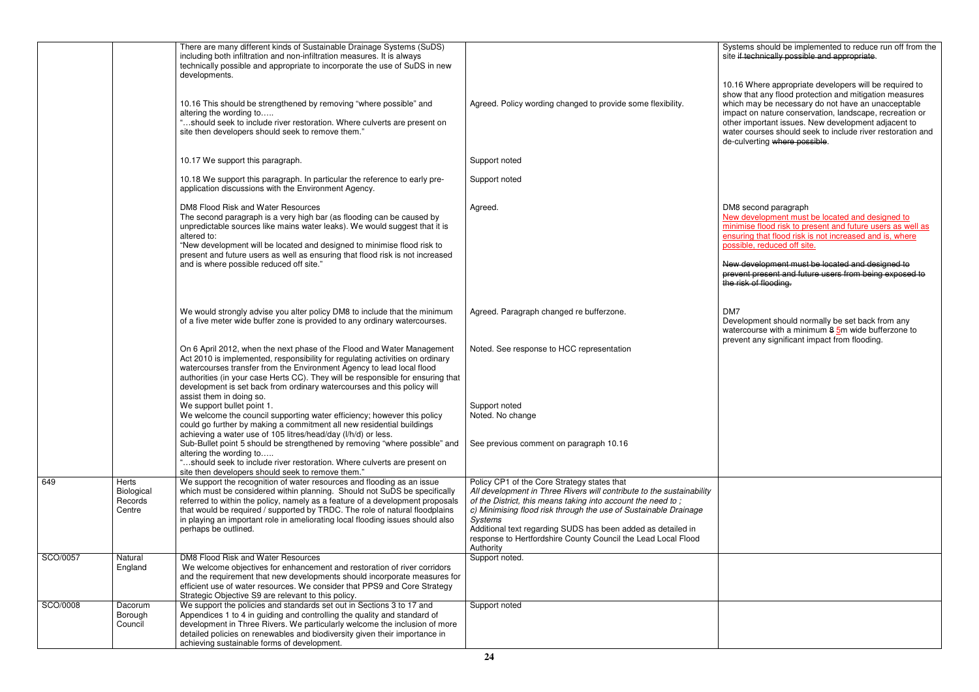tems should be implemented to reduce run off from the if technically possible and appropriate.

16 Where appropriate developers will be required to show that any flood protection and mitigation measures which may be necessary do not have an unacceptable impact on nature conservation, landscape, recreation or other important issues. New development adjacent to water courses should seek to include river restoration and culverting where possible.

8 second paragraph

 New development must be located and designed to minimise flood risk to present and future users as well as ensuring that flood risk is not increased and is, where sible, reduced off site.

w development must be located and designed to prevent present and future users from being exposed to risk of flooding.

 Development should normally be set back from any watercourse with a minimum  $8.5$ m wide bufferzone to vent any significant impact from flooding.

|          |                                          | There are many different kinds of Sustainable Drainage Systems (SuDS)<br>including both infiltration and non-infiltration measures. It is always<br>technically possible and appropriate to incorporate the use of SuDS in new<br>developments.                                                                                                                                                                               |                                                                                                                                                                                                                                                                                                                                                                                                                   | Syste<br>site if<br>10.16                                                     |
|----------|------------------------------------------|-------------------------------------------------------------------------------------------------------------------------------------------------------------------------------------------------------------------------------------------------------------------------------------------------------------------------------------------------------------------------------------------------------------------------------|-------------------------------------------------------------------------------------------------------------------------------------------------------------------------------------------------------------------------------------------------------------------------------------------------------------------------------------------------------------------------------------------------------------------|-------------------------------------------------------------------------------|
|          |                                          | 10.16 This should be strengthened by removing "where possible" and<br>altering the wording to<br>"should seek to include river restoration. Where culverts are present on<br>site then developers should seek to remove them."                                                                                                                                                                                                | Agreed. Policy wording changed to provide some flexibility.                                                                                                                                                                                                                                                                                                                                                       | show<br>which<br>impa<br>other<br>water<br>de-cu                              |
|          |                                          | 10.17 We support this paragraph.                                                                                                                                                                                                                                                                                                                                                                                              | Support noted                                                                                                                                                                                                                                                                                                                                                                                                     |                                                                               |
|          |                                          | 10.18 We support this paragraph. In particular the reference to early pre-<br>application discussions with the Environment Agency.                                                                                                                                                                                                                                                                                            | Support noted                                                                                                                                                                                                                                                                                                                                                                                                     |                                                                               |
|          |                                          | DM8 Flood Risk and Water Resources<br>The second paragraph is a very high bar (as flooding can be caused by<br>unpredictable sources like mains water leaks). We would suggest that it is<br>altered to:<br>"New development will be located and designed to minimise flood risk to<br>present and future users as well as ensuring that flood risk is not increased<br>and is where possible reduced off site."              | Agreed.                                                                                                                                                                                                                                                                                                                                                                                                           | DM8<br><b>New</b><br>minin<br>ensur<br>possi<br><b>New</b><br>preve<br>the ri |
|          |                                          | We would strongly advise you alter policy DM8 to include that the minimum<br>of a five meter wide buffer zone is provided to any ordinary watercourses.                                                                                                                                                                                                                                                                       | Agreed. Paragraph changed re bufferzone.                                                                                                                                                                                                                                                                                                                                                                          | DM7<br>Deve<br>water                                                          |
|          |                                          | On 6 April 2012, when the next phase of the Flood and Water Management<br>Act 2010 is implemented, responsibility for regulating activities on ordinary<br>watercourses transfer from the Environment Agency to lead local flood<br>authorities (in your case Herts CC). They will be responsible for ensuring that<br>development is set back from ordinary watercourses and this policy will<br>assist them in doing so.    | Noted. See response to HCC representation                                                                                                                                                                                                                                                                                                                                                                         | preve                                                                         |
|          |                                          | We support bullet point 1.<br>We welcome the council supporting water efficiency; however this policy<br>could go further by making a commitment all new residential buildings<br>achieving a water use of 105 litres/head/day (I/h/d) or less.                                                                                                                                                                               | Support noted<br>Noted. No change                                                                                                                                                                                                                                                                                                                                                                                 |                                                                               |
|          |                                          | Sub-Bullet point 5 should be strengthened by removing "where possible" and<br>altering the wording to<br>"should seek to include river restoration. Where culverts are present on<br>site then developers should seek to remove them."                                                                                                                                                                                        | See previous comment on paragraph 10.16                                                                                                                                                                                                                                                                                                                                                                           |                                                                               |
| 649      | Herts<br>Biological<br>Records<br>Centre | We support the recognition of water resources and flooding as an issue<br>which must be considered within planning. Should not SuDS be specifically<br>referred to within the policy, namely as a feature of a development proposals<br>that would be required / supported by TRDC. The role of natural floodplains<br>in playing an important role in ameliorating local flooding issues should also<br>perhaps be outlined. | Policy CP1 of the Core Strategy states that<br>All development in Three Rivers will contribute to the sustainability<br>of the District, this means taking into account the need to;<br>c) Minimising flood risk through the use of Sustainable Drainage<br>Systems<br>Additional text regarding SUDS has been added as detailed in<br>response to Hertfordshire County Council the Lead Local Flood<br>Authority |                                                                               |
| SCO/0057 | Natural<br>England                       | DM8 Flood Risk and Water Resources<br>We welcome objectives for enhancement and restoration of river corridors<br>and the requirement that new developments should incorporate measures for<br>efficient use of water resources. We consider that PPS9 and Core Strategy<br>Strategic Objective S9 are relevant to this policy.                                                                                               | Support noted.                                                                                                                                                                                                                                                                                                                                                                                                    |                                                                               |
| SCO/0008 | Dacorum<br>Borough<br>Council            | We support the policies and standards set out in Sections 3 to 17 and<br>Appendices 1 to 4 in guiding and controlling the quality and standard of<br>development in Three Rivers. We particularly welcome the inclusion of more<br>detailed policies on renewables and biodiversity given their importance in<br>achieving sustainable forms of development.                                                                  | Support noted                                                                                                                                                                                                                                                                                                                                                                                                     |                                                                               |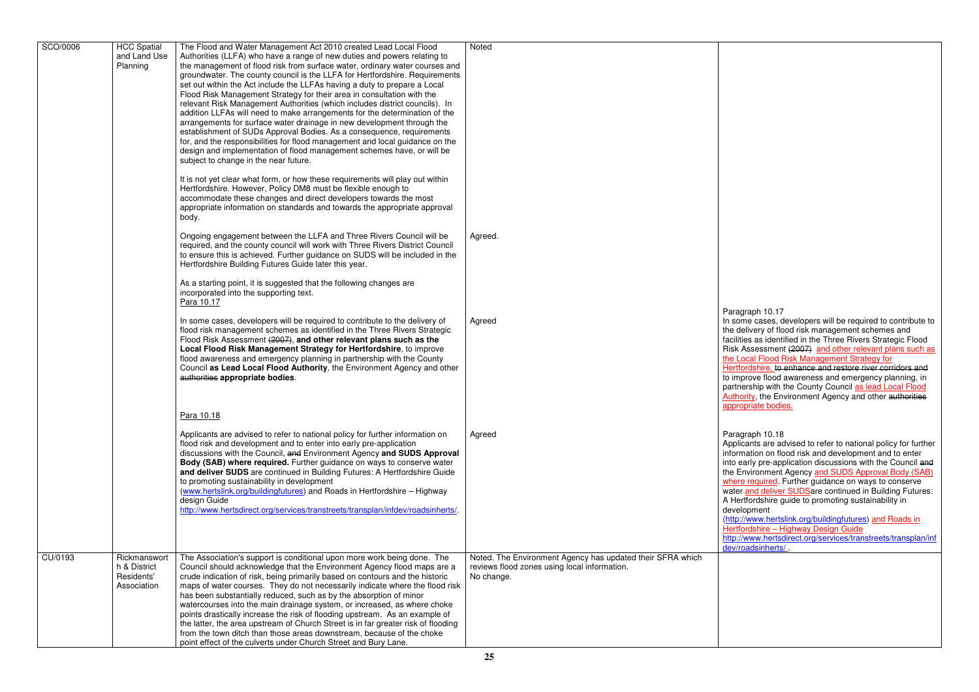aragraph 10.17

 In some cases, developers will be required to contribute to e delivery of flood risk management schemes and facilities as identified in the Three Rivers Strategic Flood Risk Assessment <del>(2007)</del> and other relevant plans such as the Local Flood Risk Management Strategy for Hertfordshire, to enhance and restore river corridors and to improve flood awareness and emergency planning, in partnership with the County Council as lead Local Flood **Authority**, the Environment Agency and other authorities opropriate bodies.

 Applicants are advised to refer to national policy for further formation on flood risk and development and to enter into early pre-application discussions with the Council and the Environment Agency and SUDS Approval Body (SAB) where required. Further guidance on ways to conserve water and deliver SUDSare continued in Building Futures: Hertfordshire guide to promoting sustainability in evelopment

 (http://www.hertslink.org/buildingfutures) and Roads in ertfordshire – Highway Design Guide

| SCO/0006 | <b>HCC Spatial</b><br>and Land Use<br>Planning            | The Flood and Water Management Act 2010 created Lead Local Flood<br>Authorities (LLFA) who have a range of new duties and powers relating to<br>the management of flood risk from surface water, ordinary water courses and<br>groundwater. The county council is the LLFA for Hertfordshire. Requirements<br>set out within the Act include the LLFAs having a duty to prepare a Local<br>Flood Risk Management Strategy for their area in consultation with the<br>relevant Risk Management Authorities (which includes district councils). In<br>addition LLFAs will need to make arrangements for the determination of the<br>arrangements for surface water drainage in new development through the<br>establishment of SUDs Approval Bodies. As a consequence, requirements<br>for, and the responsibilities for flood management and local guidance on the<br>design and implementation of flood management schemes have, or will be<br>subject to change in the near future. | Noted                                                                                                                    |                                                                                                                             |
|----------|-----------------------------------------------------------|--------------------------------------------------------------------------------------------------------------------------------------------------------------------------------------------------------------------------------------------------------------------------------------------------------------------------------------------------------------------------------------------------------------------------------------------------------------------------------------------------------------------------------------------------------------------------------------------------------------------------------------------------------------------------------------------------------------------------------------------------------------------------------------------------------------------------------------------------------------------------------------------------------------------------------------------------------------------------------------|--------------------------------------------------------------------------------------------------------------------------|-----------------------------------------------------------------------------------------------------------------------------|
|          |                                                           | It is not yet clear what form, or how these requirements will play out within<br>Hertfordshire. However, Policy DM8 must be flexible enough to<br>accommodate these changes and direct developers towards the most<br>appropriate information on standards and towards the appropriate approval<br>body.                                                                                                                                                                                                                                                                                                                                                                                                                                                                                                                                                                                                                                                                             |                                                                                                                          |                                                                                                                             |
|          |                                                           | Ongoing engagement between the LLFA and Three Rivers Council will be<br>required, and the county council will work with Three Rivers District Council<br>to ensure this is achieved. Further guidance on SUDS will be included in the<br>Hertfordshire Building Futures Guide later this year.                                                                                                                                                                                                                                                                                                                                                                                                                                                                                                                                                                                                                                                                                       | Agreed.                                                                                                                  |                                                                                                                             |
|          |                                                           | As a starting point, it is suggested that the following changes are<br>incorporated into the supporting text.<br>Para 10.17                                                                                                                                                                                                                                                                                                                                                                                                                                                                                                                                                                                                                                                                                                                                                                                                                                                          |                                                                                                                          |                                                                                                                             |
|          |                                                           | In some cases, developers will be required to contribute to the delivery of<br>flood risk management schemes as identified in the Three Rivers Strategic<br>Flood Risk Assessment (2007), and other relevant plans such as the<br>Local Flood Risk Management Strategy for Hertfordshire, to improve<br>flood awareness and emergency planning in partnership with the County<br>Council as Lead Local Flood Authority, the Environment Agency and other<br>authorities appropriate bodies.                                                                                                                                                                                                                                                                                                                                                                                                                                                                                          | Agreed                                                                                                                   | $P\epsilon$<br>ln<br>the<br>fa<br><b>Ris</b><br>the<br>$H\epsilon$<br>$\mathsf{to}$<br>pa<br>$\underline{\mathsf{A}}$<br>ap |
|          |                                                           | Para 10.18                                                                                                                                                                                                                                                                                                                                                                                                                                                                                                                                                                                                                                                                                                                                                                                                                                                                                                                                                                           |                                                                                                                          |                                                                                                                             |
|          |                                                           | Applicants are advised to refer to national policy for further information on<br>flood risk and development and to enter into early pre-application<br>discussions with the Council, and Environment Agency and SUDS Approval<br>Body (SAB) where required. Further guidance on ways to conserve water<br>and deliver SUDS are continued in Building Futures: A Hertfordshire Guide<br>to promoting sustainability in development<br>(www.hertslink.org/buildingfutures) and Roads in Hertfordshire - Highway<br>design Guide<br>http://www.hertsdirect.org/services/transtreets/transplan/infdev/roadsinherts/                                                                                                                                                                                                                                                                                                                                                                      | Agreed                                                                                                                   | $P\epsilon$<br>Ap<br>inf<br>int<br>the<br>wł<br>Wa<br>$\mathsf{A}$<br>de<br><u>(ht</u><br>$H_6$<br>htt                      |
| CU/0193  | Rickmanswort<br>h & District<br>Residents'<br>Association | The Association's support is conditional upon more work being done. The<br>Council should acknowledge that the Environment Agency flood maps are a<br>crude indication of risk, being primarily based on contours and the historic<br>maps of water courses. They do not necessarily indicate where the flood risk<br>has been substantially reduced, such as by the absorption of minor<br>watercourses into the main drainage system, or increased, as where choke<br>points drastically increase the risk of flooding upstream. As an example of<br>the latter, the area upstream of Church Street is in far greater risk of flooding<br>from the town ditch than those areas downstream, because of the choke<br>point effect of the culverts under Church Street and Bury Lane.                                                                                                                                                                                                 | Noted. The Environment Agency has updated their SFRA which<br>reviews flood zones using local information.<br>No change. | $\overline{de}$                                                                                                             |

Paragraph 10.18

 http://www.hertsdirect.org/services/transtreets/transplan/infdev/roadsinherts/ .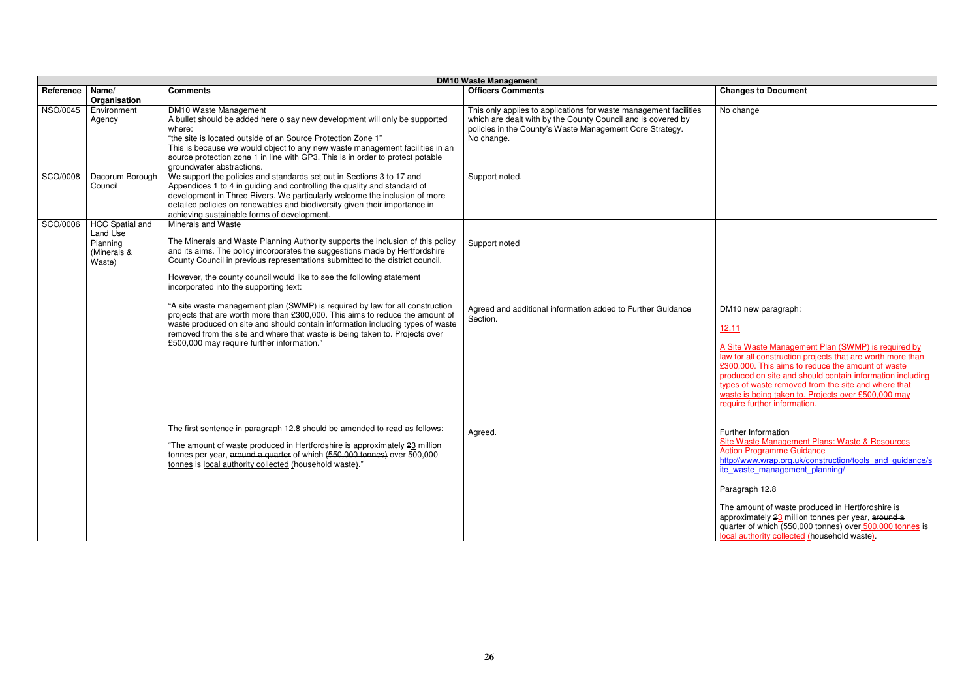#### **Comments Comment**

hange

new paragraph:

Waste Management Plan (SWMP) is required by law for all construction projects that are worth more than £300,000. This aims to reduce the amount of waste produced on site and should contain information including of waste removed from the site and where that waste is being taken to. Projects over £500,000 mayre further information.

er Information Site Waste Management Plans: Waste & Resources Action Programme Guidance http://www.wrap.org.uk/construction/tools\_and\_guidance/site-management-sense and the management planning/

|           | <b>DM10 Waste Management</b>                                            |                                                                                                                                                                                                                                                                                                                                                                                          |                                                                                                                                                                                                             |                                                                                                  |
|-----------|-------------------------------------------------------------------------|------------------------------------------------------------------------------------------------------------------------------------------------------------------------------------------------------------------------------------------------------------------------------------------------------------------------------------------------------------------------------------------|-------------------------------------------------------------------------------------------------------------------------------------------------------------------------------------------------------------|--------------------------------------------------------------------------------------------------|
| Reference | Name/                                                                   | <b>Comments</b>                                                                                                                                                                                                                                                                                                                                                                          | <b>Officers Comments</b>                                                                                                                                                                                    | Chang                                                                                            |
|           | Organisation                                                            |                                                                                                                                                                                                                                                                                                                                                                                          |                                                                                                                                                                                                             |                                                                                                  |
| NSO/0045  | Environment<br>Agency                                                   | DM10 Waste Management<br>A bullet should be added here o say new development will only be supported<br>where:<br>"the site is located outside of an Source Protection Zone 1"<br>This is because we would object to any new waste management facilities in an<br>source protection zone 1 in line with GP3. This is in order to protect potable<br>groundwater abstractions.             | This only applies to applications for waste management facilities<br>which are dealt with by the County Council and is covered by<br>policies in the County's Waste Management Core Strategy.<br>No change. | No ch                                                                                            |
| SCO/0008  | Dacorum Borough<br>Council                                              | We support the policies and standards set out in Sections 3 to 17 and<br>Appendices 1 to 4 in guiding and controlling the quality and standard of<br>development in Three Rivers. We particularly welcome the inclusion of more<br>detailed policies on renewables and biodiversity given their importance in<br>achieving sustainable forms of development.                             | Support noted.                                                                                                                                                                                              |                                                                                                  |
| SCO/0006  | <b>HCC Spatial and</b><br>Land Use<br>Planning<br>(Minerals &<br>Waste) | Minerals and Waste<br>The Minerals and Waste Planning Authority supports the inclusion of this policy<br>and its aims. The policy incorporates the suggestions made by Hertfordshire<br>County Council in previous representations submitted to the district council.<br>However, the county council would like to see the following statement<br>incorporated into the supporting text: | Support noted                                                                                                                                                                                               |                                                                                                  |
|           |                                                                         | "A site waste management plan (SWMP) is required by law for all construction<br>projects that are worth more than £300,000. This aims to reduce the amount of<br>waste produced on site and should contain information including types of waste<br>removed from the site and where that waste is being taken to. Projects over<br>£500,000 may require further information."             | Agreed and additional information added to Further Guidance<br>Section.                                                                                                                                     | <b>DM10</b><br><u>12.11</u><br>A Site<br>law for<br>£300,0<br>produ<br>types<br>waste<br>require |
|           |                                                                         | The first sentence in paragraph 12.8 should be amended to read as follows:<br>"The amount of waste produced in Hertfordshire is approximately 23 million<br>tonnes per year, around a quarter of which (550,000 tonnes) over 500,000<br>tonnes is local authority collected (household waste)."                                                                                          | Agreed.                                                                                                                                                                                                     | Furthe<br>Site W<br>Action<br>http://<br>ite wa<br>Parag                                         |
|           |                                                                         |                                                                                                                                                                                                                                                                                                                                                                                          |                                                                                                                                                                                                             | The ar<br>appro:<br>quarte<br>local a                                                            |

Paragraph 12.8

amount of waste produced in Hertfordshire is approximately 2<mark>3</mark> million tonnes per year, <del>around a</del> quarter of which (550,000 tonnes) over 500,000 tonnes is l<mark>ocal authority collected <u>(</u>household waste<u>)</u>.</mark>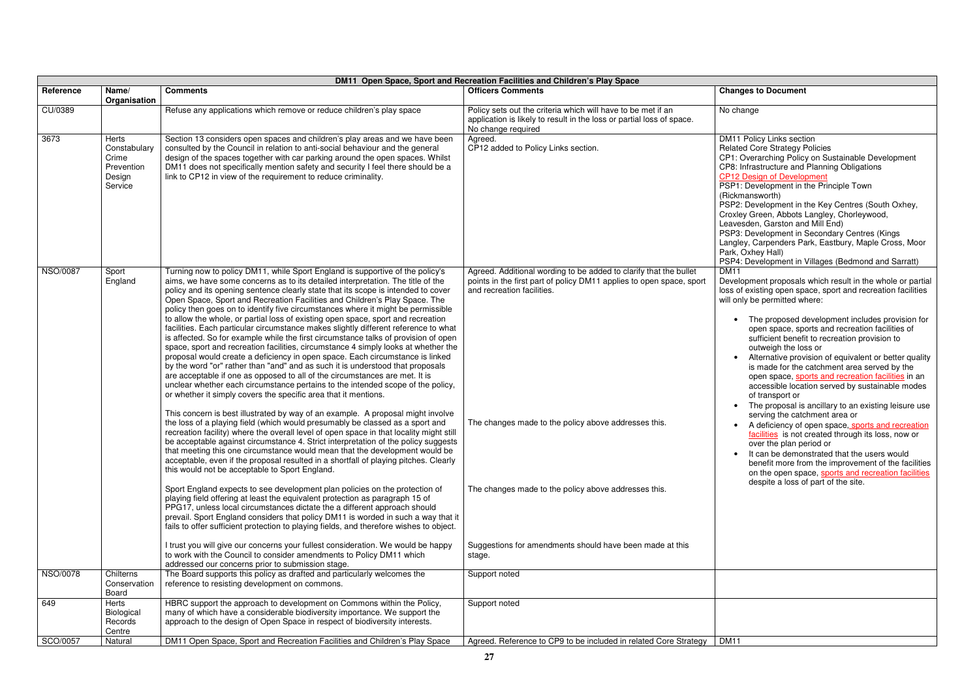### **Comment** Conservations Conservative Conservative Conservative Conservative Conservative Conservative Conservative Conservative Conservative Conservative Conservative Conservative Conservative Conservative Conservative Con

hange

**Policy Links section**  Related Core Strategy Policies CP1: Overarching Policy on Sustainable Development Infrastructure and Planning Obligations **Design of Development**  PSP1: Development in the Principle Town  $m$ answorth) PSP2: Development in the Key Centres (South Oxhey, ley Green, Abbots Langley, Chorleywood, esden, Garston and Mill End) PSP3: Development in Secondary Centres (Kings Langley, Carpenders Park, Eastbury, Maple Cross, Moor  $Ox$ hey Hall) PSP4: Development in Villages (Bedmond and Sarratt) Development proposals which result in the whole or partial of existing open space, sport and recreation facilities nly be permitted where: The proposed development includes provision for open space, sports and recreation facilities of sufficient benefit to recreation provision to outweigh the loss or • Alternative provision of equivalent or better quality is made for the catchment area served by the open space, **sports and recreation facilities** in an accessible location served by sustainable modes of transport or • The proposal is ancillary to an existing leisure use serving the catchment area or • A deficiency of open space, sports and recreation facilities is not created through its loss, now or over the plan period or • It can be demonstrated that the users would benefit more from the improvement of the facilitieson the open space, <u>sports and recreation facilities</u> despite a loss of part of the site.

|                 |                                                                          |                                                                                                                                                                                                                                                                                                                                                                                                                                                                                                                                                                                                                                                                                                                                                                                                                                                                                                                                                                                                                                                                                                                                                                                         | DM11 Open Space, Sport and Recreation Facilities and Children's Play Space                                                                                              |                                                                                                                                               |  |
|-----------------|--------------------------------------------------------------------------|-----------------------------------------------------------------------------------------------------------------------------------------------------------------------------------------------------------------------------------------------------------------------------------------------------------------------------------------------------------------------------------------------------------------------------------------------------------------------------------------------------------------------------------------------------------------------------------------------------------------------------------------------------------------------------------------------------------------------------------------------------------------------------------------------------------------------------------------------------------------------------------------------------------------------------------------------------------------------------------------------------------------------------------------------------------------------------------------------------------------------------------------------------------------------------------------|-------------------------------------------------------------------------------------------------------------------------------------------------------------------------|-----------------------------------------------------------------------------------------------------------------------------------------------|--|
| Reference       | Name/<br>Organisation                                                    | <b>Comments</b>                                                                                                                                                                                                                                                                                                                                                                                                                                                                                                                                                                                                                                                                                                                                                                                                                                                                                                                                                                                                                                                                                                                                                                         | <b>Officers Comments</b>                                                                                                                                                | Chang                                                                                                                                         |  |
| CU/0389         |                                                                          | Refuse any applications which remove or reduce children's play space                                                                                                                                                                                                                                                                                                                                                                                                                                                                                                                                                                                                                                                                                                                                                                                                                                                                                                                                                                                                                                                                                                                    | Policy sets out the criteria which will have to be met if an<br>application is likely to result in the loss or partial loss of space.<br>No change required             | No cha                                                                                                                                        |  |
| 3673            | <b>Herts</b><br>Constabulary<br>Crime<br>Prevention<br>Design<br>Service | Section 13 considers open spaces and children's play areas and we have been<br>consulted by the Council in relation to anti-social behaviour and the general<br>design of the spaces together with car parking around the open spaces. Whilst<br>DM11 does not specifically mention safety and security I feel there should be a<br>link to CP12 in view of the requirement to reduce criminality.                                                                                                                                                                                                                                                                                                                                                                                                                                                                                                                                                                                                                                                                                                                                                                                      | Agreed.<br>CP12 added to Policy Links section.                                                                                                                          | <b>DM11</b><br>Relate<br>CP1:<br>CP8: I<br><b>CP12</b><br>PSP1:<br>(Rickn<br>PSP2:<br>Croxle<br>Leave:<br>PSP3:<br>Langle<br>Park, 0<br>PSP4: |  |
| <b>NSO/0087</b> | Sport<br>England                                                         | Turning now to policy DM11, while Sport England is supportive of the policy's<br>aims, we have some concerns as to its detailed interpretation. The title of the<br>policy and its opening sentence clearly state that its scope is intended to cover<br>Open Space, Sport and Recreation Facilities and Children's Play Space. The<br>policy then goes on to identify five circumstances where it might be permissible<br>to allow the whole, or partial loss of existing open space, sport and recreation<br>facilities. Each particular circumstance makes slightly different reference to what<br>is affected. So for example while the first circumstance talks of provision of open<br>space, sport and recreation facilities, circumstance 4 simply looks at whether the<br>proposal would create a deficiency in open space. Each circumstance is linked<br>by the word "or" rather than "and" and as such it is understood that proposals<br>are acceptable if one as opposed to all of the circumstances are met. It is<br>unclear whether each circumstance pertains to the intended scope of the policy,<br>or whether it simply covers the specific area that it mentions. | Agreed. Additional wording to be added to clarify that the bullet<br>points in the first part of policy DM11 applies to open space, sport<br>and recreation facilities. | <b>DM11</b><br>Develo<br>loss of<br>will on                                                                                                   |  |
|                 |                                                                          | This concern is best illustrated by way of an example. A proposal might involve<br>the loss of a playing field (which would presumably be classed as a sport and<br>recreation facility) where the overall level of open space in that locality might still<br>be acceptable against circumstance 4. Strict interpretation of the policy suggests<br>that meeting this one circumstance would mean that the development would be<br>acceptable, even if the proposal resulted in a shortfall of playing pitches. Clearly<br>this would not be acceptable to Sport England.                                                                                                                                                                                                                                                                                                                                                                                                                                                                                                                                                                                                              | The changes made to the policy above addresses this.                                                                                                                    |                                                                                                                                               |  |
|                 |                                                                          | Sport England expects to see development plan policies on the protection of<br>playing field offering at least the equivalent protection as paragraph 15 of<br>PPG17, unless local circumstances dictate the a different approach should<br>prevail. Sport England considers that policy DM11 is worded in such a way that it<br>fails to offer sufficient protection to playing fields, and therefore wishes to object.                                                                                                                                                                                                                                                                                                                                                                                                                                                                                                                                                                                                                                                                                                                                                                | The changes made to the policy above addresses this.                                                                                                                    |                                                                                                                                               |  |
|                 |                                                                          | I trust you will give our concerns your fullest consideration. We would be happy<br>to work with the Council to consider amendments to Policy DM11 which<br>addressed our concerns prior to submission stage.                                                                                                                                                                                                                                                                                                                                                                                                                                                                                                                                                                                                                                                                                                                                                                                                                                                                                                                                                                           | Suggestions for amendments should have been made at this<br>stage.                                                                                                      |                                                                                                                                               |  |
| NSO/0078        | Chilterns<br>Conservation<br>Board                                       | The Board supports this policy as drafted and particularly welcomes the<br>reference to resisting development on commons.                                                                                                                                                                                                                                                                                                                                                                                                                                                                                                                                                                                                                                                                                                                                                                                                                                                                                                                                                                                                                                                               | Support noted                                                                                                                                                           |                                                                                                                                               |  |
| 649             | <b>Herts</b><br>Biological<br>Records<br>Centre                          | HBRC support the approach to development on Commons within the Policy,<br>many of which have a considerable biodiversity importance. We support the<br>approach to the design of Open Space in respect of biodiversity interests.                                                                                                                                                                                                                                                                                                                                                                                                                                                                                                                                                                                                                                                                                                                                                                                                                                                                                                                                                       | Support noted                                                                                                                                                           |                                                                                                                                               |  |
| SCO/0057        | Natural                                                                  | DM11 Open Space, Sport and Recreation Facilities and Children's Play Space                                                                                                                                                                                                                                                                                                                                                                                                                                                                                                                                                                                                                                                                                                                                                                                                                                                                                                                                                                                                                                                                                                              | Agreed. Reference to CP9 to be included in related Core Strategy                                                                                                        | <b>DM11</b>                                                                                                                                   |  |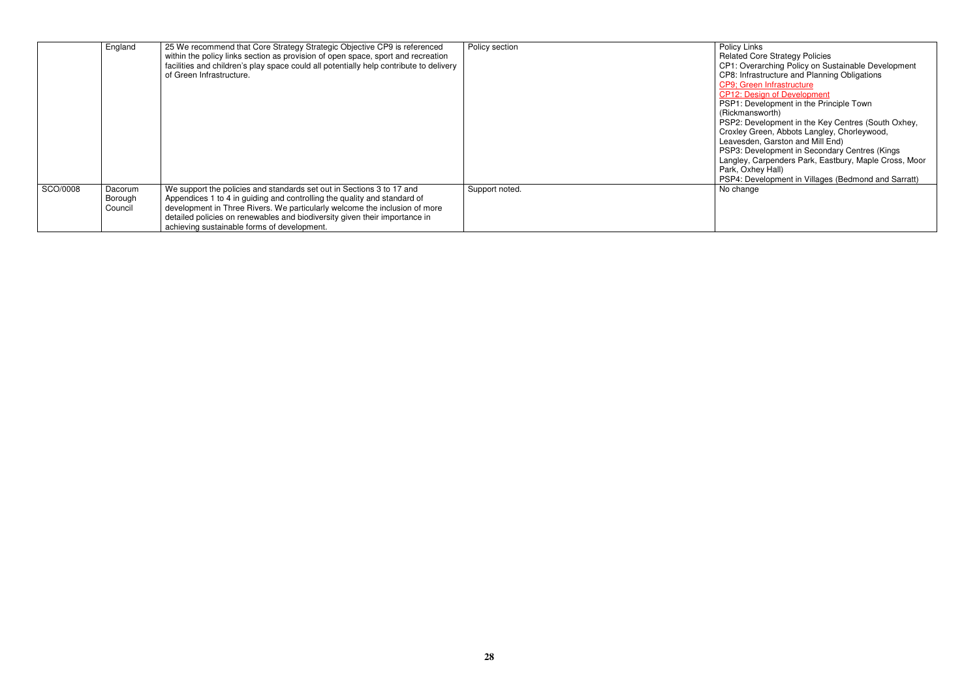Related Core Strategy Policies CP1: Overarching Policy on Sustainable Development CP8: Infrastructure and Planning Obligations Green Infrastructure <u>CP12: Design of Development</u><br>PSP1: Development in the Principle Town<br>(Rickmansworth) PSP2: Development in the Key Centres (South Oxhey, Croxley Green, Abbots Langley, Chorleywood, Leavesden, Garston and Mill End) PSP3: Development in Secondary Centres (Kings Langley, Carpenders Park, Eastbury, Maple Cross, Moor Park, Oxhey Hall)

|          | England                       | 25 We recommend that Core Strategy Strategic Objective CP9 is referenced<br>within the policy links section as provision of open space, sport and recreation<br>facilities and children's play space could all potentially help contribute to delivery<br>of Green Infrastructure.                                                                           | Policy section | Policy Links<br><b>Related Core</b><br>CP1: Overar<br>CP8: Infrastr<br>CP9; Green<br>CP12: Desig<br>PSP1: Devel<br>(Rickmansw<br>PSP2: Devel<br>Croxley Gree<br>Leavesden,<br>PSP3: Devel<br>Langley, Car<br>Park, Oxhey<br>PSP4: Deve |
|----------|-------------------------------|--------------------------------------------------------------------------------------------------------------------------------------------------------------------------------------------------------------------------------------------------------------------------------------------------------------------------------------------------------------|----------------|----------------------------------------------------------------------------------------------------------------------------------------------------------------------------------------------------------------------------------------|
| SCO/0008 | Dacorum<br>Borough<br>Council | We support the policies and standards set out in Sections 3 to 17 and<br>Appendices 1 to 4 in guiding and controlling the quality and standard of<br>development in Three Rivers. We particularly welcome the inclusion of more<br>detailed policies on renewables and biodiversity given their importance in<br>achieving sustainable forms of development. | Support noted. | No change                                                                                                                                                                                                                              |

PSP4: Development in Villages (Bedmond and Sarratt)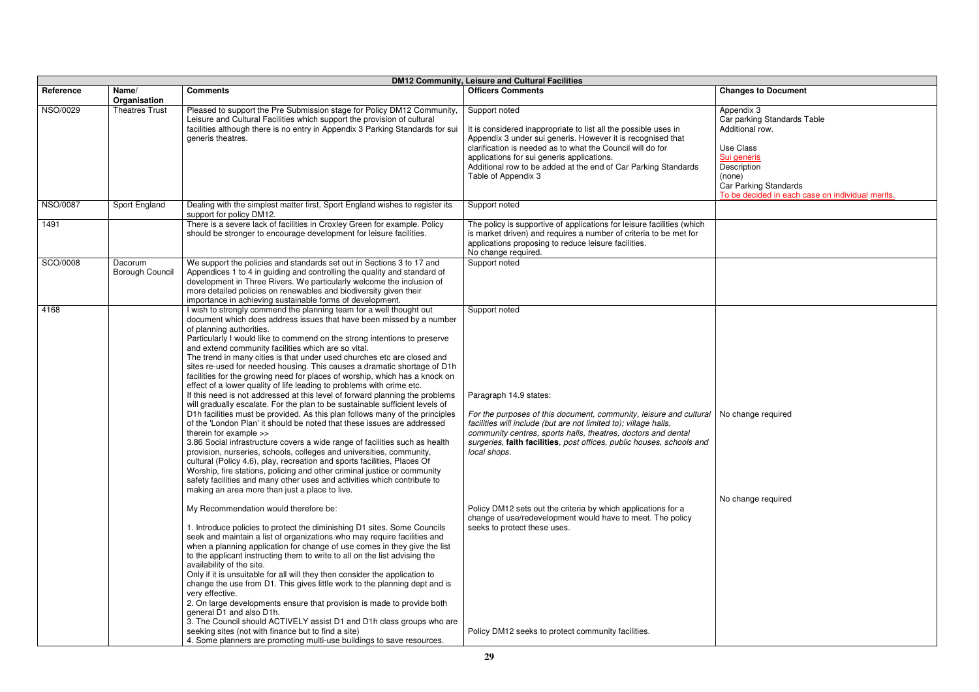Appendix 3 Car parking Standards Table Additional row.

Class <mark>Sui generis</mark><br>Description Car Parking Standards<br><u>To be decided in each case on individual merits.</u>

|                 |                            |                                                                                                                                                                                                                                                                                                                                                                                                                                                                                                                                                                                                                                                                                                                                                                                                                                                                                                                                                                                                                                                                                                                                                                                                                                                                                                                                                                                                                            | <b>DM12 Community, Leisure and Cultural Facilities</b>                                                                                                                                                                                                                                                                                               |                                                                                                                                                                           |
|-----------------|----------------------------|----------------------------------------------------------------------------------------------------------------------------------------------------------------------------------------------------------------------------------------------------------------------------------------------------------------------------------------------------------------------------------------------------------------------------------------------------------------------------------------------------------------------------------------------------------------------------------------------------------------------------------------------------------------------------------------------------------------------------------------------------------------------------------------------------------------------------------------------------------------------------------------------------------------------------------------------------------------------------------------------------------------------------------------------------------------------------------------------------------------------------------------------------------------------------------------------------------------------------------------------------------------------------------------------------------------------------------------------------------------------------------------------------------------------------|------------------------------------------------------------------------------------------------------------------------------------------------------------------------------------------------------------------------------------------------------------------------------------------------------------------------------------------------------|---------------------------------------------------------------------------------------------------------------------------------------------------------------------------|
| Reference       | Name/<br>Organisation      | <b>Comments</b>                                                                                                                                                                                                                                                                                                                                                                                                                                                                                                                                                                                                                                                                                                                                                                                                                                                                                                                                                                                                                                                                                                                                                                                                                                                                                                                                                                                                            | <b>Officers Comments</b>                                                                                                                                                                                                                                                                                                                             | <b>Changes to Document</b>                                                                                                                                                |
| NSO/0029        | <b>Theatres Trust</b>      | Pleased to support the Pre Submission stage for Policy DM12 Community,<br>Leisure and Cultural Facilities which support the provision of cultural<br>facilities although there is no entry in Appendix 3 Parking Standards for sui<br>generis theatres.                                                                                                                                                                                                                                                                                                                                                                                                                                                                                                                                                                                                                                                                                                                                                                                                                                                                                                                                                                                                                                                                                                                                                                    | Support noted<br>It is considered inappropriate to list all the possible uses in<br>Appendix 3 under sui generis. However it is recognised that<br>clarification is needed as to what the Council will do for<br>applications for sui generis applications.<br>Additional row to be added at the end of Car Parking Standards<br>Table of Appendix 3 | Appendix 3<br>Car parking Standards T<br>Additional row.<br>Use Class<br>Sui generis<br>Description<br>(none)<br><b>Car Parking Standards</b><br>To be decided in each ca |
| <b>NSO/0087</b> | Sport England              | Dealing with the simplest matter first, Sport England wishes to register its<br>support for policy DM12.                                                                                                                                                                                                                                                                                                                                                                                                                                                                                                                                                                                                                                                                                                                                                                                                                                                                                                                                                                                                                                                                                                                                                                                                                                                                                                                   | Support noted                                                                                                                                                                                                                                                                                                                                        |                                                                                                                                                                           |
| 1491            |                            | There is a severe lack of facilities in Croxley Green for example. Policy<br>should be stronger to encourage development for leisure facilities.                                                                                                                                                                                                                                                                                                                                                                                                                                                                                                                                                                                                                                                                                                                                                                                                                                                                                                                                                                                                                                                                                                                                                                                                                                                                           | The policy is supportive of applications for leisure facilities (which<br>is market driven) and requires a number of criteria to be met for<br>applications proposing to reduce leisure facilities.<br>No change required.                                                                                                                           |                                                                                                                                                                           |
| SCO/0008        | Dacorum<br>Borough Council | We support the policies and standards set out in Sections 3 to 17 and<br>Appendices 1 to 4 in guiding and controlling the quality and standard of<br>development in Three Rivers. We particularly welcome the inclusion of<br>more detailed policies on renewables and biodiversity given their<br>importance in achieving sustainable forms of development.                                                                                                                                                                                                                                                                                                                                                                                                                                                                                                                                                                                                                                                                                                                                                                                                                                                                                                                                                                                                                                                               | Support noted                                                                                                                                                                                                                                                                                                                                        |                                                                                                                                                                           |
| 4168            |                            | wish to strongly commend the planning team for a well thought out<br>document which does address issues that have been missed by a number<br>of planning authorities.<br>Particularly I would like to commend on the strong intentions to preserve<br>and extend community facilities which are so vital.<br>The trend in many cities is that under used churches etc are closed and<br>sites re-used for needed housing. This causes a dramatic shortage of D1h<br>facilities for the growing need for places of worship, which has a knock on<br>effect of a lower quality of life leading to problems with crime etc.<br>If this need is not addressed at this level of forward planning the problems<br>will gradually escalate. For the plan to be sustainable sufficient levels of<br>D1h facilities must be provided. As this plan follows many of the principles<br>of the 'London Plan' it should be noted that these issues are addressed<br>therein for example >><br>3.86 Social infrastructure covers a wide range of facilities such as health<br>provision, nurseries, schools, colleges and universities, community,<br>cultural (Policy 4.6), play, recreation and sports facilities, Places Of<br>Worship, fire stations, policing and other criminal justice or community<br>safety facilities and many other uses and activities which contribute to<br>making an area more than just a place to live. | Support noted<br>Paragraph 14.9 states:<br>For the purposes of this document, community, leisure and cultural<br>facilities will include (but are not limited to); village halls,<br>community centres, sports halls, theatres, doctors and dental<br>surgeries, faith facilities, post offices, public houses, schools and<br>local shops.          | No change required<br>No change required                                                                                                                                  |
|                 |                            | My Recommendation would therefore be:<br>1. Introduce policies to protect the diminishing D1 sites. Some Councils<br>seek and maintain a list of organizations who may require facilities and<br>when a planning application for change of use comes in they give the list<br>to the applicant instructing them to write to all on the list advising the<br>availability of the site.<br>Only if it is unsuitable for all will they then consider the application to<br>change the use from D1. This gives little work to the planning dept and is<br>very effective.<br>2. On large developments ensure that provision is made to provide both<br>general D1 and also D1h.<br>3. The Council should ACTIVELY assist D1 and D1h class groups who are<br>seeking sites (not with finance but to find a site)<br>4. Some planners are promoting multi-use buildings to save resources.                                                                                                                                                                                                                                                                                                                                                                                                                                                                                                                                       | Policy DM12 sets out the criteria by which applications for a<br>change of use/redevelopment would have to meet. The policy<br>seeks to protect these uses.<br>Policy DM12 seeks to protect community facilities.                                                                                                                                    |                                                                                                                                                                           |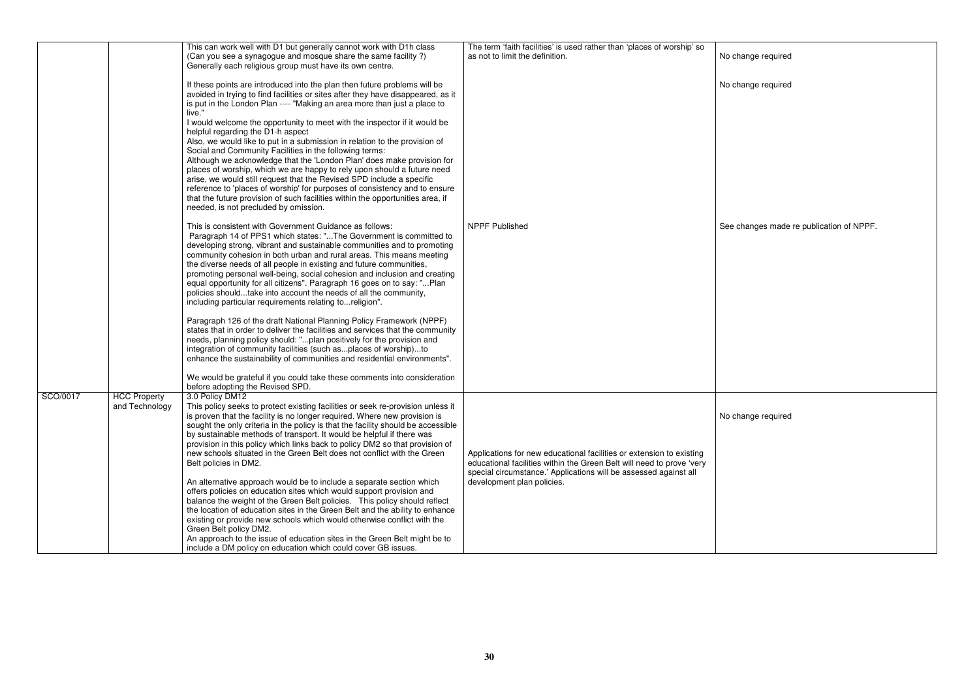hange required

hange required

changes made re publication of NPPF.

hange required

|          |                                       | This can work well with D1 but generally cannot work with D1h class<br>(Can you see a synagogue and mosque share the same facility?)<br>Generally each religious group must have its own centre.                                                                                                                                                                                                                                                                                                                                                                                                                                                                                                                                                                                                                                                                                                                                                      | The term 'faith facilities' is used rather than 'places of worship' so<br>as not to limit the definition.                                                                                                         | No ch |
|----------|---------------------------------------|-------------------------------------------------------------------------------------------------------------------------------------------------------------------------------------------------------------------------------------------------------------------------------------------------------------------------------------------------------------------------------------------------------------------------------------------------------------------------------------------------------------------------------------------------------------------------------------------------------------------------------------------------------------------------------------------------------------------------------------------------------------------------------------------------------------------------------------------------------------------------------------------------------------------------------------------------------|-------------------------------------------------------------------------------------------------------------------------------------------------------------------------------------------------------------------|-------|
|          |                                       | If these points are introduced into the plan then future problems will be<br>avoided in trying to find facilities or sites after they have disappeared, as it<br>is put in the London Plan ---- "Making an area more than just a place to<br>live."<br>I would welcome the opportunity to meet with the inspector if it would be<br>helpful regarding the D1-h aspect<br>Also, we would like to put in a submission in relation to the provision of<br>Social and Community Facilities in the following terms:<br>Although we acknowledge that the 'London Plan' does make provision for<br>places of worship, which we are happy to rely upon should a future need<br>arise, we would still request that the Revised SPD include a specific<br>reference to 'places of worship' for purposes of consistency and to ensure<br>that the future provision of such facilities within the opportunities area, if<br>needed, is not precluded by omission. |                                                                                                                                                                                                                   | No ch |
|          |                                       | This is consistent with Government Guidance as follows:<br>Paragraph 14 of PPS1 which states: "The Government is committed to<br>developing strong, vibrant and sustainable communities and to promoting<br>community cohesion in both urban and rural areas. This means meeting<br>the diverse needs of all people in existing and future communities,<br>promoting personal well-being, social cohesion and inclusion and creating<br>equal opportunity for all citizens". Paragraph 16 goes on to say: "Plan<br>policies shouldtake into account the needs of all the community,<br>including particular requirements relating toreligion".<br>Paragraph 126 of the draft National Planning Policy Framework (NPPF)<br>states that in order to deliver the facilities and services that the community                                                                                                                                              | <b>NPPF Published</b>                                                                                                                                                                                             | See c |
|          |                                       | needs, planning policy should: "plan positively for the provision and<br>integration of community facilities (such asplaces of worship)to<br>enhance the sustainability of communities and residential environments".                                                                                                                                                                                                                                                                                                                                                                                                                                                                                                                                                                                                                                                                                                                                 |                                                                                                                                                                                                                   |       |
|          |                                       | We would be grateful if you could take these comments into consideration<br>before adopting the Revised SPD.                                                                                                                                                                                                                                                                                                                                                                                                                                                                                                                                                                                                                                                                                                                                                                                                                                          |                                                                                                                                                                                                                   |       |
| SCO/0017 | <b>HCC Property</b><br>and Technology | 3.0 Policy DM12<br>This policy seeks to protect existing facilities or seek re-provision unless it<br>is proven that the facility is no longer required. Where new provision is<br>sought the only criteria in the policy is that the facility should be accessible<br>by sustainable methods of transport. It would be helpful if there was<br>provision in this policy which links back to policy DM2 so that provision of<br>new schools situated in the Green Belt does not conflict with the Green<br>Belt policies in DM2.                                                                                                                                                                                                                                                                                                                                                                                                                      | Applications for new educational facilities or extension to existing<br>educational facilities within the Green Belt will need to prove 'very<br>special circumstance.' Applications will be assessed against all | No ch |
|          |                                       | An alternative approach would be to include a separate section which<br>offers policies on education sites which would support provision and<br>balance the weight of the Green Belt policies. This policy should reflect<br>the location of education sites in the Green Belt and the ability to enhance<br>existing or provide new schools which would otherwise conflict with the<br>Green Belt policy DM2.<br>An approach to the issue of education sites in the Green Belt might be to<br>include a DM policy on education which could cover GB issues.                                                                                                                                                                                                                                                                                                                                                                                          | development plan policies.                                                                                                                                                                                        |       |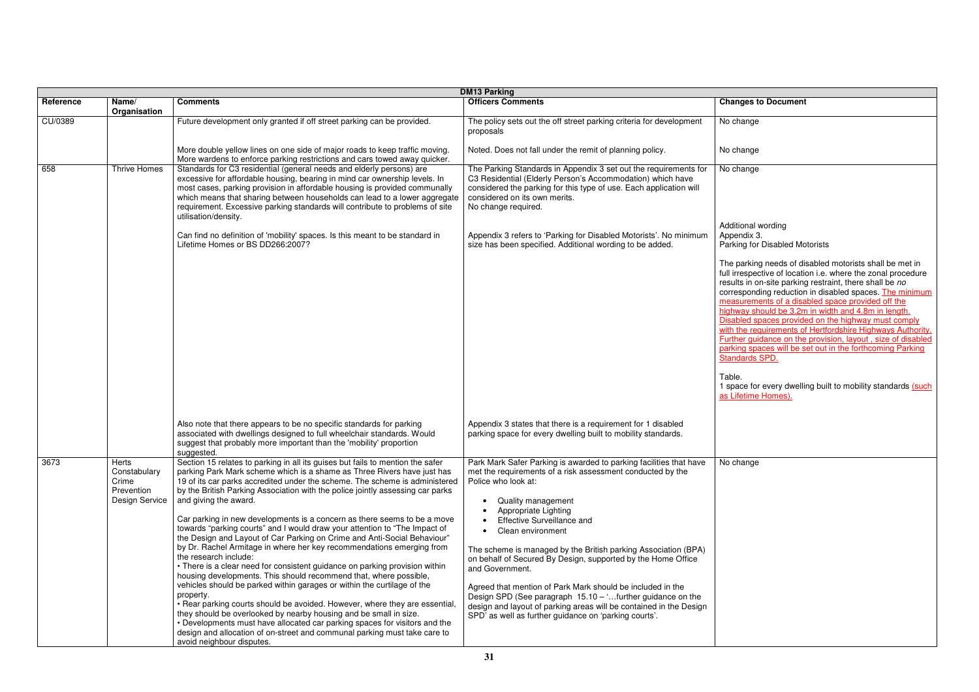### **Comment** Conservations Conservative Conservative Conservative Conservative Conservative Conservative Conservative Conservative Conservative Conservative Conservative Conservative Conservative Conservative Conservative Con

ional wording ndix 3. Parking for Disabled Motorists

barking needs of disabled motorists shall be met in full irrespective of location i.e. where the zonal procedure is in on-site parking restraint, there shall be no corresponding reduction in disabled spaces. The minimum  $a$  urements of a disabled space provided off the highway should be 3.2m in width and 4.8m in length. Disabled spaces provided on the highway must comply with the requirements of Hertfordshire Highways Authority. Further guidance on the provision, layout, size of disabled ng spaces will be set out in the forthcoming Parking dards SPD.

1 space for every dwelling built to mobility standards (such etime Homes).

|           |                                                                |                                                                                                                                                                                                                                                                                                                                                                                                                                                                                                                                                                                                                                                                                                                                                                                                                                                                                                                                                                                                                                                                                                                                                                                                                                                                                     | <b>DM13 Parking</b>                                                                                                                                                                                                                                                                                                                                                                                                                                                                                                                                                                                                                                                             |                                                                                                                                                                                                                         |
|-----------|----------------------------------------------------------------|-------------------------------------------------------------------------------------------------------------------------------------------------------------------------------------------------------------------------------------------------------------------------------------------------------------------------------------------------------------------------------------------------------------------------------------------------------------------------------------------------------------------------------------------------------------------------------------------------------------------------------------------------------------------------------------------------------------------------------------------------------------------------------------------------------------------------------------------------------------------------------------------------------------------------------------------------------------------------------------------------------------------------------------------------------------------------------------------------------------------------------------------------------------------------------------------------------------------------------------------------------------------------------------|---------------------------------------------------------------------------------------------------------------------------------------------------------------------------------------------------------------------------------------------------------------------------------------------------------------------------------------------------------------------------------------------------------------------------------------------------------------------------------------------------------------------------------------------------------------------------------------------------------------------------------------------------------------------------------|-------------------------------------------------------------------------------------------------------------------------------------------------------------------------------------------------------------------------|
| Reference | Name/<br>Organisation                                          | <b>Comments</b>                                                                                                                                                                                                                                                                                                                                                                                                                                                                                                                                                                                                                                                                                                                                                                                                                                                                                                                                                                                                                                                                                                                                                                                                                                                                     | <b>Officers Comments</b>                                                                                                                                                                                                                                                                                                                                                                                                                                                                                                                                                                                                                                                        | <b>Changes to</b>                                                                                                                                                                                                       |
| CU/0389   |                                                                | Future development only granted if off street parking can be provided.                                                                                                                                                                                                                                                                                                                                                                                                                                                                                                                                                                                                                                                                                                                                                                                                                                                                                                                                                                                                                                                                                                                                                                                                              | The policy sets out the off street parking criteria for development<br>proposals                                                                                                                                                                                                                                                                                                                                                                                                                                                                                                                                                                                                | $\overline{N}$ o change                                                                                                                                                                                                 |
|           |                                                                | More double yellow lines on one side of major roads to keep traffic moving.<br>More wardens to enforce parking restrictions and cars towed away quicker.                                                                                                                                                                                                                                                                                                                                                                                                                                                                                                                                                                                                                                                                                                                                                                                                                                                                                                                                                                                                                                                                                                                            | Noted. Does not fall under the remit of planning policy.                                                                                                                                                                                                                                                                                                                                                                                                                                                                                                                                                                                                                        | No change                                                                                                                                                                                                               |
| 658       | <b>Thrive Homes</b>                                            | Standards for C3 residential (general needs and elderly persons) are<br>excessive for affordable housing, bearing in mind car ownership levels. In<br>most cases, parking provision in affordable housing is provided communally<br>which means that sharing between households can lead to a lower aggregate<br>requirement. Excessive parking standards will contribute to problems of site<br>utilisation/density.                                                                                                                                                                                                                                                                                                                                                                                                                                                                                                                                                                                                                                                                                                                                                                                                                                                               | The Parking Standards in Appendix 3 set out the requirements for<br>C3 Residential (Elderly Person's Accommodation) which have<br>considered the parking for this type of use. Each application will<br>considered on its own merits.<br>No change required.                                                                                                                                                                                                                                                                                                                                                                                                                    | No change                                                                                                                                                                                                               |
|           |                                                                | Can find no definition of 'mobility' spaces. Is this meant to be standard in<br>Lifetime Homes or BS DD266:2007?                                                                                                                                                                                                                                                                                                                                                                                                                                                                                                                                                                                                                                                                                                                                                                                                                                                                                                                                                                                                                                                                                                                                                                    | Appendix 3 refers to 'Parking for Disabled Motorists'. No minimum<br>size has been specified. Additional wording to be added.                                                                                                                                                                                                                                                                                                                                                                                                                                                                                                                                                   | Additional v<br>Appendix 3<br>Parking for                                                                                                                                                                               |
|           |                                                                |                                                                                                                                                                                                                                                                                                                                                                                                                                                                                                                                                                                                                                                                                                                                                                                                                                                                                                                                                                                                                                                                                                                                                                                                                                                                                     |                                                                                                                                                                                                                                                                                                                                                                                                                                                                                                                                                                                                                                                                                 | The parking<br>full irrespec<br>results in or<br>correspond<br>measureme<br>highway sh<br>Disabled sp<br>with the req<br><b>Further</b> guid<br>parking spa<br><b>Standards</b><br>Table.<br>1 space for<br>as Lifetime |
|           |                                                                | Also note that there appears to be no specific standards for parking<br>associated with dwellings designed to full wheelchair standards. Would<br>suggest that probably more important than the 'mobility' proportion<br>suggested.                                                                                                                                                                                                                                                                                                                                                                                                                                                                                                                                                                                                                                                                                                                                                                                                                                                                                                                                                                                                                                                 | Appendix 3 states that there is a requirement for 1 disabled<br>parking space for every dwelling built to mobility standards.                                                                                                                                                                                                                                                                                                                                                                                                                                                                                                                                                   |                                                                                                                                                                                                                         |
| 3673      | Herts<br>Constabulary<br>Crime<br>Prevention<br>Design Service | Section 15 relates to parking in all its guises but fails to mention the safer<br>parking Park Mark scheme which is a shame as Three Rivers have just has<br>19 of its car parks accredited under the scheme. The scheme is administered<br>by the British Parking Association with the police jointly assessing car parks<br>and giving the award.<br>Car parking in new developments is a concern as there seems to be a move<br>towards "parking courts" and I would draw your attention to "The Impact of<br>the Design and Layout of Car Parking on Crime and Anti-Social Behaviour"<br>by Dr. Rachel Armitage in where her key recommendations emerging from<br>the research include:<br>• There is a clear need for consistent guidance on parking provision within<br>housing developments. This should recommend that, where possible,<br>vehicles should be parked within garages or within the curtilage of the<br>property.<br>• Rear parking courts should be avoided. However, where they are essential,<br>they should be overlooked by nearby housing and be small in size.<br>• Developments must have allocated car parking spaces for visitors and the<br>design and allocation of on-street and communal parking must take care to<br>avoid neighbour disputes. | Park Mark Safer Parking is awarded to parking facilities that have<br>met the requirements of a risk assessment conducted by the<br>Police who look at:<br>Quality management<br>Appropriate Lighting<br><b>Effective Surveillance and</b><br>Clean environment<br>The scheme is managed by the British parking Association (BPA)<br>on behalf of Secured By Design, supported by the Home Office<br>and Government.<br>Agreed that mention of Park Mark should be included in the<br>Design SPD (See paragraph 15.10 - 'further guidance on the<br>design and layout of parking areas will be contained in the Design<br>SPD' as well as further guidance on 'parking courts'. | No change                                                                                                                                                                                                               |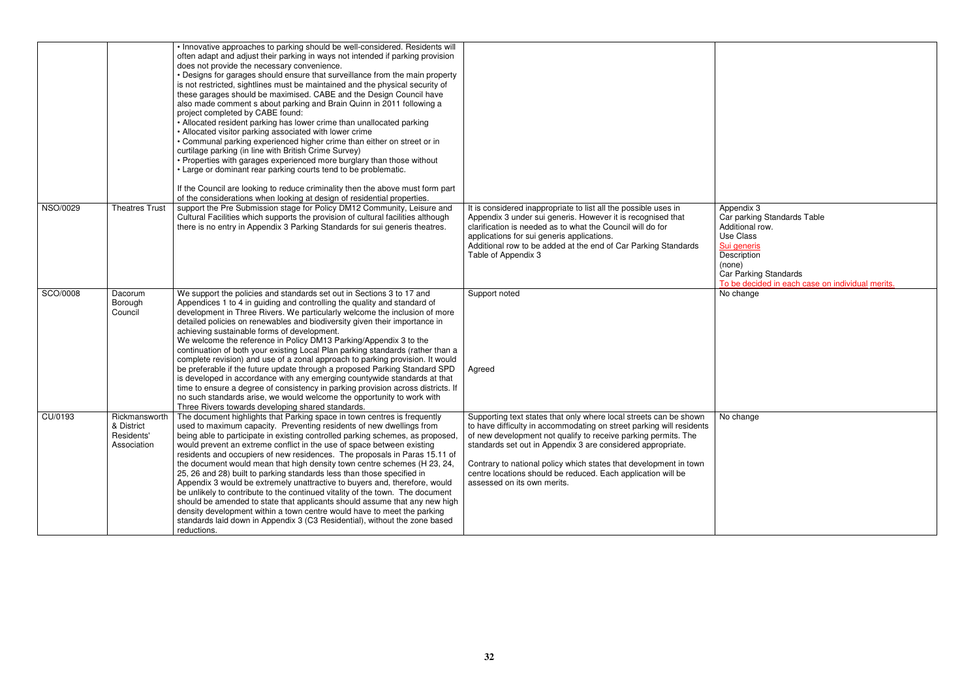Appendix 3 Car parking Standards Table Additional row. Use Class <u>Sui generis</u><br>Description (none)<br>Car Parking Standards<br><mark>To be decided in each case on individual merits.</mark><br>No change

hange<sup>-</sup>

| NSO/0029 | <b>Theatres Trust</b>                                    | . Innovative approaches to parking should be well-considered. Residents will<br>often adapt and adjust their parking in ways not intended if parking provision<br>does not provide the necessary convenience.<br>• Designs for garages should ensure that surveillance from the main property<br>is not restricted, sightlines must be maintained and the physical security of<br>these garages should be maximised. CABE and the Design Council have<br>also made comment s about parking and Brain Quinn in 2011 following a<br>project completed by CABE found:<br>• Allocated resident parking has lower crime than unallocated parking<br>• Allocated visitor parking associated with lower crime<br>• Communal parking experienced higher crime than either on street or in<br>curtilage parking (in line with British Crime Survey)<br>• Properties with garages experienced more burglary than those without<br>• Large or dominant rear parking courts tend to be problematic.<br>If the Council are looking to reduce criminality then the above must form part<br>of the considerations when looking at design of residential properties.<br>support the Pre Submission stage for Policy DM12 Community, Leisure and | It is considered inappropriate to list all the possible uses in                                                                                                                                                                                                                                                                                                                                                                                | Appe                                                                   |
|----------|----------------------------------------------------------|---------------------------------------------------------------------------------------------------------------------------------------------------------------------------------------------------------------------------------------------------------------------------------------------------------------------------------------------------------------------------------------------------------------------------------------------------------------------------------------------------------------------------------------------------------------------------------------------------------------------------------------------------------------------------------------------------------------------------------------------------------------------------------------------------------------------------------------------------------------------------------------------------------------------------------------------------------------------------------------------------------------------------------------------------------------------------------------------------------------------------------------------------------------------------------------------------------------------------------|------------------------------------------------------------------------------------------------------------------------------------------------------------------------------------------------------------------------------------------------------------------------------------------------------------------------------------------------------------------------------------------------------------------------------------------------|------------------------------------------------------------------------|
|          |                                                          | Cultural Facilities which supports the provision of cultural facilities although<br>there is no entry in Appendix 3 Parking Standards for sui generis theatres.                                                                                                                                                                                                                                                                                                                                                                                                                                                                                                                                                                                                                                                                                                                                                                                                                                                                                                                                                                                                                                                                 | Appendix 3 under sui generis. However it is recognised that<br>clarification is needed as to what the Council will do for<br>applications for sui generis applications.<br>Additional row to be added at the end of Car Parking Standards<br>Table of Appendix 3                                                                                                                                                                               | Car p<br>Additi<br>Use 0<br>Sui ge<br>Desci<br>(none<br>Car P<br>To be |
| SCO/0008 | Dacorum<br>Borough<br>Council                            | We support the policies and standards set out in Sections 3 to 17 and<br>Appendices 1 to 4 in guiding and controlling the quality and standard of<br>development in Three Rivers. We particularly welcome the inclusion of more<br>detailed policies on renewables and biodiversity given their importance in<br>achieving sustainable forms of development.<br>We welcome the reference in Policy DM13 Parking/Appendix 3 to the<br>continuation of both your existing Local Plan parking standards (rather than a<br>complete revision) and use of a zonal approach to parking provision. It would<br>be preferable if the future update through a proposed Parking Standard SPD<br>is developed in accordance with any emerging countywide standards at that<br>time to ensure a degree of consistency in parking provision across districts. If<br>no such standards arise, we would welcome the opportunity to work with<br>Three Rivers towards developing shared standards.                                                                                                                                                                                                                                              | Support noted<br>Agreed                                                                                                                                                                                                                                                                                                                                                                                                                        | No ch                                                                  |
| CU/0193  | Rickmansworth<br>& District<br>Residents'<br>Association | The document highlights that Parking space in town centres is frequently<br>used to maximum capacity. Preventing residents of new dwellings from<br>being able to participate in existing controlled parking schemes, as proposed,<br>would prevent an extreme conflict in the use of space between existing<br>residents and occupiers of new residences. The proposals in Paras 15.11 of<br>the document would mean that high density town centre schemes (H 23, 24,<br>25, 26 and 28) built to parking standards less than those specified in<br>Appendix 3 would be extremely unattractive to buyers and, therefore, would<br>be unlikely to contribute to the continued vitality of the town. The document<br>should be amended to state that applicants should assume that any new high<br>density development within a town centre would have to meet the parking<br>standards laid down in Appendix 3 (C3 Residential), without the zone based<br>reductions.                                                                                                                                                                                                                                                           | Supporting text states that only where local streets can be shown<br>to have difficulty in accommodating on street parking will residents<br>of new development not qualify to receive parking permits. The<br>standards set out in Appendix 3 are considered appropriate.<br>Contrary to national policy which states that development in town<br>centre locations should be reduced. Each application will be<br>assessed on its own merits. | No ch                                                                  |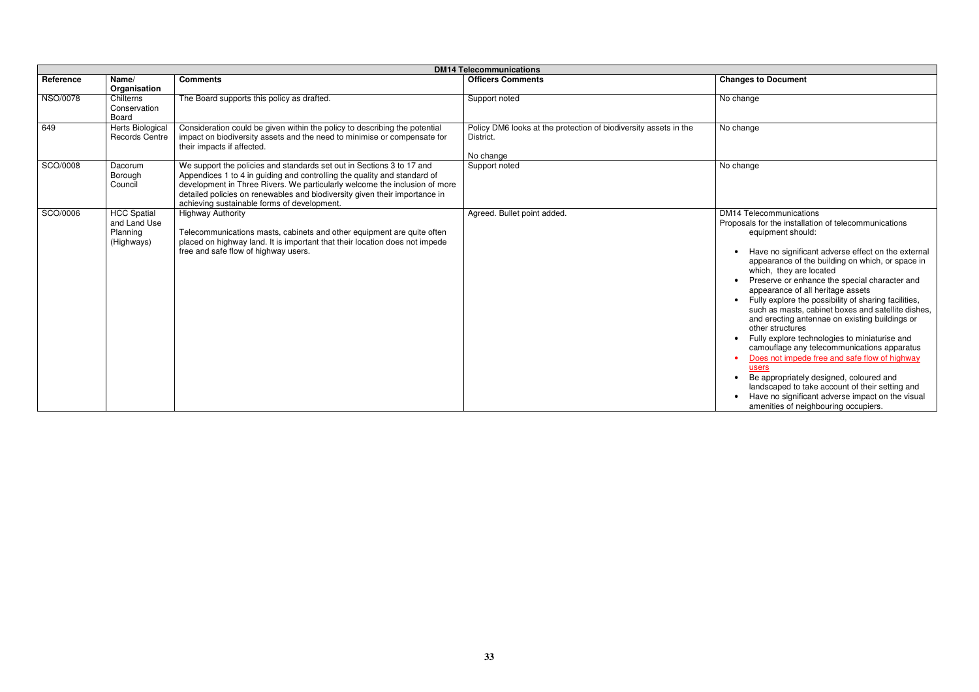| <b>DM14 Telecommunications</b> |                                                              |                                                                                                                                                                                                                                                                                                                                                              |                                                                                            |                                                                                                                                                                                                                                                                                                                                                                                                                                                                               |
|--------------------------------|--------------------------------------------------------------|--------------------------------------------------------------------------------------------------------------------------------------------------------------------------------------------------------------------------------------------------------------------------------------------------------------------------------------------------------------|--------------------------------------------------------------------------------------------|-------------------------------------------------------------------------------------------------------------------------------------------------------------------------------------------------------------------------------------------------------------------------------------------------------------------------------------------------------------------------------------------------------------------------------------------------------------------------------|
| Reference                      | Name/<br>Organisation                                        | <b>Comments</b>                                                                                                                                                                                                                                                                                                                                              | <b>Officers Comments</b>                                                                   | <b>Changes to Document</b>                                                                                                                                                                                                                                                                                                                                                                                                                                                    |
| <b>NSO/0078</b>                | Chilterns<br>Conservation<br><b>Board</b>                    | The Board supports this policy as drafted.                                                                                                                                                                                                                                                                                                                   | Support noted                                                                              | No change                                                                                                                                                                                                                                                                                                                                                                                                                                                                     |
| 649                            | Herts Biological<br><b>Records Centre</b>                    | Consideration could be given within the policy to describing the potential<br>impact on biodiversity assets and the need to minimise or compensate for<br>their impacts if affected.                                                                                                                                                                         | Policy DM6 looks at the protection of biodiversity assets in the<br>District.<br>No change | No change                                                                                                                                                                                                                                                                                                                                                                                                                                                                     |
| SCO/0008                       | Dacorum<br>Borough<br>Council                                | We support the policies and standards set out in Sections 3 to 17 and<br>Appendices 1 to 4 in guiding and controlling the quality and standard of<br>development in Three Rivers. We particularly welcome the inclusion of more<br>detailed policies on renewables and biodiversity given their importance in<br>achieving sustainable forms of development. | Support noted                                                                              | No change                                                                                                                                                                                                                                                                                                                                                                                                                                                                     |
| SCO/0006                       | <b>HCC Spatial</b><br>and Land Use<br>Planning<br>(Highways) | <b>Highway Authority</b><br>Telecommunications masts, cabinets and other equipment are quite often<br>placed on highway land. It is important that their location does not impede<br>free and safe flow of highway users.                                                                                                                                    | Agreed. Bullet point added.                                                                | <b>DM14 Telecommunications</b><br>Proposals for the installation<br>equipment should:<br>Have no significant<br>appearance of the b<br>which, they are loca<br>Preserve or enhanc<br>appearance of all he<br>Fully explore the po<br>such as masts, cabi<br>and erecting antenn<br>other structures<br>Fully explore techno<br>camouflage any tele<br>Does not impede fre<br>users<br>Be appropriately de<br>landscaped to take<br>Have no significant<br>amenities of neighb |

| <b>Changes to Document</b>                                                                                                                                                       |  |
|----------------------------------------------------------------------------------------------------------------------------------------------------------------------------------|--|
| No change                                                                                                                                                                        |  |
| No change                                                                                                                                                                        |  |
|                                                                                                                                                                                  |  |
| No change                                                                                                                                                                        |  |
|                                                                                                                                                                                  |  |
|                                                                                                                                                                                  |  |
| DM14 Telecommunications                                                                                                                                                          |  |
| Proposals for the installation of telecommunications<br>equipment should:                                                                                                        |  |
| Have no significant adverse effect on the external<br>appearance of the building on which, or space in<br>which, they are located                                                |  |
| Preserve or enhance the special character and<br>appearance of all heritage assets                                                                                               |  |
| Fully explore the possibility of sharing facilities,<br>such as masts, cabinet boxes and satellite dishes,<br>and erecting antennae on existing buildings or<br>other structures |  |
| Fully explore technologies to miniaturise and<br>camouflage any telecommunications apparatus                                                                                     |  |
| Does not impede free and safe flow of highway<br>users                                                                                                                           |  |
| Be appropriately designed, coloured and<br>landscaped to take account of their setting and                                                                                       |  |
| Have no significant adverse impact on the visual<br>amenities of neighbouring occupiers.                                                                                         |  |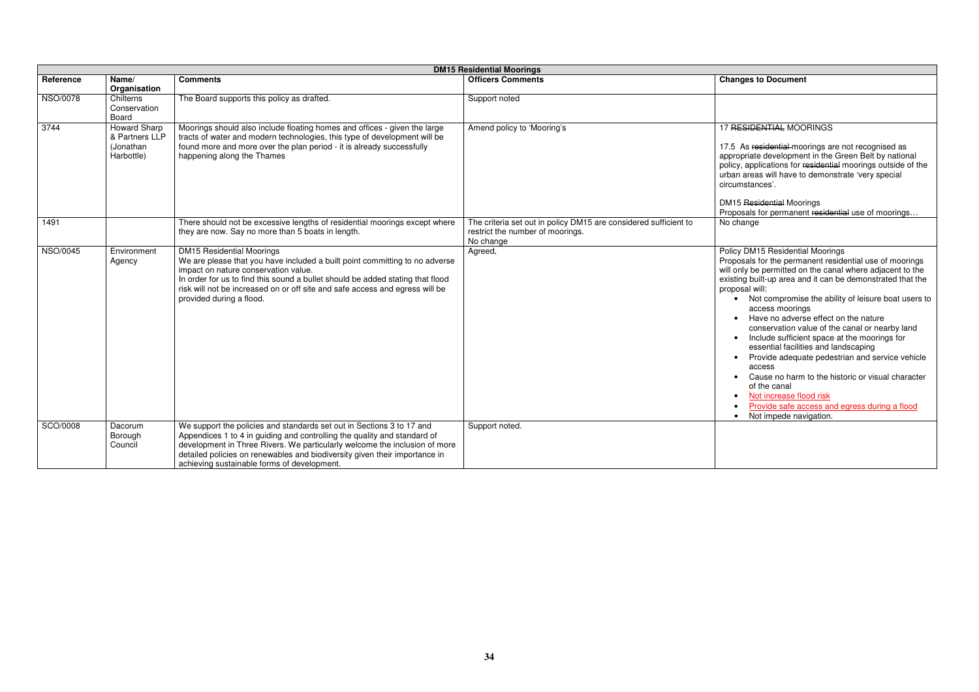## **Comment** Ges to Document

# ESIDENTIAL MOORINGS

As residential moorings are not recognised as appropriate development in the Green Belt by national policy, applications for residential moorings outside of the i areas will have to demonstrate 'very special nstances'.

Residential Moorings

Proposals for permanent residential use of moorings... nange

**DM15 Residential Moorings** 

 Proposals for the permanent residential use of moorings will only be permitted on the canal where adjacent to the existing built-up area and it can be demonstrated that the psal will:

|                 |                                                                  |                                                                                                                                                                                                                                                                                                                                                              | <b>DM15 Residential Moorings</b>                                                                                  |                                                                        |
|-----------------|------------------------------------------------------------------|--------------------------------------------------------------------------------------------------------------------------------------------------------------------------------------------------------------------------------------------------------------------------------------------------------------------------------------------------------------|-------------------------------------------------------------------------------------------------------------------|------------------------------------------------------------------------|
| Reference       | Name/<br>Organisation                                            | <b>Comments</b>                                                                                                                                                                                                                                                                                                                                              | <b>Officers Comments</b>                                                                                          | Chan                                                                   |
| <b>NSO/0078</b> | Chilterns<br>Conservation<br>Board                               | The Board supports this policy as drafted.                                                                                                                                                                                                                                                                                                                   | Support noted                                                                                                     |                                                                        |
| 3744            | <b>Howard Sharp</b><br>& Partners LLP<br>(Jonathan<br>Harbottle) | Moorings should also include floating homes and offices - given the large<br>tracts of water and modern technologies, this type of development will be<br>found more and more over the plan period - it is already successfully<br>happening along the Thames                                                                                                | Amend policy to 'Mooring's                                                                                        | 17RE<br>17.5<br>appro<br>policy<br>urban<br>circun<br>DM <sub>15</sub> |
| 1491            |                                                                  | There should not be excessive lengths of residential moorings except where<br>they are now. Say no more than 5 boats in length.                                                                                                                                                                                                                              | The criteria set out in policy DM15 are considered sufficient to<br>restrict the number of moorings.<br>No change | Propo<br>No ch                                                         |
| <b>NSO/0045</b> | Environment<br>Agency                                            | <b>DM15 Residential Moorings</b><br>We are please that you have included a built point committing to no adverse<br>impact on nature conservation value.<br>In order for us to find this sound a bullet should be added stating that flood<br>risk will not be increased on or off site and safe access and egress will be<br>provided during a flood.        | Agreed,                                                                                                           | Policy<br>Propo<br>will or<br>existir<br>propo                         |
| SCO/0008        | Dacorum<br>Borough<br>Council                                    | We support the policies and standards set out in Sections 3 to 17 and<br>Appendices 1 to 4 in guiding and controlling the quality and standard of<br>development in Three Rivers. We particularly welcome the inclusion of more<br>detailed policies on renewables and biodiversity given their importance in<br>achieving sustainable forms of development. | Support noted.                                                                                                    |                                                                        |

- Not compromise the ability of leisure boat users to access moorings
- Have no adverse effect on the nature
- conservation value of the canal or nearby land Include sufficient space at the moorings for
- essential facilities and landscaping
- Provide adequate pedestrian and service vehicle access
- Cause no harm to the historic or visual character of the canal
- 

 Not increase flood risk Provide safe access and egress during a flood• Not impede navigation.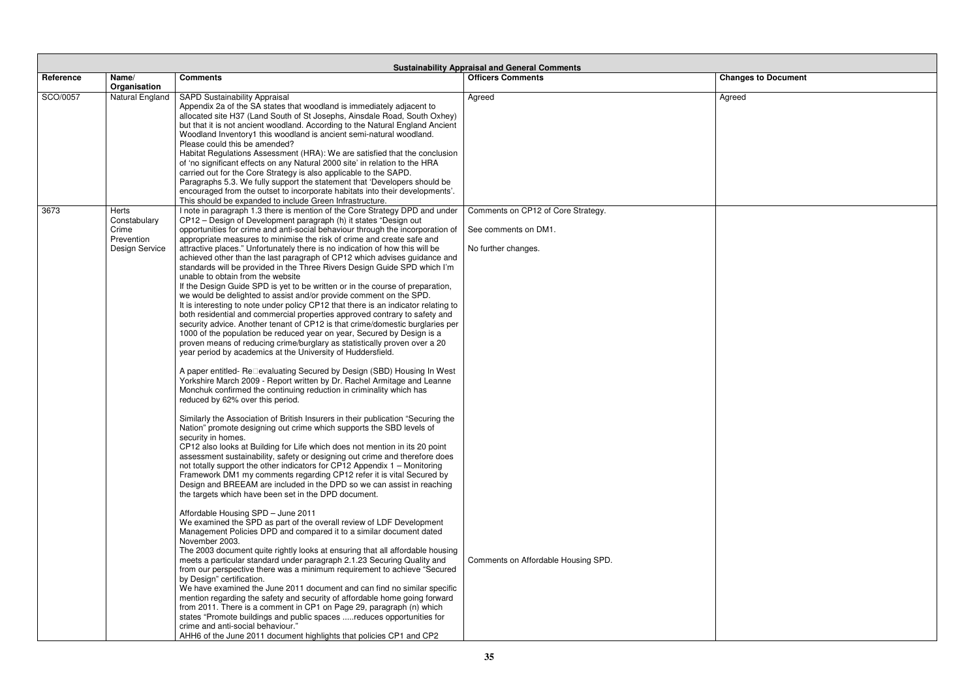# **Comment** Conservation Conservative Conservative Conservative Conservative Conservative Conservative Conservative Conservative Conservative Conservative Conservative Conservative Conservative Conservative Conservative Cons

|           |                                                                |                                                                                                                                                                                                                                                                                                                                                                                                                                                                                                                                                                                                                                                                                                                                                                                                                                                                                                                                                                                                                                                                                                                                                                                                                                                                                                                                                                                                                                                                                                                                                                                                                                                                                                                                                                                                                                                                                                                                                                                                                                                                                                                                                                                                                                                                                                                                                                                                                               | <b>Sustainability Appraisal and General Comments</b>                              |        |  |
|-----------|----------------------------------------------------------------|-------------------------------------------------------------------------------------------------------------------------------------------------------------------------------------------------------------------------------------------------------------------------------------------------------------------------------------------------------------------------------------------------------------------------------------------------------------------------------------------------------------------------------------------------------------------------------------------------------------------------------------------------------------------------------------------------------------------------------------------------------------------------------------------------------------------------------------------------------------------------------------------------------------------------------------------------------------------------------------------------------------------------------------------------------------------------------------------------------------------------------------------------------------------------------------------------------------------------------------------------------------------------------------------------------------------------------------------------------------------------------------------------------------------------------------------------------------------------------------------------------------------------------------------------------------------------------------------------------------------------------------------------------------------------------------------------------------------------------------------------------------------------------------------------------------------------------------------------------------------------------------------------------------------------------------------------------------------------------------------------------------------------------------------------------------------------------------------------------------------------------------------------------------------------------------------------------------------------------------------------------------------------------------------------------------------------------------------------------------------------------------------------------------------------------|-----------------------------------------------------------------------------------|--------|--|
| Reference | Name/<br>Organisation                                          | <b>Comments</b>                                                                                                                                                                                                                                                                                                                                                                                                                                                                                                                                                                                                                                                                                                                                                                                                                                                                                                                                                                                                                                                                                                                                                                                                                                                                                                                                                                                                                                                                                                                                                                                                                                                                                                                                                                                                                                                                                                                                                                                                                                                                                                                                                                                                                                                                                                                                                                                                               | <b>Officers Comments</b>                                                          | Change |  |
| SCO/0057  | Natural England                                                | <b>SAPD Sustainability Appraisal</b><br>Appendix 2a of the SA states that woodland is immediately adjacent to<br>allocated site H37 (Land South of St Josephs, Ainsdale Road, South Oxhey)<br>but that it is not ancient woodland. According to the Natural England Ancient<br>Woodland Inventory1 this woodland is ancient semi-natural woodland.<br>Please could this be amended?<br>Habitat Regulations Assessment (HRA): We are satisfied that the conclusion<br>of 'no significant effects on any Natural 2000 site' in relation to the HRA<br>carried out for the Core Strategy is also applicable to the SAPD.<br>Paragraphs 5.3. We fully support the statement that 'Developers should be<br>encouraged from the outset to incorporate habitats into their developments'.<br>This should be expanded to include Green Infrastructure.                                                                                                                                                                                                                                                                                                                                                                                                                                                                                                                                                                                                                                                                                                                                                                                                                                                                                                                                                                                                                                                                                                                                                                                                                                                                                                                                                                                                                                                                                                                                                                                | Agreed                                                                            | Agreed |  |
| 3673      | Herts<br>Constabulary<br>Crime<br>Prevention<br>Design Service | I note in paragraph 1.3 there is mention of the Core Strategy DPD and under<br>CP12 - Design of Development paragraph (h) it states "Design out<br>opportunities for crime and anti-social behaviour through the incorporation of<br>appropriate measures to minimise the risk of crime and create safe and<br>attractive places." Unfortunately there is no indication of how this will be<br>achieved other than the last paragraph of CP12 which advises guidance and<br>standards will be provided in the Three Rivers Design Guide SPD which I'm<br>unable to obtain from the website<br>If the Design Guide SPD is yet to be written or in the course of preparation,<br>we would be delighted to assist and/or provide comment on the SPD.<br>It is interesting to note under policy CP12 that there is an indicator relating to<br>both residential and commercial properties approved contrary to safety and<br>security advice. Another tenant of CP12 is that crime/domestic burglaries per<br>1000 of the population be reduced year on year, Secured by Design is a<br>proven means of reducing crime/burglary as statistically proven over a 20<br>year period by academics at the University of Huddersfield.<br>A paper entitled- Re evaluating Secured by Design (SBD) Housing In West<br>Yorkshire March 2009 - Report written by Dr. Rachel Armitage and Leanne<br>Monchuk confirmed the continuing reduction in criminality which has<br>reduced by 62% over this period.<br>Similarly the Association of British Insurers in their publication "Securing the<br>Nation" promote designing out crime which supports the SBD levels of<br>security in homes.<br>CP12 also looks at Building for Life which does not mention in its 20 point<br>assessment sustainability, safety or designing out crime and therefore does<br>not totally support the other indicators for CP12 Appendix 1 - Monitoring<br>Framework DM1 my comments regarding CP12 refer it is vital Secured by<br>Design and BREEAM are included in the DPD so we can assist in reaching<br>the targets which have been set in the DPD document.<br>Affordable Housing SPD - June 2011<br>We examined the SPD as part of the overall review of LDF Development<br>Management Policies DPD and compared it to a similar document dated<br>November 2003.<br>The 2003 document quite rightly looks at ensuring that all affordable housing | Comments on CP12 of Core Strategy.<br>See comments on DM1.<br>No further changes. |        |  |
|           |                                                                | meets a particular standard under paragraph 2.1.23 Securing Quality and<br>from our perspective there was a minimum requirement to achieve "Secured<br>by Design" certification.<br>We have examined the June 2011 document and can find no similar specific<br>mention regarding the safety and security of affordable home going forward<br>from 2011. There is a comment in CP1 on Page 29, paragraph (n) which<br>states "Promote buildings and public spaces reduces opportunities for<br>crime and anti-social behaviour."<br>AHH6 of the June 2011 document highlights that policies CP1 and CP2                                                                                                                                                                                                                                                                                                                                                                                                                                                                                                                                                                                                                                                                                                                                                                                                                                                                                                                                                                                                                                                                                                                                                                                                                                                                                                                                                                                                                                                                                                                                                                                                                                                                                                                                                                                                                       | Comments on Affordable Housing SPD.                                               |        |  |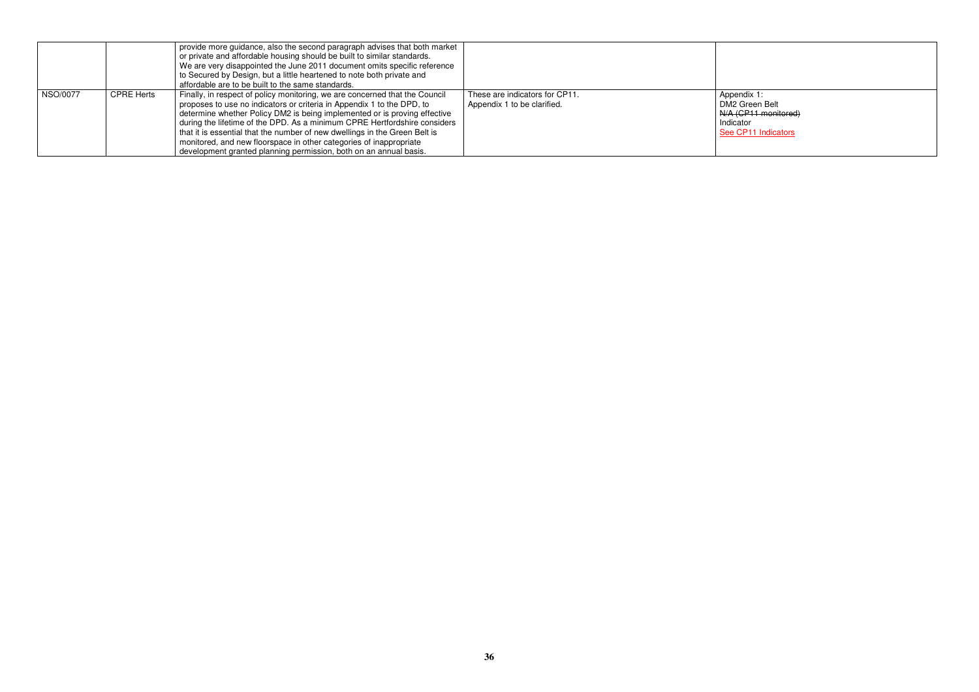|                 |                   | provide more guidance, also the second paragraph advises that both market<br>or private and affordable housing should be built to similar standards.<br>We are very disappointed the June 2011 document omits specific reference<br>to Secured by Design, but a little heartened to note both private and<br>affordable are to be built to the same standards.                                                                                                                                                                           |                                                               |                                                |
|-----------------|-------------------|------------------------------------------------------------------------------------------------------------------------------------------------------------------------------------------------------------------------------------------------------------------------------------------------------------------------------------------------------------------------------------------------------------------------------------------------------------------------------------------------------------------------------------------|---------------------------------------------------------------|------------------------------------------------|
| <b>NSO/0077</b> | <b>CPRE Herts</b> | Finally, in respect of policy monitoring, we are concerned that the Council<br>proposes to use no indicators or criteria in Appendix 1 to the DPD, to<br>determine whether Policy DM2 is being implemented or is proving effective<br>during the lifetime of the DPD. As a minimum CPRE Hertfordshire considers<br>that it is essential that the number of new dwellings in the Green Belt is<br>monitored, and new floorspace in other categories of inappropriate<br>development granted planning permission, both on an annual basis. | These are indicators for CP11.<br>Appendix 1 to be clarified. | Appen<br>DM2 G<br>$N/A$ (C<br>Indicat<br>See C |

Appendix 1:<br>DM2 Green Belt<br><del>N/A (CP11 monitored)</del> ator See CP11 Indicators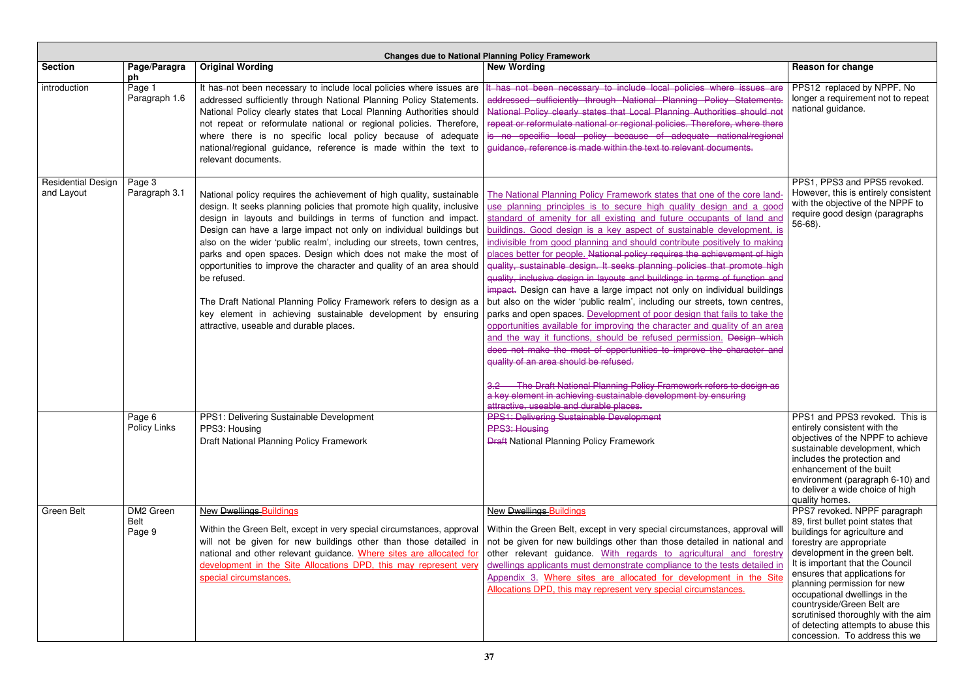|                                         | <b>Changes due to National Planning Policy Framework</b> |                                                                                                                                                                                                                                                                                                                                                                                                                                                                                                                                                                                                                                                                                                                |                                                                                                                                                                                                                                                                                                                                                                                                                                                                                                                                                                                                                                                                                                                                                                                                                                                                                                                                                                                                                                                                                                                                                                                                                                                                                                                                  |                                                                                                                                                                                                                                                                                                                                                                                                                                                      |  |
|-----------------------------------------|----------------------------------------------------------|----------------------------------------------------------------------------------------------------------------------------------------------------------------------------------------------------------------------------------------------------------------------------------------------------------------------------------------------------------------------------------------------------------------------------------------------------------------------------------------------------------------------------------------------------------------------------------------------------------------------------------------------------------------------------------------------------------------|----------------------------------------------------------------------------------------------------------------------------------------------------------------------------------------------------------------------------------------------------------------------------------------------------------------------------------------------------------------------------------------------------------------------------------------------------------------------------------------------------------------------------------------------------------------------------------------------------------------------------------------------------------------------------------------------------------------------------------------------------------------------------------------------------------------------------------------------------------------------------------------------------------------------------------------------------------------------------------------------------------------------------------------------------------------------------------------------------------------------------------------------------------------------------------------------------------------------------------------------------------------------------------------------------------------------------------|------------------------------------------------------------------------------------------------------------------------------------------------------------------------------------------------------------------------------------------------------------------------------------------------------------------------------------------------------------------------------------------------------------------------------------------------------|--|
| <b>Section</b>                          | Page/Paragra<br>ph                                       | <b>Original Wording</b>                                                                                                                                                                                                                                                                                                                                                                                                                                                                                                                                                                                                                                                                                        | <b>New Wording</b>                                                                                                                                                                                                                                                                                                                                                                                                                                                                                                                                                                                                                                                                                                                                                                                                                                                                                                                                                                                                                                                                                                                                                                                                                                                                                                               | <b>Reason for change</b>                                                                                                                                                                                                                                                                                                                                                                                                                             |  |
| introduction                            | Page 1<br>Paragraph 1.6                                  | It has-not been necessary to include local policies where issues are<br>addressed sufficiently through National Planning Policy Statements.<br>National Policy clearly states that Local Planning Authorities should<br>not repeat or reformulate national or regional policies. Therefore,<br>where there is no specific local policy because of adequate<br>national/regional guidance, reference is made within the text to<br>relevant documents.                                                                                                                                                                                                                                                          | It has not been necessary to include local policies where issues are<br>addressed sufficiently through National Planning Policy Statements.<br>National Policy clearly states that Local Planning Authorities should not<br>repeat or reformulate national or regional policies. Therefore, where there<br>is no specific local policy because of adequate national/regional<br>guidance, reference is made within the text to relevant documents.                                                                                                                                                                                                                                                                                                                                                                                                                                                                                                                                                                                                                                                                                                                                                                                                                                                                               | PPS12 replaced by NPPF. No<br>longer a requirement not to repeat<br>national guidance.                                                                                                                                                                                                                                                                                                                                                               |  |
| <b>Residential Design</b><br>and Layout | Page 3<br>Paragraph 3.1                                  | National policy requires the achievement of high quality, sustainable<br>design. It seeks planning policies that promote high quality, inclusive<br>design in layouts and buildings in terms of function and impact.<br>Design can have a large impact not only on individual buildings but<br>also on the wider 'public realm', including our streets, town centres,<br>parks and open spaces. Design which does not make the most of<br>opportunities to improve the character and quality of an area should<br>be refused.<br>The Draft National Planning Policy Framework refers to design as a<br>key element in achieving sustainable development by ensuring<br>attractive, useable and durable places. | The National Planning Policy Framework states that one of the core land-<br>use planning principles is to secure high quality design and a good<br>standard of amenity for all existing and future occupants of land and<br>buildings. Good design is a key aspect of sustainable development, is<br>indivisible from good planning and should contribute positively to making<br>places better for people. National policy requires the achievement of high<br>quality, sustainable design. It seeks planning policies that promote high<br>quality, inclusive design in layouts and buildings in terms of function and<br>impact. Design can have a large impact not only on individual buildings<br>but also on the wider 'public realm', including our streets, town centres,<br>parks and open spaces. Development of poor design that fails to take the<br>opportunities available for improving the character and quality of an area<br>and the way it functions, should be refused permission. Design which<br>does not make the most of opportunities to improve the character and<br>quality of an area should be refused.<br>The Draft National Planning Policy Framework refers to design as<br>$3.2 -$<br>a key element in achieving sustainable development by ensuring<br>attractive, useable and durable places. | PPS1, PPS3 and PPS5 revoked.<br>However, this is entirely consistent<br>with the objective of the NPPF to<br>require good design (paragraphs<br>$56-68$ ).                                                                                                                                                                                                                                                                                           |  |
|                                         | Page 6<br>Policy Links                                   | PPS1: Delivering Sustainable Development<br>PPS3: Housing<br>Draft National Planning Policy Framework                                                                                                                                                                                                                                                                                                                                                                                                                                                                                                                                                                                                          | <b>PPS1: Delivering Sustainable Development</b><br>PPS3: Housing<br><b>Draft National Planning Policy Framework</b>                                                                                                                                                                                                                                                                                                                                                                                                                                                                                                                                                                                                                                                                                                                                                                                                                                                                                                                                                                                                                                                                                                                                                                                                              | PPS1 and PPS3 revoked. This is<br>entirely consistent with the<br>objectives of the NPPF to achieve<br>sustainable development, which<br>includes the protection and<br>enhancement of the built<br>environment (paragraph 6-10) and<br>to deliver a wide choice of high<br>quality homes.                                                                                                                                                           |  |
| <b>Green Belt</b>                       | DM2 Green<br><b>Belt</b><br>Page 9                       | <b>New Dwellings Buildings</b><br>Within the Green Belt, except in very special circumstances, approval<br>will not be given for new buildings other than those detailed in<br>national and other relevant guidance. Where sites are allocated for<br>development in the Site Allocations DPD, this may represent very<br>special circumstances.                                                                                                                                                                                                                                                                                                                                                               | <b>New Dwellings Buildings</b><br>Within the Green Belt, except in very special circumstances, approval will<br>not be given for new buildings other than those detailed in national and<br>other relevant guidance. With regards to agricultural and forestry<br>dwellings applicants must demonstrate compliance to the tests detailed in<br>Appendix 3. Where sites are allocated for development in the Site<br>Allocations DPD, this may represent very special circumstances.                                                                                                                                                                                                                                                                                                                                                                                                                                                                                                                                                                                                                                                                                                                                                                                                                                              | PPS7 revoked. NPPF paragraph<br>89, first bullet point states that<br>buildings for agriculture and<br>forestry are appropriate<br>development in the green belt.<br>It is important that the Council<br>ensures that applications for<br>planning permission for new<br>occupational dwellings in the<br>countryside/Green Belt are<br>scrutinised thoroughly with the aim<br>of detecting attempts to abuse this<br>concession. To address this we |  |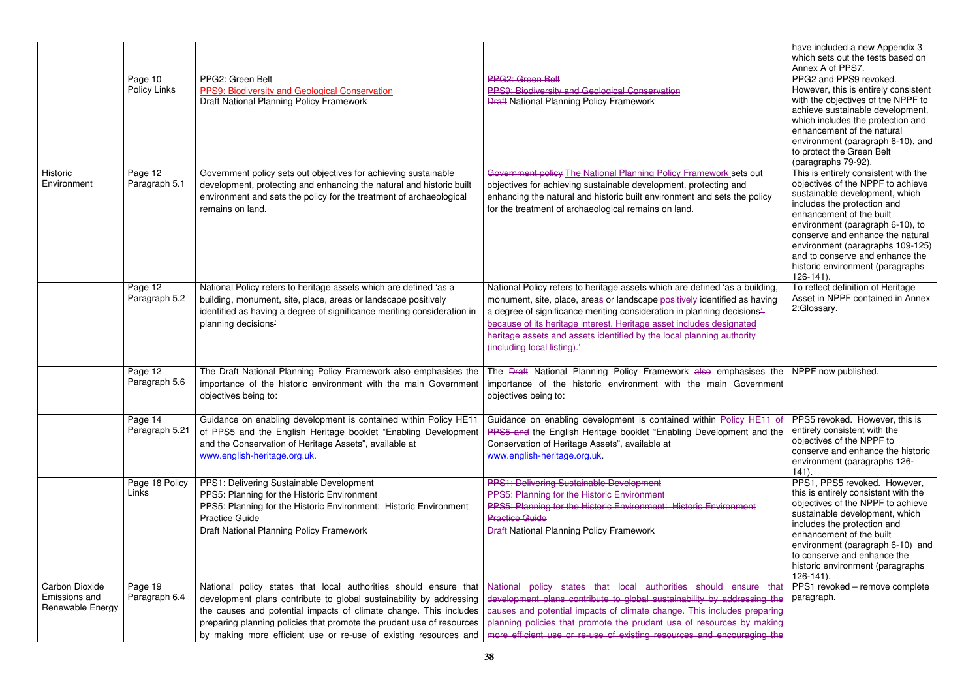|                                                            | Page 10                   | PPG2: Green Belt                                                                                                                                                                                                                                                                                                                                          | <b>PPG2: Green Belt</b>                                                                                                                                                                                                                                                                                                                                                                                            | have included a new Appendix 3<br>which sets out the tests based on<br>Annex A of PPS7.<br>PPG2 and PPS9 revoked.                                                                                                                                                                                                                                                        |
|------------------------------------------------------------|---------------------------|-----------------------------------------------------------------------------------------------------------------------------------------------------------------------------------------------------------------------------------------------------------------------------------------------------------------------------------------------------------|--------------------------------------------------------------------------------------------------------------------------------------------------------------------------------------------------------------------------------------------------------------------------------------------------------------------------------------------------------------------------------------------------------------------|--------------------------------------------------------------------------------------------------------------------------------------------------------------------------------------------------------------------------------------------------------------------------------------------------------------------------------------------------------------------------|
|                                                            | <b>Policy Links</b>       | PPS9: Biodiversity and Geological Conservation<br>Draft National Planning Policy Framework                                                                                                                                                                                                                                                                | <b>PPS9: Biodiversity and Geological Conservation</b><br><b>Draft National Planning Policy Framework</b>                                                                                                                                                                                                                                                                                                           | However, this is entirely consistent<br>with the objectives of the NPPF to<br>achieve sustainable development,<br>which includes the protection and<br>enhancement of the natural<br>environment (paragraph 6-10), and<br>to protect the Green Belt<br>(paragraphs 79-92).                                                                                               |
| Historic<br>Environment                                    | Page 12<br>Paragraph 5.1  | Government policy sets out objectives for achieving sustainable<br>development, protecting and enhancing the natural and historic built<br>environment and sets the policy for the treatment of archaeological<br>remains on land.                                                                                                                        | Government policy The National Planning Policy Framework sets out<br>objectives for achieving sustainable development, protecting and<br>enhancing the natural and historic built environment and sets the policy<br>for the treatment of archaeological remains on land.                                                                                                                                          | This is entirely consistent with the<br>objectives of the NPPF to achieve<br>sustainable development, which<br>includes the protection and<br>enhancement of the built<br>environment (paragraph 6-10), to<br>conserve and enhance the natural<br>environment (paragraphs 109-125)<br>and to conserve and enhance the<br>historic environment (paragraphs<br>$126 - 141$ |
|                                                            | Page 12<br>Paragraph 5.2  | National Policy refers to heritage assets which are defined 'as a<br>building, monument, site, place, areas or landscape positively<br>identified as having a degree of significance meriting consideration in<br>planning decisions'                                                                                                                     | National Policy refers to heritage assets which are defined 'as a building,<br>monument, site, place, areas or landscape positively identified as having<br>a degree of significance meriting consideration in planning decisions-<br>because of its heritage interest. Heritage asset includes designated<br>heritage assets and assets identified by the local planning authority<br>(including local listing).' | To reflect definition of Heritage<br>Asset in NPPF contained in Annex<br>2:Glossary.                                                                                                                                                                                                                                                                                     |
|                                                            | Page 12<br>Paragraph 5.6  | The Draft National Planning Policy Framework also emphasises the<br>importance of the historic environment with the main Government<br>objectives being to:                                                                                                                                                                                               | The <b>Draft</b> National Planning Policy Framework also emphasises the<br>importance of the historic environment with the main Government<br>objectives being to:                                                                                                                                                                                                                                                 | NPPF now published.                                                                                                                                                                                                                                                                                                                                                      |
|                                                            | Page 14<br>Paragraph 5.21 | Guidance on enabling development is contained within Policy HE11<br>of PPS5 and the English Heritage booklet "Enabling Development<br>and the Conservation of Heritage Assets", available at<br>www.english-heritage.org.uk.                                                                                                                              | Guidance on enabling development is contained within Policy HE11 of<br>PPS5 and the English Heritage booklet "Enabling Development and the<br>Conservation of Heritage Assets", available at<br>www.english-heritage.org.uk.                                                                                                                                                                                       | PPS5 revoked. However, this is<br>entirely consistent with the<br>objectives of the NPPF to<br>conserve and enhance the historic<br>environment (paragraphs 126-<br>$141$ ).                                                                                                                                                                                             |
|                                                            | Page 18 Policy<br>Links   | PPS1: Delivering Sustainable Development<br>PPS5: Planning for the Historic Environment<br>PPS5: Planning for the Historic Environment: Historic Environment<br><b>Practice Guide</b><br>Draft National Planning Policy Framework                                                                                                                         | <b>PPS1: Delivering Sustainable Development</b><br>PPS5: Planning for the Historic Environment<br>PPS5: Planning for the Historic Environment: Historic Environment<br><b>Practice Guide</b><br><b>Draft National Planning Policy Framework</b>                                                                                                                                                                    | PPS1, PPS5 revoked. However,<br>this is entirely consistent with the<br>objectives of the NPPF to achieve<br>sustainable development, which<br>includes the protection and<br>enhancement of the built<br>environment (paragraph 6-10) and<br>to conserve and enhance the<br>historic environment (paragraphs<br>$126 - 141$ ).                                          |
| <b>Carbon Dioxide</b><br>Emissions and<br>Renewable Energy | Page 19<br>Paragraph 6.4  | National policy states that local authorities should ensure that<br>development plans contribute to global sustainability by addressing<br>the causes and potential impacts of climate change. This includes<br>preparing planning policies that promote the prudent use of resources<br>by making more efficient use or re-use of existing resources and | National policy states that local authorities should ensure that<br>development plans contribute to global sustainability by addressing the<br>causes and potential impacts of climate change. This includes preparing<br>planning policies that promote the prudent use of resources by making<br>more efficient use or re-use of existing resources and encouraging the                                          | PPS1 revoked - remove complete<br>paragraph.                                                                                                                                                                                                                                                                                                                             |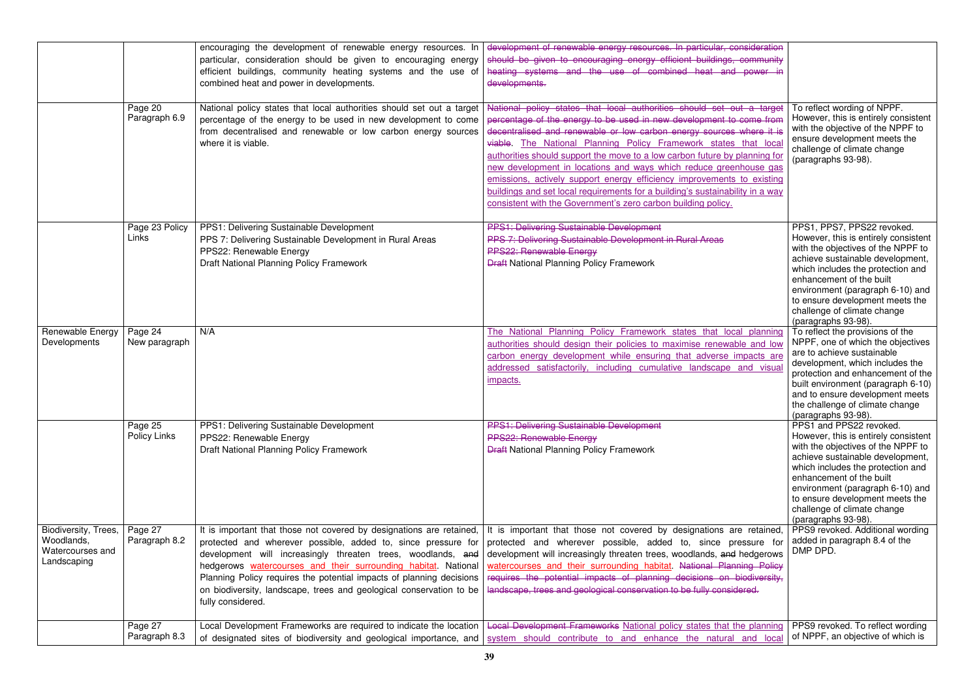|                                                                       |                                | encouraging the development of renewable energy resources. In<br>particular, consideration should be given to encouraging energy<br>efficient buildings, community heating systems and the use of<br>combined heat and power in developments.                                                                                                                                                                                               | development of renewable energy resources. In particular, consideration<br>should be given to encouraging energy efficient buildings, community<br>heating systems and the use of combined heat and power in<br>developments.                                                                                                                                                                                                                                                                                                                                                                                                                                           |                                                                                                                                                                                                                                                                                                                                            |
|-----------------------------------------------------------------------|--------------------------------|---------------------------------------------------------------------------------------------------------------------------------------------------------------------------------------------------------------------------------------------------------------------------------------------------------------------------------------------------------------------------------------------------------------------------------------------|-------------------------------------------------------------------------------------------------------------------------------------------------------------------------------------------------------------------------------------------------------------------------------------------------------------------------------------------------------------------------------------------------------------------------------------------------------------------------------------------------------------------------------------------------------------------------------------------------------------------------------------------------------------------------|--------------------------------------------------------------------------------------------------------------------------------------------------------------------------------------------------------------------------------------------------------------------------------------------------------------------------------------------|
|                                                                       | Page 20<br>Paragraph 6.9       | National policy states that local authorities should set out a target<br>percentage of the energy to be used in new development to come<br>from decentralised and renewable or low carbon energy sources<br>where it is viable.                                                                                                                                                                                                             | National policy states that local authorities should set out a target<br>percentage of the energy to be used in new development to come from<br>decentralised and renewable or low carbon energy sources where it is<br>viable. The National Planning Policy Framework states that local<br>authorities should support the move to a low carbon future by planning for<br>new development in locations and ways which reduce greenhouse gas<br>emissions, actively support energy efficiency improvements to existing<br>buildings and set local requirements for a building's sustainability in a way<br>consistent with the Government's zero carbon building policy. | To reflect wording of NPPF.<br>However, this is entirely consistent<br>with the objective of the NPPF to<br>ensure development meets the<br>challenge of climate change<br>(paragraphs 93-98).                                                                                                                                             |
|                                                                       | Page 23 Policy<br>Links        | PPS1: Delivering Sustainable Development<br>PPS 7: Delivering Sustainable Development in Rural Areas<br>PPS22: Renewable Energy<br>Draft National Planning Policy Framework                                                                                                                                                                                                                                                                 | <b>PPS1: Delivering Sustainable Development</b><br>PPS 7: Delivering Sustainable Development in Rural Areas<br><b>PPS22: Renewable Energy</b><br><b>Draft National Planning Policy Framework</b>                                                                                                                                                                                                                                                                                                                                                                                                                                                                        | PPS1, PPS7, PPS22 revoked.<br>However, this is entirely consistent<br>with the objectives of the NPPF to<br>achieve sustainable development,<br>which includes the protection and<br>enhancement of the built<br>environment (paragraph 6-10) and<br>to ensure development meets the<br>challenge of climate change<br>(paragraphs 93-98). |
| Renewable Energy<br>Developments                                      | Page 24<br>New paragraph       | N/A                                                                                                                                                                                                                                                                                                                                                                                                                                         | The National Planning Policy Framework states that local planning<br>authorities should design their policies to maximise renewable and low<br>carbon energy development while ensuring that adverse impacts are<br>addressed satisfactorily, including cumulative landscape and visua<br>impacts.                                                                                                                                                                                                                                                                                                                                                                      | To reflect the provisions of the<br>NPPF, one of which the objectives<br>are to achieve sustainable<br>development, which includes the<br>protection and enhancement of the<br>built environment (paragraph 6-10)<br>and to ensure development meets<br>the challenge of climate change<br>(paragraphs 93-98).                             |
|                                                                       | Page 25<br><b>Policy Links</b> | PPS1: Delivering Sustainable Development<br>PPS22: Renewable Energy<br>Draft National Planning Policy Framework                                                                                                                                                                                                                                                                                                                             | <b>PPS1: Delivering Sustainable Development</b><br><b>PPS22: Renewable Energy</b><br><b>Draft National Planning Policy Framework</b>                                                                                                                                                                                                                                                                                                                                                                                                                                                                                                                                    | PPS1 and PPS22 revoked.<br>However, this is entirely consistent<br>with the objectives of the NPPF to<br>achieve sustainable development,<br>which includes the protection and<br>enhancement of the built<br>environment (paragraph 6-10) and<br>to ensure development meets the<br>challenge of climate change<br>(paragraphs 93-98).    |
| Biodiversity, Trees,<br>Woodlands,<br>Watercourses and<br>Landscaping | Page 27<br>Paragraph 8.2       | It is important that those not covered by designations are retained,<br>protected and wherever possible, added to, since pressure for<br>development will increasingly threaten trees, woodlands, and<br>hedgerows watercourses and their surrounding habitat. National<br>Planning Policy requires the potential impacts of planning decisions<br>on biodiversity, landscape, trees and geological conservation to be<br>fully considered. | It is important that those not covered by designations are retained,<br>protected and wherever possible, added to, since pressure for<br>development will increasingly threaten trees, woodlands, and hedgerows<br>watercourses and their surrounding habitat. National Planning Policy<br>requires the potential impacts of planning decisions on biodiversity,<br>landscape, trees and geological conservation to be fully considered.                                                                                                                                                                                                                                | PPS9 revoked. Additional wording<br>added in paragraph 8.4 of the<br>DMP DPD.                                                                                                                                                                                                                                                              |
|                                                                       | Page 27<br>Paragraph 8.3       | Local Development Frameworks are required to indicate the location                                                                                                                                                                                                                                                                                                                                                                          | Local Development Frameworks National policy states that the planning<br>of designated sites of biodiversity and geological importance, and system should contribute to and enhance the natural and local                                                                                                                                                                                                                                                                                                                                                                                                                                                               | PPS9 revoked. To reflect wording<br>of NPPF, an objective of which is                                                                                                                                                                                                                                                                      |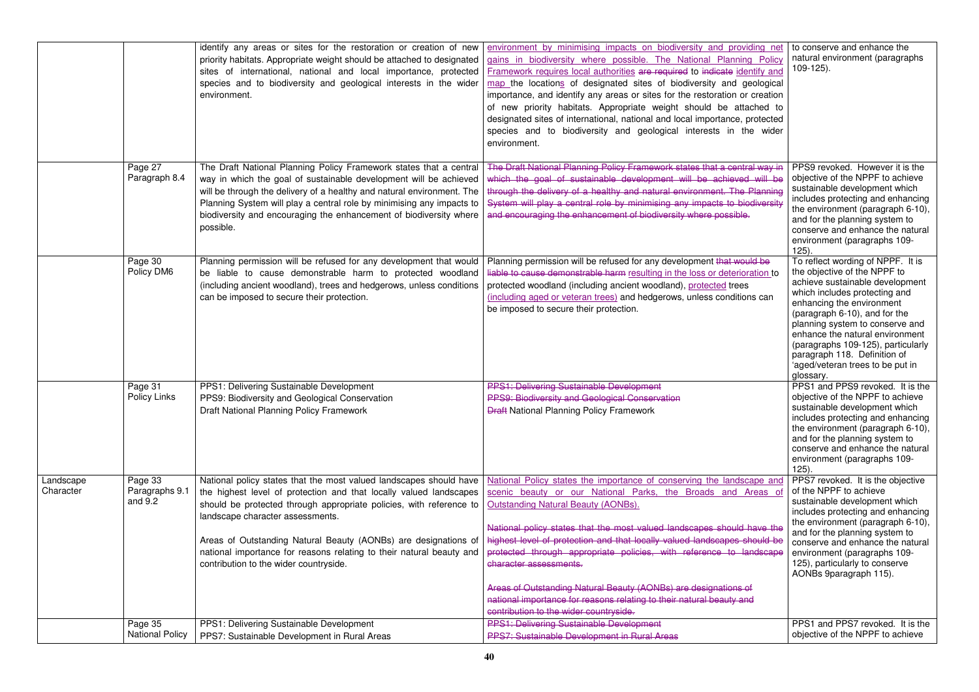|                                                                  | identify any areas or sites for the restoration or creation of new<br>priority habitats. Appropriate weight should be attached to designated<br>sites of international, national and local importance, protected<br>species and to biodiversity and geological interests in the wider<br>environment.                                                                                                                                    | environment by minimising impacts on biodiversity and providing net<br>gains in biodiversity where possible. The National Planning Policy<br>Framework requires local authorities are required to indicate identify and<br>map the locations of designated sites of biodiversity and geological<br>importance, and identify any areas or sites for the restoration or creation<br>of new priority habitats. Appropriate weight should be attached to<br>designated sites of international, national and local importance, protected<br>species and to biodiversity and geological interests in the wider<br>environment.        | to conserve and enhance the<br>natural environment (paragraphs<br>109-125).                                                                                                                                                                                                                                                                                                                      |
|------------------------------------------------------------------|------------------------------------------------------------------------------------------------------------------------------------------------------------------------------------------------------------------------------------------------------------------------------------------------------------------------------------------------------------------------------------------------------------------------------------------|---------------------------------------------------------------------------------------------------------------------------------------------------------------------------------------------------------------------------------------------------------------------------------------------------------------------------------------------------------------------------------------------------------------------------------------------------------------------------------------------------------------------------------------------------------------------------------------------------------------------------------|--------------------------------------------------------------------------------------------------------------------------------------------------------------------------------------------------------------------------------------------------------------------------------------------------------------------------------------------------------------------------------------------------|
| Page 27<br>Paragraph 8.4                                         | The Draft National Planning Policy Framework states that a central<br>way in which the goal of sustainable development will be achieved<br>will be through the delivery of a healthy and natural environment. The<br>Planning System will play a central role by minimising any impacts to<br>biodiversity and encouraging the enhancement of biodiversity where<br>possible.                                                            | The Draft National Planning Policy Framework states that a central way in<br>which the goal of sustainable development will be achieved will be<br>through the delivery of a healthy and natural environment. The Planning<br>System will play a central role by minimising any impacts to biodiversity<br>and encouraging the enhancement of biodiversity where possible.                                                                                                                                                                                                                                                      | PPS9 revoked. However it is the<br>objective of the NPPF to achieve<br>sustainable development which<br>includes protecting and enhancing<br>the environment (paragraph 6-10),<br>and for the planning system to<br>conserve and enhance the natural<br>environment (paragraphs 109-<br>$125$ ).                                                                                                 |
| Page 30<br>Policy DM6                                            | Planning permission will be refused for any development that would<br>be liable to cause demonstrable harm to protected woodland<br>(including ancient woodland), trees and hedgerows, unless conditions<br>can be imposed to secure their protection.                                                                                                                                                                                   | Planning permission will be refused for any development that would be<br>liable to cause demonstrable harm resulting in the loss or deterioration to<br>protected woodland (including ancient woodland), protected trees<br>(including aged or veteran trees) and hedgerows, unless conditions can<br>be imposed to secure their protection.                                                                                                                                                                                                                                                                                    | To reflect wording of NPPF. It is<br>the objective of the NPPF to<br>achieve sustainable development<br>which includes protecting and<br>enhancing the environment<br>(paragraph 6-10), and for the<br>planning system to conserve and<br>enhance the natural environment<br>(paragraphs 109-125), particularly<br>paragraph 118. Definition of<br>'aged/veteran trees to be put in<br>glossary. |
| Page 31<br>Policy Links                                          | PPS1: Delivering Sustainable Development<br>PPS9: Biodiversity and Geological Conservation<br>Draft National Planning Policy Framework                                                                                                                                                                                                                                                                                                   | <b>PPS1: Delivering Sustainable Development</b><br><b>PPS9: Biodiversity and Geological Conservation</b><br><b>Draft National Planning Policy Framework</b>                                                                                                                                                                                                                                                                                                                                                                                                                                                                     | PPS1 and PPS9 revoked. It is the<br>objective of the NPPF to achieve<br>sustainable development which<br>includes protecting and enhancing<br>the environment (paragraph 6-10),<br>and for the planning system to<br>conserve and enhance the natural<br>environment (paragraphs 109-<br>$125$ ).                                                                                                |
| Page 33<br>Landscape<br>Character<br>Paragraphs 9.1<br>and $9.2$ | National policy states that the most valued landscapes should have<br>the highest level of protection and that locally valued landscapes<br>should be protected through appropriate policies, with reference to<br>landscape character assessments.<br>Areas of Outstanding Natural Beauty (AONBs) are designations of<br>national importance for reasons relating to their natural beauty and<br>contribution to the wider countryside. | National Policy states the importance of conserving the landscape and<br>scenic beauty or our National Parks, the Broads and Areas of<br><b>Outstanding Natural Beauty (AONBs).</b><br>National policy states that the most valued landscapes should have the<br>highest level of protection and that locally valued landscapes should be<br>protected through appropriate policies, with reference to landscape<br>character assessments.<br>Areas of Outstanding Natural Beauty (AONBs) are designations of<br>national importance for reasons relating to their natural beauty and<br>contribution to the wider countryside. | PPS7 revoked. It is the objective<br>of the NPPF to achieve<br>sustainable development which<br>includes protecting and enhancing<br>the environment (paragraph 6-10),<br>and for the planning system to<br>conserve and enhance the natural<br>environment (paragraphs 109-<br>125), particularly to conserve<br>AONBs 9paragraph 115).                                                         |
| Page 35<br><b>National Policy</b>                                | PPS1: Delivering Sustainable Development<br>PPS7: Sustainable Development in Rural Areas                                                                                                                                                                                                                                                                                                                                                 | <b>PPS1: Delivering Sustainable Development</b><br>PPS7: Sustainable Development in Rural Areas                                                                                                                                                                                                                                                                                                                                                                                                                                                                                                                                 | PPS1 and PPS7 revoked. It is the<br>objective of the NPPF to achieve                                                                                                                                                                                                                                                                                                                             |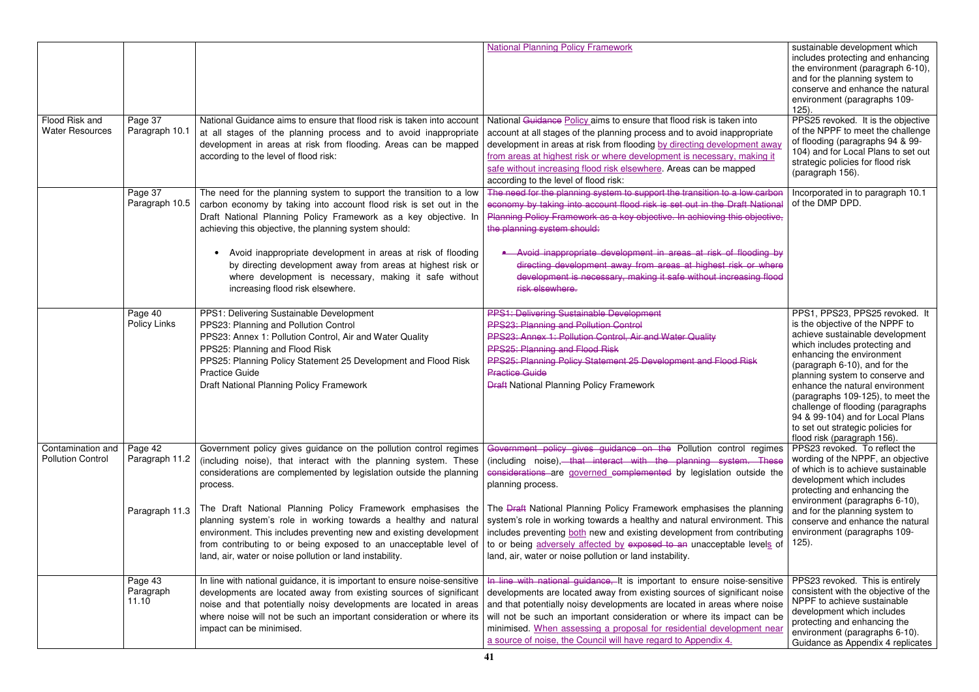|                                               |                               |                                                                                                                                                                                                                                                                                                                                       | <b>National Planning Policy Framework</b>                                                                                                                                                                                                                                                                                                                                                                                                              | sustainable development which<br>includes protecting and enhancing<br>the environment (paragraph 6-10),<br>and for the planning system to<br>conserve and enhance the natural<br>environment (paragraphs 109-<br>$125$ ).                                                                                                                                                                                                                                   |
|-----------------------------------------------|-------------------------------|---------------------------------------------------------------------------------------------------------------------------------------------------------------------------------------------------------------------------------------------------------------------------------------------------------------------------------------|--------------------------------------------------------------------------------------------------------------------------------------------------------------------------------------------------------------------------------------------------------------------------------------------------------------------------------------------------------------------------------------------------------------------------------------------------------|-------------------------------------------------------------------------------------------------------------------------------------------------------------------------------------------------------------------------------------------------------------------------------------------------------------------------------------------------------------------------------------------------------------------------------------------------------------|
| Flood Risk and<br><b>Water Resources</b>      | Page 37<br>Paragraph 10.1     | National Guidance aims to ensure that flood risk is taken into account<br>at all stages of the planning process and to avoid inappropriate<br>development in areas at risk from flooding. Areas can be mapped<br>according to the level of flood risk:                                                                                | National Guidance Policy aims to ensure that flood risk is taken into<br>account at all stages of the planning process and to avoid inappropriate<br>development in areas at risk from flooding by directing development away<br>from areas at highest risk or where development is necessary, making it<br>safe without increasing flood risk elsewhere. Areas can be mapped<br>according to the level of flood risk:                                 | PPS25 revoked. It is the objective<br>of the NPPF to meet the challenge<br>of flooding (paragraphs 94 & 99-<br>104) and for Local Plans to set out<br>strategic policies for flood risk<br>(paragraph 156).                                                                                                                                                                                                                                                 |
|                                               | Page 37<br>Paragraph 10.5     | The need for the planning system to support the transition to a low<br>carbon economy by taking into account flood risk is set out in the<br>Draft National Planning Policy Framework as a key objective. In<br>achieving this objective, the planning system should:                                                                 | The need for the planning system to support the transition to a low carbon<br>economy by taking into account flood risk is set out in the Draft National<br>Planning Policy Framework as a key objective. In achieving this objective,<br>the planning system should:                                                                                                                                                                                  | Incorporated in to paragraph 10.1<br>of the DMP DPD.                                                                                                                                                                                                                                                                                                                                                                                                        |
|                                               |                               | Avoid inappropriate development in areas at risk of flooding<br>by directing development away from areas at highest risk or<br>where development is necessary, making it safe without<br>increasing flood risk elsewhere.                                                                                                             | Avoid inappropriate development in areas at risk of flooding by<br>directing development away from areas at highest risk or where<br>development is necessary, making it safe without increasing flood<br>risk elsewhere.                                                                                                                                                                                                                              |                                                                                                                                                                                                                                                                                                                                                                                                                                                             |
|                                               | Page 40<br>Policy Links       | PPS1: Delivering Sustainable Development<br>PPS23: Planning and Pollution Control<br>PPS23: Annex 1: Pollution Control, Air and Water Quality<br>PPS25: Planning and Flood Risk<br>PPS25: Planning Policy Statement 25 Development and Flood Risk<br><b>Practice Guide</b><br>Draft National Planning Policy Framework                | <b>PPS1: Delivering Sustainable Development</b><br><b>PPS23: Planning and Pollution Control</b><br><b>PPS23: Annex 1: Pollution Control. Air and Water Quality</b><br>PPS25: Planning and Flood Risk<br>PPS25: Planning Policy Statement 25 Development and Flood Risk<br><b>Practice Guide</b><br><b>Draft National Planning Policy Framework</b>                                                                                                     | PPS1, PPS23, PPS25 revoked. It<br>is the objective of the NPPF to<br>achieve sustainable development<br>which includes protecting and<br>enhancing the environment<br>(paragraph 6-10), and for the<br>planning system to conserve and<br>enhance the natural environment<br>(paragraphs 109-125), to meet the<br>challenge of flooding (paragraphs<br>94 & 99-104) and for Local Plans<br>to set out strategic policies for<br>flood risk (paragraph 156). |
| Contamination and<br><b>Pollution Control</b> | Page 42<br>Paragraph 11.2     | Government policy gives guidance on the pollution control regimes<br>(including noise), that interact with the planning system. These<br>considerations are complemented by legislation outside the planning<br>process.                                                                                                              | Government policy gives guidance on the Pollution control regimes<br>(including noise), that interact with the planning system. These<br>considerations are governed complemented by legislation outside the<br>planning process.                                                                                                                                                                                                                      | PPS23 revoked. To reflect the<br>wording of the NPPF, an objective<br>of which is to achieve sustainable<br>development which includes<br>protecting and enhancing the                                                                                                                                                                                                                                                                                      |
|                                               | Paragraph 11.3                | The Draft National Planning Policy Framework emphasises the<br>planning system's role in working towards a healthy and natural<br>environment. This includes preventing new and existing development<br>from contributing to or being exposed to an unacceptable level of<br>land, air, water or noise pollution or land instability. | The <b>Draft</b> National Planning Policy Framework emphasises the planning<br>system's role in working towards a healthy and natural environment. This<br>includes preventing both new and existing development from contributing<br>to or being adversely affected by exposed to an unacceptable levels of<br>land, air, water or noise pollution or land instability.                                                                               | environment (paragraphs 6-10),<br>and for the planning system to<br>conserve and enhance the natural<br>environment (paragraphs 109-<br>$125$ ).                                                                                                                                                                                                                                                                                                            |
|                                               | Page 43<br>Paragraph<br>11.10 | In line with national guidance, it is important to ensure noise-sensitive<br>developments are located away from existing sources of significant<br>noise and that potentially noisy developments are located in areas<br>where noise will not be such an important consideration or where its<br>impact can be minimised.             | In line with national guidance, It is important to ensure noise-sensitive<br>developments are located away from existing sources of significant noise<br>and that potentially noisy developments are located in areas where noise<br>will not be such an important consideration or where its impact can be<br>minimised. When assessing a proposal for residential development near<br>a source of noise, the Council will have regard to Appendix 4. | PPS23 revoked. This is entirely<br>consistent with the objective of the<br>NPPF to achieve sustainable<br>development which includes<br>protecting and enhancing the<br>environment (paragraphs 6-10).<br>Guidance as Appendix 4 replicates                                                                                                                                                                                                                 |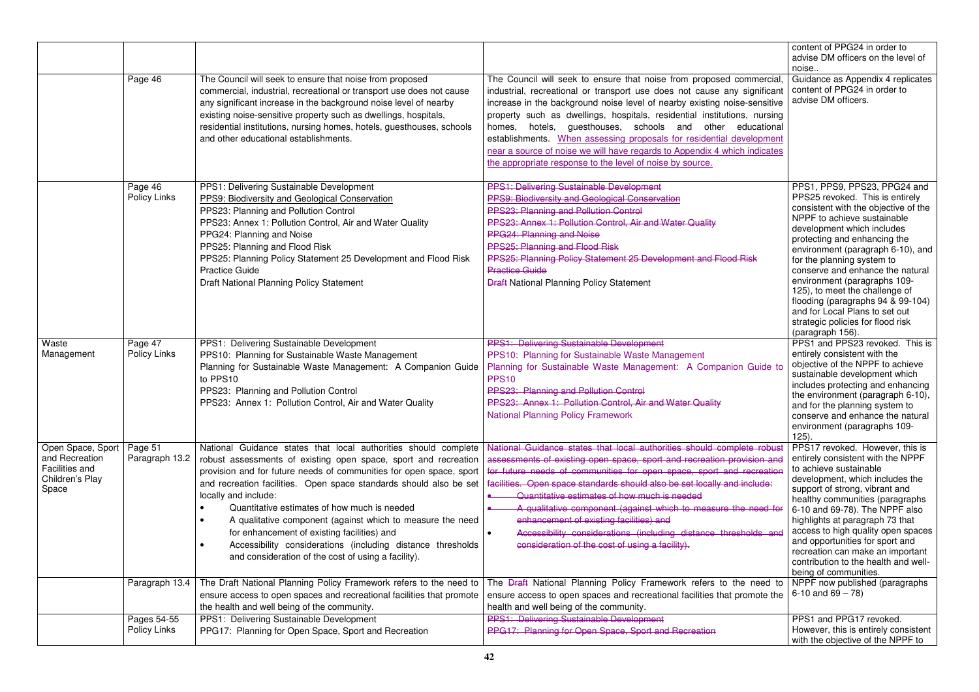|                                                                                   |                             |                                                                                                                                                                                                                                                                                                                                                                                                                                                                                                                                                                                            |                                                                                                                                                                                                                                                                                                                                                                                                                                                                                                                                                                                                      | content of PPG24 in order to<br>advise DM officers on the level of<br>noise.                                                                                                                                                                                                                                                                                                                                                                                                                                  |
|-----------------------------------------------------------------------------------|-----------------------------|--------------------------------------------------------------------------------------------------------------------------------------------------------------------------------------------------------------------------------------------------------------------------------------------------------------------------------------------------------------------------------------------------------------------------------------------------------------------------------------------------------------------------------------------------------------------------------------------|------------------------------------------------------------------------------------------------------------------------------------------------------------------------------------------------------------------------------------------------------------------------------------------------------------------------------------------------------------------------------------------------------------------------------------------------------------------------------------------------------------------------------------------------------------------------------------------------------|---------------------------------------------------------------------------------------------------------------------------------------------------------------------------------------------------------------------------------------------------------------------------------------------------------------------------------------------------------------------------------------------------------------------------------------------------------------------------------------------------------------|
|                                                                                   | Page 46                     | The Council will seek to ensure that noise from proposed<br>commercial, industrial, recreational or transport use does not cause<br>any significant increase in the background noise level of nearby<br>existing noise-sensitive property such as dwellings, hospitals,<br>residential institutions, nursing homes, hotels, guesthouses, schools<br>and other educational establishments.                                                                                                                                                                                                  | The Council will seek to ensure that noise from proposed commercial<br>industrial, recreational or transport use does not cause any significant<br>increase in the background noise level of nearby existing noise-sensitive<br>property such as dwellings, hospitals, residential institutions, nursing<br>homes, hotels, guesthouses, schools and other educational<br>establishments. When assessing proposals for residential development<br>near a source of noise we will have regards to Appendix 4 which indicates<br>the appropriate response to the level of noise by source.              | Guidance as Appendix 4 replicates<br>content of PPG24 in order to<br>advise DM officers.                                                                                                                                                                                                                                                                                                                                                                                                                      |
|                                                                                   | Page 46<br>Policy Links     | PPS1: Delivering Sustainable Development<br>PPS9: Biodiversity and Geological Conservation<br>PPS23: Planning and Pollution Control<br>PPS23: Annex 1: Pollution Control, Air and Water Quality<br>PPG24: Planning and Noise<br>PPS25: Planning and Flood Risk<br>PPS25: Planning Policy Statement 25 Development and Flood Risk<br><b>Practice Guide</b><br><b>Draft National Planning Policy Statement</b>                                                                                                                                                                               | <b>PPS1: Delivering Sustainable Development</b><br><b>PPS9: Biodiversity and Geological Conservation</b><br><b>PPS23: Planning and Pollution Control</b><br>PPS23: Annex 1: Pollution Control, Air and Water Quality<br>PPG24: Planning and Noise<br>PPS25: Planning and Flood Risk<br>PPS25: Planning Policy Statement 25 Development and Flood Risk<br><b>Practice Guide</b><br><b>Draft National Planning Policy Statement</b>                                                                                                                                                                    | PPS1, PPS9, PPS23, PPG24 and<br>PPS25 revoked. This is entirely<br>consistent with the objective of the<br>NPPF to achieve sustainable<br>development which includes<br>protecting and enhancing the<br>environment (paragraph 6-10), and<br>for the planning system to<br>conserve and enhance the natural<br>environment (paragraphs 109-<br>125), to meet the challenge of<br>flooding (paragraphs 94 & 99-104)<br>and for Local Plans to set out<br>strategic policies for flood risk<br>(paragraph 156). |
| Waste<br>Management                                                               | Page 47<br>Policy Links     | PPS1: Delivering Sustainable Development<br>PPS10: Planning for Sustainable Waste Management<br>Planning for Sustainable Waste Management: A Companion Guide<br>to PPS10<br>PPS23: Planning and Pollution Control<br>PPS23: Annex 1: Pollution Control, Air and Water Quality                                                                                                                                                                                                                                                                                                              | PPS1: Delivering Sustainable Development<br>PPS10: Planning for Sustainable Waste Management<br>Planning for Sustainable Waste Management: A Companion Guide to<br><b>PPS10</b><br>PPS23: Planning and Pollution Control<br>PPS23: Annex 1: Pollution Control. Air and Water Quality<br><b>National Planning Policy Framework</b>                                                                                                                                                                                                                                                                    | PPS1 and PPS23 revoked. This is<br>entirely consistent with the<br>objective of the NPPF to achieve<br>sustainable development which<br>includes protecting and enhancing<br>the environment (paragraph 6-10),<br>and for the planning system to<br>conserve and enhance the natural<br>environment (paragraphs 109-<br>$125$ ).                                                                                                                                                                              |
| Open Space, Sport<br>and Recreation<br>Facilities and<br>Children's Play<br>Space | Page 51<br>Paragraph 13.2   | National Guidance states that local authorities should complete<br>robust assessments of existing open space, sport and recreation<br>provision and for future needs of communities for open space, sport<br>and recreation facilities. Open space standards should also be set<br>locally and include:<br>Quantitative estimates of how much is needed<br>A qualitative component (against which to measure the need<br>for enhancement of existing facilities) and<br>Accessibility considerations (including distance thresholds<br>and consideration of the cost of using a facility). | National Guidance states that local authorities should complete robust<br>assessments of existing open space, sport and recreation provision and<br>for future needs of communities for open space, sport and recreation<br>facilities. Open space standards should also be set locally and include:<br>Quantitative estimates of how much is needed<br>A qualitative component (against which to measure the need for<br>enhancement of existing facilities) and<br>Accessibility considerations (including distance thresholds and<br>$\bullet$<br>consideration of the cost of using a facility). | PPS17 revoked. However, this is<br>entirely consistent with the NPPF<br>to achieve sustainable<br>development, which includes the<br>support of strong, vibrant and<br>healthy communities (paragraphs<br>6-10 and 69-78). The NPPF also<br>highlights at paragraph 73 that<br>access to high quality open spaces<br>and opportunities for sport and<br>recreation can make an important<br>contribution to the health and well-<br>being of communities.                                                     |
|                                                                                   | Paragraph 13.4              | The Draft National Planning Policy Framework refers to the need to<br>ensure access to open spaces and recreational facilities that promote<br>the health and well being of the community.                                                                                                                                                                                                                                                                                                                                                                                                 | The <b>Draft</b> National Planning Policy Framework refers to the need to<br>ensure access to open spaces and recreational facilities that promote the<br>health and well being of the community.                                                                                                                                                                                                                                                                                                                                                                                                    | NPPF now published (paragraphs<br>6-10 and $69 - 78$ )                                                                                                                                                                                                                                                                                                                                                                                                                                                        |
|                                                                                   | Pages 54-55<br>Policy Links | PPS1: Delivering Sustainable Development<br>PPG17: Planning for Open Space, Sport and Recreation                                                                                                                                                                                                                                                                                                                                                                                                                                                                                           | <b>PPS1: Delivering Sustainable Development</b><br>PPG17: Planning for Open Space, Sport and Recreation                                                                                                                                                                                                                                                                                                                                                                                                                                                                                              | PPS1 and PPG17 revoked.<br>However, this is entirely consistent<br>with the objective of the NPPF to                                                                                                                                                                                                                                                                                                                                                                                                          |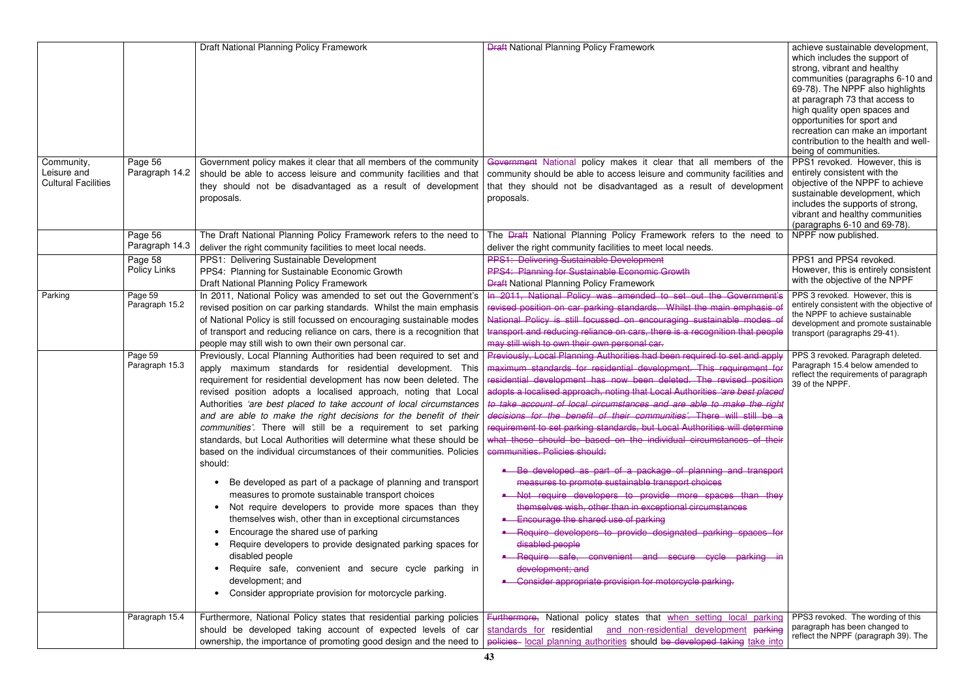|                                                         |                           | Draft National Planning Policy Framework                                                                                                                                                                                                                                                                                                                                                                                                                                                                                                                                                                                                                                                                                                                                                                                                                                                                                                                                                                                                                                                                                                                    | <b>Draft National Planning Policy Framework</b>                                                                                                                                                                                                                                                                                                                                                                                                                                                                                                                                                                                                                                                                                                                                                                                                                                                                                                                                                                                                                                                                                                                      | achieve sustainable development,<br>which includes the support of<br>strong, vibrant and healthy<br>communities (paragraphs 6-10 and<br>69-78). The NPPF also highlights<br>at paragraph 73 that access to<br>high quality open spaces and<br>opportunities for sport and<br>recreation can make an important<br>contribution to the health and well-<br>being of communities. |
|---------------------------------------------------------|---------------------------|-------------------------------------------------------------------------------------------------------------------------------------------------------------------------------------------------------------------------------------------------------------------------------------------------------------------------------------------------------------------------------------------------------------------------------------------------------------------------------------------------------------------------------------------------------------------------------------------------------------------------------------------------------------------------------------------------------------------------------------------------------------------------------------------------------------------------------------------------------------------------------------------------------------------------------------------------------------------------------------------------------------------------------------------------------------------------------------------------------------------------------------------------------------|----------------------------------------------------------------------------------------------------------------------------------------------------------------------------------------------------------------------------------------------------------------------------------------------------------------------------------------------------------------------------------------------------------------------------------------------------------------------------------------------------------------------------------------------------------------------------------------------------------------------------------------------------------------------------------------------------------------------------------------------------------------------------------------------------------------------------------------------------------------------------------------------------------------------------------------------------------------------------------------------------------------------------------------------------------------------------------------------------------------------------------------------------------------------|--------------------------------------------------------------------------------------------------------------------------------------------------------------------------------------------------------------------------------------------------------------------------------------------------------------------------------------------------------------------------------|
| Community,<br>Leisure and<br><b>Cultural Facilities</b> | Page 56<br>Paragraph 14.2 | Government policy makes it clear that all members of the community<br>should be able to access leisure and community facilities and that<br>they should not be disadvantaged as a result of development<br>proposals.                                                                                                                                                                                                                                                                                                                                                                                                                                                                                                                                                                                                                                                                                                                                                                                                                                                                                                                                       | Government National policy makes it clear that all members of the<br>community should be able to access leisure and community facilities and<br>that they should not be disadvantaged as a result of development<br>proposals.                                                                                                                                                                                                                                                                                                                                                                                                                                                                                                                                                                                                                                                                                                                                                                                                                                                                                                                                       | PPS1 revoked. However, this is<br>entirely consistent with the<br>objective of the NPPF to achieve<br>sustainable development, which<br>includes the supports of strong,<br>vibrant and healthy communities<br>(paragraphs 6-10 and 69-78).                                                                                                                                    |
|                                                         | Page 56<br>Paragraph 14.3 | The Draft National Planning Policy Framework refers to the need to                                                                                                                                                                                                                                                                                                                                                                                                                                                                                                                                                                                                                                                                                                                                                                                                                                                                                                                                                                                                                                                                                          | The <b>Draft</b> National Planning Policy Framework refers to the need to                                                                                                                                                                                                                                                                                                                                                                                                                                                                                                                                                                                                                                                                                                                                                                                                                                                                                                                                                                                                                                                                                            | NPPF now published.                                                                                                                                                                                                                                                                                                                                                            |
|                                                         |                           | deliver the right community facilities to meet local needs.                                                                                                                                                                                                                                                                                                                                                                                                                                                                                                                                                                                                                                                                                                                                                                                                                                                                                                                                                                                                                                                                                                 | deliver the right community facilities to meet local needs.                                                                                                                                                                                                                                                                                                                                                                                                                                                                                                                                                                                                                                                                                                                                                                                                                                                                                                                                                                                                                                                                                                          |                                                                                                                                                                                                                                                                                                                                                                                |
|                                                         | Page 58<br>Policy Links   | PPS1: Delivering Sustainable Development<br>PPS4: Planning for Sustainable Economic Growth<br>Draft National Planning Policy Framework                                                                                                                                                                                                                                                                                                                                                                                                                                                                                                                                                                                                                                                                                                                                                                                                                                                                                                                                                                                                                      | PPS1: Delivering Sustainable Development<br>PPS4: Planning for Sustainable Economic Growth<br><b>Draft National Planning Policy Framework</b>                                                                                                                                                                                                                                                                                                                                                                                                                                                                                                                                                                                                                                                                                                                                                                                                                                                                                                                                                                                                                        | PPS1 and PPS4 revoked.<br>However, this is entirely consistent<br>with the objective of the NPPF                                                                                                                                                                                                                                                                               |
| Parking                                                 | Page 59<br>Paragraph 15.2 | In 2011, National Policy was amended to set out the Government's<br>revised position on car parking standards. Whilst the main emphasis<br>of National Policy is still focussed on encouraging sustainable modes<br>of transport and reducing reliance on cars, there is a recognition that<br>people may still wish to own their own personal car.                                                                                                                                                                                                                                                                                                                                                                                                                                                                                                                                                                                                                                                                                                                                                                                                         | In 2011, National Policy was amended to set out the Government's<br>revised position on car parking standards. Whilst the main emphasis of<br>National Policy is still focussed on encouraging sustainable modes of<br>transport and reducing reliance on cars, there is a recognition that people<br>may still wish to own their own personal car.                                                                                                                                                                                                                                                                                                                                                                                                                                                                                                                                                                                                                                                                                                                                                                                                                  | PPS 3 revoked. However, this is<br>entirely consistent with the objective of<br>the NPPF to achieve sustainable<br>development and promote sustainable<br>transport (paragraphs 29-41).                                                                                                                                                                                        |
|                                                         | Page 59<br>Paragraph 15.3 | Previously, Local Planning Authorities had been required to set and<br>apply maximum standards for residential development. This<br>requirement for residential development has now been deleted. The<br>revised position adopts a localised approach, noting that Local<br>Authorities 'are best placed to take account of local circumstances<br>and are able to make the right decisions for the benefit of their<br>communities'. There will still be a requirement to set parking<br>standards, but Local Authorities will determine what these should be<br>based on the individual circumstances of their communities. Policies<br>should:<br>Be developed as part of a package of planning and transport<br>measures to promote sustainable transport choices<br>Not require developers to provide more spaces than they<br>themselves wish, other than in exceptional circumstances<br>Encourage the shared use of parking<br>Require developers to provide designated parking spaces for<br>disabled people<br>Require safe, convenient and secure cycle parking in<br>development; and<br>Consider appropriate provision for motorcycle parking. | Previously, Local Planning Authorities had been required to set and apply<br>maximum standards for residential development. This requirement for<br>residential development has now been deleted. The revised position<br>adopts a localised approach, noting that Local Authorities 'are best placed<br>to take account of local circumstances and are able to make the right<br>decisions for the benefit of their communities'. There will still be a<br>requirement to set parking standards, but Local Authorities will determine<br>what these should be based on the individual circumstances of their<br>communities. Policies should:<br>• Be developed as part of a package of planning and transport<br>measures to promote sustainable transport choices<br>• Not require developers to provide more spaces than they<br>themselves wish, other than in exceptional circumstances<br>• Encourage the shared use of parking<br>• Require developers to provide designated parking spaces for<br>disabled people<br>• Require safe, convenient and secure cycle parking in<br>development; and<br>• Consider appropriate provision for motorcycle parking. | PPS 3 revoked. Paragraph deleted.<br>Paragraph 15.4 below amended to<br>reflect the requirements of paragraph<br>39 of the NPPF.                                                                                                                                                                                                                                               |
|                                                         | Paragraph 15.4            | should be developed taking account of expected levels of car                                                                                                                                                                                                                                                                                                                                                                                                                                                                                                                                                                                                                                                                                                                                                                                                                                                                                                                                                                                                                                                                                                | Furthermore, National Policy states that residential parking policies   Furthermore, National policy states that when setting local parking<br>standards for residential and non-residential development parking<br>ownership, the importance of promoting good design and the need to   policies local planning authorities should be developed taking take into                                                                                                                                                                                                                                                                                                                                                                                                                                                                                                                                                                                                                                                                                                                                                                                                    | PPS3 revoked. The wording of this<br>paragraph has been changed to<br>reflect the NPPF (paragraph 39). The                                                                                                                                                                                                                                                                     |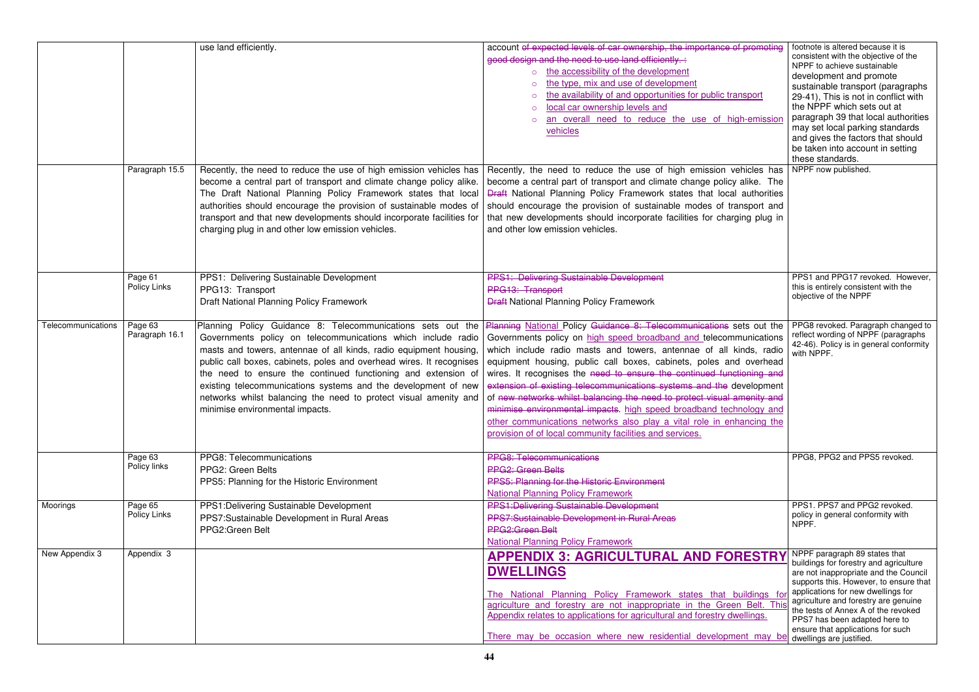|                    |                           | use land efficiently.                                                                                                                                                                                                                                                                                                                                                                                                                                                                                              | account of expected levels of car ownership, the importance of promoting<br>good design and the need to use land efficiently. :<br>the accessibility of the development<br>the type, mix and use of development<br>the availability of and opportunities for public transport<br>local car ownership levels and<br>an overall need to reduce the use of high-emission<br>vehicles                                                                                                                                                                                                                                                                                                                                             | footnote is altered because it is<br>consistent with the objective of the<br>NPPF to achieve sustainable<br>development and promote<br>sustainable transport (paragraphs<br>29-41), This is not in conflict with<br>the NPPF which sets out at<br>paragraph 39 that local authorities<br>may set local parking standards<br>and gives the factors that should<br>be taken into account in setting<br>these standards. |
|--------------------|---------------------------|--------------------------------------------------------------------------------------------------------------------------------------------------------------------------------------------------------------------------------------------------------------------------------------------------------------------------------------------------------------------------------------------------------------------------------------------------------------------------------------------------------------------|-------------------------------------------------------------------------------------------------------------------------------------------------------------------------------------------------------------------------------------------------------------------------------------------------------------------------------------------------------------------------------------------------------------------------------------------------------------------------------------------------------------------------------------------------------------------------------------------------------------------------------------------------------------------------------------------------------------------------------|-----------------------------------------------------------------------------------------------------------------------------------------------------------------------------------------------------------------------------------------------------------------------------------------------------------------------------------------------------------------------------------------------------------------------|
|                    | Paragraph 15.5            | Recently, the need to reduce the use of high emission vehicles has<br>become a central part of transport and climate change policy alike.<br>The Draft National Planning Policy Framework states that local<br>authorities should encourage the provision of sustainable modes of<br>transport and that new developments should incorporate facilities for<br>charging plug in and other low emission vehicles.                                                                                                    | Recently, the need to reduce the use of high emission vehicles has<br>become a central part of transport and climate change policy alike. The<br><b>Draft National Planning Policy Framework states that local authorities</b><br>should encourage the provision of sustainable modes of transport and<br>that new developments should incorporate facilities for charging plug in<br>and other low emission vehicles.                                                                                                                                                                                                                                                                                                        | NPPF now published.                                                                                                                                                                                                                                                                                                                                                                                                   |
|                    | Page 61<br>Policy Links   | PPS1: Delivering Sustainable Development<br>PPG13: Transport<br>Draft National Planning Policy Framework                                                                                                                                                                                                                                                                                                                                                                                                           | <b>PPS1: Delivering Sustainable Development</b><br>PPG13: Transport<br><b>Draft National Planning Policy Framework</b>                                                                                                                                                                                                                                                                                                                                                                                                                                                                                                                                                                                                        | PPS1 and PPG17 revoked. However,<br>this is entirely consistent with the<br>objective of the NPPF                                                                                                                                                                                                                                                                                                                     |
| Telecommunications | Page 63<br>Paragraph 16.1 | Planning Policy Guidance 8: Telecommunications sets out the<br>Governments policy on telecommunications which include radio<br>masts and towers, antennae of all kinds, radio equipment housing,<br>public call boxes, cabinets, poles and overhead wires. It recognises<br>the need to ensure the continued functioning and extension of<br>existing telecommunications systems and the development of new<br>networks whilst balancing the need to protect visual amenity and<br>minimise environmental impacts. | Planning National Policy Guidance 8: Telecommunications sets out the<br>Governments policy on high speed broadband and telecommunications<br>which include radio masts and towers, antennae of all kinds, radio<br>equipment housing, public call boxes, cabinets, poles and overhead<br>wires. It recognises the need to ensure the continued functioning and<br>extension of existing telecommunications systems and the development<br>of new networks whilst balancing the need to protect visual amenity and<br>minimise environmental impacts, high speed broadband technology and<br>other communications networks also play a vital role in enhancing the<br>provision of of local community facilities and services. | PPG8 revoked. Paragraph changed to<br>reflect wording of NPPF (paragraphs<br>42-46). Policy is in general conformity<br>with NPPF.                                                                                                                                                                                                                                                                                    |
|                    | Page 63<br>Policy links   | PPG8: Telecommunications<br>PPG2: Green Belts<br>PPS5: Planning for the Historic Environment                                                                                                                                                                                                                                                                                                                                                                                                                       | <b>PPG8: Telecommunications</b><br><b>PPG2: Green Belts</b><br>PPS5: Planning for the Historic Environment<br><b>National Planning Policy Framework</b>                                                                                                                                                                                                                                                                                                                                                                                                                                                                                                                                                                       | PPG8, PPG2 and PPS5 revoked.                                                                                                                                                                                                                                                                                                                                                                                          |
| Moorings           | Page 65<br>Policy Links   | PPS1:Delivering Sustainable Development<br>PPS7:Sustainable Development in Rural Areas<br>PPG2:Green Belt                                                                                                                                                                                                                                                                                                                                                                                                          | <b>PPS1:Delivering Sustainable Development</b><br>PPS7:Sustainable Development in Rural Areas<br>PPG2:Green Belt<br><b>National Planning Policy Framework</b>                                                                                                                                                                                                                                                                                                                                                                                                                                                                                                                                                                 | PPS1. PPS7 and PPG2 revoked.<br>policy in general conformity with<br>NPPF.                                                                                                                                                                                                                                                                                                                                            |
| New Appendix 3     | Appendix 3                |                                                                                                                                                                                                                                                                                                                                                                                                                                                                                                                    | <b>APPENDIX 3: AGRICULTURAL AND FORESTRY</b><br><b>DWELLINGS</b><br>The National Planning Policy Framework states that buildings for<br>agriculture and forestry are not inappropriate in the Green Belt. This<br>Appendix relates to applications for agricultural and forestry dwellings.<br>There may be occasion where new residential development may be                                                                                                                                                                                                                                                                                                                                                                 | NPPF paragraph 89 states that<br>buildings for forestry and agriculture<br>are not inappropriate and the Council<br>supports this. However, to ensure that<br>applications for new dwellings for<br>agriculture and forestry are genuine<br>the tests of Annex A of the revoked<br>PPS7 has been adapted here to<br>ensure that applications for such<br>dwellings are justified.                                     |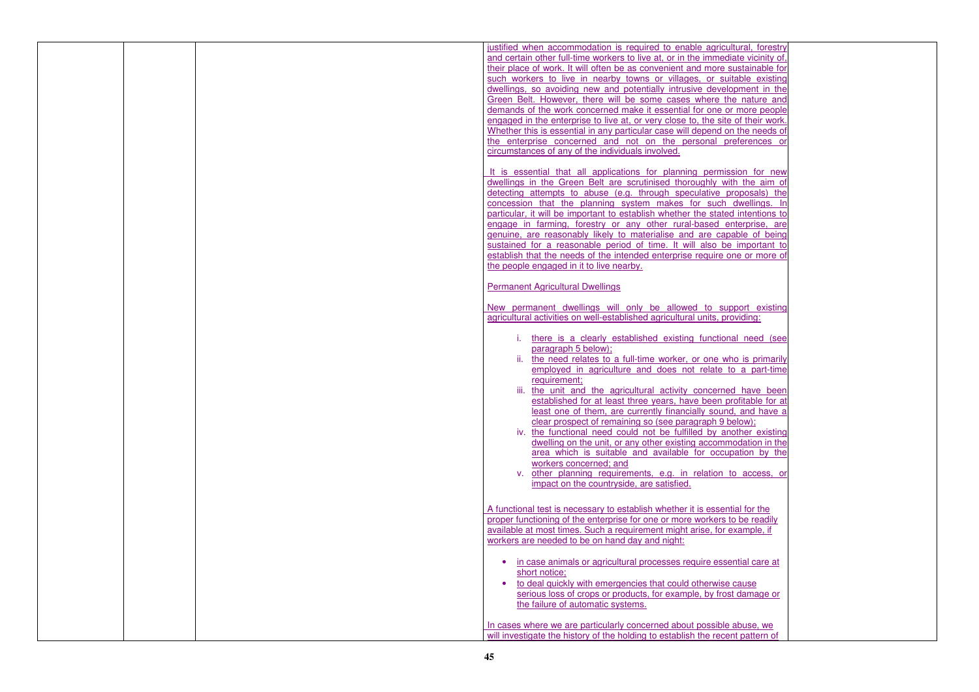|  | justified when accommodation is required to enable agricultural, forestry<br>and certain other full-time workers to live at, or in the immediate vicinity of,<br>their place of work. It will often be as convenient and more sustainable for<br>such workers to live in nearby towns or villages, or suitable existing<br>dwellings, so avoiding new and potentially intrusive development in the<br>Green Belt. However, there will be some cases where the nature and<br>demands of the work concerned make it essential for one or more people<br>engaged in the enterprise to live at, or very close to, the site of their work.<br>Whether this is essential in any particular case will depend on the needs of<br>the enterprise concerned and not on the personal preferences of<br>circumstances of any of the individuals involved. |
|--|-----------------------------------------------------------------------------------------------------------------------------------------------------------------------------------------------------------------------------------------------------------------------------------------------------------------------------------------------------------------------------------------------------------------------------------------------------------------------------------------------------------------------------------------------------------------------------------------------------------------------------------------------------------------------------------------------------------------------------------------------------------------------------------------------------------------------------------------------|
|  | It is essential that all applications for planning permission for new<br>dwellings in the Green Belt are scrutinised thoroughly with the aim of<br>detecting attempts to abuse (e.g. through speculative proposals) the<br>concession that the planning system makes for such dwellings. In<br>particular, it will be important to establish whether the stated intentions to<br>engage in farming, forestry or any other rural-based enterprise, are<br>genuine, are reasonably likely to materialise and are capable of being<br>sustained for a reasonable period of time. It will also be important to<br>establish that the needs of the intended enterprise require one or more of<br>the people engaged in it to live nearby.                                                                                                          |
|  | <b>Permanent Agricultural Dwellings</b><br>New permanent dwellings will only be allowed to support existing<br>agricultural activities on well-established agricultural units, providing:<br>there is a clearly established existing functional need (see<br>paragraph 5 below);<br>the need relates to a full-time worker, or one who is primarily<br>employed in agriculture and does not relate to a part-time<br>requirement;<br>the unit and the agricultural activity concerned have been<br>established for at least three years, have been profitable for at<br>least one of them, are currently financially sound, and have a<br>clear prospect of remaining so (see paragraph 9 below);                                                                                                                                             |
|  | iv. the functional need could not be fulfilled by another existing<br>dwelling on the unit, or any other existing accommodation in the<br>area which is suitable and available for occupation by the<br>workers concerned; and<br>v. other planning requirements, e.g. in relation to access, or<br>impact on the countryside, are satisfied.<br>A functional test is necessary to establish whether it is essential for the<br>proper functioning of the enterprise for one or more workers to be readily<br>available at most times. Such a requirement might arise, for example, if<br>workers are needed to be on hand day and night:                                                                                                                                                                                                     |
|  | in case animals or agricultural processes require essential care at<br>short notice;<br>to deal quickly with emergencies that could otherwise cause<br>$\bullet$<br>serious loss of crops or products, for example, by frost damage or<br>the failure of automatic systems.<br>In cases where we are particularly concerned about possible abuse, we<br>will investigate the history of the holding to establish the recent pattern of                                                                                                                                                                                                                                                                                                                                                                                                        |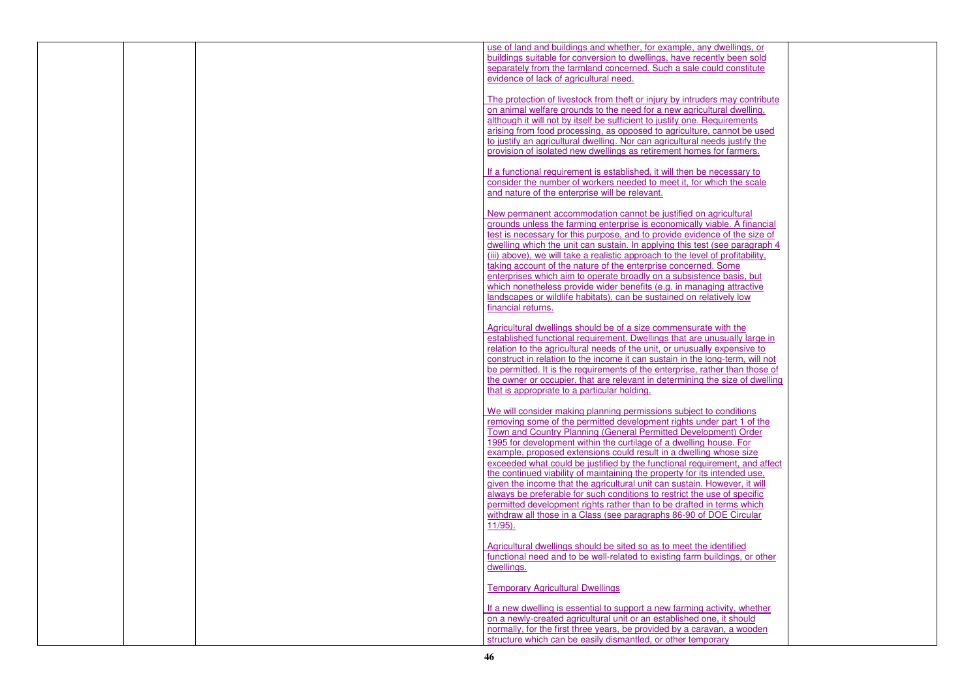| ngs, or<br><u>en sold</u><br>stitute                                                                                                   |  |  |
|----------------------------------------------------------------------------------------------------------------------------------------|--|--|
| contribute<br>velling,<br><b>nents</b><br>t be used<br>stify the<br>mers.                                                              |  |  |
| <u>ary to</u><br><u>e scale</u>                                                                                                        |  |  |
| <u>ural</u><br><i><u><b>financial</b></u></i><br>ne size of<br>aragraph 4<br>tability,<br><u>.</u><br>is, but<br>ractive<br><u>low</u> |  |  |
| <u>ne</u><br>y large in<br>sive to<br>n, will not<br>n those of<br>of dwelling                                                         |  |  |
| <u>tions</u><br>$1$ of the<br>Order<br><u>For</u><br>size<br>and affect<br><u>ed use,</u><br>r, it will<br>pecific<br>which<br>rcular  |  |  |
| <u>əd</u><br>s, or other                                                                                                               |  |  |
| whether<br>ould<br><u>wooden</u>                                                                                                       |  |  |

use of land and buildings and whether, for example, any dwelling buildings suitable for conversion to dwellings, have recently been separately from the farmland concerned. Such a sale could constitution evidence of lack of agricultural need.

The protection of livestock from theft or injury by intruders may on animal welfare grounds to the need for a new agricultural dwell although it will not by itself be sufficient to justify one. Requirem arising from food processing, as opposed to agriculture, cannot to justify an agricultural dwelling. Nor can agricultural needs just provision of isolated new dwellings as retirement homes for farmers.

If a functional requirement is established, it will then be necessary consider the number of workers needed to meet it, for which the and nature of the enterprise will be relevant.

New permanent accommodation cannot be justified on agricultural grounds unless the farming enterprise is economically viable. A test is necessary for this purpose, and to provide evidence of the dwelling which the unit can sustain. In applying this test (see parallel) (iii) above), we will take a realistic approach to the level of profit taking account of the nature of the enterprise concerned. Some enterprises which aim to operate broadly on a subsistence basis which nonetheless provide wider benefits (e.g. in managing attractive landscapes or wildlife habitats), can be sustained on relatively financial returns.

Agricultural dwellings should be of a size commensurate with the established functional requirement. Dwellings that are unusuall relation to the agricultural needs of the unit, or unusually expensive to construct in relation to the income it can sustain in the long-term be permitted. It is the requirements of the enterprise, rather than the owner or occupier, that are relevant in determining the size that is appropriate to a particular holding.

We will consider making planning permissions subject to condit removing some of the permitted development rights under part Town and Country Planning (General Permitted Development) 1995 for development within the curtilage of a dwelling house. example, proposed extensions could result in a dwelling whose exceeded what could be justified by the functional requirement the continued viability of maintaining the property for its intende given the income that the agricultural unit can sustain. However, always be preferable for such conditions to restrict the use of specified permitted development rights rather than to be drafted in terms withdraw all those in a Class (see paragraphs 86-90 of DOE Circular 1 11/95).

Agricultural dwellings should be sited so as to meet the identified functional need and to be well-related to existing farm buildings dwellings.

If a new dwelling is essential to support a new farming activity. on a newly-created agricultural unit or an established one, it should normally, for the first three years, be provided by a caravan, a y structure which can be easily dismantled, or other temporary

Temporary Agricultural Dwellings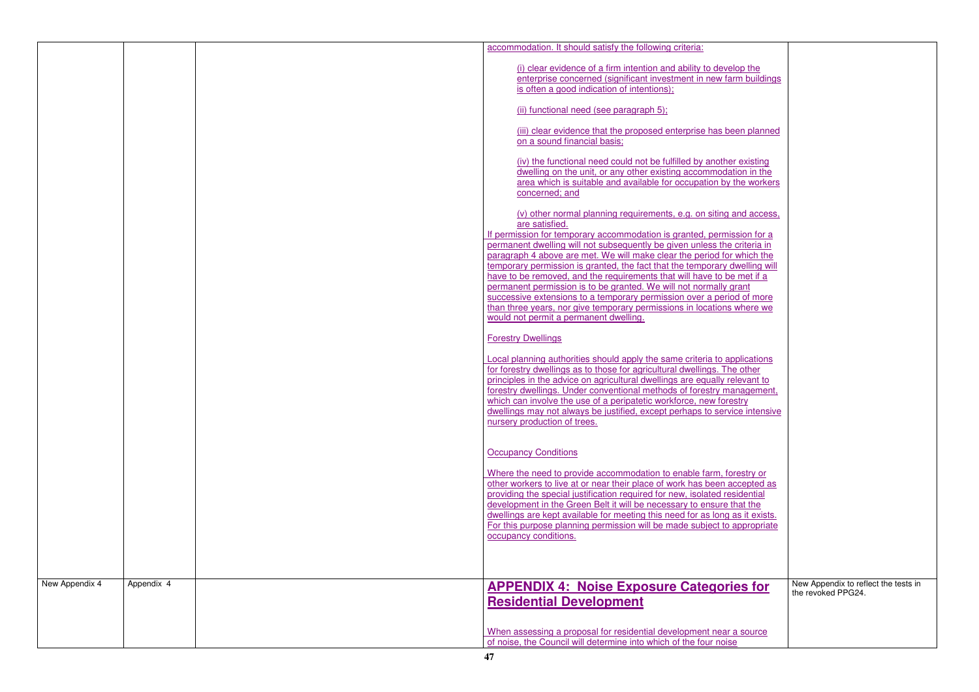|                |            | accommodation. It should satisfy the following criteria:                                                                                                                                                                                                                                                                                                                                                                                                                                                                                                                                                                                                                                                                                       |
|----------------|------------|------------------------------------------------------------------------------------------------------------------------------------------------------------------------------------------------------------------------------------------------------------------------------------------------------------------------------------------------------------------------------------------------------------------------------------------------------------------------------------------------------------------------------------------------------------------------------------------------------------------------------------------------------------------------------------------------------------------------------------------------|
|                |            | (i) clear evidence of a firm intention and ability to develop the<br>enterprise concerned (significant investment in new farm buildings<br>is often a good indication of intentions);                                                                                                                                                                                                                                                                                                                                                                                                                                                                                                                                                          |
|                |            | (ii) functional need (see paragraph 5);                                                                                                                                                                                                                                                                                                                                                                                                                                                                                                                                                                                                                                                                                                        |
|                |            | (iii) clear evidence that the proposed enterprise has been planned<br>on a sound financial basis;                                                                                                                                                                                                                                                                                                                                                                                                                                                                                                                                                                                                                                              |
|                |            | (iv) the functional need could not be fulfilled by another existing<br>dwelling on the unit, or any other existing accommodation in the<br>area which is suitable and available for occupation by the workers<br>concerned; and                                                                                                                                                                                                                                                                                                                                                                                                                                                                                                                |
|                |            | (v) other normal planning requirements, e.g. on siting and access,<br>are satisfied.<br>If permission for temporary accommodation is granted, permission for a<br>permanent dwelling will not subsequently be given unless the criteria in<br>paragraph 4 above are met. We will make clear the period for which the<br>temporary permission is granted, the fact that the temporary dwelling will<br>have to be removed, and the requirements that will have to be met if a<br>permanent permission is to be granted. We will not normally grant<br>successive extensions to a temporary permission over a period of more<br>than three years, nor give temporary permissions in locations where we<br>would not permit a permanent dwelling. |
|                |            | <b>Forestry Dwellings</b>                                                                                                                                                                                                                                                                                                                                                                                                                                                                                                                                                                                                                                                                                                                      |
|                |            | Local planning authorities should apply the same criteria to applications<br>for forestry dwellings as to those for agricultural dwellings. The other<br>principles in the advice on agricultural dwellings are equally relevant to<br>forestry dwellings. Under conventional methods of forestry management,<br>which can involve the use of a peripatetic workforce, new forestry<br>dwellings may not always be justified, except perhaps to service intensive<br>nursery production of trees.                                                                                                                                                                                                                                              |
|                |            | <b>Occupancy Conditions</b>                                                                                                                                                                                                                                                                                                                                                                                                                                                                                                                                                                                                                                                                                                                    |
|                |            | Where the need to provide accommodation to enable farm, forestry or<br>other workers to live at or near their place of work has been accepted as<br>providing the special justification required for new, isolated residential<br>development in the Green Belt it will be necessary to ensure that the<br>dwellings are kept available for meeting this need for as long as it exists.<br>For this purpose planning permission will be made subject to appropriate<br>occupancy conditions.                                                                                                                                                                                                                                                   |
| New Appendix 4 | Appendix 4 |                                                                                                                                                                                                                                                                                                                                                                                                                                                                                                                                                                                                                                                                                                                                                |
|                |            | <b>APPENDIX 4: Noise Exposure Categories for</b><br><b>Residential Development</b>                                                                                                                                                                                                                                                                                                                                                                                                                                                                                                                                                                                                                                                             |
|                |            | When assessing a proposal for residential development near a source<br>of noise, the Council will determine into which of the four noise                                                                                                                                                                                                                                                                                                                                                                                                                                                                                                                                                                                                       |

| p the<br>buildings                                                                                                     |                                                            |
|------------------------------------------------------------------------------------------------------------------------|------------------------------------------------------------|
| n planned                                                                                                              |                                                            |
| existing<br><u>on in the</u><br>e workers                                                                              |                                                            |
| d access,<br><u>ion for a</u><br>riteria in<br>hich the<br>elling will<br>net if a<br><u>ant</u><br>of more<br>here we |                                                            |
| <b>lications</b><br>other<br><b>evant to</b><br>agement,<br><u>ry</u><br>e intensive                                   |                                                            |
| <u>stry or</u><br><u>epted as</u><br><u>dential</u><br>at the<br><u>it exists.</u><br>propriate                        |                                                            |
| <u>s for</u>                                                                                                           | New Appendix to reflect the tests in<br>the revoked PPG24. |
| <u>source</u>                                                                                                          |                                                            |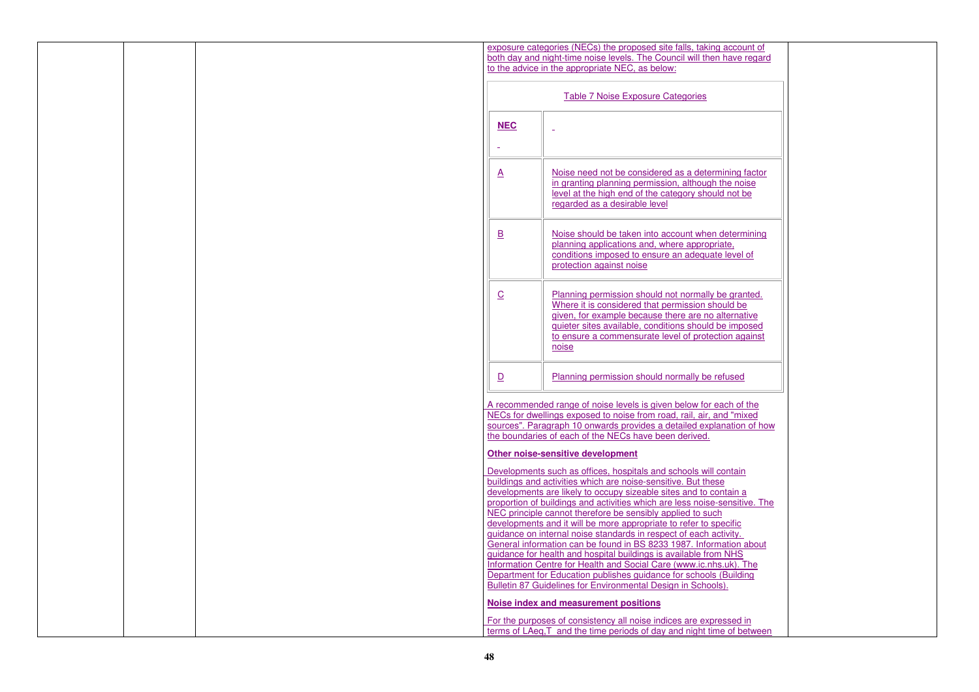|                          | exposure categories (NECs) the proposed site falls, taking account of      |  |
|--------------------------|----------------------------------------------------------------------------|--|
|                          | both day and night-time noise levels. The Council will then have regard    |  |
|                          | to the advice in the appropriate NEC, as below:                            |  |
|                          |                                                                            |  |
|                          |                                                                            |  |
|                          | <b>Table 7 Noise Exposure Categories</b>                                   |  |
|                          |                                                                            |  |
|                          |                                                                            |  |
| <b>NEC</b>               |                                                                            |  |
|                          |                                                                            |  |
|                          |                                                                            |  |
|                          |                                                                            |  |
|                          |                                                                            |  |
| $\underline{A}$          | Noise need not be considered as a determining factor                       |  |
|                          | in granting planning permission, although the noise                        |  |
|                          | level at the high end of the category should not be                        |  |
|                          | regarded as a desirable level                                              |  |
|                          |                                                                            |  |
|                          |                                                                            |  |
| $\mathbf{B}$             | Noise should be taken into account when determining                        |  |
|                          | planning applications and, where appropriate,                              |  |
|                          | conditions imposed to ensure an adequate level of                          |  |
|                          | protection against noise                                                   |  |
|                          |                                                                            |  |
|                          |                                                                            |  |
| $\underline{\mathsf{C}}$ | Planning permission should not normally be granted.                        |  |
|                          | Where it is considered that permission should be                           |  |
|                          | given, for example because there are no alternative                        |  |
|                          | quieter sites available, conditions should be imposed                      |  |
|                          | to ensure a commensurate level of protection against                       |  |
|                          | noise                                                                      |  |
|                          |                                                                            |  |
|                          |                                                                            |  |
| $\mathbf{D}$             | Planning permission should normally be refused                             |  |
|                          |                                                                            |  |
|                          |                                                                            |  |
|                          | A recommended range of noise levels is given below for each of the         |  |
|                          | NECs for dwellings exposed to noise from road, rail, air, and "mixed       |  |
|                          | sources". Paragraph 10 onwards provides a detailed explanation of how      |  |
|                          | the boundaries of each of the NECs have been derived.                      |  |
|                          |                                                                            |  |
|                          | Other noise-sensitive development                                          |  |
|                          | Developments such as offices, hospitals and schools will contain           |  |
|                          | buildings and activities which are noise-sensitive. But these              |  |
|                          | developments are likely to occupy sizeable sites and to contain a          |  |
|                          | proportion of buildings and activities which are less noise-sensitive. The |  |
|                          | NEC principle cannot therefore be sensibly applied to such                 |  |
|                          |                                                                            |  |
|                          | developments and it will be more appropriate to refer to specific          |  |
|                          | guidance on internal noise standards in respect of each activity.          |  |
|                          | General information can be found in BS 8233 1987. Information about        |  |
|                          | guidance for health and hospital buildings is available from NHS           |  |
|                          | Information Centre for Health and Social Care (www.ic.nhs.uk). The         |  |
|                          | Department for Education publishes guidance for schools (Building          |  |
|                          | Bulletin 87 Guidelines for Environmental Design in Schools).               |  |
|                          |                                                                            |  |
|                          | <b>Noise index and measurement positions</b>                               |  |
|                          | For the purposes of consistency all noise indices are expressed in         |  |
|                          | terms of LAeq, T and the time periods of day and night time of between     |  |
|                          |                                                                            |  |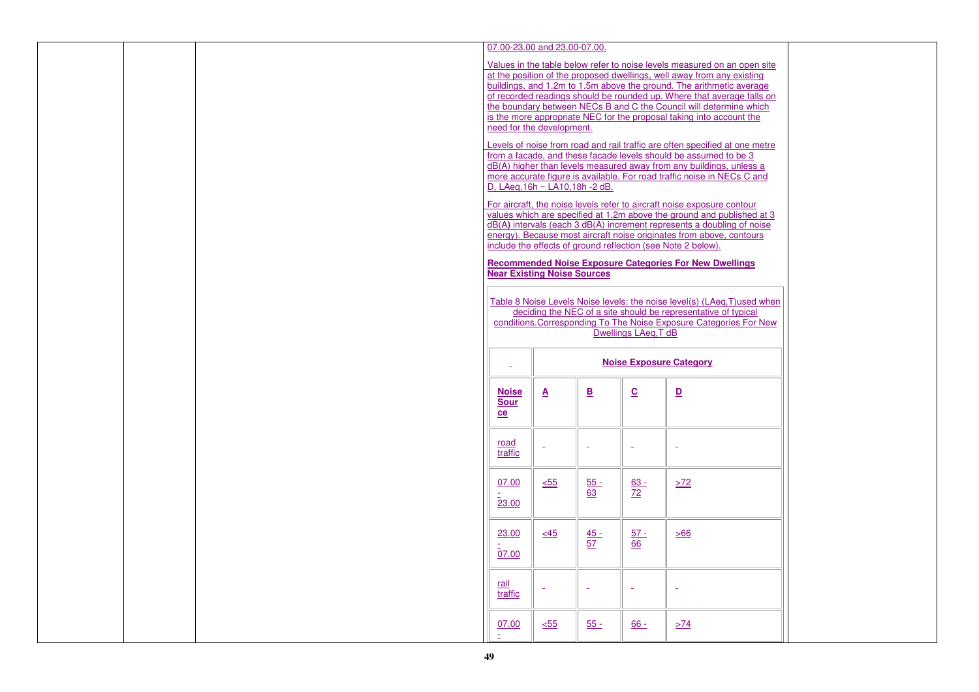|                                     | 07.00-23.00 and 23.00-07.00.       |                         |                         |                                                                                                                                                                                                                                                                                                                                                                                                                                                    |
|-------------------------------------|------------------------------------|-------------------------|-------------------------|----------------------------------------------------------------------------------------------------------------------------------------------------------------------------------------------------------------------------------------------------------------------------------------------------------------------------------------------------------------------------------------------------------------------------------------------------|
|                                     | need for the development.          |                         |                         | Values in the table below refer to noise levels measured on an open site<br>at the position of the proposed dwellings, well away from any existing<br>buildings, and 1.2m to 1.5m above the ground. The arithmetic average<br>of recorded readings should be rounded up. Where that average falls on<br>the boundary between NECs B and C the Council will determine which<br>is the more appropriate NEC for the proposal taking into account the |
|                                     | D, LAeg, 16h ~ LA10, 18h - 2 dB.   |                         |                         | Levels of noise from road and rail traffic are often specified at one metre<br>from a facade, and these facade levels should be assumed to be 3<br>dB(A) higher than levels measured away from any buildings, unless a<br>more accurate figure is available. For road traffic noise in NECs C and                                                                                                                                                  |
|                                     |                                    |                         |                         | For aircraft, the noise levels refer to aircraft noise exposure contour<br>values which are specified at 1.2m above the ground and published at 3<br>dB(A) intervals (each 3 dB(A) increment represents a doubling of noise<br>energy). Because most aircraft noise originates from above, contours<br>include the effects of ground reflection (see Note 2 below).                                                                                |
|                                     | <b>Near Existing Noise Sources</b> |                         |                         | <b>Recommended Noise Exposure Categories For New Dwellings</b>                                                                                                                                                                                                                                                                                                                                                                                     |
|                                     |                                    |                         | Dwellings LAeg, T dB    | Table 8 Noise Levels Noise levels: the noise level(s) (LAeq, T) used when<br>deciding the NEC of a site should be representative of typical<br>conditions. Corresponding To The Noise Exposure Categories For New                                                                                                                                                                                                                                  |
|                                     |                                    |                         |                         | <b>Noise Exposure Category</b>                                                                                                                                                                                                                                                                                                                                                                                                                     |
| <b>Noise</b><br><b>Sour</b><br>$ce$ | $\triangle$                        | $\overline{\mathbf{B}}$ | $\overline{\mathbf{c}}$ | $\overline{\mathbf{D}}$                                                                                                                                                                                                                                                                                                                                                                                                                            |
| road<br>traffic                     | $\sim$                             | $\sim$                  | $\sim$                  | $\sim$                                                                                                                                                                                                                                                                                                                                                                                                                                             |
| 07.00<br>23.00                      | $\leq 55$                          | $\frac{55}{63}$         | $\frac{63}{72}$         | $\geq$ $\frac{72}{2}$                                                                                                                                                                                                                                                                                                                                                                                                                              |
| 23.00<br>07.00                      | $\leq 45$                          | $\frac{45}{57}$         | $57 -$<br>66            | $\geq 66$                                                                                                                                                                                                                                                                                                                                                                                                                                          |
|                                     | $\sim$                             | $\sim$                  | $\sim$                  | $\sim$                                                                                                                                                                                                                                                                                                                                                                                                                                             |
| rail<br>traffic                     |                                    |                         |                         |                                                                                                                                                                                                                                                                                                                                                                                                                                                    |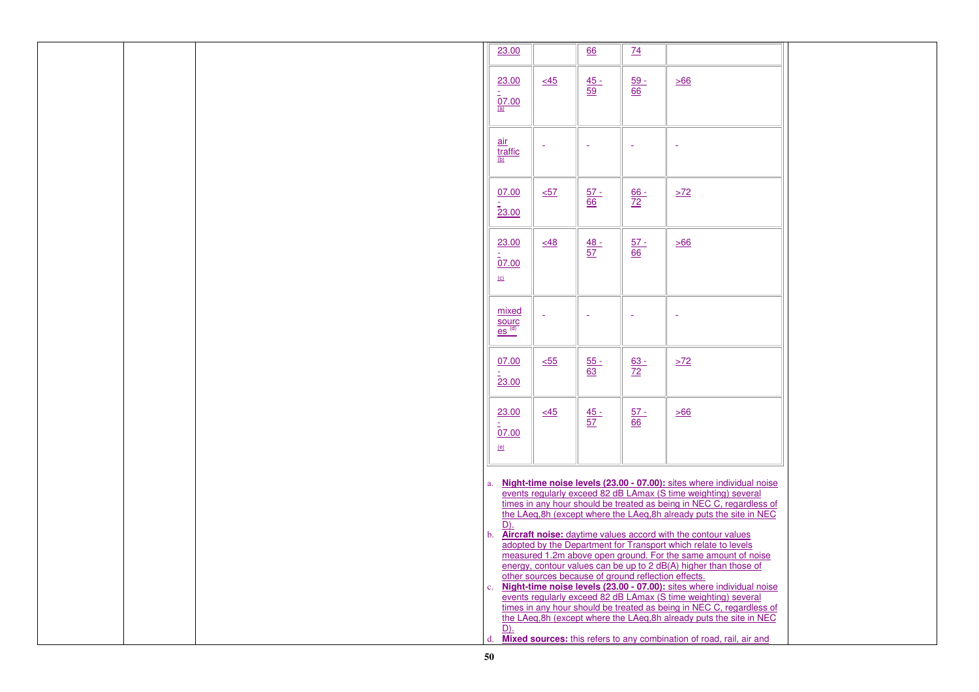|  | 23.00                                                         |                                                     | <u>66</u>       | $\frac{74}{1}$  |                                                                                                                                                                                                                                                                                                                                                                                                                                                                                                                                                                                                                                                                                                                                                                                                                                                                                                                                           |  |
|--|---------------------------------------------------------------|-----------------------------------------------------|-----------------|-----------------|-------------------------------------------------------------------------------------------------------------------------------------------------------------------------------------------------------------------------------------------------------------------------------------------------------------------------------------------------------------------------------------------------------------------------------------------------------------------------------------------------------------------------------------------------------------------------------------------------------------------------------------------------------------------------------------------------------------------------------------------------------------------------------------------------------------------------------------------------------------------------------------------------------------------------------------------|--|
|  | 23.00<br>$\frac{07.00}{(a)}$                                  | $\leq 45$                                           | $\frac{45}{59}$ | $\frac{59}{66}$ | 566                                                                                                                                                                                                                                                                                                                                                                                                                                                                                                                                                                                                                                                                                                                                                                                                                                                                                                                                       |  |
|  | air<br>traffic<br><u>(b)</u>                                  | $\sim$                                              | $\sim$          | $\sim$          | $\sim$                                                                                                                                                                                                                                                                                                                                                                                                                                                                                                                                                                                                                                                                                                                                                                                                                                                                                                                                    |  |
|  | 07.00<br>23.00                                                | $\leq 57$                                           | $\frac{57}{66}$ | $\frac{66}{72}$ | $\geq$ 72                                                                                                                                                                                                                                                                                                                                                                                                                                                                                                                                                                                                                                                                                                                                                                                                                                                                                                                                 |  |
|  | 23.00<br>07.00<br><u>(c)</u>                                  | $\leq 48$                                           | $\frac{48}{57}$ | $\frac{57}{66}$ | $\geq 66$                                                                                                                                                                                                                                                                                                                                                                                                                                                                                                                                                                                                                                                                                                                                                                                                                                                                                                                                 |  |
|  | mixed<br>$\underbrace{\frac{\text{source}}{\text{es}^{(d)}}}$ | $\sim$                                              | $\sim$          | $\sim$          | $\sim$                                                                                                                                                                                                                                                                                                                                                                                                                                                                                                                                                                                                                                                                                                                                                                                                                                                                                                                                    |  |
|  | 07.00<br>23.00                                                | $\leq 55$                                           | $\frac{55}{63}$ | $\frac{63}{72}$ | >72                                                                                                                                                                                                                                                                                                                                                                                                                                                                                                                                                                                                                                                                                                                                                                                                                                                                                                                                       |  |
|  | 23.00<br>07.00<br>(e)                                         | $\leq 45$                                           | $\frac{45}{57}$ | $\frac{57}{66}$ | $\geq 66$                                                                                                                                                                                                                                                                                                                                                                                                                                                                                                                                                                                                                                                                                                                                                                                                                                                                                                                                 |  |
|  | a.<br>b.<br>$\mathbf{c}$ .<br>$D$ ).                          | other sources because of ground reflection effects. |                 |                 | Night-time noise levels (23.00 - 07.00): sites where individual noise<br>events regularly exceed 82 dB LAmax (S time weighting) several<br>times in any hour should be treated as being in NEC C, regardless of<br>the LAeq, 8h (except where the LAeq, 8h already puts the site in NEC<br><b>Aircraft noise:</b> daytime values accord with the contour values<br>adopted by the Department for Transport which relate to levels<br>measured 1.2m above open ground. For the same amount of noise<br>energy, contour values can be up to 2 dB(A) higher than those of<br>Night-time noise levels (23.00 - 07.00): sites where individual noise<br>events regularly exceed 82 dB LAmax (S time weighting) several<br>times in any hour should be treated as being in NEC C, regardless of<br>the LAeq, 8h (except where the LAeq, 8h already puts the site in NEC<br>Mixed sources: this refers to any combination of road, rail, air and |  |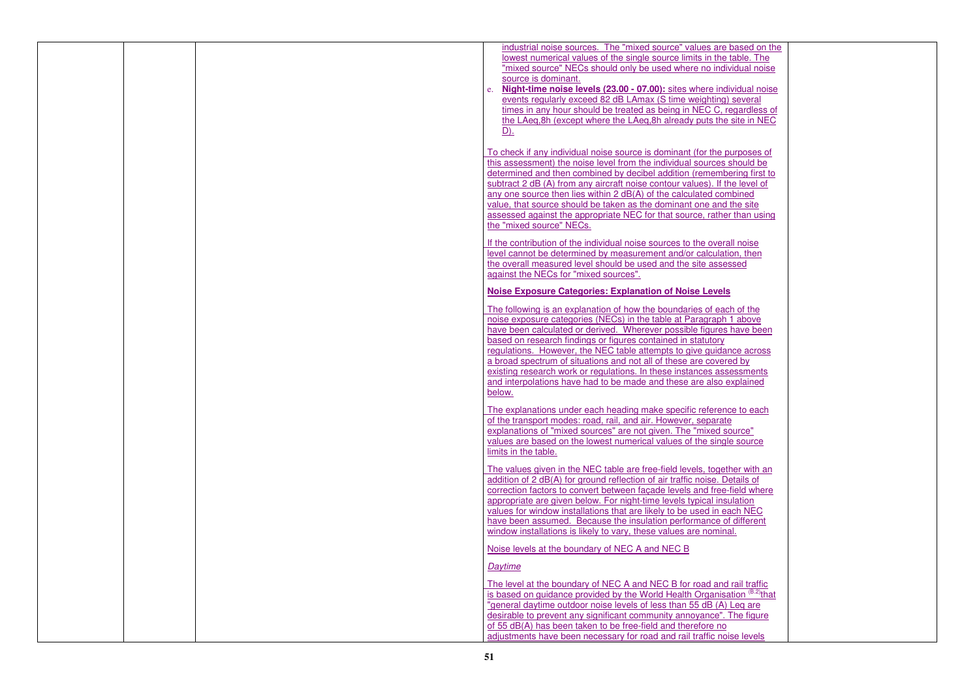|  | industrial noise sources. The "mixed source" values are based on the<br>lowest numerical values of the single source limits in the table. The<br>"mixed source" NECs should only be used where no individual noise<br>source is dominant.<br>Night-time noise levels (23.00 - 07.00): sites where individual noise<br>events regularly exceed 82 dB LAmax (S time weighting) several<br>times in any hour should be treated as being in NEC C, regardless of<br>the LAeq, 8h (except where the LAeq, 8h already puts the site in NEC<br><u>D).</u>                                         |
|--|--------------------------------------------------------------------------------------------------------------------------------------------------------------------------------------------------------------------------------------------------------------------------------------------------------------------------------------------------------------------------------------------------------------------------------------------------------------------------------------------------------------------------------------------------------------------------------------------|
|  | To check if any individual noise source is dominant (for the purposes of<br>this assessment) the noise level from the individual sources should be<br>determined and then combined by decibel addition (remembering first to<br>subtract 2 dB (A) from any aircraft noise contour values). If the level of<br>any one source then lies within 2 dB(A) of the calculated combined<br>value, that source should be taken as the dominant one and the site<br>assessed against the appropriate NEC for that source, rather than using<br>the "mixed source" NECs.                             |
|  | If the contribution of the individual noise sources to the overall noise<br>level cannot be determined by measurement and/or calculation, then<br>the overall measured level should be used and the site assessed<br>against the NECs for "mixed sources".<br><b>Noise Exposure Categories: Explanation of Noise Levels</b>                                                                                                                                                                                                                                                                |
|  | The following is an explanation of how the boundaries of each of the<br>noise exposure categories (NECs) in the table at Paragraph 1 above<br>have been calculated or derived. Wherever possible figures have been<br>based on research findings or figures contained in statutory<br>regulations. However, the NEC table attempts to give guidance across<br>a broad spectrum of situations and not all of these are covered by<br>existing research work or regulations. In these instances assessments<br>and interpolations have had to be made and these are also explained<br>below. |
|  | The explanations under each heading make specific reference to each<br>of the transport modes: road, rail, and air. However, separate<br>explanations of "mixed sources" are not given. The "mixed source"<br>values are based on the lowest numerical values of the single source<br>limits in the table.                                                                                                                                                                                                                                                                                 |
|  | The values given in the NEC table are free-field levels, together with an<br>addition of 2 dB(A) for ground reflection of air traffic noise. Details of<br>correction factors to convert between facade levels and free-field where<br>appropriate are given below. For night-time levels typical insulation<br>values for window installations that are likely to be used in each NEC<br>have been assumed. Because the insulation performance of different<br>window installations is likely to vary, these values are nominal.                                                          |
|  | Noise levels at the boundary of NEC A and NEC B                                                                                                                                                                                                                                                                                                                                                                                                                                                                                                                                            |
|  | Daytime                                                                                                                                                                                                                                                                                                                                                                                                                                                                                                                                                                                    |
|  | The level at the boundary of NEC A and NEC B for road and rail traffic<br>is based on guidance provided by the World Health Organisation $(B.2)$ that<br>"general daytime outdoor noise levels of less than 55 dB (A) Leg are<br>desirable to prevent any significant community annoyance". The figure<br>of 55 dB(A) has been taken to be free-field and therefore no<br>adjustments have been necessary for road and rail traffic noise levels                                                                                                                                           |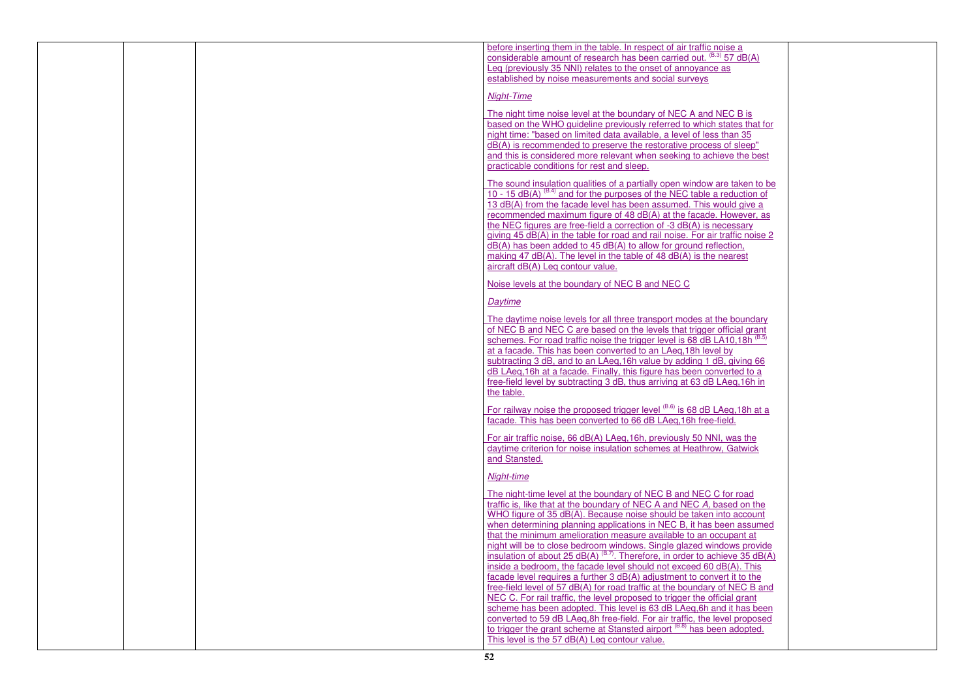| <u>a</u><br>AB(A)                                                                                                                                                                           |  |  |
|---------------------------------------------------------------------------------------------------------------------------------------------------------------------------------------------|--|--|
| <u>3 is</u><br>s that for<br>$\overline{35}$<br>leep"<br>he best                                                                                                                            |  |  |
| ken to be<br>ction of<br><u>give a</u><br>ever, as<br><u>sary</u><br><u>c noise 2</u><br><u>ı</u><br><u>st</u>                                                                              |  |  |
| undary<br>al grant<br>$18h^{(B.5)}$<br>$\frac{1}{1}$<br><u>d to a</u><br>$16h$ in                                                                                                           |  |  |
| <u>I8h at a</u><br>s the<br><u>twick</u>                                                                                                                                                    |  |  |
| <u>oad</u><br>on the<br>ccount<br><u>assumed</u><br><u>nt at</u><br>provide<br>35 dB(A)<br>. This<br>to the<br>C B and<br><u><b>rant</b></u><br><u>ias been</u><br><u>roposed</u><br>opted. |  |  |

before inserting them in the table. In respect of air traffic noise a considerable amount of research has been carried out. <sup>(B.3)</sup> 57 d Leq (previously 35 NNI) relates to the onset of annoyance as established by noise measurements and social surveys

## Night-Time

The night time noise level at the boundary of NEC A and NEC **E** based on the WHO quideline previously referred to which states night time: "based on limited data available, a level of less than 35  $dB(A)$  is recommended to preserve the restorative process of sl and this is considered more relevant when seeking to achieve the best and this is considered more relevant practicable conditions for rest and sleep.

The sound insulation qualities of a partially open window are taken 10 - 15  $dB(A)$ <sup> $(B.4)$ </sup> and for the purposes of the NEC table a reduction- $13$  dB(A) from the facade level has been assumed. This would recommended maximum figure of 48 dB(A) at the facade. Howe the NEC figures are free-field a correction of  $-3$  dB(A) is necess giving  $45$  dB(A) in the table for road and rail noise. For air traffic dB(A) has been added to 45 dB(A) to allow for ground reflection making 47  $dB(A)$ . The level in the table of 48  $dB(A)$  is the neare aircraft dB(A) Leq contour value.

The daytime noise levels for all three transport modes at the bo of NEC B and NEC C are based on the levels that trigger official schemes. For road traffic noise the trigger level is 68 dB LA10. at a facade. This has been converted to an LAeq,18h level by subtracting 3 dB, and to an LAeq,16h value by adding 1 dB, giving 66 dB LAeg, 16h at a facade. Finally, this figure has been converted free-field level by subtracting 3 dB, thus arriving at 63 dB LAeg, the table.

For railway noise the proposed trigger level  $(B.6)$  is 68 dB LAeq,1 facade. This has been converted to 66 dB LAeq,16h free-field.

For air traffic noise, 66 dB(A) LAeg, 16h, previously 50 NNI, was daytime criterion for noise insulation schemes at Heathrow, Gat and Stansted.

Noise levels at the boundary of NEC B and NEC C

## **Davtime**

The night-time level at the boundary of NEC B and NEC C for road traffic is, like that at the boundary of NEC A and NEC A, based WHO figure of  $35$  dB(A). Because noise should be taken into account when determining planning applications in NEC B, it has been as that the minimum amelioration measure available to an occupant night will be to close bedroom windows. Single glazed windows insulation of about 25 dB(A)  $^{(B.7)}$ . Therefore, in order to achieve inside a bedroom, the facade level should not exceed  $60$  dB $(A)$ . facade level requires a further 3 dB(A) adjustment to convert it free-field level of 57  $dB(A)$  for road traffic at the boundary of NE NEC C. For rail traffic, the level proposed to trigger the official grants scheme has been adopted. This level is 63 dB LAeq, 6h and it h converted to 59 dB LAeg.8h free-field. For air traffic, the level proposed to trigger the grant scheme at Stansted airport  $(B.8)$  has been ade This level is the 57 dB(A) Leq contour value.

# Night-time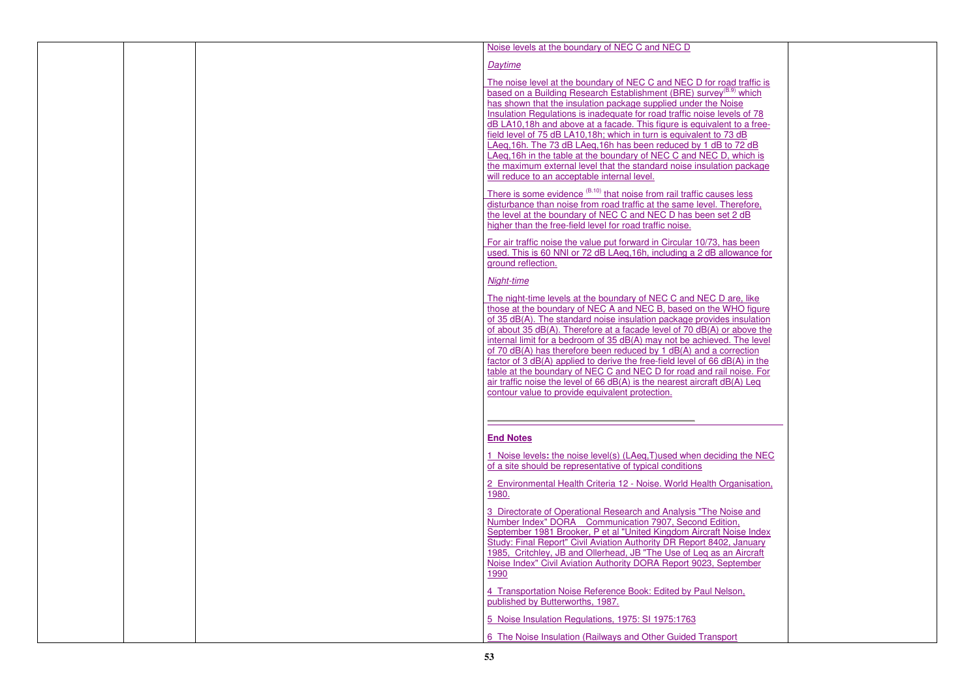| traffic is<br><u>which</u>                                                                                               |  |
|--------------------------------------------------------------------------------------------------------------------------|--|
| $\frac{12}{100}$<br>b a free-<br>$\frac{1}{100}$<br>$\overline{2}$ dB<br>hich is<br>ackage                               |  |
| <u>ess</u><br><u>efore,</u><br>$\overline{\mathsf{dB}}$                                                                  |  |
| <u>been</u><br>ance for                                                                                                  |  |
| <u>, like</u><br>O figure<br>sulation<br><b>pove the</b><br>he level<br>ction<br>$\lambda$ ) in the<br>ise. For<br>) Leq |  |
|                                                                                                                          |  |
| the NEC                                                                                                                  |  |
| nisation,                                                                                                                |  |
| <u>e and</u>                                                                                                             |  |
| e Index<br>anuary<br><u>ircraft</u><br>mber                                                                              |  |
| <u>٦.</u>                                                                                                                |  |
|                                                                                                                          |  |

## Noise levels at the boundary of NEC C and NEC D

## **Daytime**

The noise level at the boundary of NEC C and NEC D for road to based on a Building Research Establishment (BRE) survey<sup> $(B,9)$ </sup> has shown that the insulation package supplied under the Noise Insulation Regulations is inadequate for road traffic noise levels dB LA10,18h and above at a facade. This figure is equivalent to field level of 75 dB LA10,18h; which in turn is equivalent to 73 d LAeg, 16h. The 73 dB LAeg, 16h has been reduced by 1 dB to 7. LAeq,16h in the table at the boundary of NEC C and NEC D, wh the maximum external level that the standard noise insulation packwill reduce to an acceptable internal level.

There is some evidence  $(B.10)$  that noise from rail traffic causes less disturbance than noise from road traffic at the same level. There the level at the boundary of NEC C and NEC D has been set 2 higher than the free-field level for road traffic noise.

For air traffic noise the value put forward in Circular 10/73, has been used. This is 60 NNI or 72 dB LAeg, 16h, including a 2 dB allowa ground reflection.

The night-time levels at the boundary of NEC C and NEC D are those at the boundary of NEC A and NEC B, based on the WHO of 35 dB(A). The standard noise insulation package provides instanced of about 35  $dB(A)$ . Therefore at a facade level of 70  $dB(A)$  or about 35 internal limit for a bedroom of 35 dB(A) may not be achieved. The level of of 70  $dB(A)$  has therefore been reduced by 1  $dB(A)$  and a correction factor of 3  $dB(A)$  applied to derive the free-field level of 66  $dB(A)$ table at the boundary of NEC C and NEC D for road and rail nois air traffic noise the level of 66  $dB(A)$  is the nearest aircraft  $dB(A)$ contour value to provide equivalent protection.

## Night-time

1 Noise levels: the noise level(s) (LAeg, T) used when deciding of a site should be representative of typical conditions 2 Environmental Health Criteria 12 - Noise. World Health Organisation, 1980. 3 Directorate of Operational Research and Analysis "The Noise Number Index" DORA Communication 7907, Second Edition, September 1981 Brooker, P et al "United Kingdom Aircraft Noise Index Study: Final Report" Civil Aviation Authority DR Report 8402, January 1985, Critchley, JB and Ollerhead, JB "The Use of Leg as an A Noise Index" Civil Aviation Authority DORA Report 9023, Septe 19904 Transportation Noise Reference Book: Edited by Paul Nelson, published by Butterworths, 1987.5 Noise Insulation Regulations, 1975: SI 1975:1763

## **End Notes**

6 The Noise Insulation (Railways and Other Guided Transport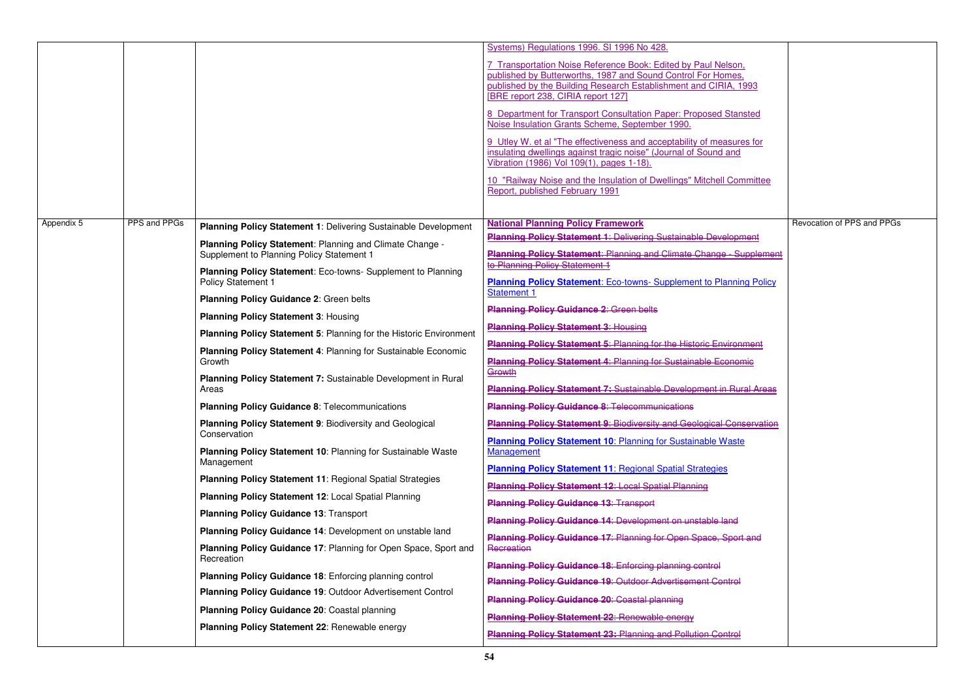|            |              |                                                                                                                                                                                                                                                                                     | Systems) Regulations 1996. SI 1996 No 428.                                                                                                                                             |                            |
|------------|--------------|-------------------------------------------------------------------------------------------------------------------------------------------------------------------------------------------------------------------------------------------------------------------------------------|----------------------------------------------------------------------------------------------------------------------------------------------------------------------------------------|----------------------------|
|            |              |                                                                                                                                                                                                                                                                                     | Transportation Noise Reference Book: Edited by Paul Nelson,<br>published by Butterworths, 1987 and Sound Control For Homes,                                                            |                            |
|            |              |                                                                                                                                                                                                                                                                                     | published by the Building Research Establishment and CIRIA, 1993                                                                                                                       |                            |
|            |              |                                                                                                                                                                                                                                                                                     | [BRE report 238, CIRIA report 127]                                                                                                                                                     |                            |
|            |              |                                                                                                                                                                                                                                                                                     | 8 Department for Transport Consultation Paper: Proposed Stansted<br>Noise Insulation Grants Scheme, September 1990.                                                                    |                            |
|            |              |                                                                                                                                                                                                                                                                                     | 9 Utley W. et al "The effectiveness and acceptability of measures for<br>insulating dwellings against tragic noise" (Journal of Sound and<br>Vibration (1986) Vol 109(1), pages 1-18). |                            |
|            |              |                                                                                                                                                                                                                                                                                     | 10 "Railway Noise and the Insulation of Dwellings" Mitchell Committee<br>Report, published February 1991                                                                               |                            |
| Appendix 5 | PPS and PPGs | Planning Policy Statement 1: Delivering Sustainable Development                                                                                                                                                                                                                     | <b>National Planning Policy Framework</b>                                                                                                                                              | Revocation of PPS and PPGs |
|            |              |                                                                                                                                                                                                                                                                                     | <b>Planning Policy Statement 1: Delivering Sustainable Development</b>                                                                                                                 |                            |
|            |              | Planning Policy Statement: Planning and Climate Change -<br>Supplement to Planning Policy Statement 1                                                                                                                                                                               | <b>Planning Policy Statement: Planning and Climate Change - Supplement</b>                                                                                                             |                            |
|            |              | Planning Policy Statement: Eco-towns- Supplement to Planning                                                                                                                                                                                                                        | to Planning Policy Statement 1                                                                                                                                                         |                            |
|            |              | <b>Policy Statement 1</b><br><b>Planning Policy Guidance 2: Green belts</b><br><b>Planning Policy Statement 3: Housing</b><br><b>Planning Policy Statement 5: Planning for the Historic Environment</b><br>Planning Policy Statement 4: Planning for Sustainable Economic<br>Growth | <b>Planning Policy Statement:</b> Eco-towns- Supplement to Planning Policy                                                                                                             |                            |
|            |              |                                                                                                                                                                                                                                                                                     | <b>Statement 1</b>                                                                                                                                                                     |                            |
|            |              |                                                                                                                                                                                                                                                                                     | <b>Planning Policy Guidance 2: Green belts</b>                                                                                                                                         |                            |
|            |              |                                                                                                                                                                                                                                                                                     | <b>Planning Policy Statement 3: Housing</b>                                                                                                                                            |                            |
|            |              |                                                                                                                                                                                                                                                                                     | <b>Planning Policy Statement 5: Planning for the Historic Environment</b>                                                                                                              |                            |
|            |              |                                                                                                                                                                                                                                                                                     | Planning Policy Statement 4: Planning for Sustainable Economic                                                                                                                         |                            |
|            |              | Planning Policy Statement 7: Sustainable Development in Rural<br>Areas                                                                                                                                                                                                              | Growth<br><b>Planning Policy Statement 7: Sustainable Development in Rural Areas</b>                                                                                                   |                            |
|            |              | <b>Planning Policy Guidance 8: Telecommunications</b>                                                                                                                                                                                                                               | <b>Planning Policy Guidance 8: Telecommunications</b>                                                                                                                                  |                            |
|            |              | <b>Planning Policy Statement 9: Biodiversity and Geological</b><br>Conservation                                                                                                                                                                                                     | <b>Planning Policy Statement 9: Biodiversity and Geological Conservation</b>                                                                                                           |                            |
|            |              | <b>Planning Policy Statement 10: Planning for Sustainable Waste</b>                                                                                                                                                                                                                 | <b>Planning Policy Statement 10: Planning for Sustainable Waste</b><br><b>Management</b>                                                                                               |                            |
|            |              | Management                                                                                                                                                                                                                                                                          | <b>Planning Policy Statement 11: Regional Spatial Strategies</b>                                                                                                                       |                            |
|            |              | <b>Planning Policy Statement 11: Regional Spatial Strategies</b>                                                                                                                                                                                                                    | <b>Planning Policy Statement 12: Local Spatial Planning</b>                                                                                                                            |                            |
|            |              | <b>Planning Policy Statement 12: Local Spatial Planning</b>                                                                                                                                                                                                                         | <b>Planning Policy Guidance 13: Transport</b>                                                                                                                                          |                            |
|            |              | <b>Planning Policy Guidance 13: Transport</b>                                                                                                                                                                                                                                       | <b>Planning Policy Guidance 14: Development on unstable land</b>                                                                                                                       |                            |
|            |              | Planning Policy Guidance 14: Development on unstable land                                                                                                                                                                                                                           | Planning Policy Guidance 17: Planning for Open Space, Sport and                                                                                                                        |                            |
|            |              | Planning Policy Guidance 17: Planning for Open Space, Sport and<br>Recreation                                                                                                                                                                                                       | Recreation<br><b>Planning Policy Guidance 18: Enforcing planning control</b>                                                                                                           |                            |
|            |              | <b>Planning Policy Guidance 18: Enforcing planning control</b>                                                                                                                                                                                                                      | <b>Planning Policy Guidance 19: Outdoor Advertisement Control</b>                                                                                                                      |                            |
|            |              | <b>Planning Policy Guidance 19: Outdoor Advertisement Control</b><br><b>Planning Policy Guidance 20: Coastal planning</b><br>Planning Policy Statement 22: Renewable energy                                                                                                         | <b>Planning Policy Guidance 20: Coastal planning</b>                                                                                                                                   |                            |
|            |              |                                                                                                                                                                                                                                                                                     |                                                                                                                                                                                        |                            |
|            |              |                                                                                                                                                                                                                                                                                     | <b>Planning Policy Statement 22: Renewable energy</b>                                                                                                                                  |                            |
|            |              |                                                                                                                                                                                                                                                                                     | <b>Planning Policy Statement 23: Planning and Pollution Control</b>                                                                                                                    |                            |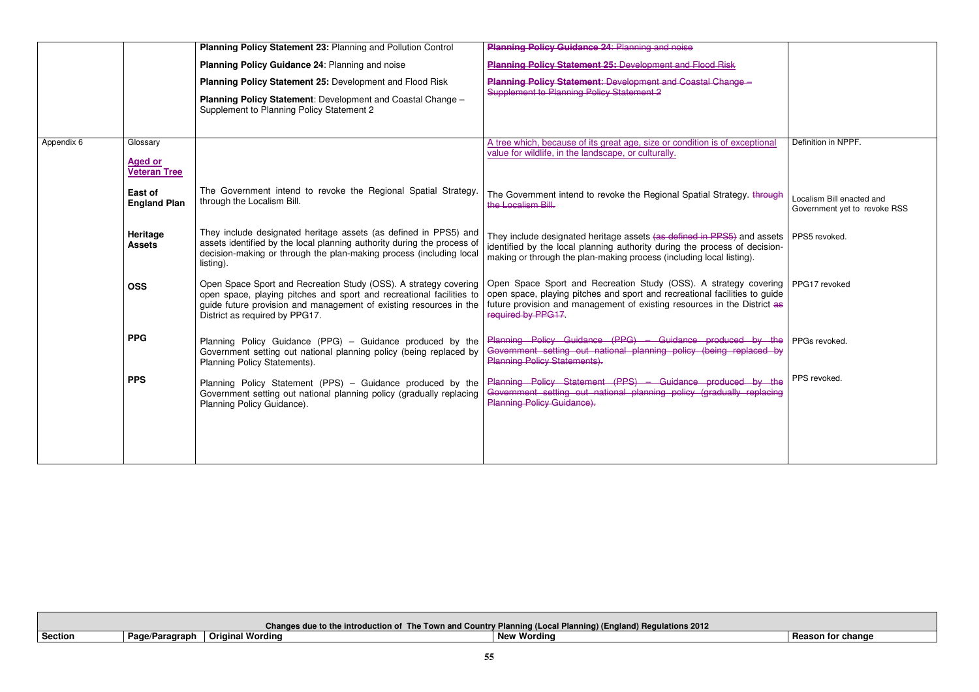| <b>Reason for change</b> |
|--------------------------|
|                          |

|            |                                       | Planning Policy Statement 23: Planning and Pollution Control                                                                                                                                                                                     | <b>Planning Policy Guidance 24: Planning and noise</b>                                                                                                                                                                                          |                                                           |
|------------|---------------------------------------|--------------------------------------------------------------------------------------------------------------------------------------------------------------------------------------------------------------------------------------------------|-------------------------------------------------------------------------------------------------------------------------------------------------------------------------------------------------------------------------------------------------|-----------------------------------------------------------|
|            |                                       | Planning Policy Guidance 24: Planning and noise                                                                                                                                                                                                  | <b>Planning Policy Statement 25: Development and Flood Risk</b>                                                                                                                                                                                 |                                                           |
|            |                                       | Planning Policy Statement 25: Development and Flood Risk                                                                                                                                                                                         | <b>Planning Policy Statement: Development and Coastal Change -</b>                                                                                                                                                                              |                                                           |
|            |                                       | Planning Policy Statement: Development and Coastal Change -<br>Supplement to Planning Policy Statement 2                                                                                                                                         | Supplement to Planning Policy Statement 2                                                                                                                                                                                                       |                                                           |
| Appendix 6 | Glossary                              |                                                                                                                                                                                                                                                  | A tree which, because of its great age, size or condition is of exceptional                                                                                                                                                                     | Definition in NPPF.                                       |
|            | <b>Aged or</b><br><b>Veteran Tree</b> |                                                                                                                                                                                                                                                  | value for wildlife, in the landscape, or culturally.                                                                                                                                                                                            |                                                           |
|            | East of<br><b>England Plan</b>        | The Government intend to revoke the Regional Spatial Strategy.<br>through the Localism Bill.                                                                                                                                                     | The Government intend to revoke the Regional Spatial Strategy. through<br>the Localism Bill.                                                                                                                                                    | Localism Bill enacted and<br>Government yet to revoke RSS |
|            | Heritage<br><b>Assets</b>             | They include designated heritage assets (as defined in PPS5) and<br>assets identified by the local planning authority during the process of<br>decision-making or through the plan-making process (including local<br>listing).                  | They include designated heritage assets (as defined in PPS5) and assets<br>identified by the local planning authority during the process of decision-<br>making or through the plan-making process (including local listing).                   | PPS5 revoked.                                             |
|            | <b>OSS</b>                            | Open Space Sport and Recreation Study (OSS). A strategy covering<br>open space, playing pitches and sport and recreational facilities to<br>guide future provision and management of existing resources in the<br>District as required by PPG17. | Open Space Sport and Recreation Study (OSS). A strategy covering<br>open space, playing pitches and sport and recreational facilities to guide<br>future provision and management of existing resources in the District as<br>required by PPG17 | PPG17 revoked                                             |
|            | <b>PPG</b>                            | Planning Policy Guidance (PPG) - Guidance produced by the<br>Government setting out national planning policy (being replaced by<br>Planning Policy Statements).                                                                                  | Planning Policy Guidance (PPG) - Guidance produced by the<br>Government setting out national planning policy (being replaced by<br><b>Planning Policy Statements).</b>                                                                          | PPGs revoked.                                             |
|            | <b>PPS</b>                            | Planning Policy Statement (PPS) - Guidance produced by the<br>Government setting out national planning policy (gradually replacing<br>Planning Policy Guidance).                                                                                 | Planning Policy Statement (PPS) - Guidance produced by the<br>Government setting out national planning policy (gradually replacing<br>Planning Policy Guidance).                                                                                | PPS revoked.                                              |
|            |                                       |                                                                                                                                                                                                                                                  |                                                                                                                                                                                                                                                 |                                                           |

|                |                | Changes due to the introduction of The Town and Country Planning (Local Planning) (England) Regulations 2012 |                    |                         |
|----------------|----------------|--------------------------------------------------------------------------------------------------------------|--------------------|-------------------------|
| <b>Section</b> | Page/Paragraph | <b>Original Wording</b>                                                                                      | <b>New Wording</b> | change<br><b>Reason</b> |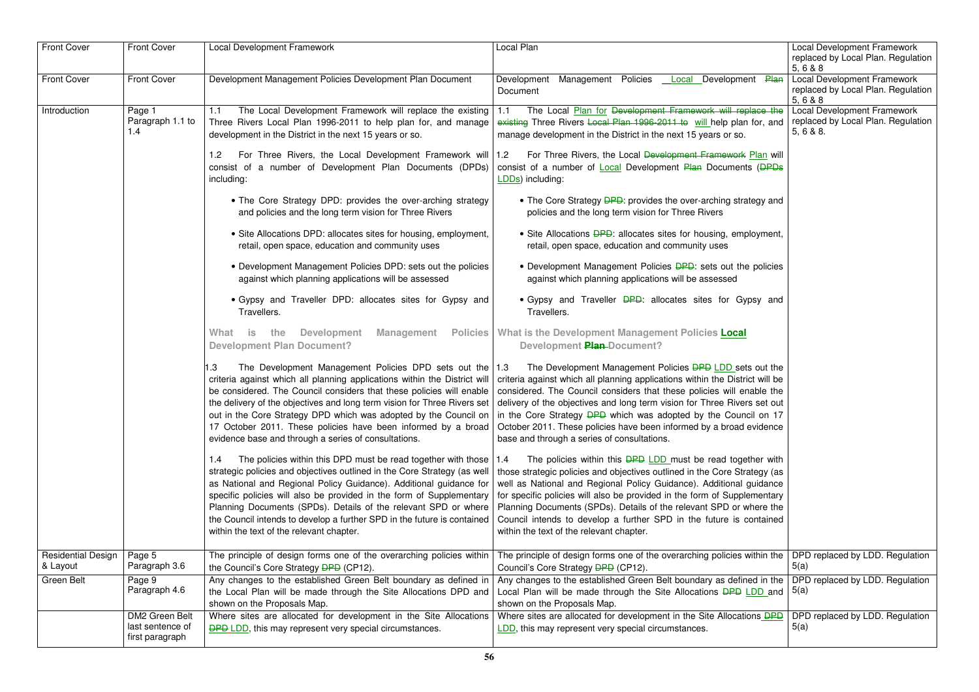| <b>Front Cover</b>                    | <b>Front Cover</b>                                    | Local Development Framework                                                                                                                                                                                                                                                                                                                                                                                                                                                                      | Local Plan                                                                                                                                                                                                                                                                                                                                                                                                                                                                                                                                                                                                                                                                                                                                                                                                                                                         | Local Development Framework<br>replaced by Local Plan. Regulation<br>5, 6 & 88         |
|---------------------------------------|-------------------------------------------------------|--------------------------------------------------------------------------------------------------------------------------------------------------------------------------------------------------------------------------------------------------------------------------------------------------------------------------------------------------------------------------------------------------------------------------------------------------------------------------------------------------|--------------------------------------------------------------------------------------------------------------------------------------------------------------------------------------------------------------------------------------------------------------------------------------------------------------------------------------------------------------------------------------------------------------------------------------------------------------------------------------------------------------------------------------------------------------------------------------------------------------------------------------------------------------------------------------------------------------------------------------------------------------------------------------------------------------------------------------------------------------------|----------------------------------------------------------------------------------------|
| <b>Front Cover</b>                    | <b>Front Cover</b>                                    | Development Management Policies Development Plan Document                                                                                                                                                                                                                                                                                                                                                                                                                                        | Development Management Policies<br>Local Development Plan<br>Document                                                                                                                                                                                                                                                                                                                                                                                                                                                                                                                                                                                                                                                                                                                                                                                              | <b>Local Development Framework</b><br>replaced by Local Plan. Regulation<br>5, 6 & 88  |
| Introduction                          | Page 1<br>Paragraph 1.1 to<br>1.4                     | The Local Development Framework will replace the existing 1.1<br>1.1<br>Three Rivers Local Plan 1996-2011 to help plan for, and manage<br>development in the District in the next 15 years or so.                                                                                                                                                                                                                                                                                                | The Local Plan for Development Framework will replace the<br>existing Three Rivers Local Plan 1996-2011 to will help plan for, and<br>manage development in the District in the next 15 years or so.                                                                                                                                                                                                                                                                                                                                                                                                                                                                                                                                                                                                                                                               | <b>Local Development Framework</b><br>replaced by Local Plan. Regulation<br>5, 6 & 8.8 |
|                                       |                                                       | For Three Rivers, the Local Development Framework will 1.2<br>1.2 <sub>2</sub><br>consist of a number of Development Plan Documents (DPDs)<br>including:                                                                                                                                                                                                                                                                                                                                         | For Three Rivers, the Local Development Framework Plan will<br>consist of a number of Local Development Plan Documents (DPDs<br>LDDs) including:                                                                                                                                                                                                                                                                                                                                                                                                                                                                                                                                                                                                                                                                                                                   |                                                                                        |
|                                       |                                                       | • The Core Strategy DPD: provides the over-arching strategy<br>and policies and the long term vision for Three Rivers                                                                                                                                                                                                                                                                                                                                                                            | • The Core Strategy <b>DPD</b> : provides the over-arching strategy and<br>policies and the long term vision for Three Rivers                                                                                                                                                                                                                                                                                                                                                                                                                                                                                                                                                                                                                                                                                                                                      |                                                                                        |
|                                       |                                                       | • Site Allocations DPD: allocates sites for housing, employment,<br>retail, open space, education and community uses                                                                                                                                                                                                                                                                                                                                                                             | • Site Allocations <b>DPD</b> : allocates sites for housing, employment,<br>retail, open space, education and community uses                                                                                                                                                                                                                                                                                                                                                                                                                                                                                                                                                                                                                                                                                                                                       |                                                                                        |
|                                       |                                                       | • Development Management Policies DPD: sets out the policies<br>against which planning applications will be assessed                                                                                                                                                                                                                                                                                                                                                                             | • Development Management Policies <b>DPD</b> : sets out the policies<br>against which planning applications will be assessed                                                                                                                                                                                                                                                                                                                                                                                                                                                                                                                                                                                                                                                                                                                                       |                                                                                        |
|                                       |                                                       | • Gypsy and Traveller DPD: allocates sites for Gypsy and<br>Travellers.                                                                                                                                                                                                                                                                                                                                                                                                                          | • Gypsy and Traveller <b>DPD</b> : allocates sites for Gypsy and<br>Travellers.                                                                                                                                                                                                                                                                                                                                                                                                                                                                                                                                                                                                                                                                                                                                                                                    |                                                                                        |
|                                       |                                                       | What is<br><b>Development</b><br><b>Management</b><br>the<br><b>Development Plan Document?</b>                                                                                                                                                                                                                                                                                                                                                                                                   | Policies   What is the Development Management Policies Local<br><b>Development Plan-Document?</b>                                                                                                                                                                                                                                                                                                                                                                                                                                                                                                                                                                                                                                                                                                                                                                  |                                                                                        |
|                                       |                                                       | .3<br>17 October 2011. These policies have been informed by a broad<br>evidence base and through a series of consultations.                                                                                                                                                                                                                                                                                                                                                                      | The Development Management Policies DPD sets out the $ 1.3 $ The Development Management Policies <b>DPD LDD</b> sets out the<br>criteria against which all planning applications within the District will   criteria against which all planning applications within the District will be<br>be considered. The Council considers that these policies will enable   considered. The Council considers that these policies will enable the<br>the delivery of the objectives and long term vision for Three Rivers set   delivery of the objectives and long term vision for Three Rivers set out<br>out in the Core Strategy DPD which was adopted by the Council on   in the Core Strategy <b>DPD</b> which was adopted by the Council on 17<br>October 2011. These policies have been informed by a broad evidence<br>base and through a series of consultations. |                                                                                        |
|                                       |                                                       | The policies within this DPD must be read together with those $ 1.4 $<br>1.4<br>strategic policies and objectives outlined in the Core Strategy (as well<br>as National and Regional Policy Guidance). Additional guidance for<br>specific policies will also be provided in the form of Supplementary<br>Planning Documents (SPDs). Details of the relevant SPD or where<br>the Council intends to develop a further SPD in the future is contained<br>within the text of the relevant chapter. | The policies within this <b>DPD</b> LDD must be read together with<br>those strategic policies and objectives outlined in the Core Strategy (as<br>well as National and Regional Policy Guidance). Additional guidance<br>for specific policies will also be provided in the form of Supplementary<br>Planning Documents (SPDs). Details of the relevant SPD or where the<br>Council intends to develop a further SPD in the future is contained<br>within the text of the relevant chapter.                                                                                                                                                                                                                                                                                                                                                                       |                                                                                        |
| <b>Residential Design</b><br>& Layout | Page 5<br>Paragraph 3.6                               | The principle of design forms one of the overarching policies within<br>the Council's Core Strategy DPD (CP12).                                                                                                                                                                                                                                                                                                                                                                                  | The principle of design forms one of the overarching policies within the<br>Council's Core Strategy <b>DPD</b> (CP12).                                                                                                                                                                                                                                                                                                                                                                                                                                                                                                                                                                                                                                                                                                                                             | DPD replaced by LDD. Regulation<br>5(a)                                                |
| Green Belt                            | Page 9<br>Paragraph 4.6                               | Any changes to the established Green Belt boundary as defined in<br>the Local Plan will be made through the Site Allocations DPD and<br>shown on the Proposals Map.                                                                                                                                                                                                                                                                                                                              | Any changes to the established Green Belt boundary as defined in the<br>Local Plan will be made through the Site Allocations DPD LDD and<br>shown on the Proposals Map.                                                                                                                                                                                                                                                                                                                                                                                                                                                                                                                                                                                                                                                                                            | DPD replaced by LDD. Regulation<br>5(a)                                                |
|                                       | DM2 Green Belt<br>last sentence of<br>first paragraph | Where sites are allocated for development in the Site Allocations<br><b>DPD LDD</b> , this may represent very special circumstances.                                                                                                                                                                                                                                                                                                                                                             | Where sites are allocated for development in the Site Allocations <b>DPD</b><br>LDD, this may represent very special circumstances.                                                                                                                                                                                                                                                                                                                                                                                                                                                                                                                                                                                                                                                                                                                                | DPD replaced by LDD. Regulation<br>5(a)                                                |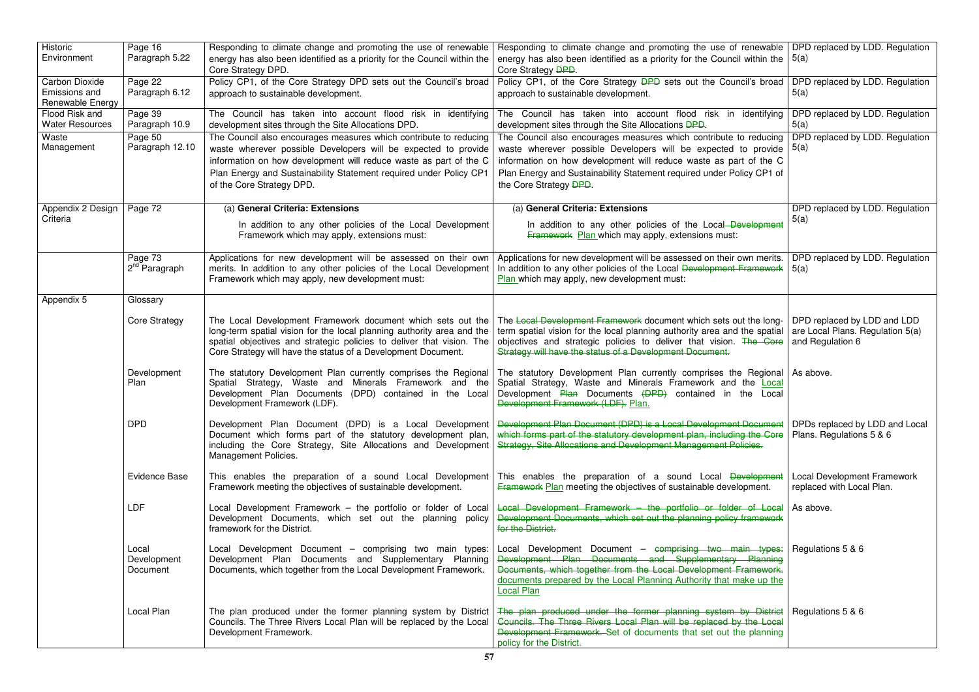| Historic<br>Environment                                    | Page 16<br>Paragraph 5.22            | Responding to climate change and promoting the use of renewable<br>energy has also been identified as a priority for the Council within the                                                                                                                                       | Responding to climate change and promoting the use of renewable<br>energy has also been identified as a priority for the Council within the $  5(a)$                                                                                                                                                       | DPD replaced by LDD. Regulation                                                     |
|------------------------------------------------------------|--------------------------------------|-----------------------------------------------------------------------------------------------------------------------------------------------------------------------------------------------------------------------------------------------------------------------------------|------------------------------------------------------------------------------------------------------------------------------------------------------------------------------------------------------------------------------------------------------------------------------------------------------------|-------------------------------------------------------------------------------------|
|                                                            |                                      | Core Strategy DPD.                                                                                                                                                                                                                                                                | Core Strategy DPD.                                                                                                                                                                                                                                                                                         |                                                                                     |
| <b>Carbon Dioxide</b><br>Emissions and<br>Renewable Energy | Page 22<br>Paragraph 6.12            | Policy CP1, of the Core Strategy DPD sets out the Council's broad<br>approach to sustainable development.                                                                                                                                                                         | Policy CP1, of the Core Strategy <b>DPD</b> sets out the Council's broad<br>approach to sustainable development.                                                                                                                                                                                           | DPD replaced by LDD. Regulation<br>5(a)                                             |
| Flood Risk and<br><b>Water Resources</b>                   | Page 39<br>Paragraph 10.9            | The Council has taken into account flood risk in identifying<br>development sites through the Site Allocations DPD.                                                                                                                                                               | The Council has taken into account flood risk in identifying<br>development sites through the Site Allocations DPD.                                                                                                                                                                                        | DPD replaced by LDD. Regulation<br>5(a)                                             |
| Waste                                                      | Page 50                              | The Council also encourages measures which contribute to reducing                                                                                                                                                                                                                 | The Council also encourages measures which contribute to reducing                                                                                                                                                                                                                                          | DPD replaced by LDD. Regulation                                                     |
| Management                                                 | Paragraph 12.10                      | waste wherever possible Developers will be expected to provide                                                                                                                                                                                                                    | waste wherever possible Developers will be expected to provide                                                                                                                                                                                                                                             | 5(a)                                                                                |
|                                                            |                                      | information on how development will reduce waste as part of the C                                                                                                                                                                                                                 | information on how development will reduce waste as part of the C                                                                                                                                                                                                                                          |                                                                                     |
|                                                            |                                      |                                                                                                                                                                                                                                                                                   |                                                                                                                                                                                                                                                                                                            |                                                                                     |
|                                                            |                                      | Plan Energy and Sustainability Statement required under Policy CP1<br>of the Core Strategy DPD.                                                                                                                                                                                   | Plan Energy and Sustainability Statement required under Policy CP1 of<br>the Core Strategy <b>DPD</b> .                                                                                                                                                                                                    |                                                                                     |
| Appendix 2 Design                                          | Page 72                              | (a) General Criteria: Extensions                                                                                                                                                                                                                                                  | (a) General Criteria: Extensions                                                                                                                                                                                                                                                                           | DPD replaced by LDD. Regulation                                                     |
| Criteria                                                   |                                      | In addition to any other policies of the Local Development<br>Framework which may apply, extensions must:                                                                                                                                                                         | In addition to any other policies of the Local-Development<br>Framework Plan which may apply, extensions must:                                                                                                                                                                                             | 5(a)                                                                                |
|                                                            | Page 73<br>2 <sup>nd</sup> Paragraph | Applications for new development will be assessed on their own<br>merits. In addition to any other policies of the Local Development<br>Framework which may apply, new development must:                                                                                          | Applications for new development will be assessed on their own merits.<br>In addition to any other policies of the Local Development Framework $\vert$ 5(a)<br>Plan which may apply, new development must:                                                                                                 | DPD replaced by LDD. Regulation                                                     |
| Appendix 5                                                 | Glossary                             |                                                                                                                                                                                                                                                                                   |                                                                                                                                                                                                                                                                                                            |                                                                                     |
|                                                            |                                      |                                                                                                                                                                                                                                                                                   |                                                                                                                                                                                                                                                                                                            |                                                                                     |
|                                                            | Core Strategy                        | The Local Development Framework document which sets out the<br>long-term spatial vision for the local planning authority area and the<br>spatial objectives and strategic policies to deliver that vision. The<br>Core Strategy will have the status of a Development Document.   | The Local Development Framework document which sets out the long-<br>term spatial vision for the local planning authority area and the spatial<br>objectives and strategic policies to deliver that vision. The Core<br>Strategy will have the status of a Development Document.                           | DPD replaced by LDD and LDD<br>are Local Plans. Regulation 5(a)<br>and Regulation 6 |
|                                                            | Development<br>Plan                  | Spatial Strategy, Waste and Minerals Framework and the<br>Development Plan Documents (DPD) contained in the Local<br>Development Framework (LDF).                                                                                                                                 | The statutory Development Plan currently comprises the Regional The statutory Development Plan currently comprises the Regional As above.<br>Spatial Strategy, Waste and Minerals Framework and the Local<br>Development Plan Documents (DPD) contained in the Local<br>Development Framework (LDF). Plan. |                                                                                     |
|                                                            | <b>DPD</b>                           | Development Plan Document (DPD) is a Local Development<br>Document which forms part of the statutory development plan,<br>including the Core Strategy, Site Allocations and Development   Strategy, Site Allocations and Development Management Policies.<br>Management Policies. | Development Plan Document (DPD) is a Local Development Document<br>which forms part of the statutory development plan, including the Core                                                                                                                                                                  | DPDs replaced by LDD and Local<br>Plans. Regulations 5 & 6                          |
|                                                            | <b>Evidence Base</b>                 | This enables the preparation of a sound Local Development<br>Framework meeting the objectives of sustainable development.                                                                                                                                                         | This enables the preparation of a sound Local Development<br><b>Framework Plan meeting the objectives of sustainable development.</b>                                                                                                                                                                      | <b>Local Development Framework</b><br>replaced with Local Plan.                     |
|                                                            | <b>LDF</b>                           | Local Development Framework - the portfolio or folder of Local<br>Development Documents, which set out the planning policy<br>framework for the District.                                                                                                                         | Local Development Framework - the portfolio or folder of Local $\vert$ As above.<br>Development Documents, which set out the planning policy framework<br>for the District.                                                                                                                                |                                                                                     |
|                                                            | Local<br>Development<br>Document     | Local Development Document - comprising two main types:<br>Development Plan Documents and Supplementary Planning<br>Documents, which together from the Local Development Framework.                                                                                               | Local Development Document - comprising two main types:<br>Development Plan Documents and Supplementary Planning<br>Documents, which together from the Local Development Framework.<br>documents prepared by the Local Planning Authority that make up the<br><b>Local Plan</b>                            | Regulations 5 & 6                                                                   |
|                                                            | Local Plan                           | The plan produced under the former planning system by District<br>Councils. The Three Rivers Local Plan will be replaced by the Local<br>Development Framework.                                                                                                                   | The plan produced under the former planning system by District<br>Councils. The Three Rivers Local Plan will be replaced by the Local<br>Development Framework. Set of documents that set out the planning<br>policy for the District.                                                                     | Regulations 5 & 6                                                                   |